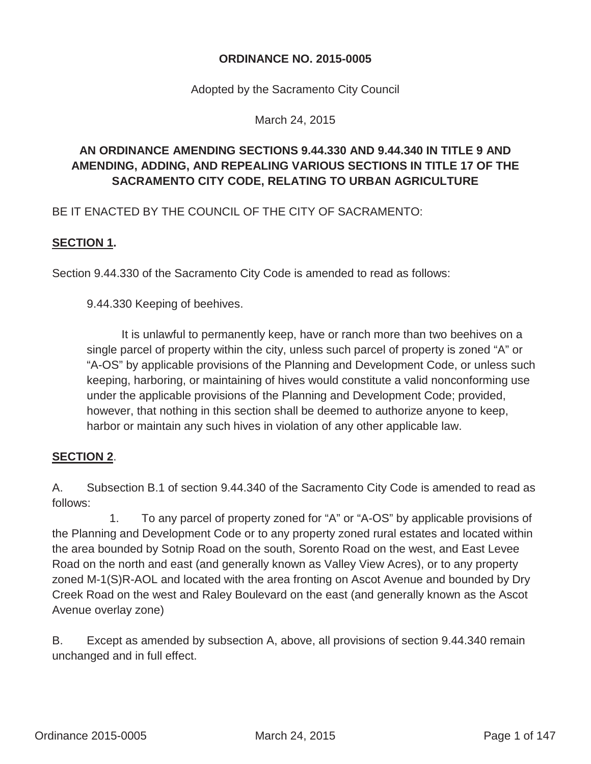#### **ORDINANCE NO. 2015-0005**

Adopted by the Sacramento City Council

March 24, 2015

# **AN ORDINANCE AMENDING SECTIONS 9.44.330 AND 9.44.340 IN TITLE 9 AND AMENDING, ADDING, AND REPEALING VARIOUS SECTIONS IN TITLE 17 OF THE SACRAMENTO CITY CODE, RELATING TO URBAN AGRICULTURE**

BE IT ENACTED BY THE COUNCIL OF THE CITY OF SACRAMENTO:

#### **SECTION 1.**

Section 9.44.330 of the Sacramento City Code is amended to read as follows:

9.44.330 Keeping of beehives.

It is unlawful to permanently keep, have or ranch more than two beehives on a single parcel of property within the city, unless such parcel of property is zoned "A" or "A-OS" by applicable provisions of the Planning and Development Code, or unless such keeping, harboring, or maintaining of hives would constitute a valid nonconforming use under the applicable provisions of the Planning and Development Code; provided, however, that nothing in this section shall be deemed to authorize anyone to keep, harbor or maintain any such hives in violation of any other applicable law.

#### **SECTION 2**.

A. Subsection B.1 of section 9.44.340 of the Sacramento City Code is amended to read as follows:

 1. To any parcel of property zoned for "A" or "A-OS" by applicable provisions of the Planning and Development Code or to any property zoned rural estates and located within the area bounded by Sotnip Road on the south, Sorento Road on the west, and East Levee Road on the north and east (and generally known as Valley View Acres), or to any property zoned M-1(S)R-AOL and located with the area fronting on Ascot Avenue and bounded by Dry Creek Road on the west and Raley Boulevard on the east (and generally known as the Ascot Avenue overlay zone)

B. Except as amended by subsection A, above, all provisions of section 9.44.340 remain unchanged and in full effect.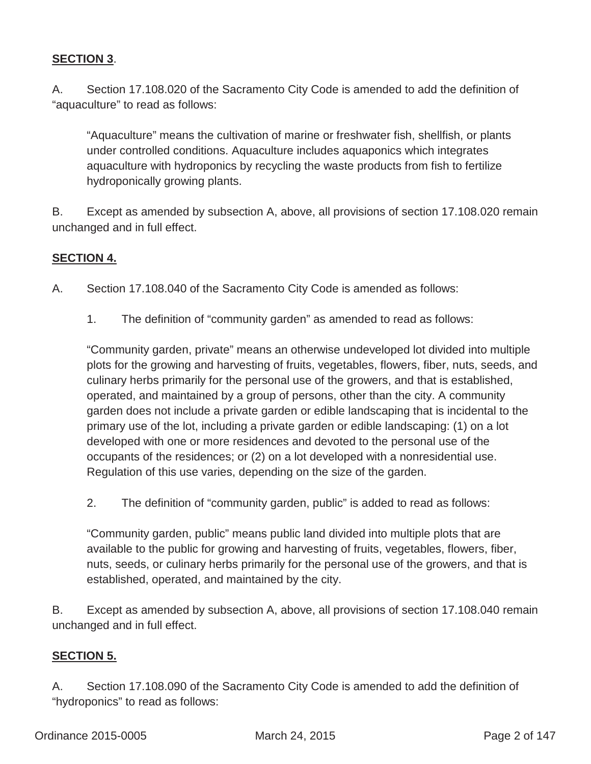### **SECTION 3**.

A. Section 17.108.020 of the Sacramento City Code is amended to add the definition of "aquaculture" to read as follows:

"Aquaculture" means the cultivation of marine or freshwater fish, shellfish, or plants under controlled conditions. Aquaculture includes aquaponics which integrates aquaculture with hydroponics by recycling the waste products from fish to fertilize hydroponically growing plants.

B. Except as amended by subsection A, above, all provisions of section 17.108.020 remain unchanged and in full effect.

### **SECTION 4.**

- A. Section 17.108.040 of the Sacramento City Code is amended as follows:
	- 1. The definition of "community garden" as amended to read as follows:

"Community garden, private" means an otherwise undeveloped lot divided into multiple plots for the growing and harvesting of fruits, vegetables, flowers, fiber, nuts, seeds, and culinary herbs primarily for the personal use of the growers, and that is established, operated, and maintained by a group of persons, other than the city. A community garden does not include a private garden or edible landscaping that is incidental to the primary use of the lot, including a private garden or edible landscaping: (1) on a lot developed with one or more residences and devoted to the personal use of the occupants of the residences; or (2) on a lot developed with a nonresidential use. Regulation of this use varies, depending on the size of the garden.

2. The definition of "community garden, public" is added to read as follows:

"Community garden, public" means public land divided into multiple plots that are available to the public for growing and harvesting of fruits, vegetables, flowers, fiber, nuts, seeds, or culinary herbs primarily for the personal use of the growers, and that is established, operated, and maintained by the city.

B. Except as amended by subsection A, above, all provisions of section 17.108.040 remain unchanged and in full effect.

#### **SECTION 5.**

A.Section 17.108.090 of the Sacramento City Code is amended to add the definition of "hydroponics" to read as follows: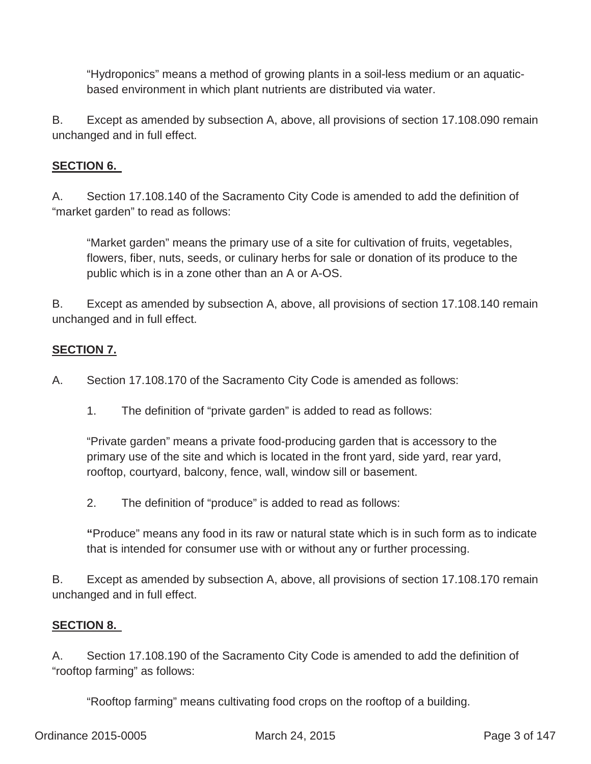"Hydroponics" means a method of growing plants in a soil-less medium or an aquaticbased environment in which plant nutrients are distributed via water.

B. Except as amended by subsection A, above, all provisions of section 17.108.090 remain unchanged and in full effect.

## **SECTION 6.**

A. Section 17.108.140 of the Sacramento City Code is amended to add the definition of "market garden" to read as follows:

"Market garden" means the primary use of a site for cultivation of fruits, vegetables, flowers, fiber, nuts, seeds, or culinary herbs for sale or donation of its produce to the public which is in a zone other than an A or A-OS.

B. Except as amended by subsection A, above, all provisions of section 17.108.140 remain unchanged and in full effect.

# **SECTION 7.**

A. Section 17.108.170 of the Sacramento City Code is amended as follows:

1. The definition of "private garden" is added to read as follows:

"Private garden" means a private food-producing garden that is accessory to the primary use of the site and which is located in the front yard, side yard, rear yard, rooftop, courtyard, balcony, fence, wall, window sill or basement.

2. The definition of "produce" is added to read as follows:

**"**Produce" means any food in its raw or natural state which is in such form as to indicate that is intended for consumer use with or without any or further processing.

B. Except as amended by subsection A, above, all provisions of section 17.108.170 remain unchanged and in full effect.

#### **SECTION 8.**

A. Section 17.108.190 of the Sacramento City Code is amended to add the definition of "rooftop farming" as follows:

"Rooftop farming" means cultivating food crops on the rooftop of a building.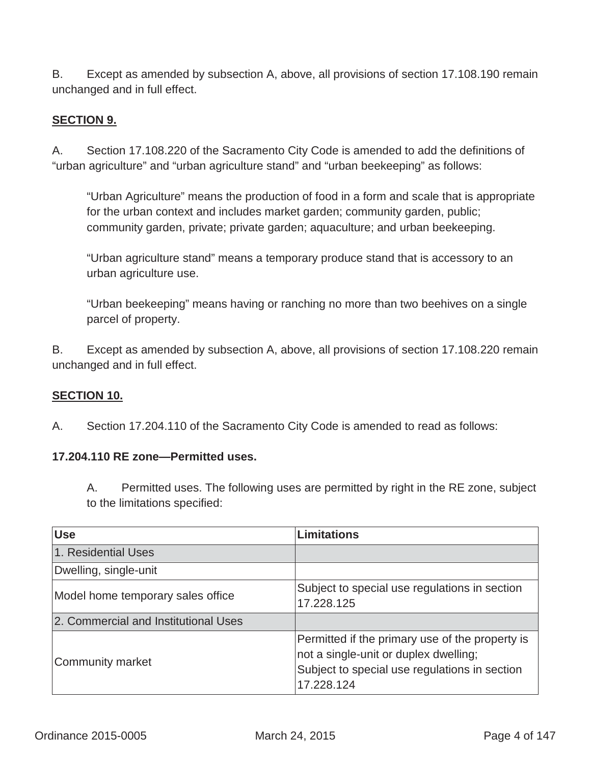B. Except as amended by subsection A, above, all provisions of section 17.108.190 remain unchanged and in full effect.

### **SECTION 9.**

A. Section 17.108.220 of the Sacramento City Code is amended to add the definitions of "urban agriculture" and "urban agriculture stand" and "urban beekeeping" as follows:

"Urban Agriculture" means the production of food in a form and scale that is appropriate for the urban context and includes market garden; community garden, public; community garden, private; private garden; aquaculture; and urban beekeeping.

"Urban agriculture stand" means a temporary produce stand that is accessory to an urban agriculture use.

"Urban beekeeping" means having or ranching no more than two beehives on a single parcel of property.

B. Except as amended by subsection A, above, all provisions of section 17.108.220 remain unchanged and in full effect.

#### **SECTION 10.**

A.Section 17.204.110 of the Sacramento City Code is amended to read as follows:

#### **17.204.110 RE zone—Permitted uses.**

A. Permitted uses. The following uses are permitted by right in the RE zone, subject to the limitations specified:

| <b>Use</b>                           | <b>Limitations</b>                                                                                                                                      |
|--------------------------------------|---------------------------------------------------------------------------------------------------------------------------------------------------------|
| 1. Residential Uses                  |                                                                                                                                                         |
| Dwelling, single-unit                |                                                                                                                                                         |
| Model home temporary sales office    | Subject to special use regulations in section<br>17.228.125                                                                                             |
| 2. Commercial and Institutional Uses |                                                                                                                                                         |
| Community market                     | Permitted if the primary use of the property is<br>not a single-unit or duplex dwelling;<br>Subject to special use regulations in section<br>17.228.124 |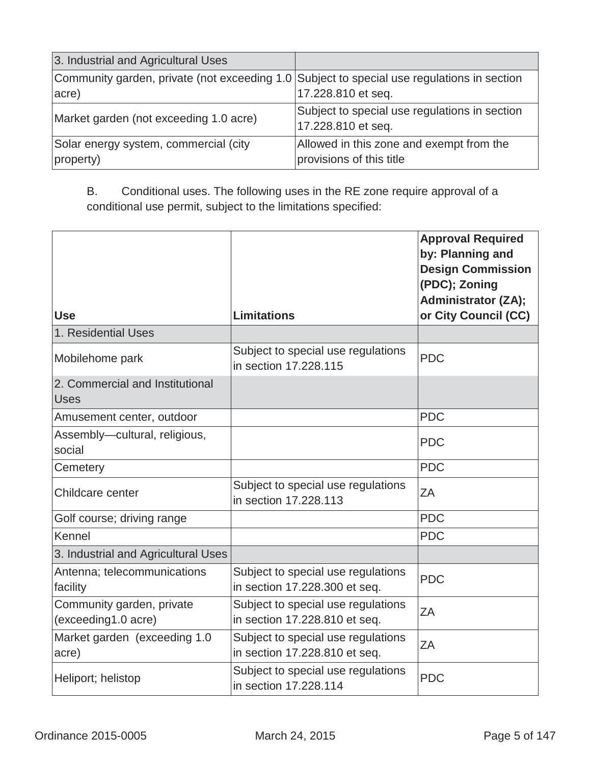| 3. Industrial and Agricultural Uses                                                        |                                               |
|--------------------------------------------------------------------------------------------|-----------------------------------------------|
| Community garden, private (not exceeding 1.0 Subject to special use regulations in section |                                               |
| acre)                                                                                      | 17.228.810 et seq.                            |
| Market garden (not exceeding 1.0 acre)                                                     | Subject to special use regulations in section |
|                                                                                            | 17.228.810 et seq.                            |
| Solar energy system, commercial (city                                                      | Allowed in this zone and exempt from the      |
| property)                                                                                  | provisions of this title                      |

B. Conditional uses. The following uses in the RE zone require approval of a conditional use permit, subject to the limitations specified:

| <b>Use</b>                                       | <b>Limitations</b>                                                  | <b>Approval Required</b><br>by: Planning and<br><b>Design Commission</b><br>(PDC); Zoning<br><b>Administrator (ZA);</b><br>or City Council (CC) |
|--------------------------------------------------|---------------------------------------------------------------------|-------------------------------------------------------------------------------------------------------------------------------------------------|
| 1. Residential Uses                              |                                                                     |                                                                                                                                                 |
| Mobilehome park                                  | Subject to special use regulations<br>in section 17,228,115         | <b>PDC</b>                                                                                                                                      |
| 2. Commercial and Institutional<br><b>Uses</b>   |                                                                     |                                                                                                                                                 |
| Amusement center, outdoor                        |                                                                     | <b>PDC</b>                                                                                                                                      |
| Assembly-cultural, religious,<br>social          |                                                                     | <b>PDC</b>                                                                                                                                      |
| Cemetery                                         |                                                                     | <b>PDC</b>                                                                                                                                      |
| Childcare center                                 | Subject to special use regulations<br>in section 17,228,113         | ZA                                                                                                                                              |
| Golf course; driving range                       |                                                                     | <b>PDC</b>                                                                                                                                      |
| Kennel                                           |                                                                     | <b>PDC</b>                                                                                                                                      |
| 3. Industrial and Agricultural Uses              |                                                                     |                                                                                                                                                 |
| Antenna; telecommunications<br>facility          | Subject to special use regulations<br>in section 17.228.300 et seq. | <b>PDC</b>                                                                                                                                      |
| Community garden, private<br>(exceeding1.0 acre) | Subject to special use regulations<br>in section 17.228.810 et seq. | ΖA                                                                                                                                              |
| Market garden (exceeding 1.0)<br>acre)           | Subject to special use regulations<br>in section 17.228.810 et seq. | ZΑ                                                                                                                                              |
| Heliport; helistop                               | Subject to special use regulations<br>in section 17,228,114         | <b>PDC</b>                                                                                                                                      |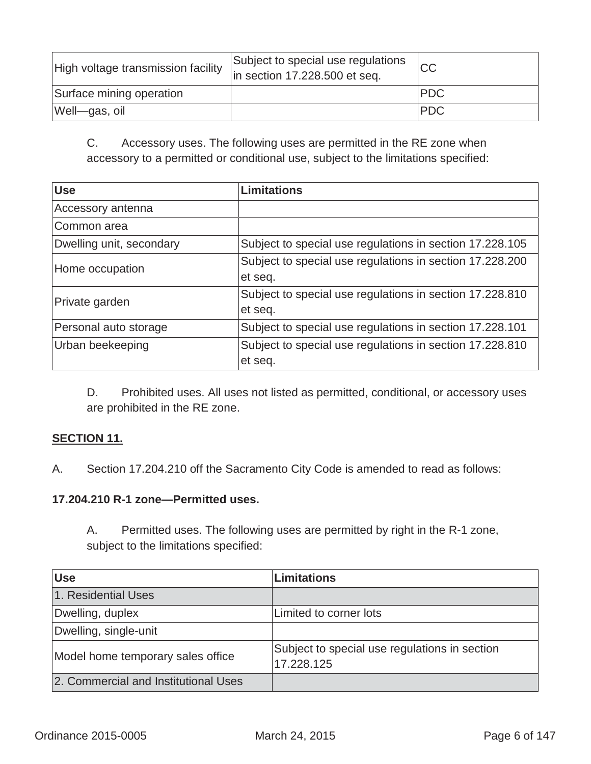| High voltage transmission facility | Subject to special use regulations<br>$\ln$ section 17.228.500 et seq. | <b>CC</b>   |
|------------------------------------|------------------------------------------------------------------------|-------------|
| Surface mining operation           |                                                                        | <b>PDC</b>  |
| Well-gas, oil                      |                                                                        | <b>IPDC</b> |

C. Accessory uses. The following uses are permitted in the RE zone when accessory to a permitted or conditional use, subject to the limitations specified:

| <b>Use</b>               | <b>Limitations</b>                                       |
|--------------------------|----------------------------------------------------------|
| Accessory antenna        |                                                          |
| Common area              |                                                          |
| Dwelling unit, secondary | Subject to special use regulations in section 17.228.105 |
| Home occupation          | Subject to special use regulations in section 17.228.200 |
|                          | et seq.                                                  |
| Private garden           | Subject to special use regulations in section 17.228.810 |
|                          | et seq.                                                  |
| Personal auto storage    | Subject to special use regulations in section 17.228.101 |
| Urban beekeeping         | Subject to special use regulations in section 17.228.810 |
|                          | et seq.                                                  |

D. Prohibited uses. All uses not listed as permitted, conditional, or accessory uses are prohibited in the RE zone.

### **SECTION 11.**

A.Section 17.204.210 off the Sacramento City Code is amended to read as follows:

#### **17.204.210 R-1 zone—Permitted uses.**

A. Permitted uses. The following uses are permitted by right in the R-1 zone, subject to the limitations specified:

| <b>Use</b>                           | <b>Limitations</b>                                          |
|--------------------------------------|-------------------------------------------------------------|
| 1. Residential Uses                  |                                                             |
| Dwelling, duplex                     | Limited to corner lots                                      |
| Dwelling, single-unit                |                                                             |
| Model home temporary sales office    | Subject to special use regulations in section<br>17.228.125 |
| 2. Commercial and Institutional Uses |                                                             |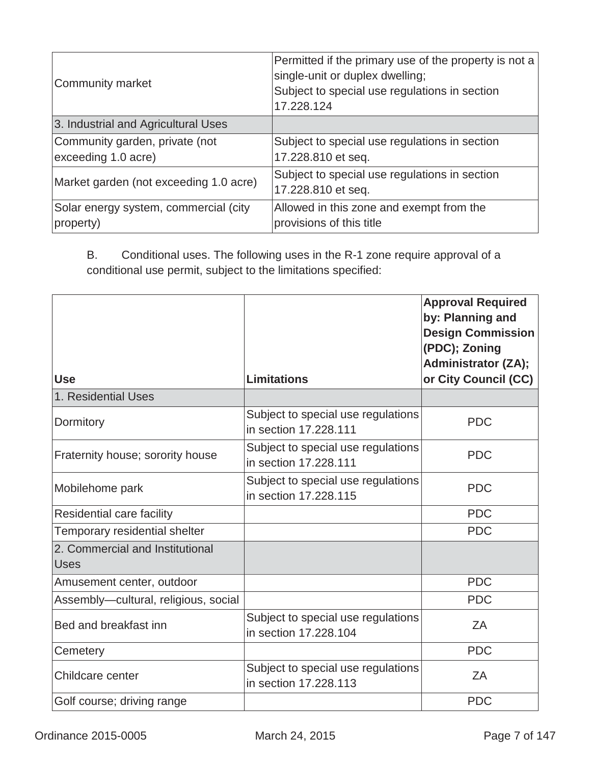| Community market                                      | Permitted if the primary use of the property is not a<br>single-unit or duplex dwelling;<br>Subject to special use regulations in section<br>17.228.124 |
|-------------------------------------------------------|---------------------------------------------------------------------------------------------------------------------------------------------------------|
| 3. Industrial and Agricultural Uses                   |                                                                                                                                                         |
| Community garden, private (not<br>exceeding 1.0 acre) | Subject to special use regulations in section<br>17.228.810 et seq.                                                                                     |
| Market garden (not exceeding 1.0 acre)                | Subject to special use regulations in section<br>17.228.810 et seq.                                                                                     |
| Solar energy system, commercial (city<br>property)    | Allowed in this zone and exempt from the<br>provisions of this title                                                                                    |

B. Conditional uses. The following uses in the R-1 zone require approval of a conditional use permit, subject to the limitations specified:

| <b>Use</b>                                     | <b>Limitations</b>                                          | <b>Approval Required</b><br>by: Planning and<br><b>Design Commission</b><br>(PDC); Zoning<br><b>Administrator (ZA);</b><br>or City Council (CC) |
|------------------------------------------------|-------------------------------------------------------------|-------------------------------------------------------------------------------------------------------------------------------------------------|
| 1. Residential Uses                            |                                                             |                                                                                                                                                 |
| Dormitory                                      | Subject to special use regulations<br>in section 17.228.111 | <b>PDC</b>                                                                                                                                      |
| Fraternity house; sorority house               | Subject to special use regulations<br>in section 17.228.111 | <b>PDC</b>                                                                                                                                      |
| Mobilehome park                                | Subject to special use regulations<br>in section 17.228.115 | <b>PDC</b>                                                                                                                                      |
| Residential care facility                      |                                                             | <b>PDC</b>                                                                                                                                      |
| Temporary residential shelter                  |                                                             | <b>PDC</b>                                                                                                                                      |
| 2. Commercial and Institutional<br><b>Uses</b> |                                                             |                                                                                                                                                 |
| Amusement center, outdoor                      |                                                             | <b>PDC</b>                                                                                                                                      |
| Assembly-cultural, religious, social           |                                                             | <b>PDC</b>                                                                                                                                      |
| Bed and breakfast inn                          | Subject to special use regulations<br>in section 17,228,104 | ΖA                                                                                                                                              |
| Cemetery                                       |                                                             | <b>PDC</b>                                                                                                                                      |
| Childcare center                               | Subject to special use regulations<br>in section 17,228,113 | ZΑ                                                                                                                                              |
| Golf course; driving range                     |                                                             | <b>PDC</b>                                                                                                                                      |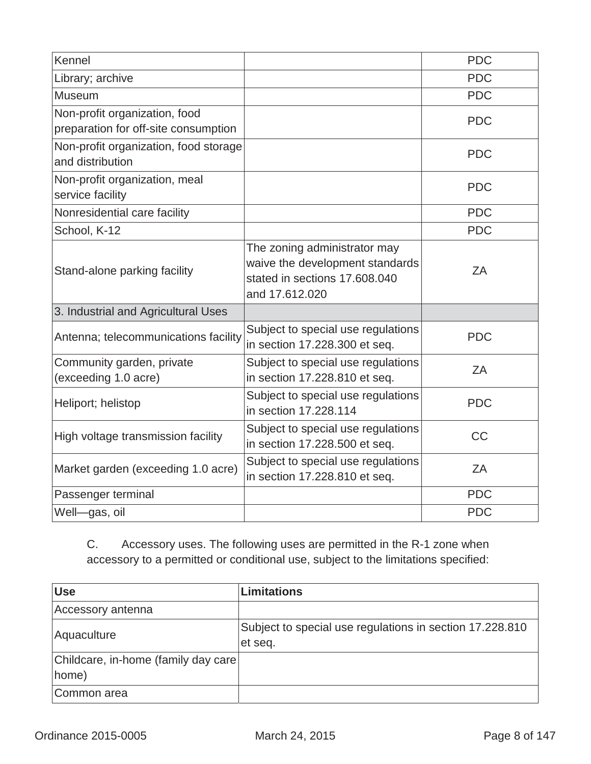| Kennel                                                                |                                                                                                                    | <b>PDC</b> |
|-----------------------------------------------------------------------|--------------------------------------------------------------------------------------------------------------------|------------|
| Library; archive                                                      |                                                                                                                    | <b>PDC</b> |
| Museum                                                                |                                                                                                                    | <b>PDC</b> |
| Non-profit organization, food<br>preparation for off-site consumption |                                                                                                                    | <b>PDC</b> |
| Non-profit organization, food storage<br>and distribution             |                                                                                                                    | <b>PDC</b> |
| Non-profit organization, meal<br>service facility                     |                                                                                                                    | <b>PDC</b> |
| Nonresidential care facility                                          |                                                                                                                    | <b>PDC</b> |
| School, K-12                                                          |                                                                                                                    | <b>PDC</b> |
| Stand-alone parking facility                                          | The zoning administrator may<br>waive the development standards<br>stated in sections 17.608.040<br>and 17.612.020 | ZA         |
| 3. Industrial and Agricultural Uses                                   |                                                                                                                    |            |
| Antenna; telecommunications facility                                  | Subject to special use regulations<br>in section 17.228.300 et seq.                                                | <b>PDC</b> |
| Community garden, private<br>(exceeding 1.0 acre)                     | Subject to special use regulations<br>in section 17.228.810 et seq.                                                | ZA         |
| Heliport; helistop                                                    | Subject to special use regulations<br>in section 17,228,114                                                        | <b>PDC</b> |
| High voltage transmission facility                                    | Subject to special use regulations<br>in section 17.228.500 et seq.                                                | <b>CC</b>  |
| Market garden (exceeding 1.0 acre)                                    | Subject to special use regulations<br>in section 17.228.810 et seq.                                                | ZA         |
| Passenger terminal                                                    |                                                                                                                    | <b>PDC</b> |
| Well-gas, oil                                                         |                                                                                                                    | <b>PDC</b> |

C. Accessory uses. The following uses are permitted in the R-1 zone when accessory to a permitted or conditional use, subject to the limitations specified:

| <b>Use</b>                                    | <b>Limitations</b>                                                  |
|-----------------------------------------------|---------------------------------------------------------------------|
| Accessory antenna                             |                                                                     |
| Aquaculture                                   | Subject to special use regulations in section 17.228.810<br>et seq. |
| Childcare, in-home (family day care)<br>home) |                                                                     |
| Common area                                   |                                                                     |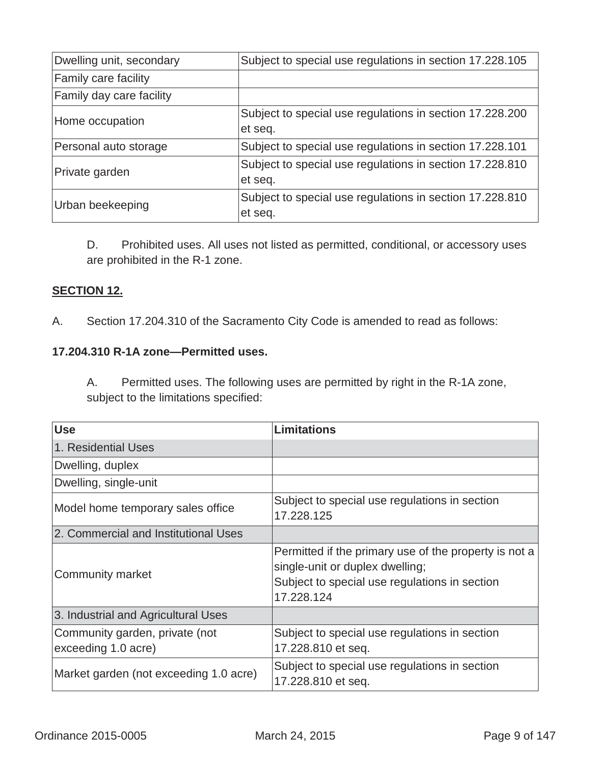| Dwelling unit, secondary        | Subject to special use regulations in section 17.228.105 |
|---------------------------------|----------------------------------------------------------|
| <b>Family care facility</b>     |                                                          |
| <b>Family day care facility</b> |                                                          |
| Home occupation                 | Subject to special use regulations in section 17.228.200 |
|                                 | et seq.                                                  |
| Personal auto storage           | Subject to special use regulations in section 17.228.101 |
| Private garden                  | Subject to special use regulations in section 17.228.810 |
|                                 | et seq.                                                  |
| Urban beekeeping                | Subject to special use regulations in section 17.228.810 |
|                                 | et seq.                                                  |

D. Prohibited uses. All uses not listed as permitted, conditional, or accessory uses are prohibited in the R-1 zone.

#### **SECTION 12.**

A.Section 17.204.310 of the Sacramento City Code is amended to read as follows:

#### **17.204.310 R-1A zone—Permitted uses.**

A. Permitted uses. The following uses are permitted by right in the R-1A zone, subject to the limitations specified:

| <b>Use</b>                                            | <b>Limitations</b>                                                                                                                                      |
|-------------------------------------------------------|---------------------------------------------------------------------------------------------------------------------------------------------------------|
| 1. Residential Uses                                   |                                                                                                                                                         |
| Dwelling, duplex                                      |                                                                                                                                                         |
| Dwelling, single-unit                                 |                                                                                                                                                         |
| Model home temporary sales office                     | Subject to special use regulations in section<br>17.228.125                                                                                             |
| 2. Commercial and Institutional Uses                  |                                                                                                                                                         |
| Community market                                      | Permitted if the primary use of the property is not a<br>single-unit or duplex dwelling;<br>Subject to special use regulations in section<br>17.228.124 |
| 3. Industrial and Agricultural Uses                   |                                                                                                                                                         |
| Community garden, private (not<br>exceeding 1.0 acre) | Subject to special use regulations in section<br>17.228.810 et seq.                                                                                     |
| Market garden (not exceeding 1.0 acre)                | Subject to special use regulations in section<br>17.228.810 et seq.                                                                                     |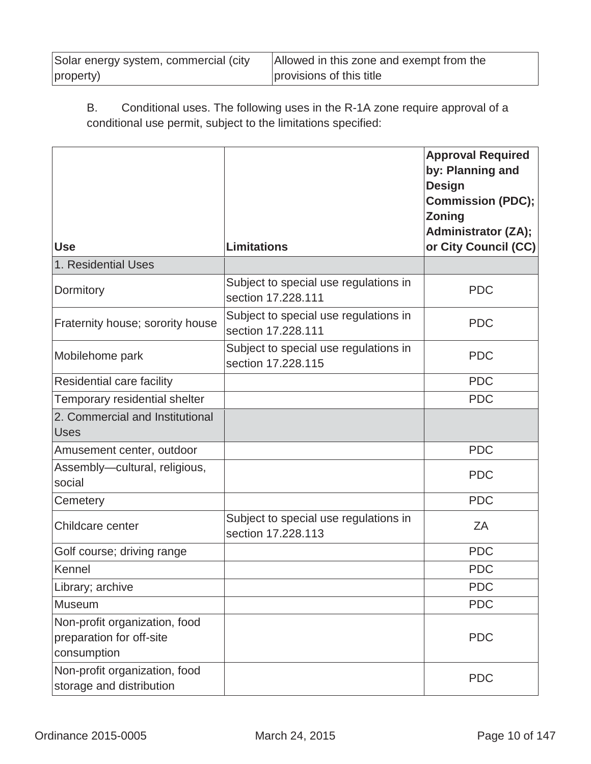| Solar energy system, commercial (city | Allowed in this zone and exempt from the |
|---------------------------------------|------------------------------------------|
| property)                             | provisions of this title                 |

# B. Conditional uses. The following uses in the R-1A zone require approval of a conditional use permit, subject to the limitations specified:

| <b>Use</b>                                                               | <b>Limitations</b>                                          | <b>Approval Required</b><br>by: Planning and<br><b>Design</b><br><b>Commission (PDC);</b><br><b>Zoning</b><br><b>Administrator (ZA);</b><br>or City Council (CC) |
|--------------------------------------------------------------------------|-------------------------------------------------------------|------------------------------------------------------------------------------------------------------------------------------------------------------------------|
| 1. Residential Uses                                                      |                                                             |                                                                                                                                                                  |
| Dormitory                                                                | Subject to special use regulations in<br>section 17,228,111 | <b>PDC</b>                                                                                                                                                       |
| Fraternity house; sorority house                                         | Subject to special use regulations in<br>section 17,228,111 | <b>PDC</b>                                                                                                                                                       |
| Mobilehome park                                                          | Subject to special use regulations in<br>section 17.228.115 | <b>PDC</b>                                                                                                                                                       |
| Residential care facility                                                |                                                             | <b>PDC</b>                                                                                                                                                       |
| Temporary residential shelter                                            |                                                             | <b>PDC</b>                                                                                                                                                       |
| 2. Commercial and Institutional<br><b>Uses</b>                           |                                                             |                                                                                                                                                                  |
| Amusement center, outdoor                                                |                                                             | <b>PDC</b>                                                                                                                                                       |
| Assembly-cultural, religious,<br>social                                  |                                                             | <b>PDC</b>                                                                                                                                                       |
| Cemetery                                                                 |                                                             | <b>PDC</b>                                                                                                                                                       |
| Childcare center                                                         | Subject to special use regulations in<br>section 17.228.113 | ZA                                                                                                                                                               |
| Golf course; driving range                                               |                                                             | <b>PDC</b>                                                                                                                                                       |
| Kennel                                                                   |                                                             | <b>PDC</b>                                                                                                                                                       |
| Library; archive                                                         |                                                             | <b>PDC</b>                                                                                                                                                       |
| Museum                                                                   |                                                             | <b>PDC</b>                                                                                                                                                       |
| Non-profit organization, food<br>preparation for off-site<br>consumption |                                                             | <b>PDC</b>                                                                                                                                                       |
| Non-profit organization, food<br>storage and distribution                |                                                             | <b>PDC</b>                                                                                                                                                       |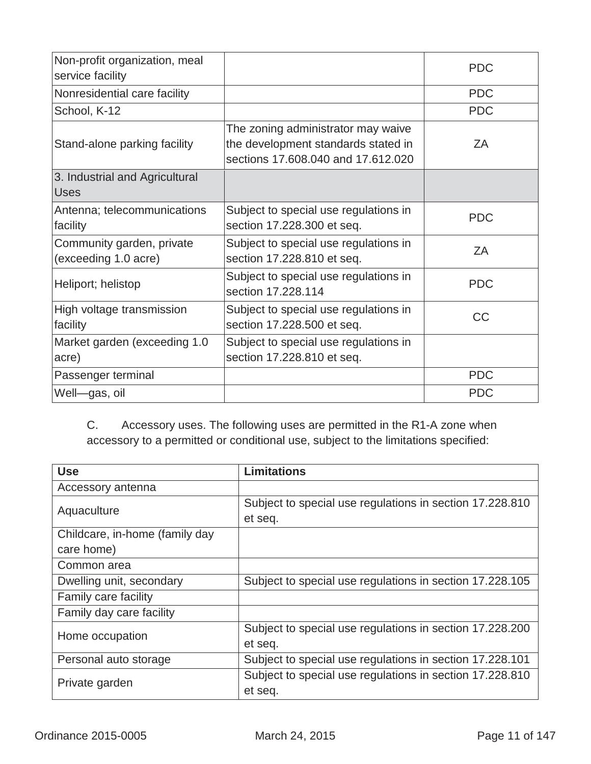| Non-profit organization, meal<br>service facility |                                                                                                                 | <b>PDC</b> |
|---------------------------------------------------|-----------------------------------------------------------------------------------------------------------------|------------|
| Nonresidential care facility                      |                                                                                                                 | <b>PDC</b> |
| School, K-12                                      |                                                                                                                 | <b>PDC</b> |
| Stand-alone parking facility                      | The zoning administrator may waive<br>the development standards stated in<br>sections 17.608.040 and 17.612.020 | ΖA         |
| 3. Industrial and Agricultural<br><b>Uses</b>     |                                                                                                                 |            |
| Antenna; telecommunications<br>facility           | Subject to special use regulations in<br>section 17.228.300 et seq.                                             | <b>PDC</b> |
| Community garden, private<br>(exceeding 1.0 acre) | Subject to special use regulations in<br>section 17.228.810 et seq.                                             | ZΑ         |
| Heliport; helistop                                | Subject to special use regulations in<br>section 17,228,114                                                     | <b>PDC</b> |
| High voltage transmission<br>facility             | Subject to special use regulations in<br>section 17.228.500 et seq.                                             | <b>CC</b>  |
| Market garden (exceeding 1.0<br>acre)             | Subject to special use regulations in<br>section 17.228.810 et seq.                                             |            |
| Passenger terminal                                |                                                                                                                 | <b>PDC</b> |
| Well-gas, oil                                     |                                                                                                                 | <b>PDC</b> |

C. Accessory uses. The following uses are permitted in the R1-A zone when accessory to a permitted or conditional use, subject to the limitations specified:

| <b>Use</b>                     | <b>Limitations</b>                                       |
|--------------------------------|----------------------------------------------------------|
| Accessory antenna              |                                                          |
| Aquaculture                    | Subject to special use regulations in section 17.228.810 |
|                                | et seq.                                                  |
| Childcare, in-home (family day |                                                          |
| care home)                     |                                                          |
| Common area                    |                                                          |
| Dwelling unit, secondary       | Subject to special use regulations in section 17.228.105 |
| Family care facility           |                                                          |
| Family day care facility       |                                                          |
| Home occupation                | Subject to special use regulations in section 17.228.200 |
|                                | et seq.                                                  |
| Personal auto storage          | Subject to special use regulations in section 17.228.101 |
| Private garden                 | Subject to special use regulations in section 17.228.810 |
|                                | et seq.                                                  |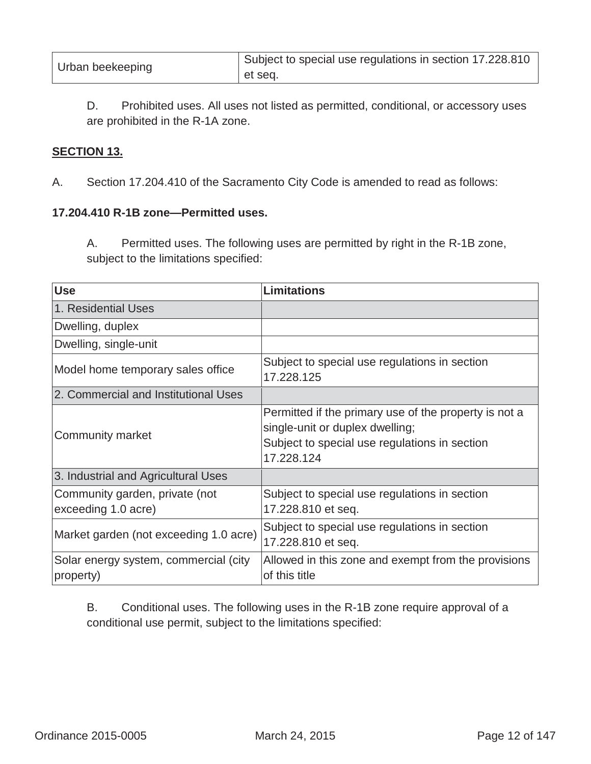| Urban beekeeping | <sup>1</sup> Subject to special use regulations in section 17.228.810 |
|------------------|-----------------------------------------------------------------------|
|                  | et seg.                                                               |

D. Prohibited uses. All uses not listed as permitted, conditional, or accessory uses are prohibited in the R-1A zone.

#### **SECTION 13.**

A.Section 17.204.410 of the Sacramento City Code is amended to read as follows:

#### **17.204.410 R-1B zone—Permitted uses.**

A. Permitted uses. The following uses are permitted by right in the R-1B zone, subject to the limitations specified:

| <b>Use</b>                                            | <b>Limitations</b>                                                                                                                                      |
|-------------------------------------------------------|---------------------------------------------------------------------------------------------------------------------------------------------------------|
| 1. Residential Uses                                   |                                                                                                                                                         |
| Dwelling, duplex                                      |                                                                                                                                                         |
| Dwelling, single-unit                                 |                                                                                                                                                         |
| Model home temporary sales office                     | Subject to special use regulations in section<br>17.228.125                                                                                             |
| 2. Commercial and Institutional Uses                  |                                                                                                                                                         |
| <b>Community market</b>                               | Permitted if the primary use of the property is not a<br>single-unit or duplex dwelling;<br>Subject to special use regulations in section<br>17.228.124 |
| 3. Industrial and Agricultural Uses                   |                                                                                                                                                         |
| Community garden, private (not<br>exceeding 1.0 acre) | Subject to special use regulations in section<br>17.228.810 et seq.                                                                                     |
| Market garden (not exceeding 1.0 acre)                | Subject to special use regulations in section<br>17.228.810 et seq.                                                                                     |
| Solar energy system, commercial (city<br>property)    | Allowed in this zone and exempt from the provisions<br>of this title                                                                                    |

B. Conditional uses. The following uses in the R-1B zone require approval of a conditional use permit, subject to the limitations specified: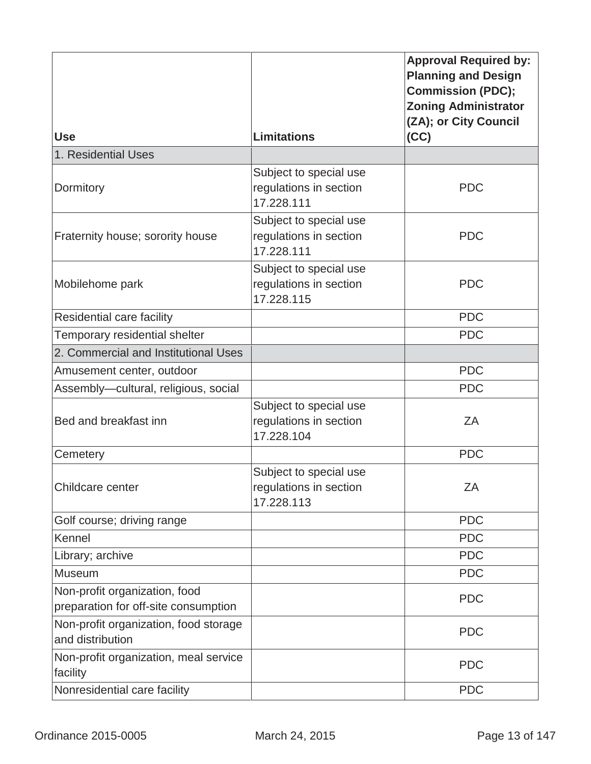|                                                                       |                                                                | <b>Approval Required by:</b><br><b>Planning and Design</b><br><b>Commission (PDC);</b><br><b>Zoning Administrator</b><br>(ZA); or City Council |
|-----------------------------------------------------------------------|----------------------------------------------------------------|------------------------------------------------------------------------------------------------------------------------------------------------|
| <b>Use</b>                                                            | <b>Limitations</b>                                             | (CC)                                                                                                                                           |
| 1. Residential Uses                                                   |                                                                |                                                                                                                                                |
| Dormitory                                                             | Subject to special use<br>regulations in section<br>17.228.111 | <b>PDC</b>                                                                                                                                     |
| Fraternity house; sorority house                                      | Subject to special use<br>regulations in section<br>17.228.111 | <b>PDC</b>                                                                                                                                     |
| Mobilehome park                                                       | Subject to special use<br>regulations in section<br>17.228.115 | <b>PDC</b>                                                                                                                                     |
| Residential care facility                                             |                                                                | <b>PDC</b>                                                                                                                                     |
| Temporary residential shelter                                         |                                                                | <b>PDC</b>                                                                                                                                     |
| 2. Commercial and Institutional Uses                                  |                                                                |                                                                                                                                                |
| Amusement center, outdoor                                             |                                                                | <b>PDC</b>                                                                                                                                     |
| Assembly-cultural, religious, social                                  |                                                                | <b>PDC</b>                                                                                                                                     |
| Bed and breakfast inn                                                 | Subject to special use<br>regulations in section<br>17.228.104 | ZA                                                                                                                                             |
| Cemetery                                                              |                                                                | <b>PDC</b>                                                                                                                                     |
| Childcare center                                                      | Subject to special use<br>regulations in section<br>17.228.113 | ZA                                                                                                                                             |
| Golf course; driving range                                            |                                                                | <b>PDC</b>                                                                                                                                     |
| Kennel                                                                |                                                                | <b>PDC</b>                                                                                                                                     |
| Library; archive                                                      |                                                                | <b>PDC</b>                                                                                                                                     |
| Museum                                                                |                                                                | <b>PDC</b>                                                                                                                                     |
| Non-profit organization, food<br>preparation for off-site consumption |                                                                | <b>PDC</b>                                                                                                                                     |
| Non-profit organization, food storage<br>and distribution             |                                                                | <b>PDC</b>                                                                                                                                     |
| Non-profit organization, meal service<br>facility                     |                                                                | <b>PDC</b>                                                                                                                                     |
| Nonresidential care facility                                          |                                                                | <b>PDC</b>                                                                                                                                     |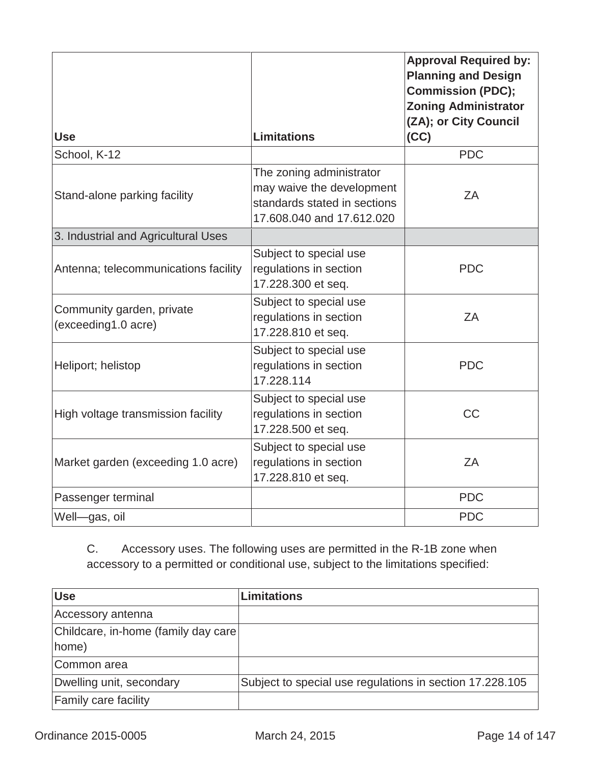| <b>Use</b>                                       | <b>Limitations</b>                                                                                                 | <b>Approval Required by:</b><br><b>Planning and Design</b><br><b>Commission (PDC);</b><br><b>Zoning Administrator</b><br>(ZA); or City Council<br>(CC) |
|--------------------------------------------------|--------------------------------------------------------------------------------------------------------------------|--------------------------------------------------------------------------------------------------------------------------------------------------------|
| School, K-12                                     |                                                                                                                    | <b>PDC</b>                                                                                                                                             |
| Stand-alone parking facility                     | The zoning administrator<br>may waive the development<br>standards stated in sections<br>17.608.040 and 17.612.020 | ZA                                                                                                                                                     |
| 3. Industrial and Agricultural Uses              |                                                                                                                    |                                                                                                                                                        |
| Antenna; telecommunications facility             | Subject to special use<br>regulations in section<br>17.228.300 et seq.                                             | <b>PDC</b>                                                                                                                                             |
| Community garden, private<br>(exceeding1.0 acre) | Subject to special use<br>regulations in section<br>17.228.810 et seq.                                             | ZA                                                                                                                                                     |
| Heliport; helistop                               | Subject to special use<br>regulations in section<br>17.228.114                                                     | <b>PDC</b>                                                                                                                                             |
| High voltage transmission facility               | Subject to special use<br>regulations in section<br>17.228.500 et seq.                                             | <b>CC</b>                                                                                                                                              |
| Market garden (exceeding 1.0 acre)               | Subject to special use<br>regulations in section<br>17.228.810 et seq.                                             | ZA                                                                                                                                                     |
| Passenger terminal                               |                                                                                                                    | <b>PDC</b>                                                                                                                                             |
| Well-gas, oil                                    |                                                                                                                    | <b>PDC</b>                                                                                                                                             |

C. Accessory uses. The following uses are permitted in the R-1B zone when accessory to a permitted or conditional use, subject to the limitations specified:

| <b>Use</b>                           | Limitations                                              |
|--------------------------------------|----------------------------------------------------------|
| Accessory antenna                    |                                                          |
| Childcare, in-home (family day care) |                                                          |
| home)                                |                                                          |
| Common area                          |                                                          |
| Dwelling unit, secondary             | Subject to special use regulations in section 17.228.105 |
| <b>Family care facility</b>          |                                                          |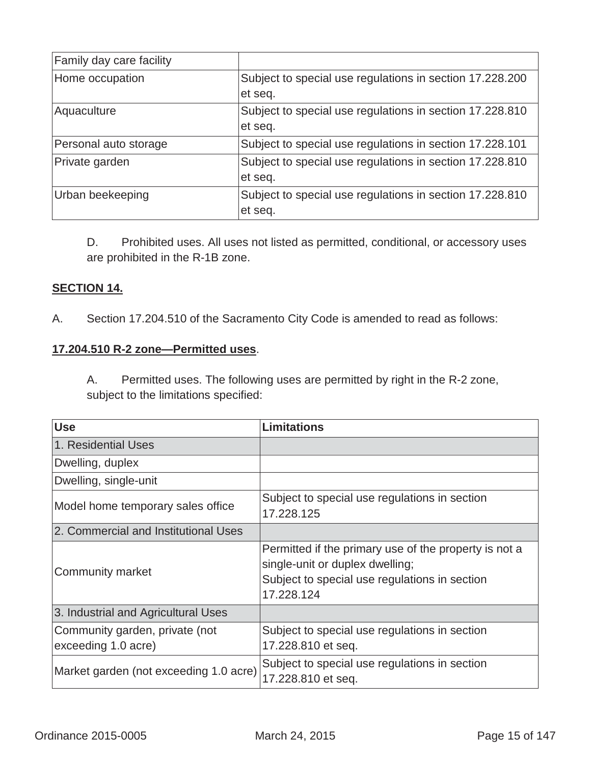| Family day care facility |                                                          |
|--------------------------|----------------------------------------------------------|
| Home occupation          | Subject to special use regulations in section 17.228.200 |
|                          | et seq.                                                  |
| Aquaculture              | Subject to special use regulations in section 17.228.810 |
|                          | et seq.                                                  |
| Personal auto storage    | Subject to special use regulations in section 17.228.101 |
| Private garden           | Subject to special use regulations in section 17.228.810 |
|                          | et seq.                                                  |
| Urban beekeeping         | Subject to special use regulations in section 17.228.810 |
|                          | et seq.                                                  |

D. Prohibited uses. All uses not listed as permitted, conditional, or accessory uses are prohibited in the R-1B zone.

# **SECTION 14.**

A. Section 17.204.510 of the Sacramento City Code is amended to read as follows:

### **17.204.510 R-2 zone—Permitted uses**.

A. Permitted uses. The following uses are permitted by right in the R-2 zone, subject to the limitations specified:

| <b>Use</b>                                            | Limitations                                                                                                                                             |
|-------------------------------------------------------|---------------------------------------------------------------------------------------------------------------------------------------------------------|
| 1. Residential Uses                                   |                                                                                                                                                         |
| Dwelling, duplex                                      |                                                                                                                                                         |
| Dwelling, single-unit                                 |                                                                                                                                                         |
| Model home temporary sales office                     | Subject to special use regulations in section<br>17.228.125                                                                                             |
| 2. Commercial and Institutional Uses                  |                                                                                                                                                         |
| Community market                                      | Permitted if the primary use of the property is not a<br>single-unit or duplex dwelling;<br>Subject to special use regulations in section<br>17.228.124 |
| 3. Industrial and Agricultural Uses                   |                                                                                                                                                         |
| Community garden, private (not<br>exceeding 1.0 acre) | Subject to special use regulations in section<br>17.228.810 et seq.                                                                                     |
| Market garden (not exceeding 1.0 acre)                | Subject to special use regulations in section<br>17.228.810 et seq.                                                                                     |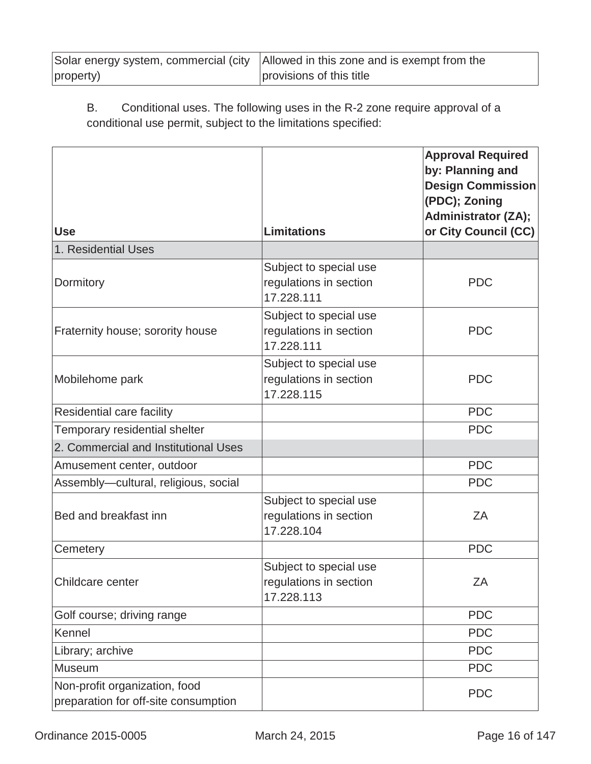|           | Solar energy system, commercial (city   Allowed in this zone and is exempt from the |
|-----------|-------------------------------------------------------------------------------------|
| property) | provisions of this title                                                            |

B. Conditional uses. The following uses in the R-2 zone require approval of a conditional use permit, subject to the limitations specified:

|                                                                       |                                                                | <b>Approval Required</b><br>by: Planning and<br><b>Design Commission</b><br>(PDC); Zoning<br><b>Administrator (ZA);</b> |
|-----------------------------------------------------------------------|----------------------------------------------------------------|-------------------------------------------------------------------------------------------------------------------------|
| <b>Use</b>                                                            | <b>Limitations</b>                                             | or City Council (CC)                                                                                                    |
| 1. Residential Uses                                                   |                                                                |                                                                                                                         |
| Dormitory                                                             | Subject to special use<br>regulations in section<br>17.228.111 | <b>PDC</b>                                                                                                              |
| Fraternity house; sorority house                                      | Subject to special use<br>regulations in section<br>17.228.111 | <b>PDC</b>                                                                                                              |
| Mobilehome park                                                       | Subject to special use<br>regulations in section<br>17.228.115 | <b>PDC</b>                                                                                                              |
| Residential care facility                                             |                                                                | <b>PDC</b>                                                                                                              |
| Temporary residential shelter                                         |                                                                | <b>PDC</b>                                                                                                              |
| 2. Commercial and Institutional Uses                                  |                                                                |                                                                                                                         |
| Amusement center, outdoor                                             |                                                                | <b>PDC</b>                                                                                                              |
| Assembly-cultural, religious, social                                  |                                                                | <b>PDC</b>                                                                                                              |
| Bed and breakfast inn                                                 | Subject to special use<br>regulations in section<br>17.228.104 | ZΑ                                                                                                                      |
| Cemetery                                                              |                                                                | <b>PDC</b>                                                                                                              |
| Childcare center                                                      | Subject to special use<br>regulations in section<br>17.228.113 | ZA                                                                                                                      |
| Golf course; driving range                                            |                                                                | <b>PDC</b>                                                                                                              |
| Kennel                                                                |                                                                | <b>PDC</b>                                                                                                              |
| Library; archive                                                      |                                                                | <b>PDC</b>                                                                                                              |
| Museum                                                                |                                                                | <b>PDC</b>                                                                                                              |
| Non-profit organization, food<br>preparation for off-site consumption |                                                                | <b>PDC</b>                                                                                                              |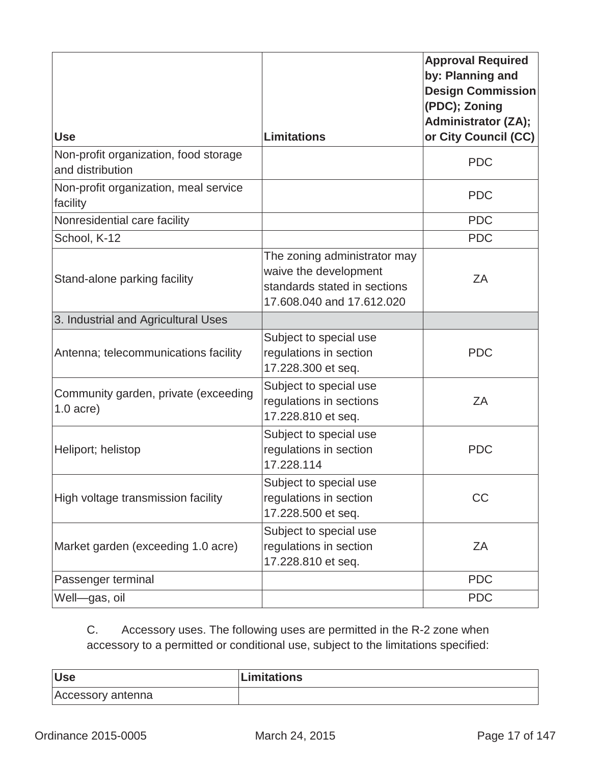|                                                           |                                                                                                                    | <b>Approval Required</b><br>by: Planning and<br><b>Design Commission</b><br>(PDC); Zoning<br><b>Administrator (ZA);</b> |
|-----------------------------------------------------------|--------------------------------------------------------------------------------------------------------------------|-------------------------------------------------------------------------------------------------------------------------|
| <b>Use</b>                                                | <b>Limitations</b>                                                                                                 | or City Council (CC)                                                                                                    |
| Non-profit organization, food storage<br>and distribution |                                                                                                                    | <b>PDC</b>                                                                                                              |
| Non-profit organization, meal service<br>facility         |                                                                                                                    | <b>PDC</b>                                                                                                              |
| Nonresidential care facility                              |                                                                                                                    | <b>PDC</b>                                                                                                              |
| School, K-12                                              |                                                                                                                    | <b>PDC</b>                                                                                                              |
| Stand-alone parking facility                              | The zoning administrator may<br>waive the development<br>standards stated in sections<br>17.608.040 and 17.612.020 | ZA                                                                                                                      |
| 3. Industrial and Agricultural Uses                       |                                                                                                                    |                                                                                                                         |
| Antenna; telecommunications facility                      | Subject to special use<br>regulations in section<br>17.228.300 et seq.                                             | <b>PDC</b>                                                                                                              |
| Community garden, private (exceeding<br>$1.0$ acre)       | Subject to special use<br>regulations in sections<br>17.228.810 et seq.                                            | ZA                                                                                                                      |
| Heliport; helistop                                        | Subject to special use<br>regulations in section<br>17.228.114                                                     | <b>PDC</b>                                                                                                              |
| High voltage transmission facility                        | Subject to special use<br>regulations in section<br>17.228.500 et seq.                                             | CC                                                                                                                      |
| Market garden (exceeding 1.0 acre)                        | Subject to special use<br>regulations in section<br>17.228.810 et seq.                                             | ZA                                                                                                                      |
| Passenger terminal                                        |                                                                                                                    | <b>PDC</b>                                                                                                              |
| Well-gas, oil                                             |                                                                                                                    | <b>PDC</b>                                                                                                              |
|                                                           |                                                                                                                    |                                                                                                                         |

C. Accessory uses. The following uses are permitted in the R-2 zone when accessory to a permitted or conditional use, subject to the limitations specified:

| <b>Use</b>        | Limitations |
|-------------------|-------------|
| Accessory antenna |             |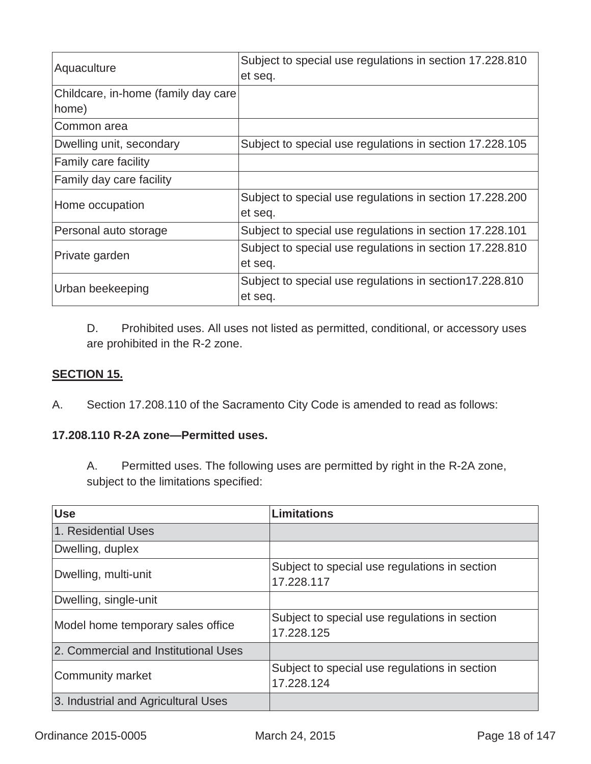| Aquaculture                          | Subject to special use regulations in section 17.228.810<br>et seq. |
|--------------------------------------|---------------------------------------------------------------------|
| Childcare, in-home (family day care) |                                                                     |
| home)                                |                                                                     |
| Common area                          |                                                                     |
| Dwelling unit, secondary             | Subject to special use regulations in section 17.228.105            |
| Family care facility                 |                                                                     |
| Family day care facility             |                                                                     |
| Home occupation                      | Subject to special use regulations in section 17.228.200            |
|                                      | et seq.                                                             |
| Personal auto storage                | Subject to special use regulations in section 17.228.101            |
| Private garden                       | Subject to special use regulations in section 17.228.810            |
|                                      | et seq.                                                             |
| Urban beekeeping                     | Subject to special use regulations in section 17.228.810            |
|                                      | et seq.                                                             |

D. Prohibited uses. All uses not listed as permitted, conditional, or accessory uses are prohibited in the R-2 zone.

#### **SECTION 15.**

A. Section 17.208.110 of the Sacramento City Code is amended to read as follows:

# **17.208.110 R-2A zone—Permitted uses.**

A. Permitted uses. The following uses are permitted by right in the R-2A zone, subject to the limitations specified:

| <b>Use</b>                           | <b>Limitations</b>                                          |
|--------------------------------------|-------------------------------------------------------------|
| 1. Residential Uses                  |                                                             |
| Dwelling, duplex                     |                                                             |
| Dwelling, multi-unit                 | Subject to special use regulations in section<br>17.228.117 |
| Dwelling, single-unit                |                                                             |
| Model home temporary sales office    | Subject to special use regulations in section<br>17.228.125 |
| 2. Commercial and Institutional Uses |                                                             |
| Community market                     | Subject to special use regulations in section<br>17.228.124 |
| 3. Industrial and Agricultural Uses  |                                                             |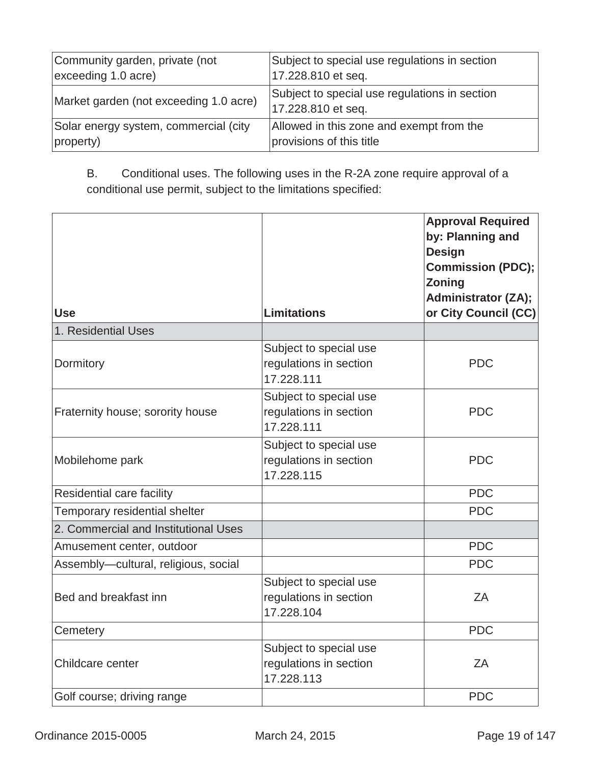| Community garden, private (not         | Subject to special use regulations in section                       |
|----------------------------------------|---------------------------------------------------------------------|
| exceeding 1.0 acre)                    | 17.228.810 et seq.                                                  |
| Market garden (not exceeding 1.0 acre) | Subject to special use regulations in section<br>17.228.810 et seq. |
| Solar energy system, commercial (city  | Allowed in this zone and exempt from the                            |
| property)                              | provisions of this title                                            |

B. Conditional uses. The following uses in the R-2A zone require approval of a conditional use permit, subject to the limitations specified:

| <b>Use</b>                           | <b>Limitations</b>                                             | <b>Approval Required</b><br>by: Planning and<br><b>Design</b><br><b>Commission (PDC);</b><br><b>Zoning</b><br><b>Administrator (ZA);</b><br>or City Council (CC) |
|--------------------------------------|----------------------------------------------------------------|------------------------------------------------------------------------------------------------------------------------------------------------------------------|
| 1. Residential Uses                  |                                                                |                                                                                                                                                                  |
| Dormitory                            | Subject to special use<br>regulations in section<br>17.228.111 | <b>PDC</b>                                                                                                                                                       |
| Fraternity house; sorority house     | Subject to special use<br>regulations in section<br>17.228.111 | <b>PDC</b>                                                                                                                                                       |
| Mobilehome park                      | Subject to special use<br>regulations in section<br>17.228.115 | <b>PDC</b>                                                                                                                                                       |
| Residential care facility            |                                                                | <b>PDC</b>                                                                                                                                                       |
| Temporary residential shelter        |                                                                | <b>PDC</b>                                                                                                                                                       |
| 2. Commercial and Institutional Uses |                                                                |                                                                                                                                                                  |
| Amusement center, outdoor            |                                                                | <b>PDC</b>                                                                                                                                                       |
| Assembly-cultural, religious, social |                                                                | <b>PDC</b>                                                                                                                                                       |
| Bed and breakfast inn                | Subject to special use<br>regulations in section<br>17.228.104 | ZA                                                                                                                                                               |
| Cemetery                             |                                                                | <b>PDC</b>                                                                                                                                                       |
| Childcare center                     | Subject to special use<br>regulations in section<br>17.228.113 | ZA                                                                                                                                                               |
| Golf course; driving range           |                                                                | <b>PDC</b>                                                                                                                                                       |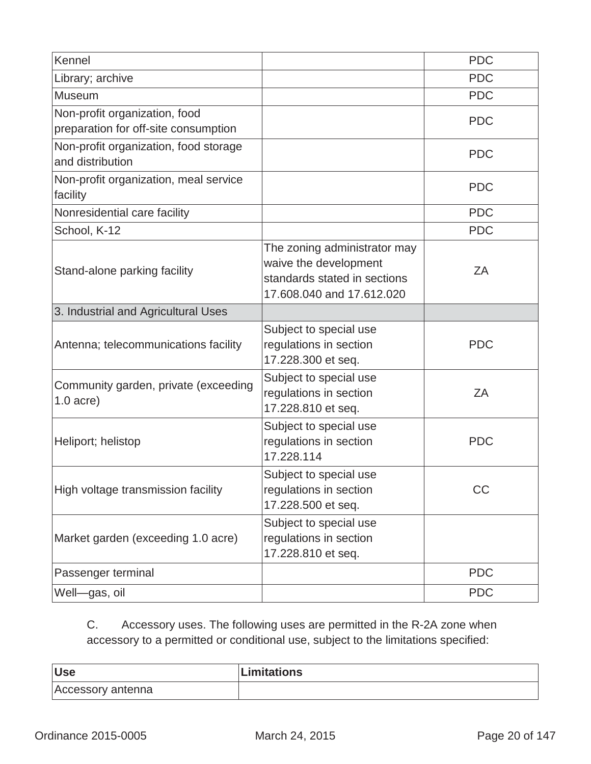| Kennel                                                                |                                                                                                                    | <b>PDC</b> |
|-----------------------------------------------------------------------|--------------------------------------------------------------------------------------------------------------------|------------|
| Library; archive                                                      |                                                                                                                    | <b>PDC</b> |
| <b>Museum</b>                                                         |                                                                                                                    | <b>PDC</b> |
| Non-profit organization, food<br>preparation for off-site consumption |                                                                                                                    | <b>PDC</b> |
| Non-profit organization, food storage<br>and distribution             |                                                                                                                    | <b>PDC</b> |
| Non-profit organization, meal service<br>facility                     |                                                                                                                    | <b>PDC</b> |
| Nonresidential care facility                                          |                                                                                                                    | <b>PDC</b> |
| School, K-12                                                          |                                                                                                                    | <b>PDC</b> |
| Stand-alone parking facility                                          | The zoning administrator may<br>waive the development<br>standards stated in sections<br>17.608.040 and 17.612.020 | ZA         |
| 3. Industrial and Agricultural Uses                                   |                                                                                                                    |            |
| Antenna; telecommunications facility                                  | Subject to special use<br>regulations in section<br>17.228.300 et seq.                                             | <b>PDC</b> |
| Community garden, private (exceeding<br>$1.0$ acre)                   | Subject to special use<br>regulations in section                                                                   | ZA         |
|                                                                       | 17.228.810 et seq.                                                                                                 |            |
| Heliport; helistop                                                    | Subject to special use<br>regulations in section<br>17.228.114                                                     | <b>PDC</b> |
| High voltage transmission facility                                    | Subject to special use<br>regulations in section<br>17.228.500 et seq.                                             | CC         |
| Market garden (exceeding 1.0 acre)                                    | Subject to special use<br>regulations in section<br>17.228.810 et seq.                                             |            |
| Passenger terminal                                                    |                                                                                                                    | <b>PDC</b> |

C. Accessory uses. The following uses are permitted in the R-2A zone when accessory to a permitted or conditional use, subject to the limitations specified:

| <b>Use</b>        | Limitations |
|-------------------|-------------|
| Accessory antenna |             |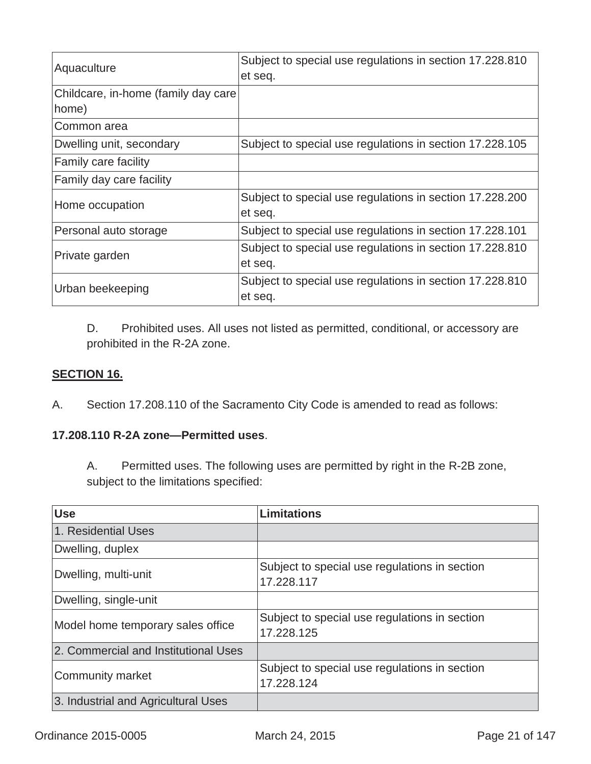| Aquaculture                          | Subject to special use regulations in section 17.228.810<br>et seq. |
|--------------------------------------|---------------------------------------------------------------------|
| Childcare, in-home (family day care) |                                                                     |
| home)                                |                                                                     |
| Common area                          |                                                                     |
| Dwelling unit, secondary             | Subject to special use regulations in section 17.228.105            |
| Family care facility                 |                                                                     |
| Family day care facility             |                                                                     |
| Home occupation                      | Subject to special use regulations in section 17.228.200            |
|                                      | et seq.                                                             |
| Personal auto storage                | Subject to special use regulations in section 17.228.101            |
| Private garden                       | Subject to special use regulations in section 17.228.810            |
|                                      | et seq.                                                             |
| Urban beekeeping                     | Subject to special use regulations in section 17.228.810            |
|                                      | et seq.                                                             |

D. Prohibited uses. All uses not listed as permitted, conditional, or accessory are prohibited in the R-2A zone.

#### **SECTION 16.**

A. Section 17.208.110 of the Sacramento City Code is amended to read as follows:

# **17.208.110 R-2A zone—Permitted uses**.

A. Permitted uses. The following uses are permitted by right in the R-2B zone, subject to the limitations specified:

| <b>Use</b>                           | <b>Limitations</b>                                          |
|--------------------------------------|-------------------------------------------------------------|
| 1. Residential Uses                  |                                                             |
| Dwelling, duplex                     |                                                             |
| Dwelling, multi-unit                 | Subject to special use regulations in section<br>17.228.117 |
| Dwelling, single-unit                |                                                             |
| Model home temporary sales office    | Subject to special use regulations in section<br>17.228.125 |
| 2. Commercial and Institutional Uses |                                                             |
| Community market                     | Subject to special use regulations in section<br>17.228.124 |
| 3. Industrial and Agricultural Uses  |                                                             |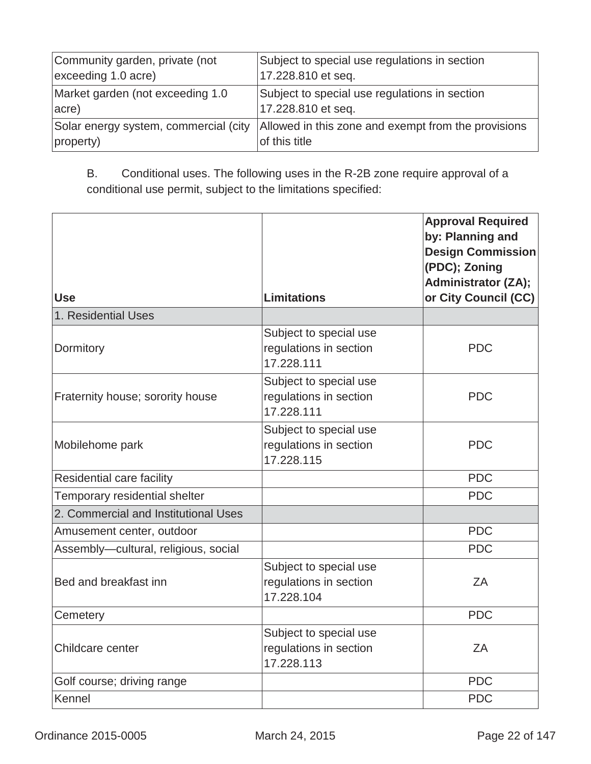| Community garden, private (not   | Subject to special use regulations in section                                                              |
|----------------------------------|------------------------------------------------------------------------------------------------------------|
| exceeding 1.0 acre)              | 17.228.810 et seq.                                                                                         |
| Market garden (not exceeding 1.0 | Subject to special use regulations in section                                                              |
| acre)                            | 17.228.810 et seq.                                                                                         |
| property)                        | Solar energy system, commercial (city Allowed in this zone and exempt from the provisions<br>of this title |

B. Conditional uses. The following uses in the R-2B zone require approval of a conditional use permit, subject to the limitations specified:

| <b>Use</b>                           | <b>Limitations</b>                                             | <b>Approval Required</b><br>by: Planning and<br><b>Design Commission</b><br>(PDC); Zoning<br><b>Administrator (ZA);</b><br>or City Council (CC) |
|--------------------------------------|----------------------------------------------------------------|-------------------------------------------------------------------------------------------------------------------------------------------------|
| 1. Residential Uses                  |                                                                |                                                                                                                                                 |
| Dormitory                            | Subject to special use<br>regulations in section<br>17.228.111 | <b>PDC</b>                                                                                                                                      |
| Fraternity house; sorority house     | Subject to special use<br>regulations in section<br>17.228.111 | <b>PDC</b>                                                                                                                                      |
| Mobilehome park                      | Subject to special use<br>regulations in section<br>17.228.115 | <b>PDC</b>                                                                                                                                      |
| Residential care facility            |                                                                | <b>PDC</b>                                                                                                                                      |
| Temporary residential shelter        |                                                                | <b>PDC</b>                                                                                                                                      |
| 2. Commercial and Institutional Uses |                                                                |                                                                                                                                                 |
| Amusement center, outdoor            |                                                                | <b>PDC</b>                                                                                                                                      |
| Assembly-cultural, religious, social |                                                                | <b>PDC</b>                                                                                                                                      |
| Bed and breakfast inn                | Subject to special use<br>regulations in section<br>17.228.104 | ZA                                                                                                                                              |
| Cemetery                             |                                                                | <b>PDC</b>                                                                                                                                      |
| Childcare center                     | Subject to special use<br>regulations in section<br>17.228.113 | ZA                                                                                                                                              |
| Golf course; driving range           |                                                                | <b>PDC</b>                                                                                                                                      |
| Kennel                               |                                                                | <b>PDC</b>                                                                                                                                      |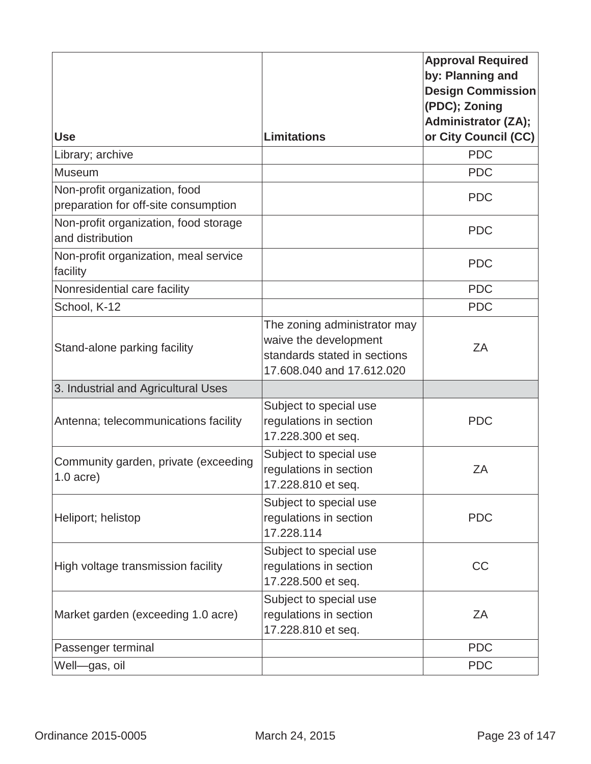|                                                                       |                                                                                                                    | <b>Approval Required</b><br>by: Planning and<br><b>Design Commission</b><br>(PDC); Zoning<br><b>Administrator (ZA);</b> |
|-----------------------------------------------------------------------|--------------------------------------------------------------------------------------------------------------------|-------------------------------------------------------------------------------------------------------------------------|
| <b>Use</b>                                                            | <b>Limitations</b>                                                                                                 | or City Council (CC)                                                                                                    |
| Library; archive                                                      |                                                                                                                    | <b>PDC</b>                                                                                                              |
| <b>Museum</b>                                                         |                                                                                                                    | <b>PDC</b>                                                                                                              |
| Non-profit organization, food<br>preparation for off-site consumption |                                                                                                                    | <b>PDC</b>                                                                                                              |
| Non-profit organization, food storage<br>and distribution             |                                                                                                                    | <b>PDC</b>                                                                                                              |
| Non-profit organization, meal service<br>facility                     |                                                                                                                    | <b>PDC</b>                                                                                                              |
| Nonresidential care facility                                          |                                                                                                                    | <b>PDC</b>                                                                                                              |
| School, K-12                                                          |                                                                                                                    | <b>PDC</b>                                                                                                              |
| Stand-alone parking facility                                          | The zoning administrator may<br>waive the development<br>standards stated in sections<br>17.608.040 and 17.612.020 | ZA                                                                                                                      |
| 3. Industrial and Agricultural Uses                                   |                                                                                                                    |                                                                                                                         |
| Antenna; telecommunications facility                                  | Subject to special use<br>regulations in section<br>17.228.300 et seq.                                             | <b>PDC</b>                                                                                                              |
| Community garden, private (exceeding<br>$1.0$ acre)                   | Subject to special use<br>regulations in section<br>17.228.810 et seq.                                             | ZA                                                                                                                      |
| Heliport; helistop                                                    | Subject to special use<br>regulations in section<br>17.228.114                                                     | <b>PDC</b>                                                                                                              |
| High voltage transmission facility                                    | Subject to special use<br>regulations in section<br>17.228.500 et seq.                                             | <b>CC</b>                                                                                                               |
| Market garden (exceeding 1.0 acre)                                    | Subject to special use<br>regulations in section<br>17.228.810 et seq.                                             | ZA                                                                                                                      |
| Passenger terminal                                                    |                                                                                                                    | <b>PDC</b>                                                                                                              |
| Well-gas, oil                                                         |                                                                                                                    | <b>PDC</b>                                                                                                              |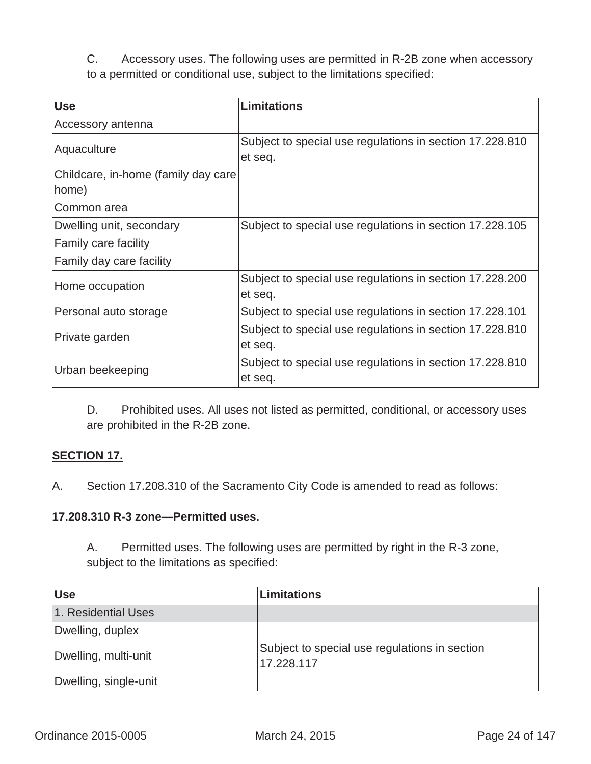C. Accessory uses. The following uses are permitted in R-2B zone when accessory to a permitted or conditional use, subject to the limitations specified:

| <b>Use</b>                          | <b>Limitations</b>                                                  |
|-------------------------------------|---------------------------------------------------------------------|
| Accessory antenna                   |                                                                     |
| Aquaculture                         | Subject to special use regulations in section 17.228.810<br>et seq. |
| Childcare, in-home (family day care |                                                                     |
| home)                               |                                                                     |
| Common area                         |                                                                     |
| Dwelling unit, secondary            | Subject to special use regulations in section 17.228.105            |
| Family care facility                |                                                                     |
| Family day care facility            |                                                                     |
| Home occupation                     | Subject to special use regulations in section 17.228.200<br>et seq. |
| Personal auto storage               | Subject to special use regulations in section 17.228.101            |
| Private garden                      | Subject to special use regulations in section 17.228.810<br>et seq. |
| Urban beekeeping                    | Subject to special use regulations in section 17.228.810<br>et seq. |

D. Prohibited uses. All uses not listed as permitted, conditional, or accessory uses are prohibited in the R-2B zone.

### **SECTION 17.**

A.Section 17.208.310 of the Sacramento City Code is amended to read as follows:

#### **17.208.310 R-3 zone—Permitted uses.**

A. Permitted uses. The following uses are permitted by right in the R-3 zone, subject to the limitations as specified:

| <b>Use</b>            | Limitations                                                 |
|-----------------------|-------------------------------------------------------------|
| 1. Residential Uses   |                                                             |
| Dwelling, duplex      |                                                             |
| Dwelling, multi-unit  | Subject to special use regulations in section<br>17.228.117 |
| Dwelling, single-unit |                                                             |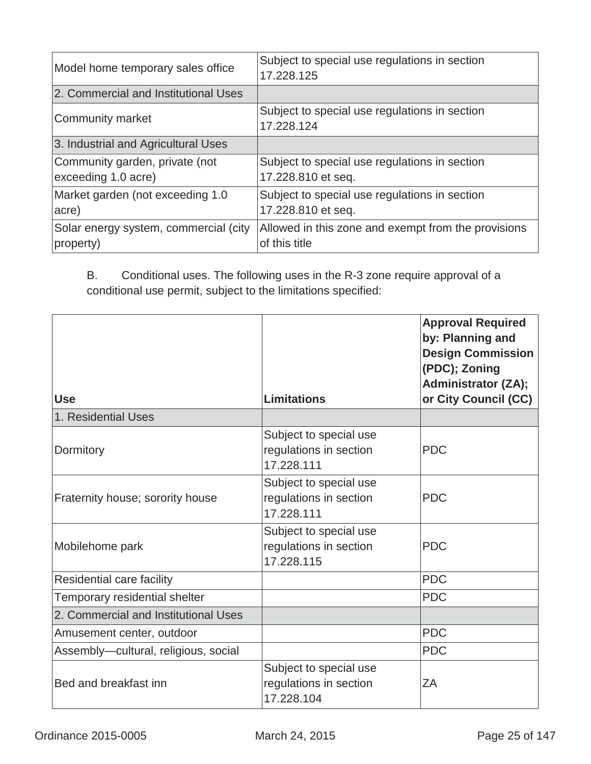| Model home temporary sales office                     | Subject to special use regulations in section<br>17.228.125          |
|-------------------------------------------------------|----------------------------------------------------------------------|
| 2. Commercial and Institutional Uses                  |                                                                      |
| Community market                                      | Subject to special use regulations in section<br>17.228.124          |
| 3. Industrial and Agricultural Uses                   |                                                                      |
| Community garden, private (not<br>exceeding 1.0 acre) | Subject to special use regulations in section<br>17.228.810 et seq.  |
| Market garden (not exceeding 1.0<br>acre)             | Subject to special use regulations in section<br>17.228.810 et seq.  |
| Solar energy system, commercial (city<br>property)    | Allowed in this zone and exempt from the provisions<br>of this title |

B. Conditional uses. The following uses in the R-3 zone require approval of a conditional use permit, subject to the limitations specified:

| <b>Use</b><br>1. Residential Uses    | <b>Limitations</b>                                             | <b>Approval Required</b><br>by: Planning and<br><b>Design Commission</b><br>(PDC); Zoning<br><b>Administrator (ZA);</b><br>or City Council (CC) |
|--------------------------------------|----------------------------------------------------------------|-------------------------------------------------------------------------------------------------------------------------------------------------|
|                                      |                                                                |                                                                                                                                                 |
| Dormitory                            | Subject to special use<br>regulations in section<br>17.228.111 | <b>PDC</b>                                                                                                                                      |
| Fraternity house; sorority house     | Subject to special use<br>regulations in section<br>17.228.111 | <b>PDC</b>                                                                                                                                      |
| Mobilehome park                      | Subject to special use<br>regulations in section<br>17.228.115 | <b>PDC</b>                                                                                                                                      |
| Residential care facility            |                                                                | <b>PDC</b>                                                                                                                                      |
| Temporary residential shelter        |                                                                | <b>PDC</b>                                                                                                                                      |
| 2. Commercial and Institutional Uses |                                                                |                                                                                                                                                 |
| Amusement center, outdoor            |                                                                | <b>PDC</b>                                                                                                                                      |
| Assembly-cultural, religious, social |                                                                | <b>PDC</b>                                                                                                                                      |
| Bed and breakfast inn                | Subject to special use<br>regulations in section<br>17.228.104 | ZA                                                                                                                                              |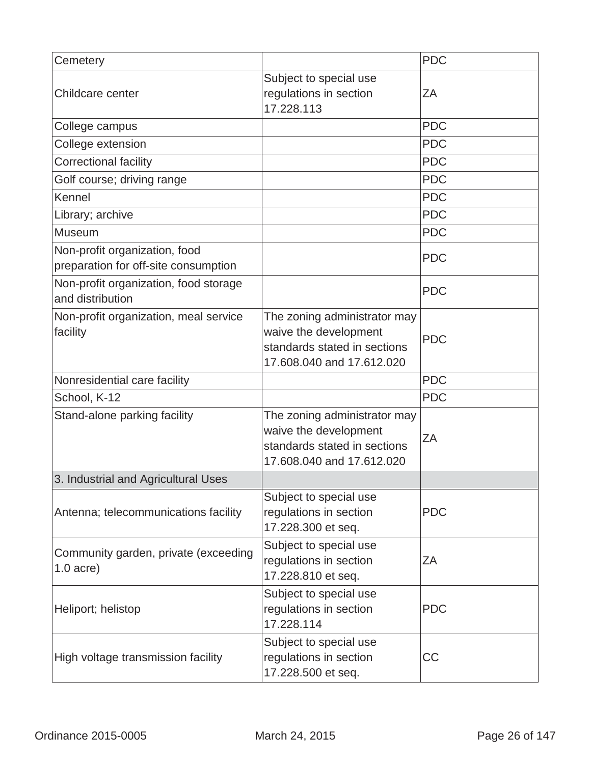| Cemetery                                                              |                                                                                                                    | <b>PDC</b> |
|-----------------------------------------------------------------------|--------------------------------------------------------------------------------------------------------------------|------------|
| Childcare center                                                      | Subject to special use<br>regulations in section<br>17.228.113                                                     | ΖA         |
| College campus                                                        |                                                                                                                    | <b>PDC</b> |
| College extension                                                     |                                                                                                                    | <b>PDC</b> |
| <b>Correctional facility</b>                                          |                                                                                                                    | <b>PDC</b> |
| Golf course; driving range                                            |                                                                                                                    | <b>PDC</b> |
| Kennel                                                                |                                                                                                                    | <b>PDC</b> |
| Library; archive                                                      |                                                                                                                    | <b>PDC</b> |
| <b>Museum</b>                                                         |                                                                                                                    | <b>PDC</b> |
| Non-profit organization, food<br>preparation for off-site consumption |                                                                                                                    | <b>PDC</b> |
| Non-profit organization, food storage<br>and distribution             |                                                                                                                    | <b>PDC</b> |
| Non-profit organization, meal service<br>facility                     | The zoning administrator may<br>waive the development<br>standards stated in sections<br>17.608.040 and 17.612.020 | <b>PDC</b> |
| Nonresidential care facility                                          |                                                                                                                    | <b>PDC</b> |
| School, K-12                                                          |                                                                                                                    | <b>PDC</b> |
| Stand-alone parking facility                                          | The zoning administrator may<br>waive the development<br>standards stated in sections<br>17,608,040 and 17,612,020 | ZA         |
| 3. Industrial and Agricultural Uses                                   |                                                                                                                    |            |
| Antenna; telecommunications facility                                  | Subject to special use<br>regulations in section<br>17.228.300 et seq.                                             | <b>PDC</b> |
| Community garden, private (exceeding<br>$1.0$ acre)                   | Subject to special use<br>regulations in section<br>17.228.810 et seq.                                             | ΖA         |
| Heliport; helistop                                                    | Subject to special use<br>regulations in section<br>17.228.114                                                     | <b>PDC</b> |
| High voltage transmission facility                                    | Subject to special use<br>regulations in section<br>17.228.500 et seq.                                             | <b>CC</b>  |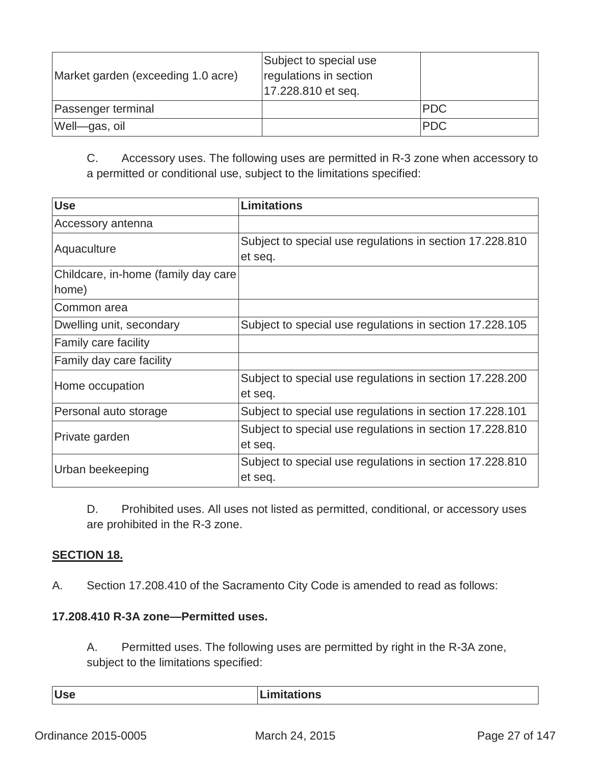| Market garden (exceeding 1.0 acre) | Subject to special use<br>regulations in section<br>17.228.810 et seq. |            |
|------------------------------------|------------------------------------------------------------------------|------------|
| Passenger terminal                 |                                                                        | <b>PDC</b> |
| Well-gas, oil                      |                                                                        | <b>PDC</b> |

C. Accessory uses. The following uses are permitted in R-3 zone when accessory to a permitted or conditional use, subject to the limitations specified:

| <b>Use</b>                          | <b>Limitations</b>                                                  |
|-------------------------------------|---------------------------------------------------------------------|
| Accessory antenna                   |                                                                     |
| Aquaculture                         | Subject to special use regulations in section 17.228.810<br>et seq. |
| Childcare, in-home (family day care |                                                                     |
| home)                               |                                                                     |
| Common area                         |                                                                     |
| Dwelling unit, secondary            | Subject to special use regulations in section 17.228.105            |
| Family care facility                |                                                                     |
| Family day care facility            |                                                                     |
| Home occupation                     | Subject to special use regulations in section 17.228.200<br>et seq. |
| Personal auto storage               | Subject to special use regulations in section 17.228.101            |
| Private garden                      | Subject to special use regulations in section 17.228.810<br>et seq. |
| Urban beekeeping                    | Subject to special use regulations in section 17.228.810<br>et seq. |

D. Prohibited uses. All uses not listed as permitted, conditional, or accessory uses are prohibited in the R-3 zone.

#### **SECTION 18.**

A. Section 17.208.410 of the Sacramento City Code is amended to read as follows:

#### **17.208.410 R-3A zone—Permitted uses.**

A. Permitted uses. The following uses are permitted by right in the R-3A zone, subject to the limitations specified:

| <b>Use</b> | .imitations |
|------------|-------------|
|------------|-------------|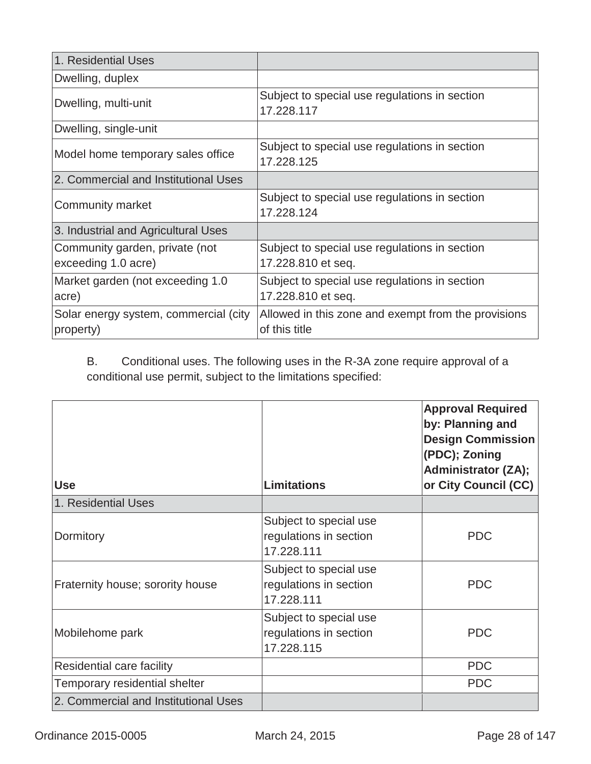| 1. Residential Uses                                   |                                                                      |
|-------------------------------------------------------|----------------------------------------------------------------------|
| Dwelling, duplex                                      |                                                                      |
| Dwelling, multi-unit                                  | Subject to special use regulations in section<br>17.228.117          |
| Dwelling, single-unit                                 |                                                                      |
| Model home temporary sales office                     | Subject to special use regulations in section<br>17.228.125          |
| 2. Commercial and Institutional Uses                  |                                                                      |
| Community market                                      | Subject to special use regulations in section<br>17.228.124          |
| 3. Industrial and Agricultural Uses                   |                                                                      |
| Community garden, private (not<br>exceeding 1.0 acre) | Subject to special use regulations in section<br>17.228.810 et seq.  |
| Market garden (not exceeding 1.0<br>acre)             | Subject to special use regulations in section<br>17.228.810 et seq.  |
| Solar energy system, commercial (city<br>property)    | Allowed in this zone and exempt from the provisions<br>of this title |

B. Conditional uses. The following uses in the R-3A zone require approval of a conditional use permit, subject to the limitations specified:

| <b>Use</b>                           | <b>Limitations</b>                                             | <b>Approval Required</b><br>by: Planning and<br><b>Design Commission</b><br>(PDC); Zoning<br><b>Administrator (ZA);</b><br>or City Council (CC) |
|--------------------------------------|----------------------------------------------------------------|-------------------------------------------------------------------------------------------------------------------------------------------------|
| 1. Residential Uses                  |                                                                |                                                                                                                                                 |
| Dormitory                            | Subject to special use<br>regulations in section<br>17.228.111 | <b>PDC</b>                                                                                                                                      |
| Fraternity house; sorority house     | Subject to special use<br>regulations in section<br>17.228.111 | <b>PDC</b>                                                                                                                                      |
| Mobilehome park                      | Subject to special use<br>regulations in section<br>17.228.115 | <b>PDC</b>                                                                                                                                      |
| Residential care facility            |                                                                | <b>PDC</b>                                                                                                                                      |
| Temporary residential shelter        |                                                                | <b>PDC</b>                                                                                                                                      |
| 2. Commercial and Institutional Uses |                                                                |                                                                                                                                                 |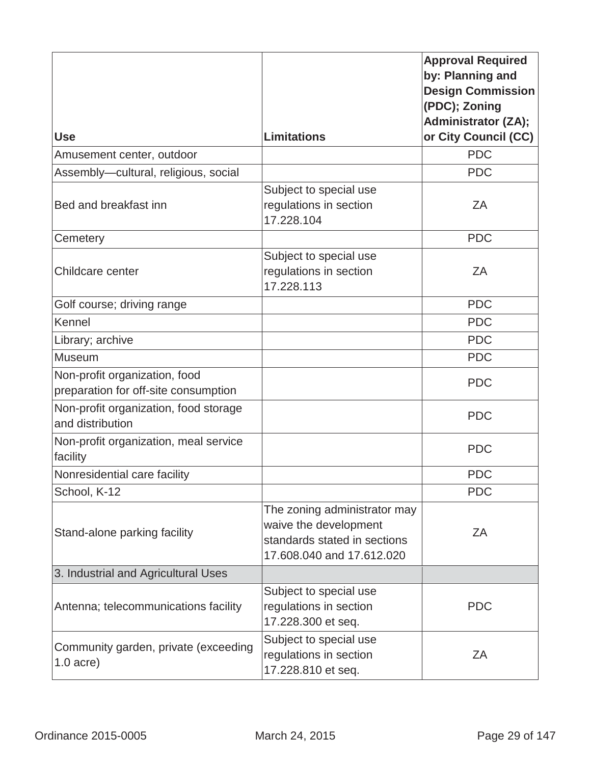|                                                                       |                                                                                                                    | <b>Approval Required</b><br>by: Planning and<br><b>Design Commission</b><br>(PDC); Zoning<br><b>Administrator (ZA);</b> |
|-----------------------------------------------------------------------|--------------------------------------------------------------------------------------------------------------------|-------------------------------------------------------------------------------------------------------------------------|
| <b>Use</b>                                                            | <b>Limitations</b>                                                                                                 | or City Council (CC)                                                                                                    |
| Amusement center, outdoor                                             |                                                                                                                    | <b>PDC</b>                                                                                                              |
| Assembly-cultural, religious, social                                  |                                                                                                                    | <b>PDC</b>                                                                                                              |
| Bed and breakfast inn                                                 | Subject to special use<br>regulations in section<br>17.228.104                                                     | ZA                                                                                                                      |
| Cemetery                                                              |                                                                                                                    | <b>PDC</b>                                                                                                              |
| Childcare center                                                      | Subject to special use<br>regulations in section<br>17.228.113                                                     | ZA                                                                                                                      |
| Golf course; driving range                                            |                                                                                                                    | <b>PDC</b>                                                                                                              |
| Kennel                                                                |                                                                                                                    | <b>PDC</b>                                                                                                              |
| Library; archive                                                      |                                                                                                                    | <b>PDC</b>                                                                                                              |
| <b>Museum</b>                                                         |                                                                                                                    | <b>PDC</b>                                                                                                              |
| Non-profit organization, food<br>preparation for off-site consumption |                                                                                                                    | <b>PDC</b>                                                                                                              |
| Non-profit organization, food storage<br>and distribution             |                                                                                                                    | <b>PDC</b>                                                                                                              |
| Non-profit organization, meal service<br>facility                     |                                                                                                                    | <b>PDC</b>                                                                                                              |
| Nonresidential care facility                                          |                                                                                                                    | <b>PDC</b>                                                                                                              |
| School, K-12                                                          |                                                                                                                    | <b>PDC</b>                                                                                                              |
| Stand-alone parking facility                                          | The zoning administrator may<br>waive the development<br>standards stated in sections<br>17.608.040 and 17.612.020 | ZΑ                                                                                                                      |
| 3. Industrial and Agricultural Uses                                   |                                                                                                                    |                                                                                                                         |
| Antenna; telecommunications facility                                  | Subject to special use<br>regulations in section<br>17.228.300 et seq.                                             | <b>PDC</b>                                                                                                              |
| Community garden, private (exceeding<br>$1.0$ acre)                   | Subject to special use<br>regulations in section<br>17.228.810 et seq.                                             | ZΑ                                                                                                                      |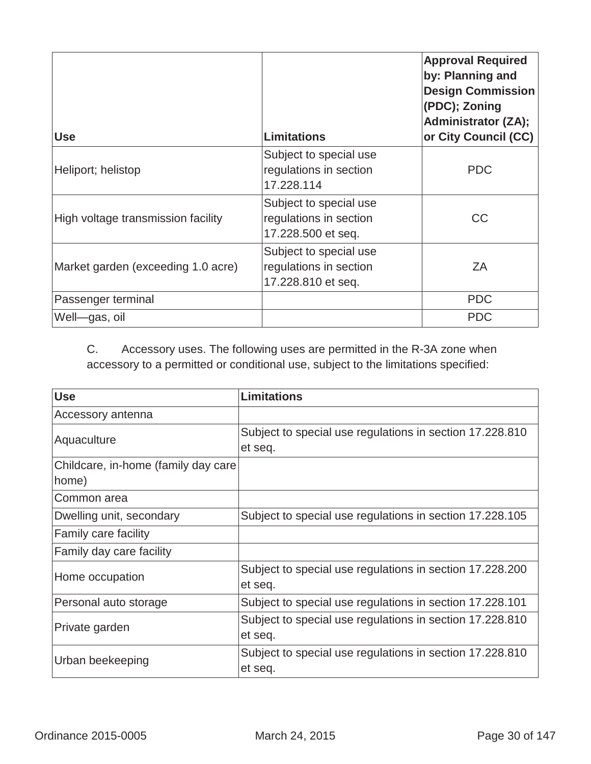| <b>Use</b>                         | <b>Limitations</b>                                                     | <b>Approval Required</b><br>by: Planning and<br><b>Design Commission</b><br>(PDC); Zoning<br><b>Administrator (ZA);</b><br>or City Council (CC) |
|------------------------------------|------------------------------------------------------------------------|-------------------------------------------------------------------------------------------------------------------------------------------------|
| Heliport; helistop                 | Subject to special use<br>regulations in section<br>17.228.114         | <b>PDC</b>                                                                                                                                      |
| High voltage transmission facility | Subject to special use<br>regulations in section<br>17.228.500 et seq. | <b>CC</b>                                                                                                                                       |
| Market garden (exceeding 1.0 acre) | Subject to special use<br>regulations in section<br>17.228.810 et seq. | ZΑ                                                                                                                                              |
| Passenger terminal                 |                                                                        | <b>PDC</b>                                                                                                                                      |
| Well-gas, oil                      |                                                                        | <b>PDC</b>                                                                                                                                      |

# C. Accessory uses. The following uses are permitted in the R-3A zone when accessory to a permitted or conditional use, subject to the limitations specified:

| <b>Use</b>                          | <b>Limitations</b>                                                  |
|-------------------------------------|---------------------------------------------------------------------|
| Accessory antenna                   |                                                                     |
| Aquaculture                         | Subject to special use regulations in section 17.228.810<br>et seq. |
| Childcare, in-home (family day care |                                                                     |
| home)                               |                                                                     |
| Common area                         |                                                                     |
| Dwelling unit, secondary            | Subject to special use regulations in section 17.228.105            |
| Family care facility                |                                                                     |
| Family day care facility            |                                                                     |
| Home occupation                     | Subject to special use regulations in section 17.228.200<br>et seq. |
| Personal auto storage               | Subject to special use regulations in section 17.228.101            |
| Private garden                      | Subject to special use regulations in section 17.228.810            |
|                                     | et seq.                                                             |
| Urban beekeeping                    | Subject to special use regulations in section 17.228.810            |
|                                     | et seq.                                                             |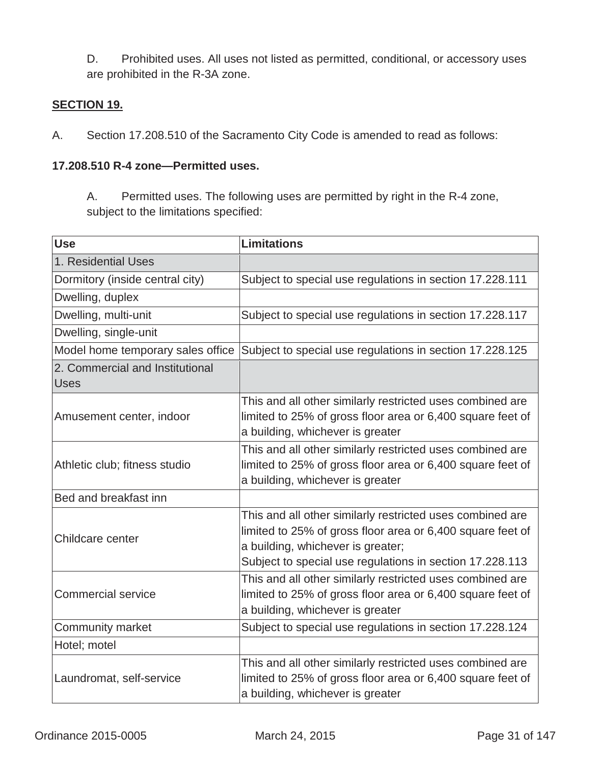D. Prohibited uses. All uses not listed as permitted, conditional, or accessory uses are prohibited in the R-3A zone.

#### **SECTION 19.**

A. Section 17.208.510 of the Sacramento City Code is amended to read as follows:

#### **17.208.510 R-4 zone—Permitted uses.**

A. Permitted uses. The following uses are permitted by right in the R-4 zone, subject to the limitations specified:

| <b>Use</b>                                     | <b>Limitations</b>                                                                                                                                                                                                       |
|------------------------------------------------|--------------------------------------------------------------------------------------------------------------------------------------------------------------------------------------------------------------------------|
| 1. Residential Uses                            |                                                                                                                                                                                                                          |
| Dormitory (inside central city)                | Subject to special use regulations in section 17.228.111                                                                                                                                                                 |
| Dwelling, duplex                               |                                                                                                                                                                                                                          |
| Dwelling, multi-unit                           | Subject to special use regulations in section 17.228.117                                                                                                                                                                 |
| Dwelling, single-unit                          |                                                                                                                                                                                                                          |
| Model home temporary sales office              | Subject to special use regulations in section 17.228.125                                                                                                                                                                 |
| 2. Commercial and Institutional<br><b>Uses</b> |                                                                                                                                                                                                                          |
| Amusement center, indoor                       | This and all other similarly restricted uses combined are<br>limited to 25% of gross floor area or 6,400 square feet of<br>a building, whichever is greater                                                              |
| Athletic club; fitness studio                  | This and all other similarly restricted uses combined are<br>limited to 25% of gross floor area or 6,400 square feet of<br>a building, whichever is greater                                                              |
| Bed and breakfast inn                          |                                                                                                                                                                                                                          |
| Childcare center                               | This and all other similarly restricted uses combined are<br>limited to 25% of gross floor area or 6,400 square feet of<br>a building, whichever is greater;<br>Subject to special use regulations in section 17.228.113 |
| <b>Commercial service</b>                      | This and all other similarly restricted uses combined are<br>limited to 25% of gross floor area or 6,400 square feet of<br>a building, whichever is greater                                                              |
| <b>Community market</b>                        | Subject to special use regulations in section 17.228.124                                                                                                                                                                 |
| Hotel; motel                                   |                                                                                                                                                                                                                          |
| Laundromat, self-service                       | This and all other similarly restricted uses combined are<br>limited to 25% of gross floor area or 6,400 square feet of<br>a building, whichever is greater                                                              |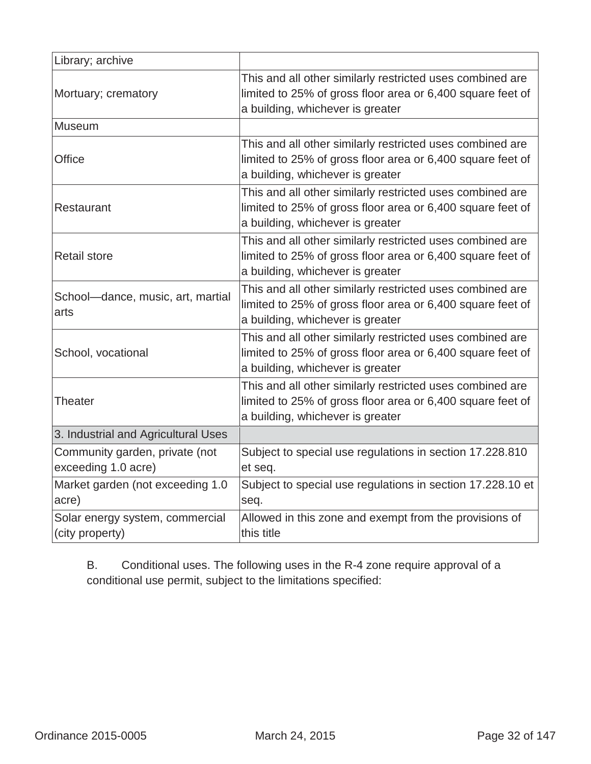| Library; archive                                      |                                                                                                                                                             |
|-------------------------------------------------------|-------------------------------------------------------------------------------------------------------------------------------------------------------------|
| Mortuary; crematory                                   | This and all other similarly restricted uses combined are<br>limited to 25% of gross floor area or 6,400 square feet of<br>a building, whichever is greater |
| Museum                                                |                                                                                                                                                             |
| Office                                                | This and all other similarly restricted uses combined are<br>limited to 25% of gross floor area or 6,400 square feet of<br>a building, whichever is greater |
| Restaurant                                            | This and all other similarly restricted uses combined are<br>limited to 25% of gross floor area or 6,400 square feet of<br>a building, whichever is greater |
| <b>Retail store</b>                                   | This and all other similarly restricted uses combined are<br>limited to 25% of gross floor area or 6,400 square feet of<br>a building, whichever is greater |
| School-dance, music, art, martial<br>arts             | This and all other similarly restricted uses combined are<br>limited to 25% of gross floor area or 6,400 square feet of<br>a building, whichever is greater |
| School, vocational                                    | This and all other similarly restricted uses combined are<br>limited to 25% of gross floor area or 6,400 square feet of<br>a building, whichever is greater |
| Theater                                               | This and all other similarly restricted uses combined are<br>limited to 25% of gross floor area or 6,400 square feet of<br>a building, whichever is greater |
| 3. Industrial and Agricultural Uses                   |                                                                                                                                                             |
| Community garden, private (not<br>exceeding 1.0 acre) | Subject to special use regulations in section 17.228.810<br>et seq.                                                                                         |
| Market garden (not exceeding 1.0<br>acre)             | Subject to special use regulations in section 17.228.10 et<br>seq.                                                                                          |
| Solar energy system, commercial<br>(city property)    | Allowed in this zone and exempt from the provisions of<br>this title                                                                                        |

B. Conditional uses. The following uses in the R-4 zone require approval of a conditional use permit, subject to the limitations specified: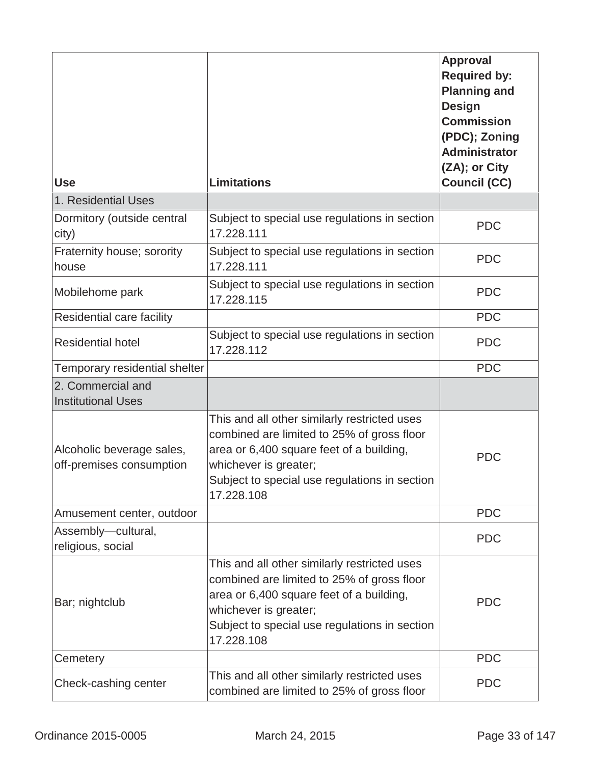| <b>Use</b>                                            | <b>Limitations</b>                                                                                                                                                                                                             | <b>Approval</b><br><b>Required by:</b><br><b>Planning and</b><br><b>Design</b><br><b>Commission</b><br>(PDC); Zoning<br><b>Administrator</b><br>(ZA); or City<br><b>Council (CC)</b> |
|-------------------------------------------------------|--------------------------------------------------------------------------------------------------------------------------------------------------------------------------------------------------------------------------------|--------------------------------------------------------------------------------------------------------------------------------------------------------------------------------------|
| 1. Residential Uses                                   |                                                                                                                                                                                                                                |                                                                                                                                                                                      |
| Dormitory (outside central<br>city)                   | Subject to special use regulations in section<br>17.228.111                                                                                                                                                                    | <b>PDC</b>                                                                                                                                                                           |
| Fraternity house; sorority<br>house                   | Subject to special use regulations in section<br>17.228.111                                                                                                                                                                    | <b>PDC</b>                                                                                                                                                                           |
| Mobilehome park                                       | Subject to special use regulations in section<br>17.228.115                                                                                                                                                                    | <b>PDC</b>                                                                                                                                                                           |
| Residential care facility                             |                                                                                                                                                                                                                                | <b>PDC</b>                                                                                                                                                                           |
| <b>Residential hotel</b>                              | Subject to special use regulations in section<br>17.228.112                                                                                                                                                                    | <b>PDC</b>                                                                                                                                                                           |
| Temporary residential shelter                         |                                                                                                                                                                                                                                | <b>PDC</b>                                                                                                                                                                           |
| 2. Commercial and<br><b>Institutional Uses</b>        |                                                                                                                                                                                                                                |                                                                                                                                                                                      |
| Alcoholic beverage sales,<br>off-premises consumption | This and all other similarly restricted uses<br>combined are limited to 25% of gross floor<br>area or 6,400 square feet of a building,<br>whichever is greater;<br>Subject to special use regulations in section<br>17.228.108 | <b>PDC</b>                                                                                                                                                                           |
| Amusement center, outdoor                             |                                                                                                                                                                                                                                | <b>PDC</b>                                                                                                                                                                           |
| Assembly-cultural,<br>religious, social               |                                                                                                                                                                                                                                | <b>PDC</b>                                                                                                                                                                           |
| Bar; nightclub                                        | This and all other similarly restricted uses<br>combined are limited to 25% of gross floor<br>area or 6,400 square feet of a building,<br>whichever is greater;<br>Subject to special use regulations in section<br>17.228.108 | <b>PDC</b>                                                                                                                                                                           |
| Cemetery                                              |                                                                                                                                                                                                                                | <b>PDC</b>                                                                                                                                                                           |
| Check-cashing center                                  | This and all other similarly restricted uses<br>combined are limited to 25% of gross floor                                                                                                                                     | <b>PDC</b>                                                                                                                                                                           |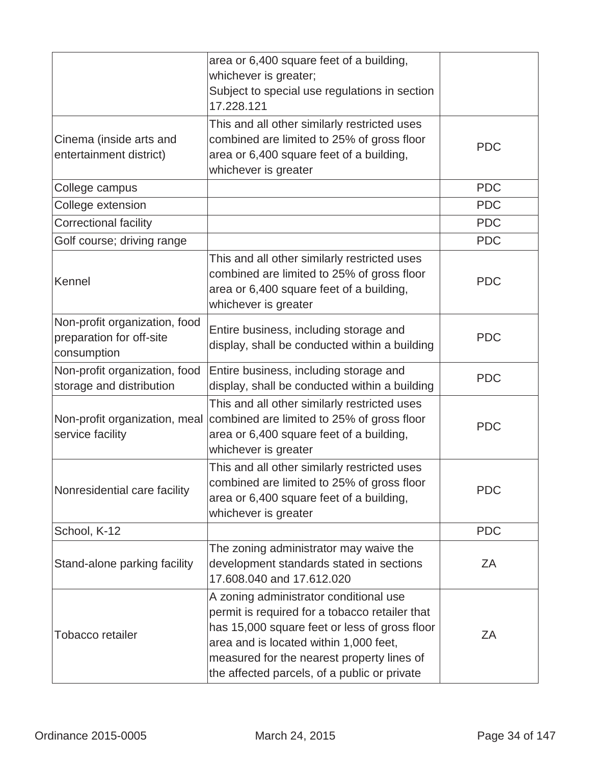|                                                                          | area or 6,400 square feet of a building,<br>whichever is greater;<br>Subject to special use regulations in section<br>17.228.121                                                                                                                                                  |            |
|--------------------------------------------------------------------------|-----------------------------------------------------------------------------------------------------------------------------------------------------------------------------------------------------------------------------------------------------------------------------------|------------|
| Cinema (inside arts and<br>entertainment district)                       | This and all other similarly restricted uses<br>combined are limited to 25% of gross floor<br>area or 6,400 square feet of a building,<br>whichever is greater                                                                                                                    | <b>PDC</b> |
| College campus                                                           |                                                                                                                                                                                                                                                                                   | <b>PDC</b> |
| College extension                                                        |                                                                                                                                                                                                                                                                                   | <b>PDC</b> |
| <b>Correctional facility</b>                                             |                                                                                                                                                                                                                                                                                   | <b>PDC</b> |
| Golf course; driving range                                               |                                                                                                                                                                                                                                                                                   | <b>PDC</b> |
| Kennel                                                                   | This and all other similarly restricted uses<br>combined are limited to 25% of gross floor<br>area or 6,400 square feet of a building,<br>whichever is greater                                                                                                                    | <b>PDC</b> |
| Non-profit organization, food<br>preparation for off-site<br>consumption | Entire business, including storage and<br>display, shall be conducted within a building                                                                                                                                                                                           | <b>PDC</b> |
| Non-profit organization, food<br>storage and distribution                | Entire business, including storage and<br>display, shall be conducted within a building                                                                                                                                                                                           | <b>PDC</b> |
| service facility                                                         | This and all other similarly restricted uses<br>Non-profit organization, meal combined are limited to 25% of gross floor<br>area or 6,400 square feet of a building,<br>whichever is greater                                                                                      | <b>PDC</b> |
| Nonresidential care facility                                             | This and all other similarly restricted uses<br>combined are limited to 25% of gross floor<br>area or 6,400 square feet of a building,<br>whichever is greater                                                                                                                    | <b>PDC</b> |
| School, K-12                                                             |                                                                                                                                                                                                                                                                                   | <b>PDC</b> |
| Stand-alone parking facility                                             | The zoning administrator may waive the<br>development standards stated in sections<br>17,608,040 and 17,612,020                                                                                                                                                                   | ΖA         |
| Tobacco retailer                                                         | A zoning administrator conditional use<br>permit is required for a tobacco retailer that<br>has 15,000 square feet or less of gross floor<br>area and is located within 1,000 feet,<br>measured for the nearest property lines of<br>the affected parcels, of a public or private | ΖA         |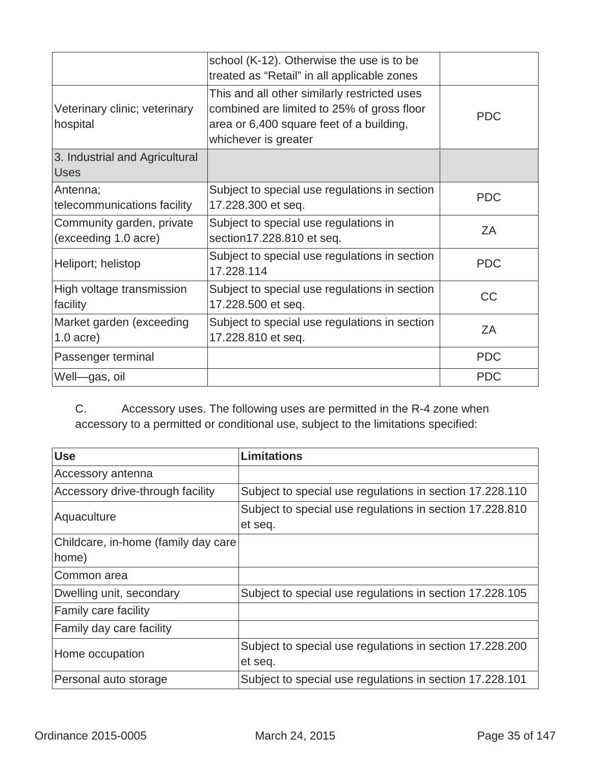|                                                   | school (K-12). Otherwise the use is to be<br>treated as "Retail" in all applicable zones                                                                       |            |
|---------------------------------------------------|----------------------------------------------------------------------------------------------------------------------------------------------------------------|------------|
| Veterinary clinic; veterinary<br>hospital         | This and all other similarly restricted uses<br>combined are limited to 25% of gross floor<br>area or 6,400 square feet of a building,<br>whichever is greater | <b>PDC</b> |
| 3. Industrial and Agricultural<br><b>Uses</b>     |                                                                                                                                                                |            |
| Antenna;<br>telecommunications facility           | Subject to special use regulations in section<br>17.228.300 et seq.                                                                                            | <b>PDC</b> |
| Community garden, private<br>(exceeding 1.0 acre) | Subject to special use regulations in<br>section17.228.810 et seq.                                                                                             | ZΑ         |
| Heliport; helistop                                | Subject to special use regulations in section<br>17.228.114                                                                                                    | <b>PDC</b> |
| High voltage transmission<br>facility             | Subject to special use regulations in section<br>17.228.500 et seq.                                                                                            | CC         |
| Market garden (exceeding<br>$1.0$ acre)           | Subject to special use regulations in section<br>17.228.810 et seq.                                                                                            | ZA         |
| Passenger terminal                                |                                                                                                                                                                | <b>PDC</b> |
| Well-gas, oil                                     |                                                                                                                                                                | <b>PDC</b> |

C. Accessory uses. The following uses are permitted in the R-4 zone when accessory to a permitted or conditional use, subject to the limitations specified:

| <b>Use</b>                           | <b>Limitations</b>                                                  |
|--------------------------------------|---------------------------------------------------------------------|
| Accessory antenna                    |                                                                     |
| Accessory drive-through facility     | Subject to special use regulations in section 17.228.110            |
| Aquaculture                          | Subject to special use regulations in section 17.228.810<br>et seq. |
| Childcare, in-home (family day care) |                                                                     |
| home)                                |                                                                     |
| Common area                          |                                                                     |
| Dwelling unit, secondary             | Subject to special use regulations in section 17.228.105            |
| Family care facility                 |                                                                     |
| Family day care facility             |                                                                     |
| Home occupation                      | Subject to special use regulations in section 17.228.200            |
|                                      | et seq.                                                             |
| Personal auto storage                | Subject to special use regulations in section 17.228.101            |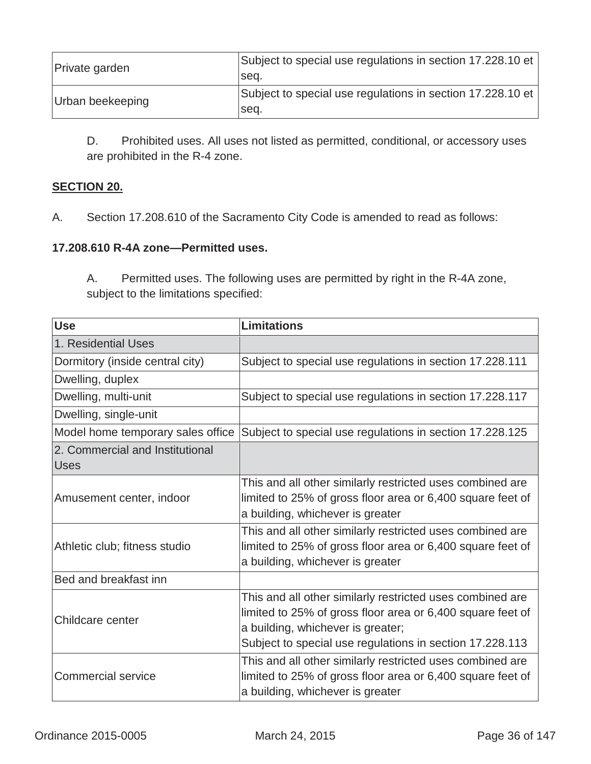| Private garden   | Subject to special use regulations in section 17.228.10 et<br>Isea. |
|------------------|---------------------------------------------------------------------|
| Urban beekeeping | Subject to special use regulations in section 17.228.10 et<br>Isea. |

D. Prohibited uses. All uses not listed as permitted, conditional, or accessory uses are prohibited in the R-4 zone.

# **SECTION 20.**

A. Section 17.208.610 of the Sacramento City Code is amended to read as follows:

#### **17.208.610 R-4A zone—Permitted uses.**

A. Permitted uses. The following uses are permitted by right in the R-4A zone, subject to the limitations specified:

| <b>Use</b>                                     | <b>Limitations</b>                                                                                                                                                                                                       |
|------------------------------------------------|--------------------------------------------------------------------------------------------------------------------------------------------------------------------------------------------------------------------------|
| 1. Residential Uses                            |                                                                                                                                                                                                                          |
| Dormitory (inside central city)                | Subject to special use regulations in section 17.228.111                                                                                                                                                                 |
| Dwelling, duplex                               |                                                                                                                                                                                                                          |
| Dwelling, multi-unit                           | Subject to special use regulations in section 17.228.117                                                                                                                                                                 |
| Dwelling, single-unit                          |                                                                                                                                                                                                                          |
| Model home temporary sales office              | Subject to special use regulations in section 17.228.125                                                                                                                                                                 |
| 2. Commercial and Institutional<br><b>Uses</b> |                                                                                                                                                                                                                          |
| Amusement center, indoor                       | This and all other similarly restricted uses combined are<br>limited to 25% of gross floor area or 6,400 square feet of<br>a building, whichever is greater                                                              |
| Athletic club; fitness studio                  | This and all other similarly restricted uses combined are<br>limited to 25% of gross floor area or 6,400 square feet of<br>a building, whichever is greater                                                              |
| Bed and breakfast inn                          |                                                                                                                                                                                                                          |
| Childcare center                               | This and all other similarly restricted uses combined are<br>limited to 25% of gross floor area or 6,400 square feet of<br>a building, whichever is greater;<br>Subject to special use regulations in section 17.228.113 |
| <b>Commercial service</b>                      | This and all other similarly restricted uses combined are<br>limited to 25% of gross floor area or 6,400 square feet of<br>a building, whichever is greater                                                              |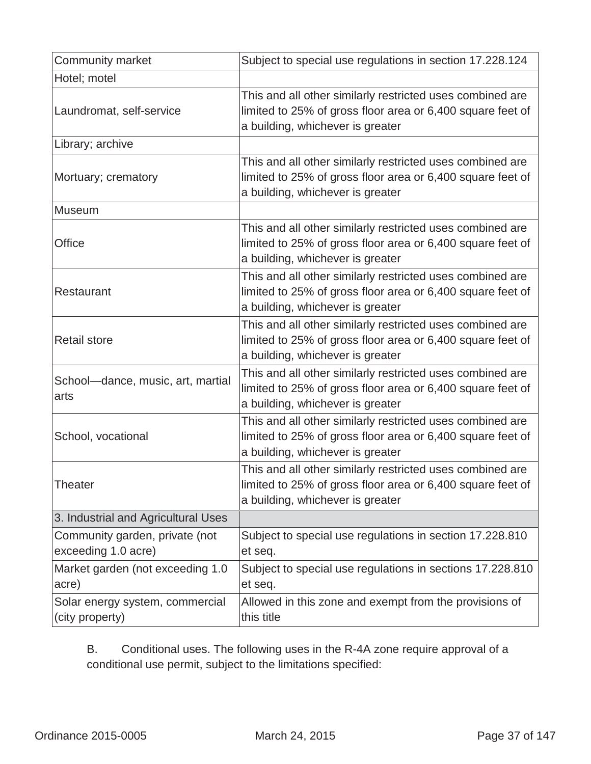| Community market                                      | Subject to special use regulations in section 17.228.124                                                                                                    |
|-------------------------------------------------------|-------------------------------------------------------------------------------------------------------------------------------------------------------------|
| Hotel; motel                                          |                                                                                                                                                             |
| Laundromat, self-service                              | This and all other similarly restricted uses combined are<br>limited to 25% of gross floor area or 6,400 square feet of<br>a building, whichever is greater |
| Library; archive                                      |                                                                                                                                                             |
| Mortuary; crematory                                   | This and all other similarly restricted uses combined are<br>limited to 25% of gross floor area or 6,400 square feet of<br>a building, whichever is greater |
| Museum                                                |                                                                                                                                                             |
| <b>Office</b>                                         | This and all other similarly restricted uses combined are<br>limited to 25% of gross floor area or 6,400 square feet of<br>a building, whichever is greater |
| Restaurant                                            | This and all other similarly restricted uses combined are<br>limited to 25% of gross floor area or 6,400 square feet of<br>a building, whichever is greater |
| <b>Retail store</b>                                   | This and all other similarly restricted uses combined are<br>limited to 25% of gross floor area or 6,400 square feet of<br>a building, whichever is greater |
| School-dance, music, art, martial<br>arts             | This and all other similarly restricted uses combined are<br>limited to 25% of gross floor area or 6,400 square feet of<br>a building, whichever is greater |
| School, vocational                                    | This and all other similarly restricted uses combined are<br>limited to 25% of gross floor area or 6,400 square feet of<br>a building, whichever is greater |
| Theater                                               | This and all other similarly restricted uses combined are<br>limited to 25% of gross floor area or 6,400 square feet of<br>a building, whichever is greater |
| 3. Industrial and Agricultural Uses                   |                                                                                                                                                             |
| Community garden, private (not<br>exceeding 1.0 acre) | Subject to special use regulations in section 17.228.810<br>et seq.                                                                                         |
| Market garden (not exceeding 1.0<br>acre)             | Subject to special use regulations in sections 17.228.810<br>et seq.                                                                                        |
| Solar energy system, commercial<br>(city property)    | Allowed in this zone and exempt from the provisions of<br>this title                                                                                        |

B. Conditional uses. The following uses in the R-4A zone require approval of a conditional use permit, subject to the limitations specified: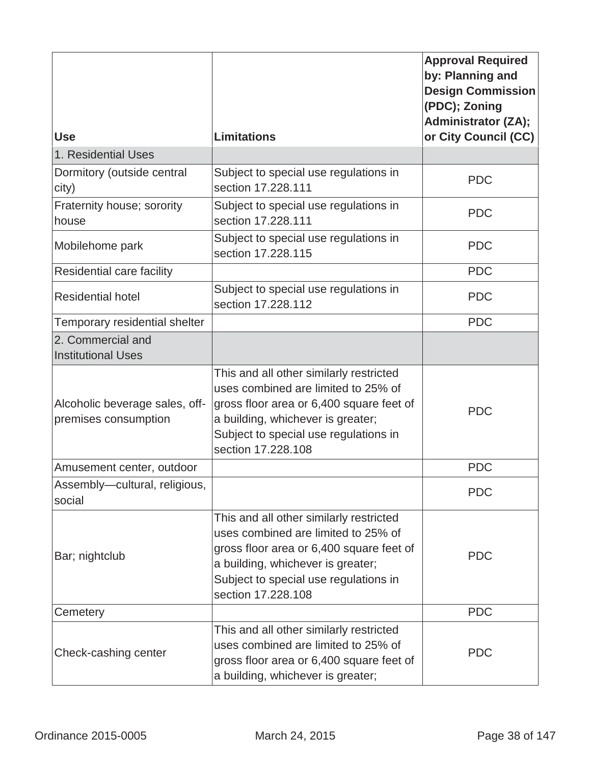|                                                        |                                                                                                                                                                                                                                | <b>Approval Required</b><br>by: Planning and<br><b>Design Commission</b><br>(PDC); Zoning<br><b>Administrator (ZA);</b> |
|--------------------------------------------------------|--------------------------------------------------------------------------------------------------------------------------------------------------------------------------------------------------------------------------------|-------------------------------------------------------------------------------------------------------------------------|
| <b>Use</b>                                             | <b>Limitations</b>                                                                                                                                                                                                             | or City Council (CC)                                                                                                    |
| 1. Residential Uses                                    |                                                                                                                                                                                                                                |                                                                                                                         |
| Dormitory (outside central<br>city)                    | Subject to special use regulations in<br>section 17.228.111                                                                                                                                                                    | <b>PDC</b>                                                                                                              |
| Fraternity house; sorority<br>house                    | Subject to special use regulations in<br>section 17.228.111                                                                                                                                                                    | <b>PDC</b>                                                                                                              |
| Mobilehome park                                        | Subject to special use regulations in<br>section 17.228.115                                                                                                                                                                    | <b>PDC</b>                                                                                                              |
| Residential care facility                              |                                                                                                                                                                                                                                | <b>PDC</b>                                                                                                              |
| <b>Residential hotel</b>                               | Subject to special use regulations in<br>section 17.228.112                                                                                                                                                                    | <b>PDC</b>                                                                                                              |
| Temporary residential shelter                          |                                                                                                                                                                                                                                | <b>PDC</b>                                                                                                              |
| 2. Commercial and<br><b>Institutional Uses</b>         |                                                                                                                                                                                                                                |                                                                                                                         |
| Alcoholic beverage sales, off-<br>premises consumption | This and all other similarly restricted<br>uses combined are limited to 25% of<br>gross floor area or 6,400 square feet of<br>a building, whichever is greater;<br>Subject to special use regulations in<br>section 17.228.108 | <b>PDC</b>                                                                                                              |
| Amusement center, outdoor                              |                                                                                                                                                                                                                                | <b>PDC</b>                                                                                                              |
| Assembly-cultural, religious,<br>social                |                                                                                                                                                                                                                                | <b>PDC</b>                                                                                                              |
| Bar; nightclub                                         | This and all other similarly restricted<br>uses combined are limited to 25% of<br>gross floor area or 6,400 square feet of<br>a building, whichever is greater;<br>Subject to special use regulations in<br>section 17.228.108 | <b>PDC</b>                                                                                                              |
| Cemetery                                               |                                                                                                                                                                                                                                | <b>PDC</b>                                                                                                              |
| Check-cashing center                                   | This and all other similarly restricted<br>uses combined are limited to 25% of<br>gross floor area or 6,400 square feet of<br>a building, whichever is greater;                                                                | <b>PDC</b>                                                                                                              |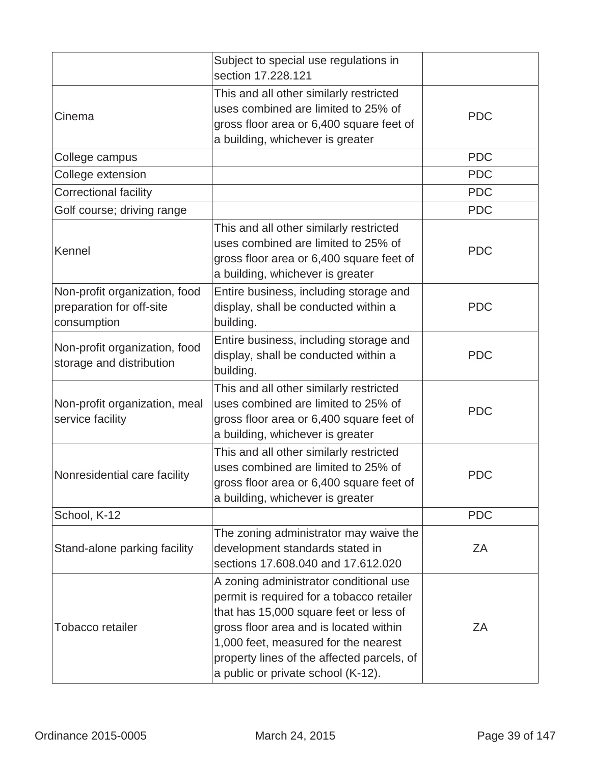|                                                                          | Subject to special use regulations in<br>section 17,228,121                                                                                                                                                                                                                                         |            |
|--------------------------------------------------------------------------|-----------------------------------------------------------------------------------------------------------------------------------------------------------------------------------------------------------------------------------------------------------------------------------------------------|------------|
| Cinema                                                                   | This and all other similarly restricted<br>uses combined are limited to 25% of<br>gross floor area or 6,400 square feet of<br>a building, whichever is greater                                                                                                                                      | <b>PDC</b> |
| College campus                                                           |                                                                                                                                                                                                                                                                                                     | <b>PDC</b> |
| College extension                                                        |                                                                                                                                                                                                                                                                                                     | <b>PDC</b> |
| <b>Correctional facility</b>                                             |                                                                                                                                                                                                                                                                                                     | <b>PDC</b> |
| Golf course; driving range                                               |                                                                                                                                                                                                                                                                                                     | <b>PDC</b> |
| Kennel                                                                   | This and all other similarly restricted<br>uses combined are limited to 25% of<br>gross floor area or 6,400 square feet of<br>a building, whichever is greater                                                                                                                                      | <b>PDC</b> |
| Non-profit organization, food<br>preparation for off-site<br>consumption | Entire business, including storage and<br>display, shall be conducted within a<br>building.                                                                                                                                                                                                         | <b>PDC</b> |
| Non-profit organization, food<br>storage and distribution                | Entire business, including storage and<br>display, shall be conducted within a<br>building.                                                                                                                                                                                                         | <b>PDC</b> |
| Non-profit organization, meal<br>service facility                        | This and all other similarly restricted<br>uses combined are limited to 25% of<br>gross floor area or 6,400 square feet of<br>a building, whichever is greater                                                                                                                                      | <b>PDC</b> |
| Nonresidential care facility                                             | This and all other similarly restricted<br>uses combined are limited to 25% of<br>gross floor area or 6,400 square feet of<br>a building, whichever is greater                                                                                                                                      | <b>PDC</b> |
| School, K-12                                                             |                                                                                                                                                                                                                                                                                                     | <b>PDC</b> |
| Stand-alone parking facility                                             | The zoning administrator may waive the<br>development standards stated in<br>sections 17,608,040 and 17,612,020                                                                                                                                                                                     | ZA         |
| Tobacco retailer                                                         | A zoning administrator conditional use<br>permit is required for a tobacco retailer<br>that has 15,000 square feet or less of<br>gross floor area and is located within<br>1,000 feet, measured for the nearest<br>property lines of the affected parcels, of<br>a public or private school (K-12). | ZA         |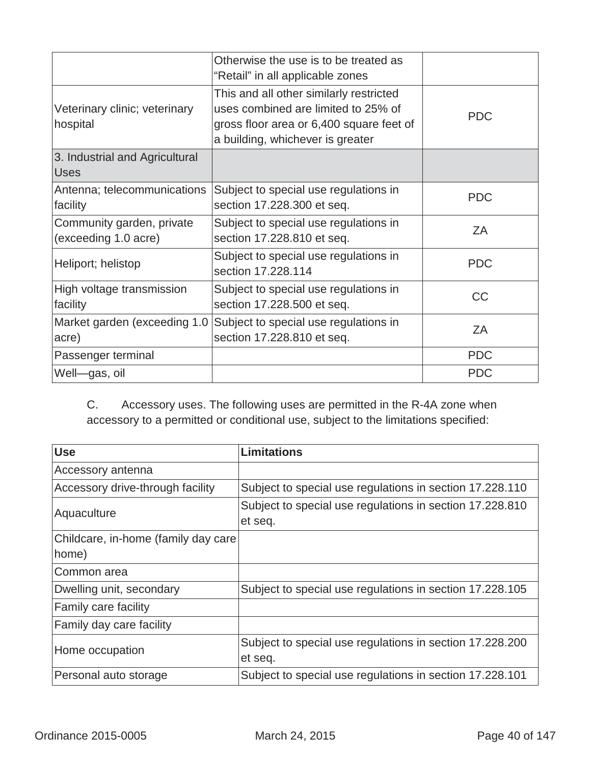|                                                   | Otherwise the use is to be treated as<br>"Retail" in all applicable zones                                                                                      |            |
|---------------------------------------------------|----------------------------------------------------------------------------------------------------------------------------------------------------------------|------------|
| Veterinary clinic; veterinary<br>hospital         | This and all other similarly restricted<br>uses combined are limited to 25% of<br>gross floor area or 6,400 square feet of<br>a building, whichever is greater | <b>PDC</b> |
| 3. Industrial and Agricultural<br><b>Uses</b>     |                                                                                                                                                                |            |
| Antenna; telecommunications<br>facility           | Subject to special use regulations in<br>section 17.228.300 et seq.                                                                                            | <b>PDC</b> |
| Community garden, private<br>(exceeding 1.0 acre) | Subject to special use regulations in<br>section 17.228.810 et seq.                                                                                            | ZΑ         |
| Heliport; helistop                                | Subject to special use regulations in<br>section 17.228.114                                                                                                    | <b>PDC</b> |
| High voltage transmission<br>facility             | Subject to special use regulations in<br>section 17.228.500 et seq.                                                                                            | <b>CC</b>  |
| Market garden (exceeding 1.0<br>acre)             | Subject to special use regulations in<br>section 17.228.810 et seq.                                                                                            | ZΑ         |
| Passenger terminal                                |                                                                                                                                                                | <b>PDC</b> |
| Well-gas, oil                                     |                                                                                                                                                                | <b>PDC</b> |

C. Accessory uses. The following uses are permitted in the R-4A zone when accessory to a permitted or conditional use, subject to the limitations specified:

| <b>Use</b>                           | <b>Limitations</b>                                       |
|--------------------------------------|----------------------------------------------------------|
| Accessory antenna                    |                                                          |
| Accessory drive-through facility     | Subject to special use regulations in section 17.228.110 |
| Aquaculture                          | Subject to special use regulations in section 17.228.810 |
|                                      | et seq.                                                  |
| Childcare, in-home (family day care) |                                                          |
| home)                                |                                                          |
| Common area                          |                                                          |
| Dwelling unit, secondary             | Subject to special use regulations in section 17.228.105 |
| <b>Family care facility</b>          |                                                          |
| Family day care facility             |                                                          |
| Home occupation                      | Subject to special use regulations in section 17.228.200 |
|                                      | et seq.                                                  |
| Personal auto storage                | Subject to special use regulations in section 17.228.101 |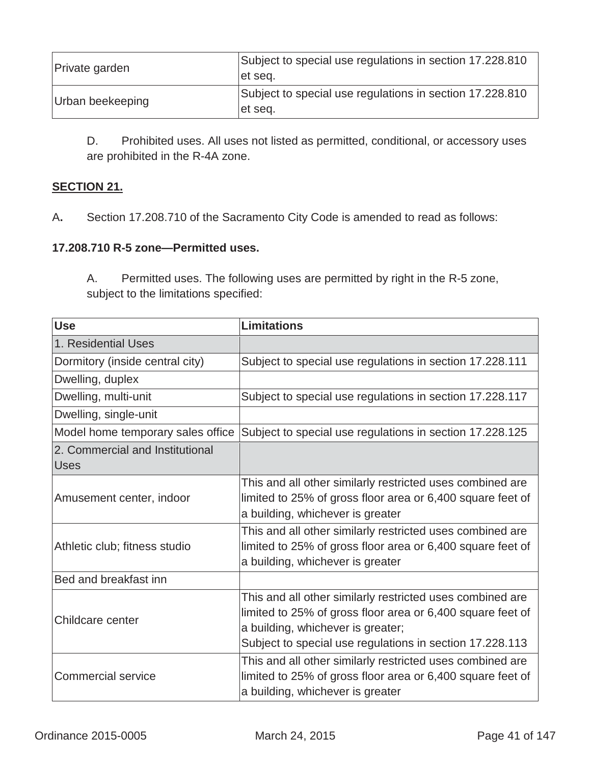| Private garden   | Subject to special use regulations in section 17.228.810<br>let seq. |
|------------------|----------------------------------------------------------------------|
| Urban beekeeping | Subject to special use regulations in section 17.228.810<br>et seq.  |

D. Prohibited uses. All uses not listed as permitted, conditional, or accessory uses are prohibited in the R-4A zone.

# **SECTION 21.**

A**.** Section 17.208.710 of the Sacramento City Code is amended to read as follows:

#### **17.208.710 R-5 zone—Permitted uses.**

A. Permitted uses. The following uses are permitted by right in the R-5 zone, subject to the limitations specified:

| <b>Use</b>                                     | <b>Limitations</b>                                                                                                                                                                                                       |
|------------------------------------------------|--------------------------------------------------------------------------------------------------------------------------------------------------------------------------------------------------------------------------|
| 1. Residential Uses                            |                                                                                                                                                                                                                          |
| Dormitory (inside central city)                | Subject to special use regulations in section 17.228.111                                                                                                                                                                 |
| Dwelling, duplex                               |                                                                                                                                                                                                                          |
| Dwelling, multi-unit                           | Subject to special use regulations in section 17.228.117                                                                                                                                                                 |
| Dwelling, single-unit                          |                                                                                                                                                                                                                          |
| Model home temporary sales office              | Subject to special use regulations in section 17.228.125                                                                                                                                                                 |
| 2. Commercial and Institutional<br><b>Uses</b> |                                                                                                                                                                                                                          |
| Amusement center, indoor                       | This and all other similarly restricted uses combined are<br>limited to 25% of gross floor area or 6,400 square feet of<br>a building, whichever is greater                                                              |
| Athletic club; fitness studio                  | This and all other similarly restricted uses combined are<br>limited to 25% of gross floor area or 6,400 square feet of<br>a building, whichever is greater                                                              |
| Bed and breakfast inn                          |                                                                                                                                                                                                                          |
| Childcare center                               | This and all other similarly restricted uses combined are<br>limited to 25% of gross floor area or 6,400 square feet of<br>a building, whichever is greater;<br>Subject to special use regulations in section 17.228.113 |
| <b>Commercial service</b>                      | This and all other similarly restricted uses combined are<br>limited to 25% of gross floor area or 6,400 square feet of<br>a building, whichever is greater                                                              |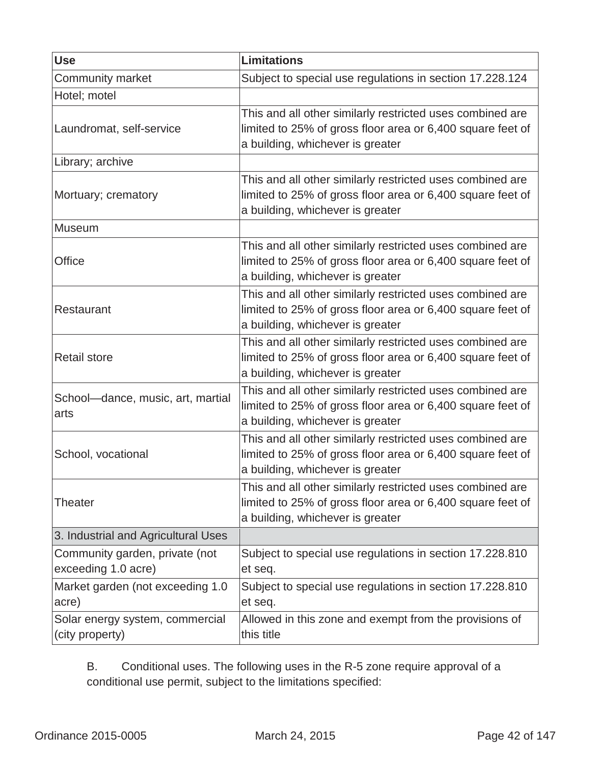| <b>Use</b>                                            | <b>Limitations</b>                                                                                                                                          |
|-------------------------------------------------------|-------------------------------------------------------------------------------------------------------------------------------------------------------------|
| Community market                                      | Subject to special use regulations in section 17.228.124                                                                                                    |
| Hotel; motel                                          |                                                                                                                                                             |
| Laundromat, self-service                              | This and all other similarly restricted uses combined are<br>limited to 25% of gross floor area or 6,400 square feet of<br>a building, whichever is greater |
| Library; archive                                      |                                                                                                                                                             |
| Mortuary; crematory                                   | This and all other similarly restricted uses combined are<br>limited to 25% of gross floor area or 6,400 square feet of<br>a building, whichever is greater |
| Museum                                                |                                                                                                                                                             |
| <b>Office</b>                                         | This and all other similarly restricted uses combined are<br>limited to 25% of gross floor area or 6,400 square feet of<br>a building, whichever is greater |
| Restaurant                                            | This and all other similarly restricted uses combined are<br>limited to 25% of gross floor area or 6,400 square feet of<br>a building, whichever is greater |
| <b>Retail store</b>                                   | This and all other similarly restricted uses combined are<br>limited to 25% of gross floor area or 6,400 square feet of<br>a building, whichever is greater |
| School-dance, music, art, martial<br>arts             | This and all other similarly restricted uses combined are<br>limited to 25% of gross floor area or 6,400 square feet of<br>a building, whichever is greater |
| School, vocational                                    | This and all other similarly restricted uses combined are<br>limited to 25% of gross floor area or 6,400 square feet of<br>a building, whichever is greater |
| Theater                                               | This and all other similarly restricted uses combined are<br>limited to 25% of gross floor area or 6,400 square feet of<br>a building, whichever is greater |
| 3. Industrial and Agricultural Uses                   |                                                                                                                                                             |
| Community garden, private (not<br>exceeding 1.0 acre) | Subject to special use regulations in section 17.228.810<br>et seq.                                                                                         |
| Market garden (not exceeding 1.0<br>acre)             | Subject to special use regulations in section 17.228.810<br>et seq.                                                                                         |
| Solar energy system, commercial<br>(city property)    | Allowed in this zone and exempt from the provisions of<br>this title                                                                                        |

B. Conditional uses. The following uses in the R-5 zone require approval of a conditional use permit, subject to the limitations specified: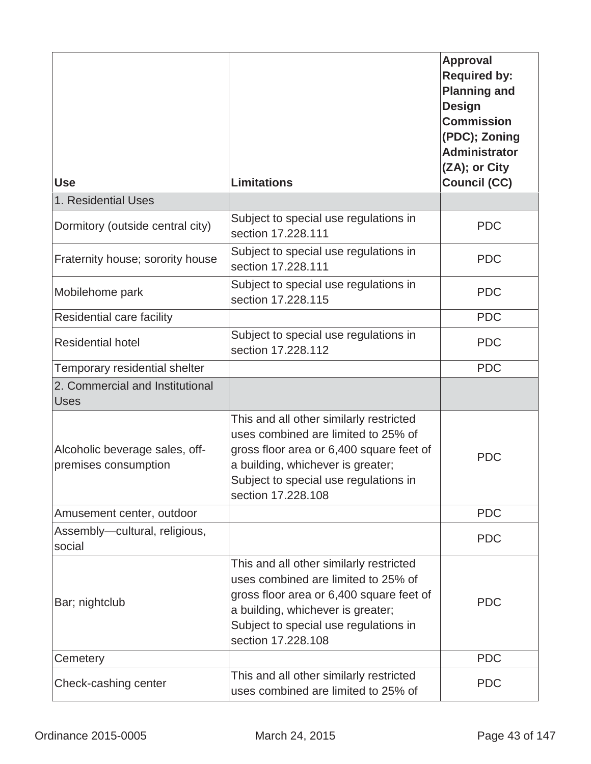| <b>Use</b>                                             | <b>Limitations</b>                                                                                                                                                                                                             | <b>Approval</b><br><b>Required by:</b><br><b>Planning and</b><br><b>Design</b><br><b>Commission</b><br>(PDC); Zoning<br><b>Administrator</b><br>(ZA); or City<br><b>Council (CC)</b> |
|--------------------------------------------------------|--------------------------------------------------------------------------------------------------------------------------------------------------------------------------------------------------------------------------------|--------------------------------------------------------------------------------------------------------------------------------------------------------------------------------------|
| 1. Residential Uses                                    |                                                                                                                                                                                                                                |                                                                                                                                                                                      |
| Dormitory (outside central city)                       | Subject to special use regulations in<br>section 17.228.111                                                                                                                                                                    | <b>PDC</b>                                                                                                                                                                           |
| Fraternity house; sorority house                       | Subject to special use regulations in<br>section 17.228.111                                                                                                                                                                    | <b>PDC</b>                                                                                                                                                                           |
| Mobilehome park                                        | Subject to special use regulations in<br>section 17,228,115                                                                                                                                                                    | <b>PDC</b>                                                                                                                                                                           |
| Residential care facility                              |                                                                                                                                                                                                                                | <b>PDC</b>                                                                                                                                                                           |
| <b>Residential hotel</b>                               | Subject to special use regulations in<br>section 17.228.112                                                                                                                                                                    | <b>PDC</b>                                                                                                                                                                           |
| Temporary residential shelter                          |                                                                                                                                                                                                                                | <b>PDC</b>                                                                                                                                                                           |
| 2. Commercial and Institutional<br><b>Uses</b>         |                                                                                                                                                                                                                                |                                                                                                                                                                                      |
| Alcoholic beverage sales, off-<br>premises consumption | This and all other similarly restricted<br>uses combined are limited to 25% of<br>gross floor area or 6,400 square feet of<br>a building, whichever is greater;<br>Subject to special use regulations in<br>section 17.228.108 | <b>PDC</b>                                                                                                                                                                           |
| Amusement center, outdoor                              |                                                                                                                                                                                                                                | <b>PDC</b>                                                                                                                                                                           |
| Assembly-cultural, religious,<br>social                |                                                                                                                                                                                                                                | <b>PDC</b>                                                                                                                                                                           |
| Bar; nightclub                                         | This and all other similarly restricted<br>uses combined are limited to 25% of<br>gross floor area or 6,400 square feet of<br>a building, whichever is greater;<br>Subject to special use regulations in<br>section 17.228.108 | <b>PDC</b>                                                                                                                                                                           |
| Cemetery                                               |                                                                                                                                                                                                                                | <b>PDC</b>                                                                                                                                                                           |
| Check-cashing center                                   | This and all other similarly restricted<br>uses combined are limited to 25% of                                                                                                                                                 | <b>PDC</b>                                                                                                                                                                           |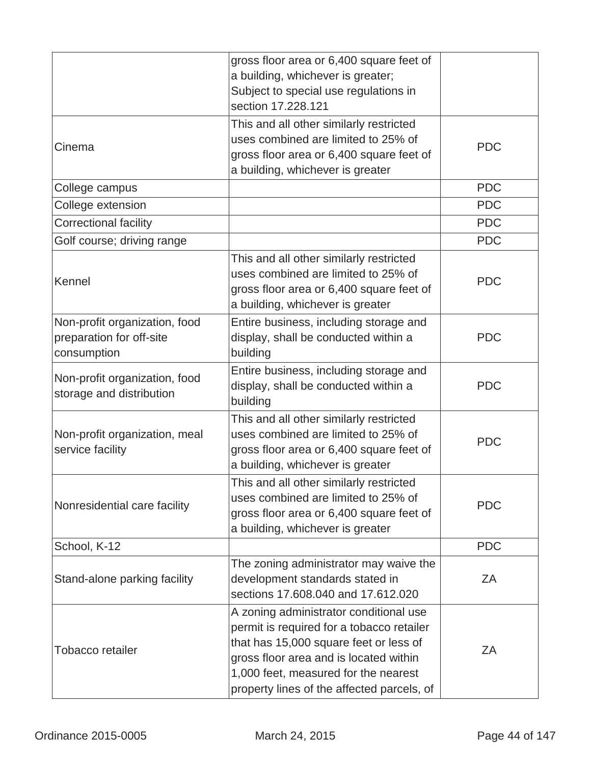|                                                                          | gross floor area or 6,400 square feet of<br>a building, whichever is greater;<br>Subject to special use regulations in<br>section 17,228,121                                                                                                                  |            |
|--------------------------------------------------------------------------|---------------------------------------------------------------------------------------------------------------------------------------------------------------------------------------------------------------------------------------------------------------|------------|
| Cinema                                                                   | This and all other similarly restricted<br>uses combined are limited to 25% of<br>gross floor area or 6,400 square feet of<br>a building, whichever is greater                                                                                                | <b>PDC</b> |
| College campus                                                           |                                                                                                                                                                                                                                                               | <b>PDC</b> |
| College extension                                                        |                                                                                                                                                                                                                                                               | <b>PDC</b> |
| <b>Correctional facility</b>                                             |                                                                                                                                                                                                                                                               | <b>PDC</b> |
| Golf course; driving range                                               |                                                                                                                                                                                                                                                               | <b>PDC</b> |
| Kennel                                                                   | This and all other similarly restricted<br>uses combined are limited to 25% of<br>gross floor area or 6,400 square feet of<br>a building, whichever is greater                                                                                                | <b>PDC</b> |
| Non-profit organization, food<br>preparation for off-site<br>consumption | Entire business, including storage and<br>display, shall be conducted within a<br>building                                                                                                                                                                    | <b>PDC</b> |
| Non-profit organization, food<br>storage and distribution                | Entire business, including storage and<br>display, shall be conducted within a<br>building                                                                                                                                                                    | <b>PDC</b> |
| Non-profit organization, meal<br>service facility                        | This and all other similarly restricted<br>uses combined are limited to 25% of<br>gross floor area or 6,400 square feet of<br>a building, whichever is greater                                                                                                | <b>PDC</b> |
| Nonresidential care facility                                             | This and all other similarly restricted<br>uses combined are limited to 25% of<br>gross floor area or 6,400 square feet of<br>a building, whichever is greater                                                                                                | <b>PDC</b> |
| School, K-12                                                             |                                                                                                                                                                                                                                                               | <b>PDC</b> |
| Stand-alone parking facility                                             | The zoning administrator may waive the<br>development standards stated in<br>sections 17.608.040 and 17.612.020                                                                                                                                               | ΖA         |
| Tobacco retailer                                                         | A zoning administrator conditional use<br>permit is required for a tobacco retailer<br>that has 15,000 square feet or less of<br>gross floor area and is located within<br>1,000 feet, measured for the nearest<br>property lines of the affected parcels, of | ΖA         |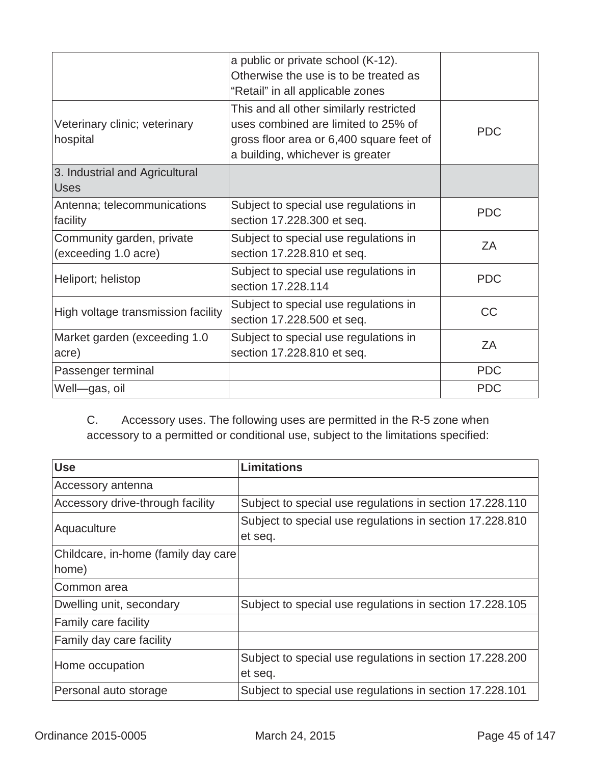|                                                   | a public or private school (K-12).<br>Otherwise the use is to be treated as<br>"Retail" in all applicable zones                                                |            |
|---------------------------------------------------|----------------------------------------------------------------------------------------------------------------------------------------------------------------|------------|
| Veterinary clinic; veterinary<br>hospital         | This and all other similarly restricted<br>uses combined are limited to 25% of<br>gross floor area or 6,400 square feet of<br>a building, whichever is greater | <b>PDC</b> |
| 3. Industrial and Agricultural<br><b>Uses</b>     |                                                                                                                                                                |            |
| Antenna; telecommunications<br>facility           | Subject to special use regulations in<br>section 17.228.300 et seq.                                                                                            | <b>PDC</b> |
| Community garden, private<br>(exceeding 1.0 acre) | Subject to special use regulations in<br>section 17.228.810 et seq.                                                                                            | ZA         |
| Heliport; helistop                                | Subject to special use regulations in<br>section 17.228.114                                                                                                    | <b>PDC</b> |
| High voltage transmission facility                | Subject to special use regulations in<br>section 17.228.500 et seq.                                                                                            | <b>CC</b>  |
| Market garden (exceeding 1.0)<br>acre)            | Subject to special use regulations in<br>section 17.228.810 et seq.                                                                                            | ZA         |
| Passenger terminal                                |                                                                                                                                                                | <b>PDC</b> |
| Well-gas, oil                                     |                                                                                                                                                                | <b>PDC</b> |

C. Accessory uses. The following uses are permitted in the R-5 zone when accessory to a permitted or conditional use, subject to the limitations specified:

| <b>Use</b>                           | <b>Limitations</b>                                       |
|--------------------------------------|----------------------------------------------------------|
| Accessory antenna                    |                                                          |
| Accessory drive-through facility     | Subject to special use regulations in section 17.228.110 |
| Aquaculture                          | Subject to special use regulations in section 17.228.810 |
|                                      | et seq.                                                  |
| Childcare, in-home (family day care) |                                                          |
| home)                                |                                                          |
| Common area                          |                                                          |
| Dwelling unit, secondary             | Subject to special use regulations in section 17.228.105 |
| Family care facility                 |                                                          |
| Family day care facility             |                                                          |
| Home occupation                      | Subject to special use regulations in section 17.228.200 |
|                                      | et seq.                                                  |
| Personal auto storage                | Subject to special use regulations in section 17.228.101 |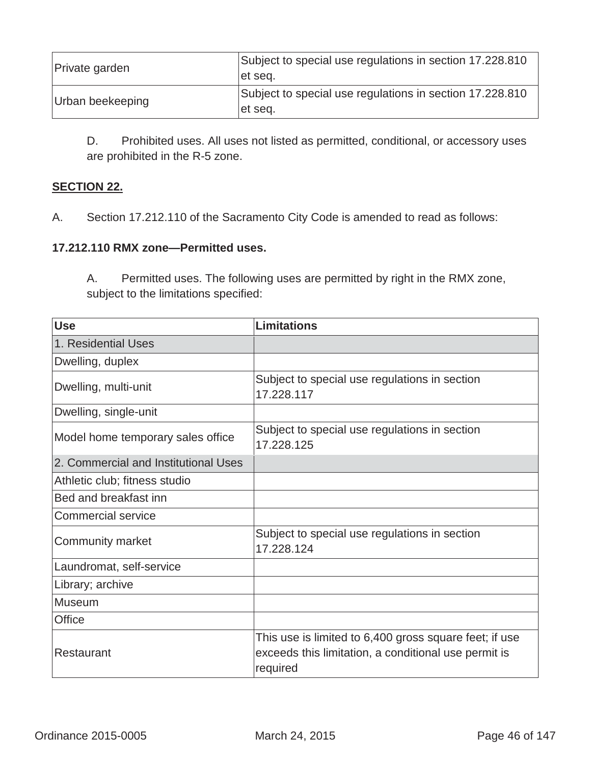| Private garden   | Subject to special use regulations in section 17.228.810<br>let sea. |
|------------------|----------------------------------------------------------------------|
| Urban beekeeping | Subject to special use regulations in section 17.228.810<br>et seq.  |

D. Prohibited uses. All uses not listed as permitted, conditional, or accessory uses are prohibited in the R-5 zone.

# **SECTION 22.**

A.Section 17.212.110 of the Sacramento City Code is amended to read as follows:

## **17.212.110 RMX zone—Permitted uses.**

A. Permitted uses. The following uses are permitted by right in the RMX zone, subject to the limitations specified:

| <b>Use</b>                           | <b>Limitations</b>                                                                                                         |
|--------------------------------------|----------------------------------------------------------------------------------------------------------------------------|
| 1. Residential Uses                  |                                                                                                                            |
| Dwelling, duplex                     |                                                                                                                            |
| Dwelling, multi-unit                 | Subject to special use regulations in section<br>17.228.117                                                                |
| Dwelling, single-unit                |                                                                                                                            |
| Model home temporary sales office    | Subject to special use regulations in section<br>17.228.125                                                                |
| 2. Commercial and Institutional Uses |                                                                                                                            |
| Athletic club; fitness studio        |                                                                                                                            |
| Bed and breakfast inn                |                                                                                                                            |
| <b>Commercial service</b>            |                                                                                                                            |
| <b>Community market</b>              | Subject to special use regulations in section<br>17.228.124                                                                |
| Laundromat, self-service             |                                                                                                                            |
| Library; archive                     |                                                                                                                            |
| Museum                               |                                                                                                                            |
| Office                               |                                                                                                                            |
| Restaurant                           | This use is limited to 6,400 gross square feet; if use<br>exceeds this limitation, a conditional use permit is<br>required |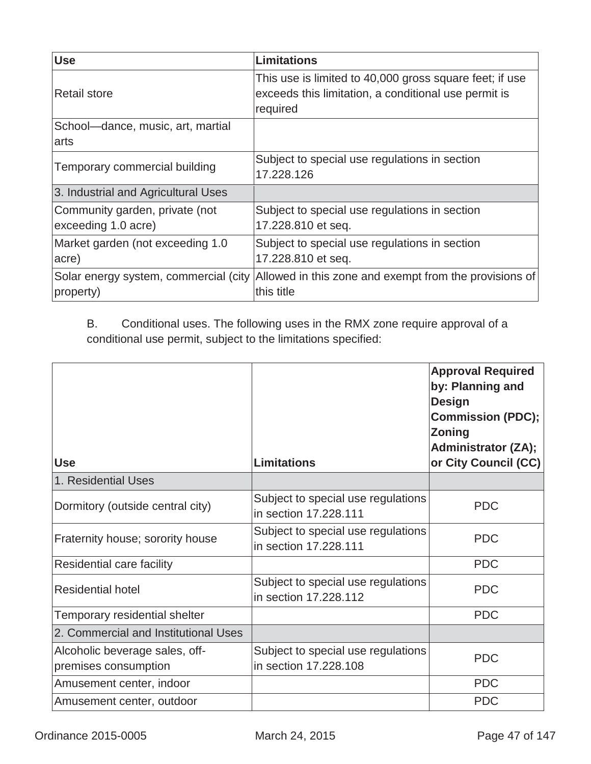| <b>Use</b>                                            | Limitations                                                                                                                 |
|-------------------------------------------------------|-----------------------------------------------------------------------------------------------------------------------------|
| <b>Retail store</b>                                   | This use is limited to 40,000 gross square feet; if use<br>exceeds this limitation, a conditional use permit is<br>required |
| School-dance, music, art, martial                     |                                                                                                                             |
| arts                                                  |                                                                                                                             |
| Temporary commercial building                         | Subject to special use regulations in section<br>17.228.126                                                                 |
| 3. Industrial and Agricultural Uses                   |                                                                                                                             |
| Community garden, private (not<br>exceeding 1.0 acre) | Subject to special use regulations in section<br>17.228.810 et seq.                                                         |
| Market garden (not exceeding 1.0<br>acre)             | Subject to special use regulations in section<br>17.228.810 et seq.                                                         |
| property)                                             | Solar energy system, commercial (city Allowed in this zone and exempt from the provisions of<br>this title                  |

B. Conditional uses. The following uses in the RMX zone require approval of a conditional use permit, subject to the limitations specified:

| <b>Use</b>                                             | <b>Limitations</b>                                          | <b>Approval Required</b><br>by: Planning and<br><b>Design</b><br><b>Commission (PDC);</b><br><b>Zoning</b><br><b>Administrator (ZA);</b><br>or City Council (CC) |
|--------------------------------------------------------|-------------------------------------------------------------|------------------------------------------------------------------------------------------------------------------------------------------------------------------|
| 1. Residential Uses                                    |                                                             |                                                                                                                                                                  |
| Dormitory (outside central city)                       | Subject to special use regulations<br>in section 17.228.111 | <b>PDC</b>                                                                                                                                                       |
| Fraternity house; sorority house                       | Subject to special use regulations<br>in section 17,228,111 | <b>PDC</b>                                                                                                                                                       |
| Residential care facility                              |                                                             | <b>PDC</b>                                                                                                                                                       |
| <b>Residential hotel</b>                               | Subject to special use regulations<br>in section 17.228.112 | <b>PDC</b>                                                                                                                                                       |
| Temporary residential shelter                          |                                                             | <b>PDC</b>                                                                                                                                                       |
| 2. Commercial and Institutional Uses                   |                                                             |                                                                                                                                                                  |
| Alcoholic beverage sales, off-<br>premises consumption | Subject to special use regulations<br>in section 17.228.108 | <b>PDC</b>                                                                                                                                                       |
| Amusement center, indoor                               |                                                             | <b>PDC</b>                                                                                                                                                       |
| Amusement center, outdoor                              |                                                             | <b>PDC</b>                                                                                                                                                       |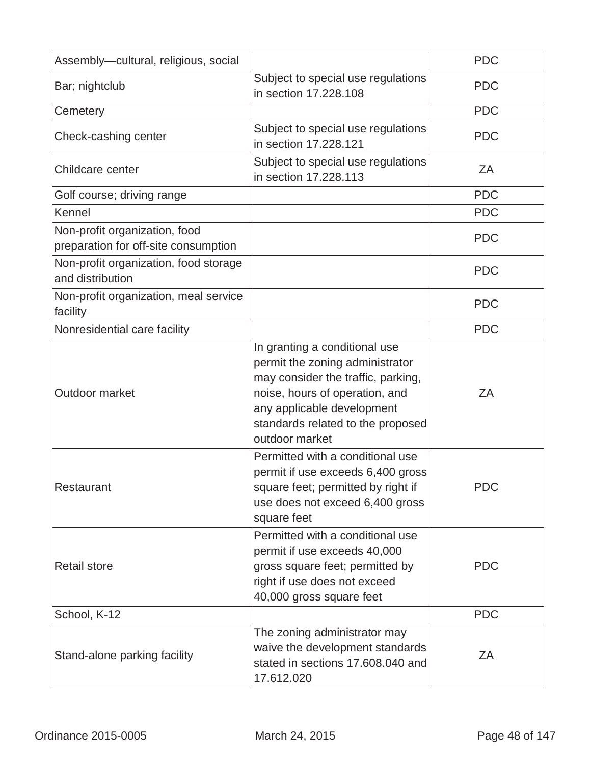| Assembly-cultural, religious, social                                  |                                                                                                                                                                                                                               | <b>PDC</b> |
|-----------------------------------------------------------------------|-------------------------------------------------------------------------------------------------------------------------------------------------------------------------------------------------------------------------------|------------|
| Bar; nightclub                                                        | Subject to special use regulations<br>in section 17.228.108                                                                                                                                                                   | <b>PDC</b> |
| Cemetery                                                              |                                                                                                                                                                                                                               | <b>PDC</b> |
| Check-cashing center                                                  | Subject to special use regulations<br>in section 17.228.121                                                                                                                                                                   | <b>PDC</b> |
| Childcare center                                                      | Subject to special use regulations<br>in section 17.228.113                                                                                                                                                                   | ZA         |
| Golf course; driving range                                            |                                                                                                                                                                                                                               | <b>PDC</b> |
| Kennel                                                                |                                                                                                                                                                                                                               | <b>PDC</b> |
| Non-profit organization, food<br>preparation for off-site consumption |                                                                                                                                                                                                                               | <b>PDC</b> |
| Non-profit organization, food storage<br>and distribution             |                                                                                                                                                                                                                               | <b>PDC</b> |
| Non-profit organization, meal service<br>facility                     |                                                                                                                                                                                                                               | <b>PDC</b> |
| Nonresidential care facility                                          |                                                                                                                                                                                                                               | <b>PDC</b> |
| Outdoor market                                                        | In granting a conditional use<br>permit the zoning administrator<br>may consider the traffic, parking,<br>noise, hours of operation, and<br>any applicable development<br>standards related to the proposed<br>outdoor market | ZA         |
| Restaurant                                                            | Permitted with a conditional use<br>permit if use exceeds 6,400 gross<br>square feet; permitted by right if<br>use does not exceed 6,400 gross<br>square feet                                                                 | <b>PDC</b> |
| <b>Retail store</b>                                                   | Permitted with a conditional use<br>permit if use exceeds 40,000<br>gross square feet; permitted by<br>right if use does not exceed<br>40,000 gross square feet                                                               | <b>PDC</b> |
| School, K-12                                                          |                                                                                                                                                                                                                               | <b>PDC</b> |
| Stand-alone parking facility                                          | The zoning administrator may<br>waive the development standards<br>stated in sections 17.608.040 and<br>17.612.020                                                                                                            | ZA         |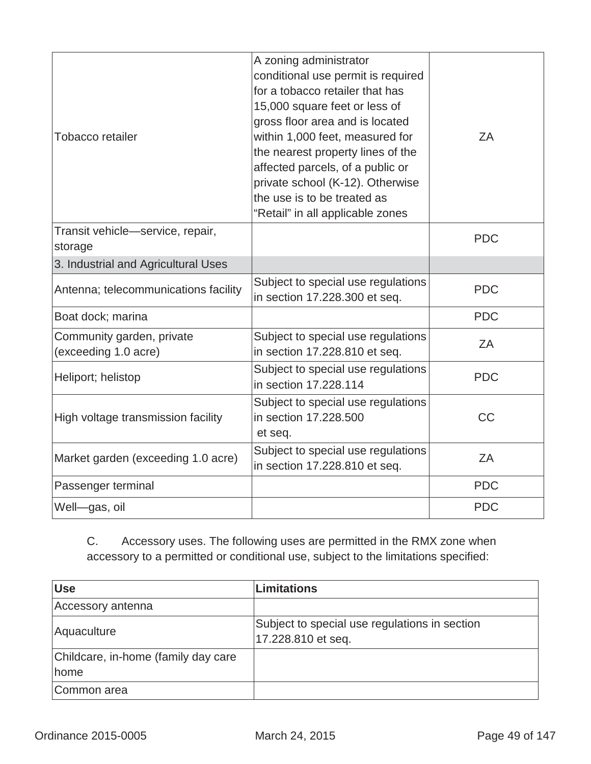| <b>Tobacco retailer</b>                           | A zoning administrator<br>conditional use permit is required<br>for a tobacco retailer that has<br>15,000 square feet or less of<br>gross floor area and is located<br>within 1,000 feet, measured for<br>the nearest property lines of the<br>affected parcels, of a public or<br>private school (K-12). Otherwise<br>the use is to be treated as<br>"Retail" in all applicable zones | ZA         |
|---------------------------------------------------|----------------------------------------------------------------------------------------------------------------------------------------------------------------------------------------------------------------------------------------------------------------------------------------------------------------------------------------------------------------------------------------|------------|
| Transit vehicle-service, repair,<br>storage       |                                                                                                                                                                                                                                                                                                                                                                                        | <b>PDC</b> |
| 3. Industrial and Agricultural Uses               |                                                                                                                                                                                                                                                                                                                                                                                        |            |
| Antenna; telecommunications facility              | Subject to special use regulations<br>in section 17.228.300 et seq.                                                                                                                                                                                                                                                                                                                    | <b>PDC</b> |
| Boat dock; marina                                 |                                                                                                                                                                                                                                                                                                                                                                                        | <b>PDC</b> |
| Community garden, private<br>(exceeding 1.0 acre) | Subject to special use regulations<br>in section 17.228.810 et seq.                                                                                                                                                                                                                                                                                                                    | ZΑ         |
| Heliport; helistop                                | Subject to special use regulations<br>in section 17,228,114                                                                                                                                                                                                                                                                                                                            | <b>PDC</b> |
| High voltage transmission facility                | Subject to special use regulations<br>in section 17.228.500<br>et seq.                                                                                                                                                                                                                                                                                                                 | <b>CC</b>  |
| Market garden (exceeding 1.0 acre)                | Subject to special use regulations<br>in section 17.228.810 et seq.                                                                                                                                                                                                                                                                                                                    | ZA         |
| Passenger terminal                                |                                                                                                                                                                                                                                                                                                                                                                                        | <b>PDC</b> |
| Well-gas, oil                                     |                                                                                                                                                                                                                                                                                                                                                                                        | <b>PDC</b> |

C. Accessory uses. The following uses are permitted in the RMX zone when accessory to a permitted or conditional use, subject to the limitations specified:

| <b>Use</b>                          | <b>Limitations</b>                                                  |
|-------------------------------------|---------------------------------------------------------------------|
| Accessory antenna                   |                                                                     |
| Aquaculture                         | Subject to special use regulations in section<br>17.228.810 et seq. |
| Childcare, in-home (family day care |                                                                     |
| home                                |                                                                     |
| Common area                         |                                                                     |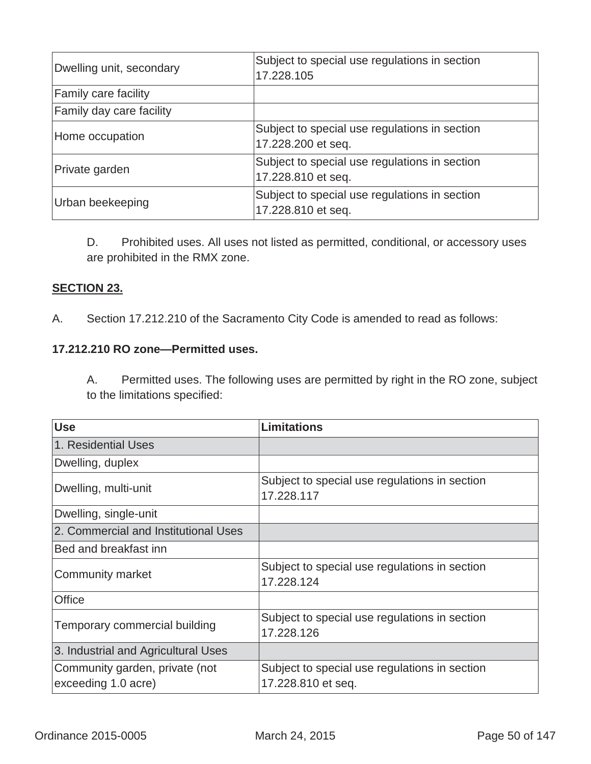| Dwelling unit, secondary    | Subject to special use regulations in section<br>17.228.105         |
|-----------------------------|---------------------------------------------------------------------|
| <b>Family care facility</b> |                                                                     |
| Family day care facility    |                                                                     |
| Home occupation             | Subject to special use regulations in section<br>17.228.200 et seq. |
| Private garden              | Subject to special use regulations in section<br>17.228.810 et seq. |
| Urban beekeeping            | Subject to special use regulations in section<br>17.228.810 et seq. |

D. Prohibited uses. All uses not listed as permitted, conditional, or accessory uses are prohibited in the RMX zone.

# **SECTION 23.**

A. Section 17.212.210 of the Sacramento City Code is amended to read as follows:

# **17.212.210 RO zone—Permitted uses.**

A. Permitted uses. The following uses are permitted by right in the RO zone, subject to the limitations specified:

| <b>Use</b>                                            | <b>Limitations</b>                                                  |
|-------------------------------------------------------|---------------------------------------------------------------------|
| 1. Residential Uses                                   |                                                                     |
| Dwelling, duplex                                      |                                                                     |
| Dwelling, multi-unit                                  | Subject to special use regulations in section<br>17.228.117         |
| Dwelling, single-unit                                 |                                                                     |
| 2. Commercial and Institutional Uses                  |                                                                     |
| Bed and breakfast inn                                 |                                                                     |
| <b>Community market</b>                               | Subject to special use regulations in section<br>17.228.124         |
| Office                                                |                                                                     |
| Temporary commercial building                         | Subject to special use regulations in section<br>17.228.126         |
| 3. Industrial and Agricultural Uses                   |                                                                     |
| Community garden, private (not<br>exceeding 1.0 acre) | Subject to special use regulations in section<br>17.228.810 et seq. |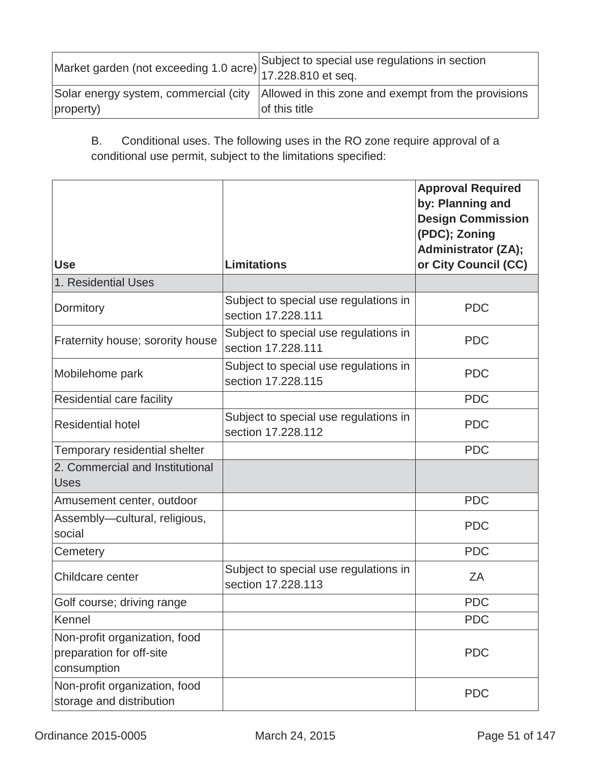| Market garden (not exceeding 1.0 acre) 17.228.810 et seq. | Subject to special use regulations in section                                                                |
|-----------------------------------------------------------|--------------------------------------------------------------------------------------------------------------|
| property)                                                 | Solar energy system, commercial (city   Allowed in this zone and exempt from the provisions<br>of this title |

B. Conditional uses. The following uses in the RO zone require approval of a conditional use permit, subject to the limitations specified:

| <b>Use</b>                                                               | <b>Limitations</b>                                          | <b>Approval Required</b><br>by: Planning and<br><b>Design Commission</b><br>(PDC); Zoning<br><b>Administrator (ZA);</b><br>or City Council (CC) |
|--------------------------------------------------------------------------|-------------------------------------------------------------|-------------------------------------------------------------------------------------------------------------------------------------------------|
| 1. Residential Uses                                                      |                                                             |                                                                                                                                                 |
| Dormitory                                                                | Subject to special use regulations in<br>section 17,228,111 | <b>PDC</b>                                                                                                                                      |
| Fraternity house; sorority house                                         | Subject to special use regulations in<br>section 17,228,111 | <b>PDC</b>                                                                                                                                      |
| Mobilehome park                                                          | Subject to special use regulations in<br>section 17,228,115 | <b>PDC</b>                                                                                                                                      |
| Residential care facility                                                |                                                             | <b>PDC</b>                                                                                                                                      |
| <b>Residential hotel</b>                                                 | Subject to special use regulations in<br>section 17.228.112 | <b>PDC</b>                                                                                                                                      |
| Temporary residential shelter                                            |                                                             | <b>PDC</b>                                                                                                                                      |
| 2. Commercial and Institutional<br><b>Uses</b>                           |                                                             |                                                                                                                                                 |
| Amusement center, outdoor                                                |                                                             | <b>PDC</b>                                                                                                                                      |
| Assembly-cultural, religious,<br>social                                  |                                                             | <b>PDC</b>                                                                                                                                      |
| Cemetery                                                                 |                                                             | <b>PDC</b>                                                                                                                                      |
| Childcare center                                                         | Subject to special use regulations in<br>section 17,228,113 | ZA                                                                                                                                              |
| Golf course; driving range                                               |                                                             | <b>PDC</b>                                                                                                                                      |
| Kennel                                                                   |                                                             | <b>PDC</b>                                                                                                                                      |
| Non-profit organization, food<br>preparation for off-site<br>consumption |                                                             | <b>PDC</b>                                                                                                                                      |
| Non-profit organization, food<br>storage and distribution                |                                                             | <b>PDC</b>                                                                                                                                      |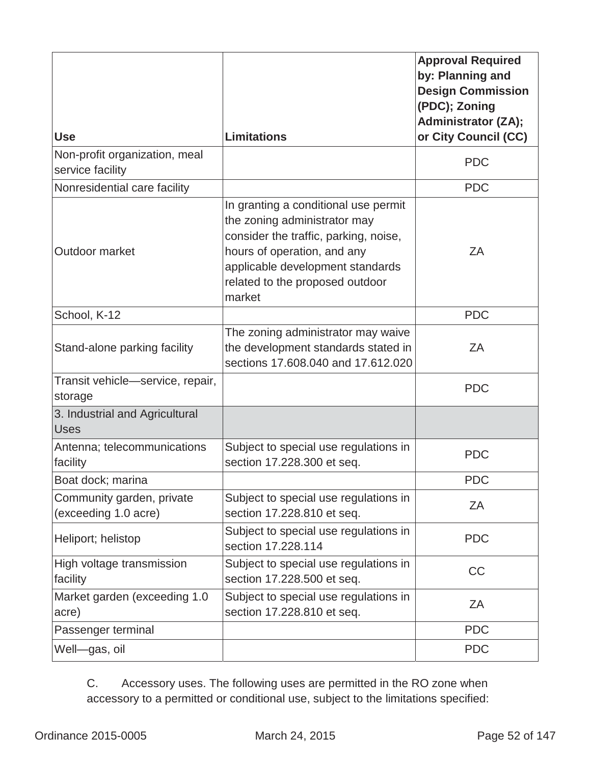| <b>Use</b>                                        | <b>Limitations</b>                                                                                                                                                                                                            | <b>Approval Required</b><br>by: Planning and<br><b>Design Commission</b><br>(PDC); Zoning<br><b>Administrator (ZA);</b><br>or City Council (CC) |
|---------------------------------------------------|-------------------------------------------------------------------------------------------------------------------------------------------------------------------------------------------------------------------------------|-------------------------------------------------------------------------------------------------------------------------------------------------|
| Non-profit organization, meal<br>service facility |                                                                                                                                                                                                                               | <b>PDC</b>                                                                                                                                      |
| Nonresidential care facility                      |                                                                                                                                                                                                                               | <b>PDC</b>                                                                                                                                      |
| Outdoor market                                    | In granting a conditional use permit<br>the zoning administrator may<br>consider the traffic, parking, noise,<br>hours of operation, and any<br>applicable development standards<br>related to the proposed outdoor<br>market | ZA                                                                                                                                              |
| School, K-12                                      |                                                                                                                                                                                                                               | <b>PDC</b>                                                                                                                                      |
| Stand-alone parking facility                      | The zoning administrator may waive<br>the development standards stated in<br>sections 17.608.040 and 17.612.020                                                                                                               | ZA                                                                                                                                              |
| Transit vehicle-service, repair,<br>storage       |                                                                                                                                                                                                                               | <b>PDC</b>                                                                                                                                      |
| 3. Industrial and Agricultural<br><b>Uses</b>     |                                                                                                                                                                                                                               |                                                                                                                                                 |
| Antenna; telecommunications<br>facility           | Subject to special use regulations in<br>section 17.228.300 et seq.                                                                                                                                                           | <b>PDC</b>                                                                                                                                      |
| Boat dock; marina                                 |                                                                                                                                                                                                                               | <b>PDC</b>                                                                                                                                      |
| Community garden, private<br>(exceeding 1.0 acre) | Subject to special use regulations in<br>section 17.228.810 et seq.                                                                                                                                                           | ZA                                                                                                                                              |
| Heliport; helistop                                | Subject to special use regulations in<br>section 17.228.114                                                                                                                                                                   | <b>PDC</b>                                                                                                                                      |
| High voltage transmission<br>facility             | Subject to special use regulations in<br>section 17.228.500 et seq.                                                                                                                                                           | CC                                                                                                                                              |
| Market garden (exceeding 1.0)<br>acre)            | Subject to special use regulations in<br>section 17.228.810 et seq.                                                                                                                                                           | ZA                                                                                                                                              |
| Passenger terminal                                |                                                                                                                                                                                                                               | <b>PDC</b>                                                                                                                                      |
| Well-gas, oil                                     |                                                                                                                                                                                                                               | <b>PDC</b>                                                                                                                                      |

C. Accessory uses. The following uses are permitted in the RO zone when accessory to a permitted or conditional use, subject to the limitations specified: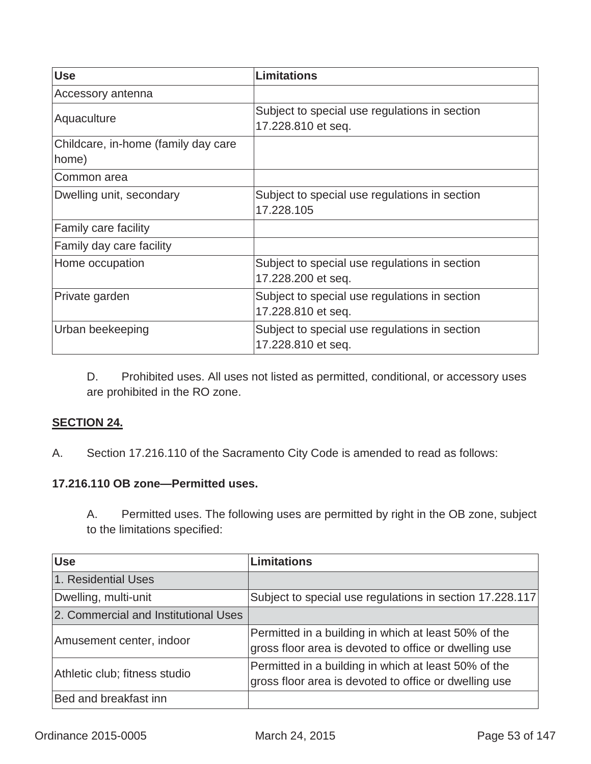| <b>Use</b>                          | <b>Limitations</b>                                                  |
|-------------------------------------|---------------------------------------------------------------------|
| Accessory antenna                   |                                                                     |
| Aquaculture                         | Subject to special use regulations in section<br>17.228.810 et seq. |
| Childcare, in-home (family day care |                                                                     |
| home)                               |                                                                     |
| Common area                         |                                                                     |
| Dwelling unit, secondary            | Subject to special use regulations in section<br>17.228.105         |
| Family care facility                |                                                                     |
| Family day care facility            |                                                                     |
| Home occupation                     | Subject to special use regulations in section<br>17.228.200 et seq. |
| Private garden                      | Subject to special use regulations in section<br>17.228.810 et seq. |
| Urban beekeeping                    | Subject to special use regulations in section<br>17.228.810 et seq. |

D. Prohibited uses. All uses not listed as permitted, conditional, or accessory uses are prohibited in the RO zone.

## **SECTION 24.**

A.Section 17.216.110 of the Sacramento City Code is amended to read as follows:

#### **17.216.110 OB zone—Permitted uses.**

A. Permitted uses. The following uses are permitted by right in the OB zone, subject to the limitations specified:

| <b>Use</b>                           | <b>Limitations</b>                                                                                            |
|--------------------------------------|---------------------------------------------------------------------------------------------------------------|
| 1. Residential Uses                  |                                                                                                               |
| Dwelling, multi-unit                 | Subject to special use regulations in section 17.228.117                                                      |
| 2. Commercial and Institutional Uses |                                                                                                               |
| Amusement center, indoor             | Permitted in a building in which at least 50% of the<br>gross floor area is devoted to office or dwelling use |
| Athletic club; fitness studio        | Permitted in a building in which at least 50% of the<br>gross floor area is devoted to office or dwelling use |
| Bed and breakfast inn                |                                                                                                               |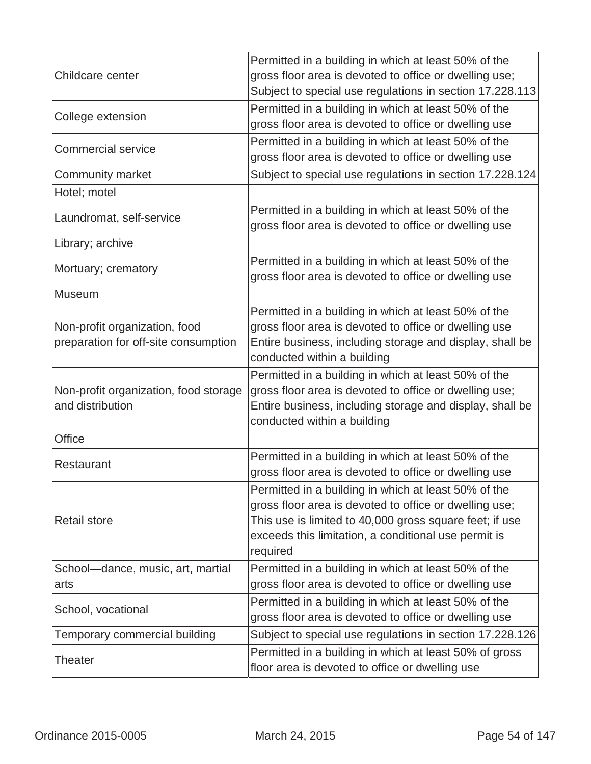|                                                                       | Permitted in a building in which at least 50% of the                                                                                                                                                                                          |
|-----------------------------------------------------------------------|-----------------------------------------------------------------------------------------------------------------------------------------------------------------------------------------------------------------------------------------------|
| Childcare center                                                      | gross floor area is devoted to office or dwelling use;                                                                                                                                                                                        |
|                                                                       | Subject to special use regulations in section 17.228.113                                                                                                                                                                                      |
| College extension                                                     | Permitted in a building in which at least 50% of the                                                                                                                                                                                          |
|                                                                       | gross floor area is devoted to office or dwelling use                                                                                                                                                                                         |
| <b>Commercial service</b>                                             | Permitted in a building in which at least 50% of the                                                                                                                                                                                          |
|                                                                       | gross floor area is devoted to office or dwelling use                                                                                                                                                                                         |
| <b>Community market</b>                                               | Subject to special use regulations in section 17.228.124                                                                                                                                                                                      |
| Hotel; motel                                                          |                                                                                                                                                                                                                                               |
| Laundromat, self-service                                              | Permitted in a building in which at least 50% of the<br>gross floor area is devoted to office or dwelling use                                                                                                                                 |
| Library; archive                                                      |                                                                                                                                                                                                                                               |
| Mortuary; crematory                                                   | Permitted in a building in which at least 50% of the<br>gross floor area is devoted to office or dwelling use                                                                                                                                 |
| Museum                                                                |                                                                                                                                                                                                                                               |
| Non-profit organization, food<br>preparation for off-site consumption | Permitted in a building in which at least 50% of the<br>gross floor area is devoted to office or dwelling use<br>Entire business, including storage and display, shall be<br>conducted within a building                                      |
| Non-profit organization, food storage<br>and distribution             | Permitted in a building in which at least 50% of the<br>gross floor area is devoted to office or dwelling use;<br>Entire business, including storage and display, shall be<br>conducted within a building                                     |
| <b>Office</b>                                                         |                                                                                                                                                                                                                                               |
| Restaurant                                                            | Permitted in a building in which at least 50% of the<br>gross floor area is devoted to office or dwelling use                                                                                                                                 |
| <b>Retail store</b>                                                   | Permitted in a building in which at least 50% of the<br>gross floor area is devoted to office or dwelling use;<br>This use is limited to 40,000 gross square feet; if use<br>exceeds this limitation, a conditional use permit is<br>required |
| School-dance, music, art, martial                                     | Permitted in a building in which at least 50% of the                                                                                                                                                                                          |
| arts                                                                  | gross floor area is devoted to office or dwelling use                                                                                                                                                                                         |
| School, vocational                                                    | Permitted in a building in which at least 50% of the<br>gross floor area is devoted to office or dwelling use                                                                                                                                 |
| Temporary commercial building                                         | Subject to special use regulations in section 17.228.126                                                                                                                                                                                      |
| Theater                                                               | Permitted in a building in which at least 50% of gross<br>floor area is devoted to office or dwelling use                                                                                                                                     |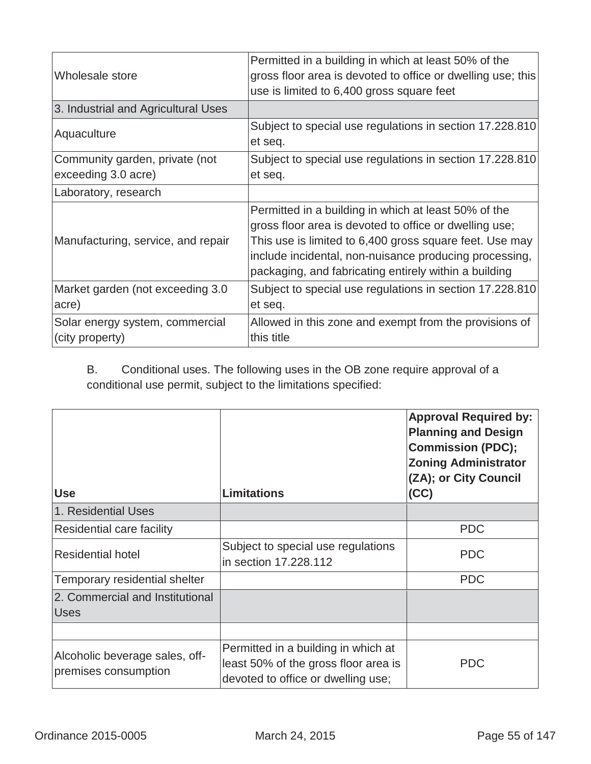| Wholesale store                                       | Permitted in a building in which at least 50% of the<br>gross floor area is devoted to office or dwelling use; this<br>use is limited to 6,400 gross square feet                                                                                                                             |
|-------------------------------------------------------|----------------------------------------------------------------------------------------------------------------------------------------------------------------------------------------------------------------------------------------------------------------------------------------------|
| 3. Industrial and Agricultural Uses                   |                                                                                                                                                                                                                                                                                              |
| Aquaculture                                           | Subject to special use regulations in section 17.228.810<br>et seq.                                                                                                                                                                                                                          |
| Community garden, private (not<br>exceeding 3.0 acre) | Subject to special use regulations in section 17.228.810<br>et seq.                                                                                                                                                                                                                          |
| Laboratory, research                                  |                                                                                                                                                                                                                                                                                              |
| Manufacturing, service, and repair                    | Permitted in a building in which at least 50% of the<br>gross floor area is devoted to office or dwelling use;<br>This use is limited to 6,400 gross square feet. Use may<br>include incidental, non-nuisance producing processing,<br>packaging, and fabricating entirely within a building |
| Market garden (not exceeding 3.0<br>acre)             | Subject to special use regulations in section 17.228.810<br>et seq.                                                                                                                                                                                                                          |
| Solar energy system, commercial<br>(city property)    | Allowed in this zone and exempt from the provisions of<br>this title                                                                                                                                                                                                                         |

B. Conditional uses. The following uses in the OB zone require approval of a conditional use permit, subject to the limitations specified:

| <b>Use</b>                                             | <b>Limitations</b>                                                                                                | <b>Approval Required by:</b><br><b>Planning and Design</b><br><b>Commission (PDC);</b><br><b>Zoning Administrator</b><br>(ZA); or City Council<br>(CC) |
|--------------------------------------------------------|-------------------------------------------------------------------------------------------------------------------|--------------------------------------------------------------------------------------------------------------------------------------------------------|
| 1. Residential Uses                                    |                                                                                                                   |                                                                                                                                                        |
| Residential care facility                              |                                                                                                                   | <b>PDC</b>                                                                                                                                             |
| <b>Residential hotel</b>                               | Subject to special use regulations<br>in section 17,228,112                                                       | <b>PDC</b>                                                                                                                                             |
| Temporary residential shelter                          |                                                                                                                   | <b>PDC</b>                                                                                                                                             |
| 2. Commercial and Institutional<br><b>Uses</b>         |                                                                                                                   |                                                                                                                                                        |
|                                                        |                                                                                                                   |                                                                                                                                                        |
| Alcoholic beverage sales, off-<br>premises consumption | Permitted in a building in which at<br>least 50% of the gross floor area is<br>devoted to office or dwelling use; | <b>PDC</b>                                                                                                                                             |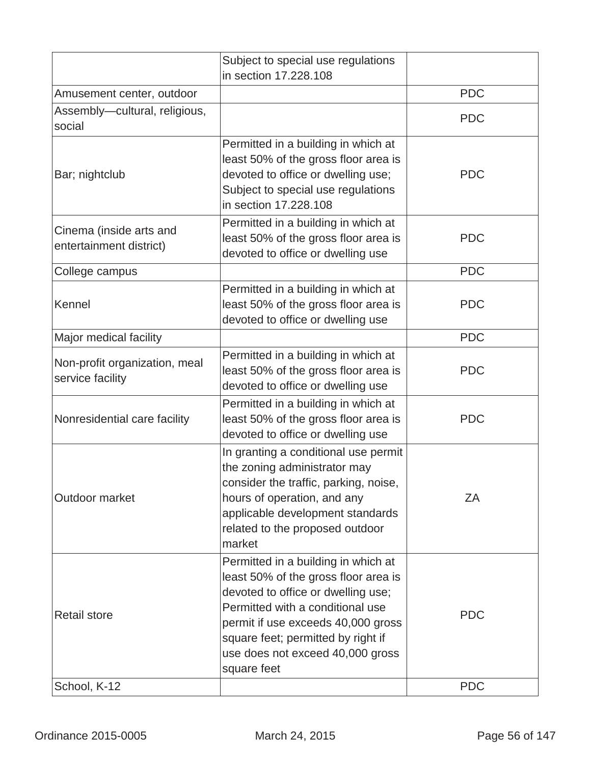|                                                    | Subject to special use regulations<br>in section 17.228.108                                                                                                                                                                                                                          |            |
|----------------------------------------------------|--------------------------------------------------------------------------------------------------------------------------------------------------------------------------------------------------------------------------------------------------------------------------------------|------------|
| Amusement center, outdoor                          |                                                                                                                                                                                                                                                                                      | <b>PDC</b> |
| Assembly-cultural, religious,<br>social            |                                                                                                                                                                                                                                                                                      | <b>PDC</b> |
| Bar; nightclub                                     | Permitted in a building in which at<br>least 50% of the gross floor area is<br>devoted to office or dwelling use;<br>Subject to special use regulations<br>in section 17.228.108                                                                                                     | <b>PDC</b> |
| Cinema (inside arts and<br>entertainment district) | Permitted in a building in which at<br>least 50% of the gross floor area is<br>devoted to office or dwelling use                                                                                                                                                                     | <b>PDC</b> |
| College campus                                     |                                                                                                                                                                                                                                                                                      | <b>PDC</b> |
| Kennel                                             | Permitted in a building in which at<br>least 50% of the gross floor area is<br>devoted to office or dwelling use                                                                                                                                                                     | <b>PDC</b> |
| Major medical facility                             |                                                                                                                                                                                                                                                                                      | <b>PDC</b> |
| Non-profit organization, meal<br>service facility  | Permitted in a building in which at<br>least 50% of the gross floor area is<br>devoted to office or dwelling use                                                                                                                                                                     | <b>PDC</b> |
| Nonresidential care facility                       | Permitted in a building in which at<br>least 50% of the gross floor area is<br>devoted to office or dwelling use                                                                                                                                                                     | <b>PDC</b> |
| Outdoor market                                     | In granting a conditional use permit<br>the zoning administrator may<br>consider the traffic, parking, noise,<br>hours of operation, and any<br>applicable development standards<br>related to the proposed outdoor<br>market                                                        | ZΑ         |
| <b>Retail store</b>                                | Permitted in a building in which at<br>least 50% of the gross floor area is<br>devoted to office or dwelling use;<br>Permitted with a conditional use<br>permit if use exceeds 40,000 gross<br>square feet; permitted by right if<br>use does not exceed 40,000 gross<br>square feet | <b>PDC</b> |
| School, K-12                                       |                                                                                                                                                                                                                                                                                      | <b>PDC</b> |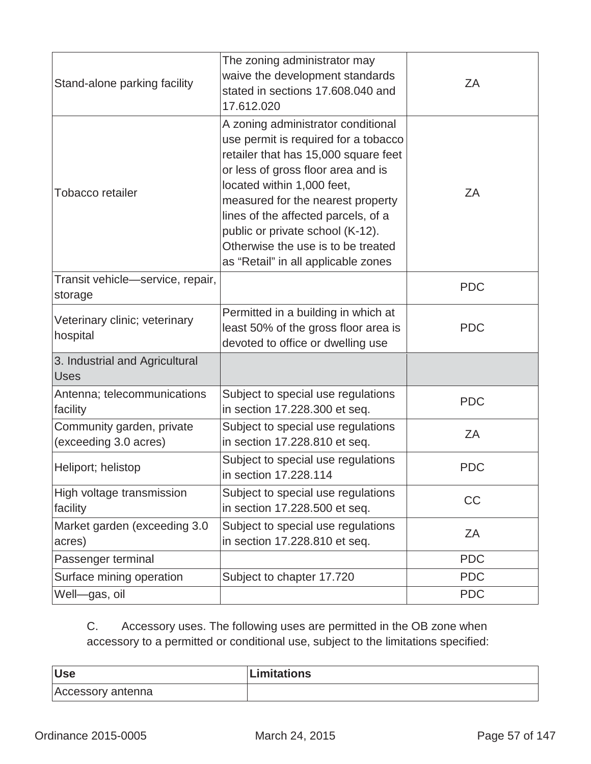| Stand-alone parking facility                       | The zoning administrator may<br>waive the development standards<br>stated in sections 17.608.040 and<br>17.612.020                                                                                                                                                                                                                                                                  | ZΑ         |
|----------------------------------------------------|-------------------------------------------------------------------------------------------------------------------------------------------------------------------------------------------------------------------------------------------------------------------------------------------------------------------------------------------------------------------------------------|------------|
| <b>Tobacco retailer</b>                            | A zoning administrator conditional<br>use permit is required for a tobacco<br>retailer that has 15,000 square feet<br>or less of gross floor area and is<br>located within 1,000 feet,<br>measured for the nearest property<br>lines of the affected parcels, of a<br>public or private school (K-12).<br>Otherwise the use is to be treated<br>as "Retail" in all applicable zones | ZA         |
| Transit vehicle-service, repair,<br>storage        |                                                                                                                                                                                                                                                                                                                                                                                     | <b>PDC</b> |
| Veterinary clinic; veterinary<br>hospital          | Permitted in a building in which at<br>least 50% of the gross floor area is<br>devoted to office or dwelling use                                                                                                                                                                                                                                                                    | <b>PDC</b> |
| 3. Industrial and Agricultural<br><b>Uses</b>      |                                                                                                                                                                                                                                                                                                                                                                                     |            |
| Antenna; telecommunications<br>facility            | Subject to special use regulations<br>in section 17.228.300 et seq.                                                                                                                                                                                                                                                                                                                 | <b>PDC</b> |
| Community garden, private<br>(exceeding 3.0 acres) | Subject to special use regulations<br>in section 17.228.810 et seq.                                                                                                                                                                                                                                                                                                                 | ZA         |
| Heliport; helistop                                 | Subject to special use regulations<br>in section 17.228.114                                                                                                                                                                                                                                                                                                                         | <b>PDC</b> |
| High voltage transmission<br>facility              | Subject to special use regulations<br>in section 17.228.500 et seq.                                                                                                                                                                                                                                                                                                                 | CC         |
| Market garden (exceeding 3.0<br>acres)             | Subject to special use regulations<br>in section 17.228.810 et seq.                                                                                                                                                                                                                                                                                                                 | ZΑ         |
| Passenger terminal                                 |                                                                                                                                                                                                                                                                                                                                                                                     | <b>PDC</b> |
| Surface mining operation                           | Subject to chapter 17.720                                                                                                                                                                                                                                                                                                                                                           | <b>PDC</b> |
| Well-gas, oil                                      |                                                                                                                                                                                                                                                                                                                                                                                     | <b>PDC</b> |

C. Accessory uses. The following uses are permitted in the OB zone when accessory to a permitted or conditional use, subject to the limitations specified:

| <b>Use</b>        | <b>Limitations</b> |
|-------------------|--------------------|
| Accessory antenna |                    |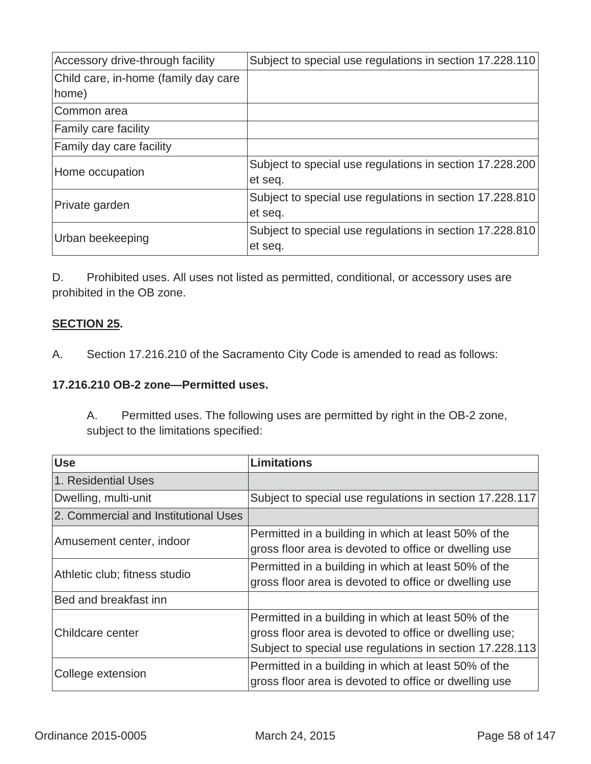| Accessory drive-through facility     | Subject to special use regulations in section 17.228.110 |
|--------------------------------------|----------------------------------------------------------|
| Child care, in-home (family day care |                                                          |
| home)                                |                                                          |
| Common area                          |                                                          |
| <b>Family care facility</b>          |                                                          |
| Family day care facility             |                                                          |
| Home occupation                      | Subject to special use regulations in section 17.228.200 |
|                                      | et seq.                                                  |
| Private garden                       | Subject to special use regulations in section 17.228.810 |
|                                      | et seq.                                                  |
| Urban beekeeping                     | Subject to special use regulations in section 17.228.810 |
|                                      | et seq.                                                  |

D. Prohibited uses. All uses not listed as permitted, conditional, or accessory uses are prohibited in the OB zone.

#### **SECTION 25.**

A.Section 17.216.210 of the Sacramento City Code is amended to read as follows:

#### **17.216.210 OB-2 zone—Permitted uses.**

A. Permitted uses. The following uses are permitted by right in the OB-2 zone, subject to the limitations specified:

| <b>Use</b>                           | <b>Limitations</b>                                                                                                                                                         |
|--------------------------------------|----------------------------------------------------------------------------------------------------------------------------------------------------------------------------|
| 1. Residential Uses                  |                                                                                                                                                                            |
| Dwelling, multi-unit                 | Subject to special use regulations in section 17.228.117                                                                                                                   |
| 2. Commercial and Institutional Uses |                                                                                                                                                                            |
| Amusement center, indoor             | Permitted in a building in which at least 50% of the<br>gross floor area is devoted to office or dwelling use                                                              |
| Athletic club; fitness studio        | Permitted in a building in which at least 50% of the<br>gross floor area is devoted to office or dwelling use                                                              |
| Bed and breakfast inn                |                                                                                                                                                                            |
| Childcare center                     | Permitted in a building in which at least 50% of the<br>gross floor area is devoted to office or dwelling use;<br>Subject to special use regulations in section 17.228.113 |
| College extension                    | Permitted in a building in which at least 50% of the<br>gross floor area is devoted to office or dwelling use                                                              |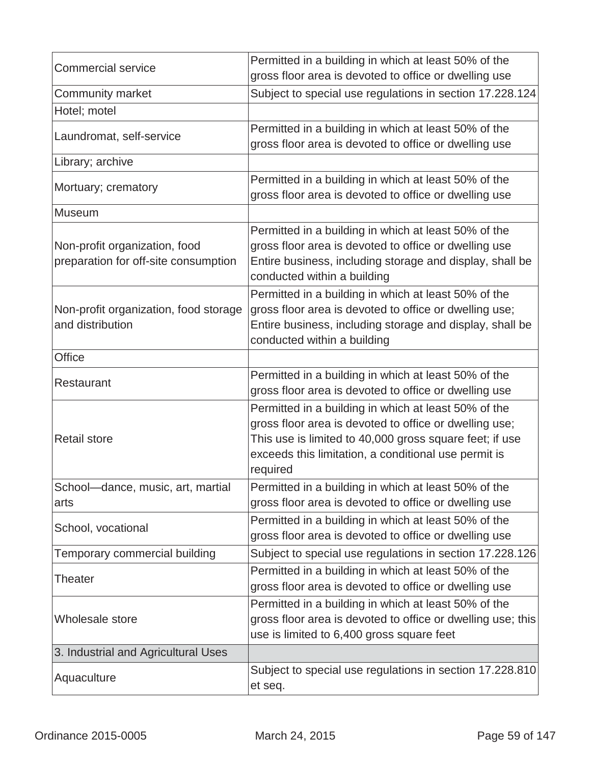| <b>Commercial service</b>                                             | Permitted in a building in which at least 50% of the<br>gross floor area is devoted to office or dwelling use                                                                                                                                 |
|-----------------------------------------------------------------------|-----------------------------------------------------------------------------------------------------------------------------------------------------------------------------------------------------------------------------------------------|
| <b>Community market</b>                                               | Subject to special use regulations in section 17.228.124                                                                                                                                                                                      |
| Hotel; motel                                                          |                                                                                                                                                                                                                                               |
| Laundromat, self-service                                              | Permitted in a building in which at least 50% of the<br>gross floor area is devoted to office or dwelling use                                                                                                                                 |
| Library; archive                                                      |                                                                                                                                                                                                                                               |
| Mortuary; crematory                                                   | Permitted in a building in which at least 50% of the<br>gross floor area is devoted to office or dwelling use                                                                                                                                 |
| Museum                                                                |                                                                                                                                                                                                                                               |
| Non-profit organization, food<br>preparation for off-site consumption | Permitted in a building in which at least 50% of the<br>gross floor area is devoted to office or dwelling use<br>Entire business, including storage and display, shall be<br>conducted within a building                                      |
| Non-profit organization, food storage<br>and distribution             | Permitted in a building in which at least 50% of the<br>gross floor area is devoted to office or dwelling use;<br>Entire business, including storage and display, shall be<br>conducted within a building                                     |
| <b>Office</b>                                                         |                                                                                                                                                                                                                                               |
| Restaurant                                                            | Permitted in a building in which at least 50% of the<br>gross floor area is devoted to office or dwelling use                                                                                                                                 |
| <b>Retail store</b>                                                   | Permitted in a building in which at least 50% of the<br>gross floor area is devoted to office or dwelling use;<br>This use is limited to 40,000 gross square feet; if use<br>exceeds this limitation, a conditional use permit is<br>required |
| School-dance, music, art, martial<br>arts                             | Permitted in a building in which at least 50% of the<br>gross floor area is devoted to office or dwelling use                                                                                                                                 |
| School, vocational                                                    | Permitted in a building in which at least 50% of the<br>gross floor area is devoted to office or dwelling use                                                                                                                                 |
| Temporary commercial building                                         | Subject to special use regulations in section 17.228.126                                                                                                                                                                                      |
| Theater                                                               | Permitted in a building in which at least 50% of the<br>gross floor area is devoted to office or dwelling use                                                                                                                                 |
| Wholesale store                                                       | Permitted in a building in which at least 50% of the<br>gross floor area is devoted to office or dwelling use; this<br>use is limited to 6,400 gross square feet                                                                              |
| 3. Industrial and Agricultural Uses                                   |                                                                                                                                                                                                                                               |
| Aquaculture                                                           | Subject to special use regulations in section 17.228.810<br>et seq.                                                                                                                                                                           |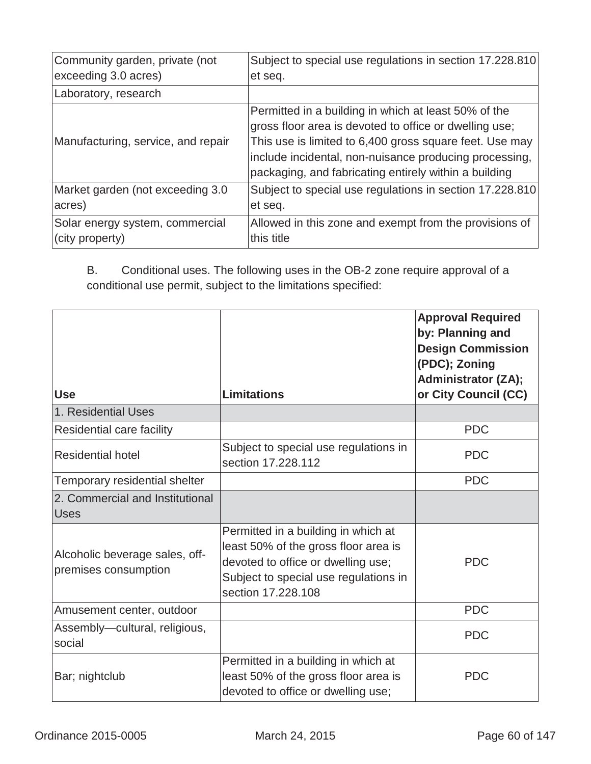| Community garden, private (not     | Subject to special use regulations in section 17.228.810                                                                                                                                                                                                                                     |
|------------------------------------|----------------------------------------------------------------------------------------------------------------------------------------------------------------------------------------------------------------------------------------------------------------------------------------------|
| exceeding 3.0 acres)               | et seq.                                                                                                                                                                                                                                                                                      |
| Laboratory, research               |                                                                                                                                                                                                                                                                                              |
| Manufacturing, service, and repair | Permitted in a building in which at least 50% of the<br>gross floor area is devoted to office or dwelling use;<br>This use is limited to 6,400 gross square feet. Use may<br>include incidental, non-nuisance producing processing,<br>packaging, and fabricating entirely within a building |
| Market garden (not exceeding 3.0   | Subject to special use regulations in section 17.228.810                                                                                                                                                                                                                                     |
| acres)                             | et seq.                                                                                                                                                                                                                                                                                      |
| Solar energy system, commercial    | Allowed in this zone and exempt from the provisions of                                                                                                                                                                                                                                       |
| (city property)                    | this title                                                                                                                                                                                                                                                                                   |

B. Conditional uses. The following uses in the OB-2 zone require approval of a conditional use permit, subject to the limitations specified:

| <b>Use</b>                                             | <b>Limitations</b>                                                                                                                                                               | <b>Approval Required</b><br>by: Planning and<br><b>Design Commission</b><br>(PDC); Zoning<br><b>Administrator (ZA);</b><br>or City Council (CC) |
|--------------------------------------------------------|----------------------------------------------------------------------------------------------------------------------------------------------------------------------------------|-------------------------------------------------------------------------------------------------------------------------------------------------|
| 1. Residential Uses                                    |                                                                                                                                                                                  |                                                                                                                                                 |
| Residential care facility                              |                                                                                                                                                                                  | <b>PDC</b>                                                                                                                                      |
| <b>Residential hotel</b>                               | Subject to special use regulations in<br>section 17,228,112                                                                                                                      | <b>PDC</b>                                                                                                                                      |
| Temporary residential shelter                          |                                                                                                                                                                                  | <b>PDC</b>                                                                                                                                      |
| 2. Commercial and Institutional<br><b>Uses</b>         |                                                                                                                                                                                  |                                                                                                                                                 |
| Alcoholic beverage sales, off-<br>premises consumption | Permitted in a building in which at<br>least 50% of the gross floor area is<br>devoted to office or dwelling use;<br>Subject to special use regulations in<br>section 17.228.108 | <b>PDC</b>                                                                                                                                      |
| Amusement center, outdoor                              |                                                                                                                                                                                  | <b>PDC</b>                                                                                                                                      |
| Assembly-cultural, religious,<br>social                |                                                                                                                                                                                  | <b>PDC</b>                                                                                                                                      |
| Bar; nightclub                                         | Permitted in a building in which at<br>least 50% of the gross floor area is<br>devoted to office or dwelling use;                                                                | <b>PDC</b>                                                                                                                                      |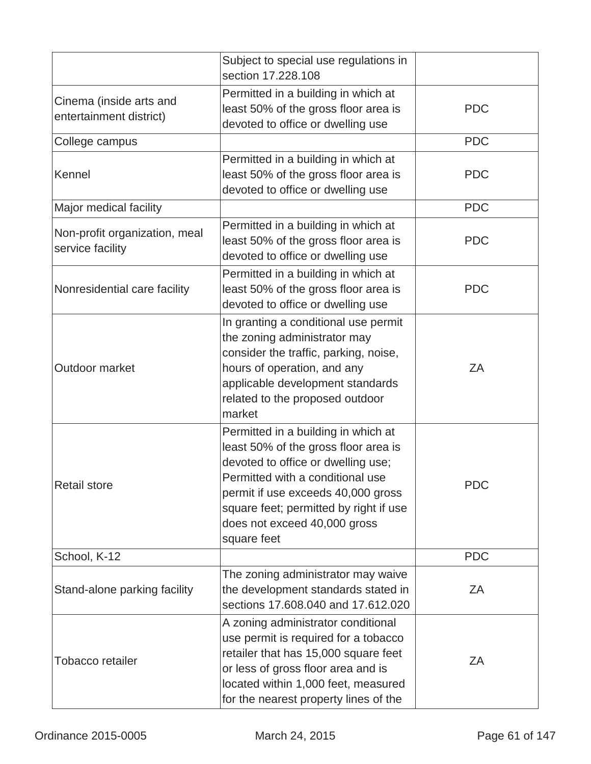|                                                    | Subject to special use regulations in<br>section 17,228,108                                                                                                                                                                                                                          |            |
|----------------------------------------------------|--------------------------------------------------------------------------------------------------------------------------------------------------------------------------------------------------------------------------------------------------------------------------------------|------------|
| Cinema (inside arts and<br>entertainment district) | Permitted in a building in which at<br>least 50% of the gross floor area is<br>devoted to office or dwelling use                                                                                                                                                                     | <b>PDC</b> |
| College campus                                     |                                                                                                                                                                                                                                                                                      | <b>PDC</b> |
| Kennel                                             | Permitted in a building in which at<br>least 50% of the gross floor area is<br>devoted to office or dwelling use                                                                                                                                                                     | <b>PDC</b> |
| Major medical facility                             |                                                                                                                                                                                                                                                                                      | <b>PDC</b> |
| Non-profit organization, meal<br>service facility  | Permitted in a building in which at<br>least 50% of the gross floor area is<br>devoted to office or dwelling use                                                                                                                                                                     | <b>PDC</b> |
| Nonresidential care facility                       | Permitted in a building in which at<br>least 50% of the gross floor area is<br>devoted to office or dwelling use                                                                                                                                                                     | <b>PDC</b> |
| Outdoor market                                     | In granting a conditional use permit<br>the zoning administrator may<br>consider the traffic, parking, noise,<br>hours of operation, and any<br>applicable development standards<br>related to the proposed outdoor<br>market                                                        | ZA         |
| <b>Retail store</b>                                | Permitted in a building in which at<br>least 50% of the gross floor area is<br>devoted to office or dwelling use;<br>Permitted with a conditional use<br>permit if use exceeds 40,000 gross<br>square feet; permitted by right if use<br>does not exceed 40,000 gross<br>square feet | <b>PDC</b> |
| School, K-12                                       |                                                                                                                                                                                                                                                                                      | <b>PDC</b> |
| Stand-alone parking facility                       | The zoning administrator may waive<br>the development standards stated in<br>sections 17.608.040 and 17.612.020                                                                                                                                                                      | ZΑ         |
| <b>Tobacco retailer</b>                            | A zoning administrator conditional<br>use permit is required for a tobacco<br>retailer that has 15,000 square feet<br>or less of gross floor area and is<br>located within 1,000 feet, measured<br>for the nearest property lines of the                                             | ZA         |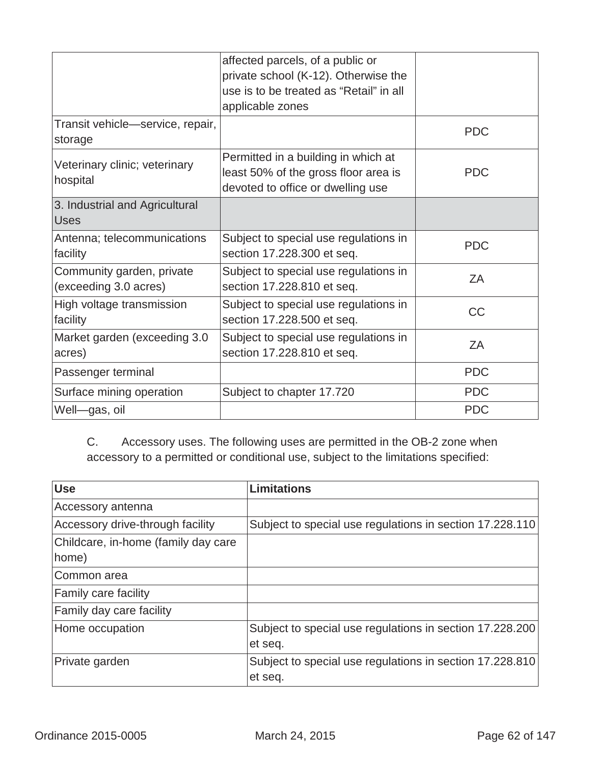|                                  | affected parcels, of a public or        |            |
|----------------------------------|-----------------------------------------|------------|
|                                  | private school (K-12). Otherwise the    |            |
|                                  | use is to be treated as "Retail" in all |            |
|                                  | applicable zones                        |            |
| Transit vehicle—service, repair, |                                         | <b>PDC</b> |
| storage                          |                                         |            |
| Veterinary clinic; veterinary    | Permitted in a building in which at     |            |
| hospital                         | least 50% of the gross floor area is    | <b>PDC</b> |
|                                  | devoted to office or dwelling use       |            |
| 3. Industrial and Agricultural   |                                         |            |
| <b>Uses</b>                      |                                         |            |
| Antenna; telecommunications      | Subject to special use regulations in   | <b>PDC</b> |
| facility                         | section 17.228.300 et seq.              |            |
| Community garden, private        | Subject to special use regulations in   | ZA         |
| (exceeding 3.0 acres)            | section 17.228.810 et seq.              |            |
| High voltage transmission        | Subject to special use regulations in   | CC         |
| facility                         | section 17.228.500 et seq.              |            |
| Market garden (exceeding 3.0     | Subject to special use regulations in   | ZA         |
| acres)                           | section 17.228.810 et seq.              |            |
| Passenger terminal               |                                         | <b>PDC</b> |
| Surface mining operation         | Subject to chapter 17.720               | <b>PDC</b> |
| Well-gas, oil                    |                                         | <b>PDC</b> |

C. Accessory uses. The following uses are permitted in the OB-2 zone when accessory to a permitted or conditional use, subject to the limitations specified:

| <b>Use</b>                          | <b>Limitations</b>                                       |
|-------------------------------------|----------------------------------------------------------|
| Accessory antenna                   |                                                          |
| Accessory drive-through facility    | Subject to special use regulations in section 17.228.110 |
| Childcare, in-home (family day care |                                                          |
| home)                               |                                                          |
| Common area                         |                                                          |
| Family care facility                |                                                          |
| Family day care facility            |                                                          |
| Home occupation                     | Subject to special use regulations in section 17.228.200 |
|                                     | et seq.                                                  |
| Private garden                      | Subject to special use regulations in section 17.228.810 |
|                                     | et seq.                                                  |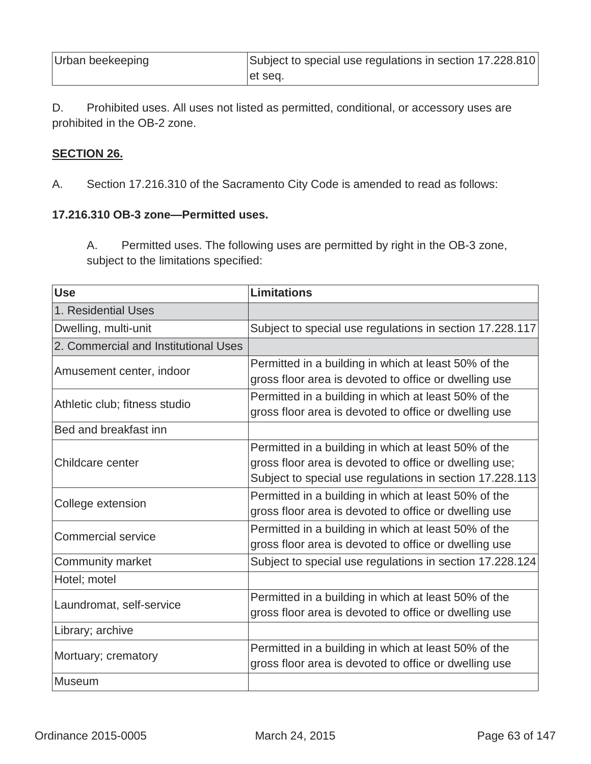| Urban beekeeping | Subject to special use regulations in section 17.228.810 |
|------------------|----------------------------------------------------------|
|                  | let seq.                                                 |

D. Prohibited uses. All uses not listed as permitted, conditional, or accessory uses are prohibited in the OB-2 zone.

#### **SECTION 26.**

A. Section 17.216.310 of the Sacramento City Code is amended to read as follows:

### **17.216.310 OB-3 zone—Permitted uses.**

A. Permitted uses. The following uses are permitted by right in the OB-3 zone, subject to the limitations specified:

| <b>Use</b>                           | <b>Limitations</b>                                       |
|--------------------------------------|----------------------------------------------------------|
| 1. Residential Uses                  |                                                          |
| Dwelling, multi-unit                 | Subject to special use regulations in section 17.228.117 |
| 2. Commercial and Institutional Uses |                                                          |
| Amusement center, indoor             | Permitted in a building in which at least 50% of the     |
|                                      | gross floor area is devoted to office or dwelling use    |
| Athletic club; fitness studio        | Permitted in a building in which at least 50% of the     |
|                                      | gross floor area is devoted to office or dwelling use    |
| Bed and breakfast inn                |                                                          |
|                                      | Permitted in a building in which at least 50% of the     |
| Childcare center                     | gross floor area is devoted to office or dwelling use;   |
|                                      | Subject to special use regulations in section 17.228.113 |
| College extension                    | Permitted in a building in which at least 50% of the     |
|                                      | gross floor area is devoted to office or dwelling use    |
| <b>Commercial service</b>            | Permitted in a building in which at least 50% of the     |
|                                      | gross floor area is devoted to office or dwelling use    |
| <b>Community market</b>              | Subject to special use regulations in section 17.228.124 |
| Hotel; motel                         |                                                          |
| Laundromat, self-service             | Permitted in a building in which at least 50% of the     |
|                                      | gross floor area is devoted to office or dwelling use    |
| Library; archive                     |                                                          |
|                                      | Permitted in a building in which at least 50% of the     |
| Mortuary; crematory                  | gross floor area is devoted to office or dwelling use    |
| <b>Museum</b>                        |                                                          |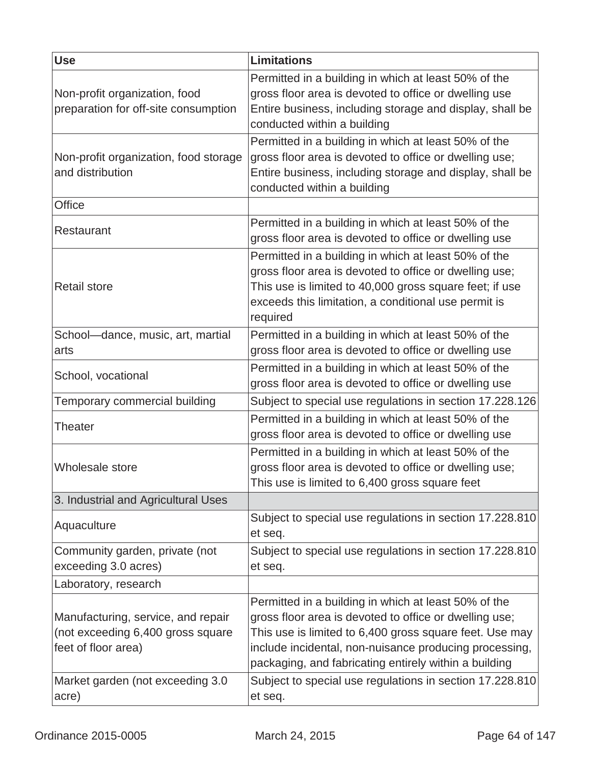| <b>Use</b>                                                                                     | <b>Limitations</b>                                                                                                                                                                                                                                                                           |
|------------------------------------------------------------------------------------------------|----------------------------------------------------------------------------------------------------------------------------------------------------------------------------------------------------------------------------------------------------------------------------------------------|
| Non-profit organization, food<br>preparation for off-site consumption                          | Permitted in a building in which at least 50% of the<br>gross floor area is devoted to office or dwelling use<br>Entire business, including storage and display, shall be<br>conducted within a building                                                                                     |
| Non-profit organization, food storage<br>and distribution                                      | Permitted in a building in which at least 50% of the<br>gross floor area is devoted to office or dwelling use;<br>Entire business, including storage and display, shall be<br>conducted within a building                                                                                    |
| <b>Office</b>                                                                                  |                                                                                                                                                                                                                                                                                              |
| Restaurant                                                                                     | Permitted in a building in which at least 50% of the<br>gross floor area is devoted to office or dwelling use                                                                                                                                                                                |
| <b>Retail store</b>                                                                            | Permitted in a building in which at least 50% of the<br>gross floor area is devoted to office or dwelling use;<br>This use is limited to 40,000 gross square feet; if use<br>exceeds this limitation, a conditional use permit is<br>required                                                |
| School-dance, music, art, martial                                                              | Permitted in a building in which at least 50% of the                                                                                                                                                                                                                                         |
| arts                                                                                           | gross floor area is devoted to office or dwelling use                                                                                                                                                                                                                                        |
| School, vocational                                                                             | Permitted in a building in which at least 50% of the<br>gross floor area is devoted to office or dwelling use                                                                                                                                                                                |
| Temporary commercial building                                                                  | Subject to special use regulations in section 17.228.126                                                                                                                                                                                                                                     |
| Theater                                                                                        | Permitted in a building in which at least 50% of the<br>gross floor area is devoted to office or dwelling use                                                                                                                                                                                |
| <b>Wholesale store</b>                                                                         | Permitted in a building in which at least 50% of the<br>gross floor area is devoted to office or dwelling use;<br>This use is limited to 6,400 gross square feet                                                                                                                             |
| 3. Industrial and Agricultural Uses                                                            |                                                                                                                                                                                                                                                                                              |
| Aquaculture                                                                                    | Subject to special use regulations in section 17.228.810<br>et seq.                                                                                                                                                                                                                          |
| Community garden, private (not<br>exceeding 3.0 acres)                                         | Subject to special use regulations in section 17.228.810<br>et seq.                                                                                                                                                                                                                          |
| Laboratory, research                                                                           |                                                                                                                                                                                                                                                                                              |
| Manufacturing, service, and repair<br>(not exceeding 6,400 gross square<br>feet of floor area) | Permitted in a building in which at least 50% of the<br>gross floor area is devoted to office or dwelling use;<br>This use is limited to 6,400 gross square feet. Use may<br>include incidental, non-nuisance producing processing,<br>packaging, and fabricating entirely within a building |
| Market garden (not exceeding 3.0<br>acre)                                                      | Subject to special use regulations in section 17.228.810<br>et seq.                                                                                                                                                                                                                          |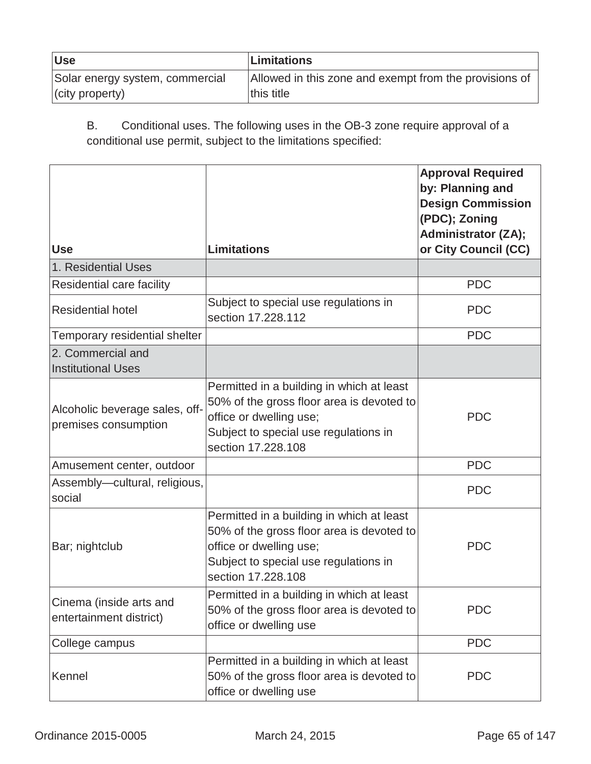| <b>Use</b>                      | Limitations                                            |
|---------------------------------|--------------------------------------------------------|
| Solar energy system, commercial | Allowed in this zone and exempt from the provisions of |
| $ $ (city property)             | this title                                             |

B. Conditional uses. The following uses in the OB-3 zone require approval of a conditional use permit, subject to the limitations specified:

| <b>Use</b>                                             | <b>Limitations</b>                                                                                                                                                               | <b>Approval Required</b><br>by: Planning and<br><b>Design Commission</b><br>(PDC); Zoning<br><b>Administrator (ZA);</b><br>or City Council (CC) |
|--------------------------------------------------------|----------------------------------------------------------------------------------------------------------------------------------------------------------------------------------|-------------------------------------------------------------------------------------------------------------------------------------------------|
| 1. Residential Uses                                    |                                                                                                                                                                                  |                                                                                                                                                 |
| Residential care facility                              |                                                                                                                                                                                  | <b>PDC</b>                                                                                                                                      |
| <b>Residential hotel</b>                               | Subject to special use regulations in<br>section 17.228.112                                                                                                                      | <b>PDC</b>                                                                                                                                      |
| Temporary residential shelter                          |                                                                                                                                                                                  | <b>PDC</b>                                                                                                                                      |
| 2. Commercial and<br><b>Institutional Uses</b>         |                                                                                                                                                                                  |                                                                                                                                                 |
| Alcoholic beverage sales, off-<br>premises consumption | Permitted in a building in which at least<br>50% of the gross floor area is devoted to<br>office or dwelling use;<br>Subject to special use regulations in<br>section 17.228.108 | <b>PDC</b>                                                                                                                                      |
| Amusement center, outdoor                              |                                                                                                                                                                                  | <b>PDC</b>                                                                                                                                      |
| Assembly-cultural, religious,<br>social                |                                                                                                                                                                                  | <b>PDC</b>                                                                                                                                      |
| Bar; nightclub                                         | Permitted in a building in which at least<br>50% of the gross floor area is devoted to<br>office or dwelling use;<br>Subject to special use regulations in<br>section 17.228.108 | <b>PDC</b>                                                                                                                                      |
| Cinema (inside arts and<br>entertainment district)     | Permitted in a building in which at least<br>50% of the gross floor area is devoted to<br>office or dwelling use                                                                 | <b>PDC</b>                                                                                                                                      |
| College campus                                         |                                                                                                                                                                                  | <b>PDC</b>                                                                                                                                      |
| Kennel                                                 | Permitted in a building in which at least<br>50% of the gross floor area is devoted to<br>office or dwelling use                                                                 | <b>PDC</b>                                                                                                                                      |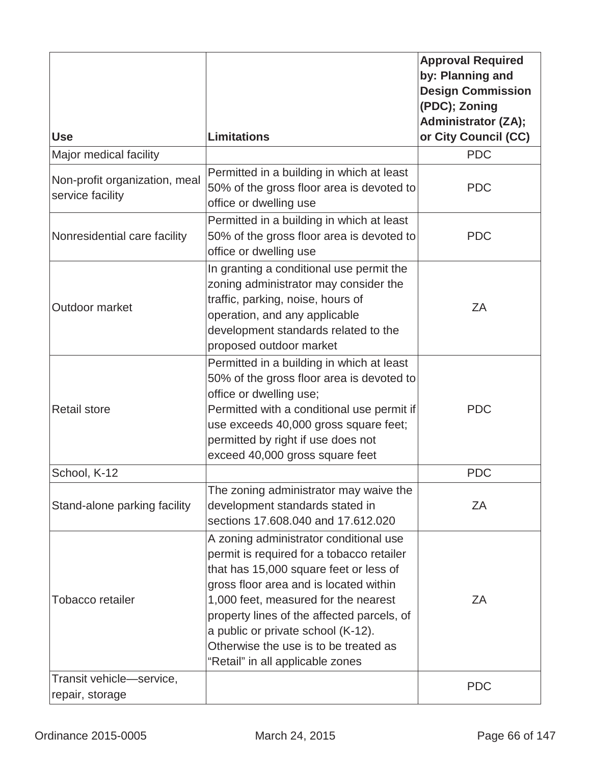| <b>Use</b>                                        | <b>Limitations</b>                                                                                                                                                                                                                                                                                                                                                               | <b>Approval Required</b><br>by: Planning and<br><b>Design Commission</b><br>(PDC); Zoning<br><b>Administrator (ZA);</b><br>or City Council (CC) |
|---------------------------------------------------|----------------------------------------------------------------------------------------------------------------------------------------------------------------------------------------------------------------------------------------------------------------------------------------------------------------------------------------------------------------------------------|-------------------------------------------------------------------------------------------------------------------------------------------------|
| Major medical facility                            |                                                                                                                                                                                                                                                                                                                                                                                  | <b>PDC</b>                                                                                                                                      |
| Non-profit organization, meal<br>service facility | Permitted in a building in which at least<br>50% of the gross floor area is devoted to<br>office or dwelling use                                                                                                                                                                                                                                                                 | <b>PDC</b>                                                                                                                                      |
| Nonresidential care facility                      | Permitted in a building in which at least<br>50% of the gross floor area is devoted to<br>office or dwelling use                                                                                                                                                                                                                                                                 | <b>PDC</b>                                                                                                                                      |
| Outdoor market                                    | In granting a conditional use permit the<br>zoning administrator may consider the<br>traffic, parking, noise, hours of<br>operation, and any applicable<br>development standards related to the<br>proposed outdoor market                                                                                                                                                       | ZA                                                                                                                                              |
| <b>Retail store</b>                               | Permitted in a building in which at least<br>50% of the gross floor area is devoted to<br>office or dwelling use;<br>Permitted with a conditional use permit if<br>use exceeds 40,000 gross square feet;<br>permitted by right if use does not<br>exceed 40,000 gross square feet                                                                                                | <b>PDC</b>                                                                                                                                      |
| School, K-12                                      |                                                                                                                                                                                                                                                                                                                                                                                  | <b>PDC</b>                                                                                                                                      |
| Stand-alone parking facility                      | The zoning administrator may waive the<br>development standards stated in<br>sections 17.608.040 and 17.612.020                                                                                                                                                                                                                                                                  | ΖA                                                                                                                                              |
| <b>Tobacco retailer</b>                           | A zoning administrator conditional use<br>permit is required for a tobacco retailer<br>that has 15,000 square feet or less of<br>gross floor area and is located within<br>1,000 feet, measured for the nearest<br>property lines of the affected parcels, of<br>a public or private school (K-12).<br>Otherwise the use is to be treated as<br>"Retail" in all applicable zones | ZA                                                                                                                                              |
| Transit vehicle-service,<br>repair, storage       |                                                                                                                                                                                                                                                                                                                                                                                  | <b>PDC</b>                                                                                                                                      |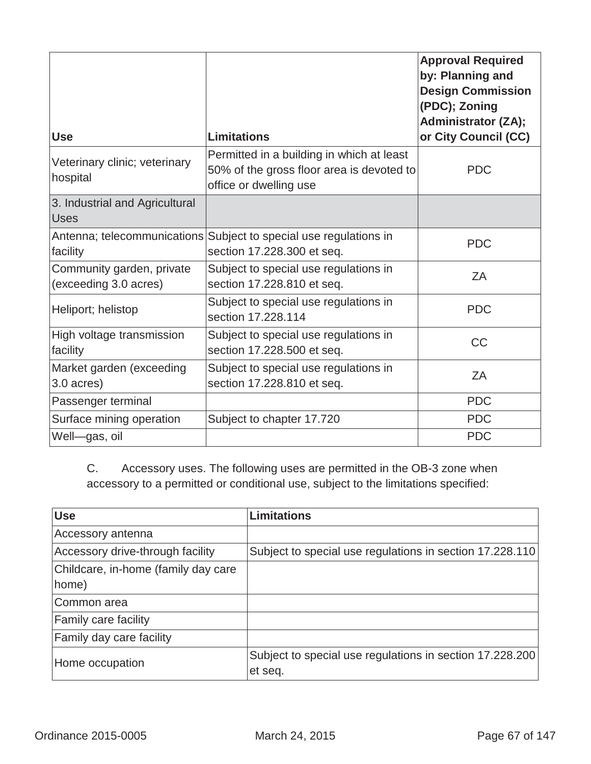| <b>Use</b>                                         | <b>Limitations</b>                                                                                               | <b>Approval Required</b><br>by: Planning and<br><b>Design Commission</b><br>(PDC); Zoning<br><b>Administrator (ZA);</b><br>or City Council (CC) |
|----------------------------------------------------|------------------------------------------------------------------------------------------------------------------|-------------------------------------------------------------------------------------------------------------------------------------------------|
| Veterinary clinic; veterinary<br>hospital          | Permitted in a building in which at least<br>50% of the gross floor area is devoted to<br>office or dwelling use | <b>PDC</b>                                                                                                                                      |
| 3. Industrial and Agricultural<br><b>Uses</b>      |                                                                                                                  |                                                                                                                                                 |
| facility                                           | Antenna; telecommunications Subject to special use regulations in<br>section 17.228.300 et seq.                  | <b>PDC</b>                                                                                                                                      |
| Community garden, private<br>(exceeding 3.0 acres) | Subject to special use regulations in<br>section 17.228.810 et seq.                                              | ZA                                                                                                                                              |
| Heliport; helistop                                 | Subject to special use regulations in<br>section 17.228.114                                                      | <b>PDC</b>                                                                                                                                      |
| High voltage transmission<br>facility              | Subject to special use regulations in<br>section 17.228.500 et seq.                                              | <b>CC</b>                                                                                                                                       |
| Market garden (exceeding<br>3.0 acres)             | Subject to special use regulations in<br>section 17.228.810 et seq.                                              | ZA                                                                                                                                              |
| Passenger terminal                                 |                                                                                                                  | <b>PDC</b>                                                                                                                                      |
| Surface mining operation                           | Subject to chapter 17.720                                                                                        | <b>PDC</b>                                                                                                                                      |
| Well-gas, oil                                      |                                                                                                                  | <b>PDC</b>                                                                                                                                      |

C. Accessory uses. The following uses are permitted in the OB-3 zone when accessory to a permitted or conditional use, subject to the limitations specified:

| <b>Use</b>                          | <b>Limitations</b>                                       |
|-------------------------------------|----------------------------------------------------------|
| Accessory antenna                   |                                                          |
| Accessory drive-through facility    | Subject to special use regulations in section 17.228.110 |
| Childcare, in-home (family day care |                                                          |
| home)                               |                                                          |
| ICommon area                        |                                                          |
| <b>Family care facility</b>         |                                                          |
| <b>Family day care facility</b>     |                                                          |
| Home occupation                     | Subject to special use regulations in section 17.228.200 |
|                                     | et seq.                                                  |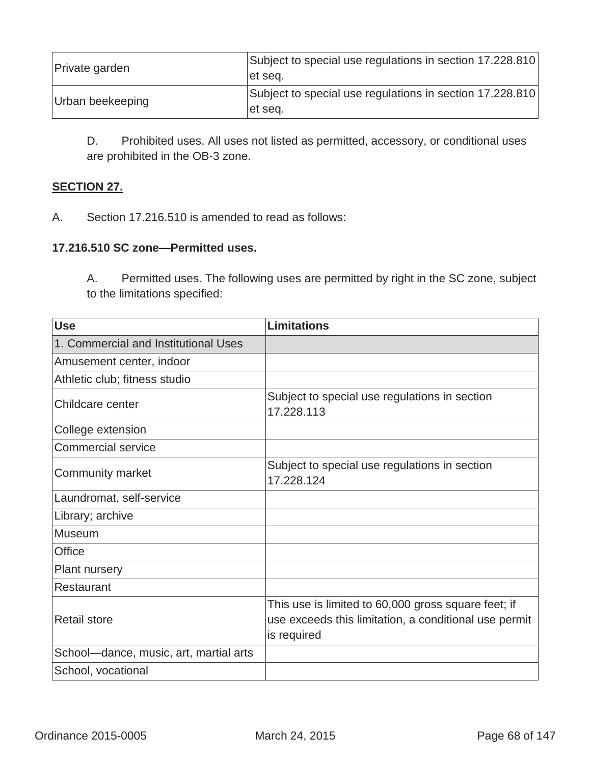| Private garden   | Subject to special use regulations in section 17.228.810<br>let seq. |
|------------------|----------------------------------------------------------------------|
| Urban beekeeping | Subject to special use regulations in section 17.228.810<br>let seq. |

D. Prohibited uses. All uses not listed as permitted, accessory, or conditional uses are prohibited in the OB-3 zone.

# **SECTION 27.**

A. Section 17.216.510 is amended to read as follows:

#### **17.216.510 SC zone—Permitted uses.**

A. Permitted uses. The following uses are permitted by right in the SC zone, subject to the limitations specified:

| <b>Use</b>                             | <b>Limitations</b>                                                                                                          |
|----------------------------------------|-----------------------------------------------------------------------------------------------------------------------------|
| 1. Commercial and Institutional Uses   |                                                                                                                             |
| Amusement center, indoor               |                                                                                                                             |
| Athletic club; fitness studio          |                                                                                                                             |
| Childcare center                       | Subject to special use regulations in section<br>17.228.113                                                                 |
| College extension                      |                                                                                                                             |
| <b>Commercial service</b>              |                                                                                                                             |
| Community market                       | Subject to special use regulations in section<br>17.228.124                                                                 |
| Laundromat, self-service               |                                                                                                                             |
| Library; archive                       |                                                                                                                             |
| Museum                                 |                                                                                                                             |
| <b>Office</b>                          |                                                                                                                             |
| <b>Plant nursery</b>                   |                                                                                                                             |
| Restaurant                             |                                                                                                                             |
| <b>Retail store</b>                    | This use is limited to 60,000 gross square feet; if<br>use exceeds this limitation, a conditional use permit<br>is required |
| School-dance, music, art, martial arts |                                                                                                                             |
| School, vocational                     |                                                                                                                             |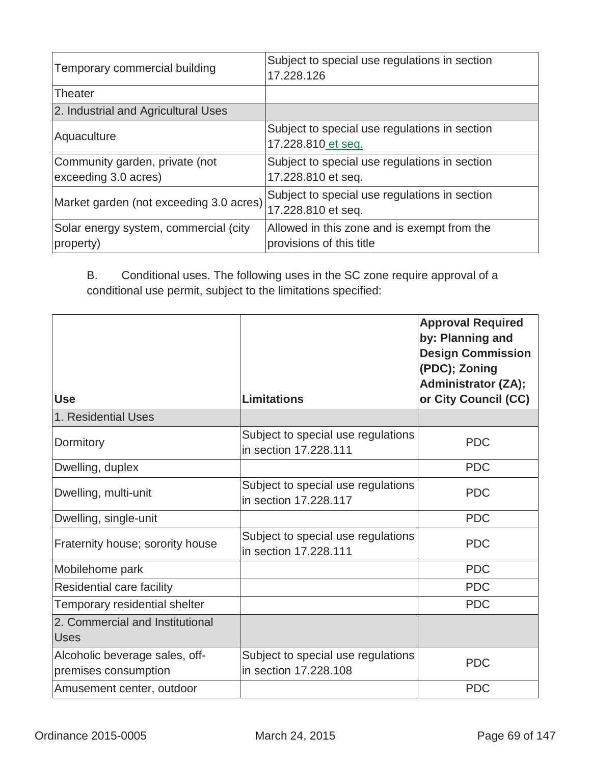| Temporary commercial building                          | Subject to special use regulations in section<br>17.228.126             |
|--------------------------------------------------------|-------------------------------------------------------------------------|
| Theater                                                |                                                                         |
| 2. Industrial and Agricultural Uses                    |                                                                         |
| Aquaculture                                            | Subject to special use regulations in section<br>17.228.810 et seq.     |
| Community garden, private (not<br>exceeding 3.0 acres) | Subject to special use regulations in section<br>17.228.810 et seq.     |
| Market garden (not exceeding 3.0 acres)                | Subject to special use regulations in section<br>17.228.810 et seq.     |
| Solar energy system, commercial (city<br>property)     | Allowed in this zone and is exempt from the<br>provisions of this title |

B. Conditional uses. The following uses in the SC zone require approval of a conditional use permit, subject to the limitations specified:

| <b>Use</b>                                             | <b>Limitations</b>                                          | <b>Approval Required</b><br>by: Planning and<br><b>Design Commission</b><br>(PDC); Zoning<br><b>Administrator (ZA);</b><br>or City Council (CC) |
|--------------------------------------------------------|-------------------------------------------------------------|-------------------------------------------------------------------------------------------------------------------------------------------------|
| 1. Residential Uses                                    |                                                             |                                                                                                                                                 |
| Dormitory                                              | Subject to special use regulations<br>in section 17,228,111 | <b>PDC</b>                                                                                                                                      |
| Dwelling, duplex                                       |                                                             | <b>PDC</b>                                                                                                                                      |
| Dwelling, multi-unit                                   | Subject to special use regulations<br>in section 17.228.117 | <b>PDC</b>                                                                                                                                      |
| Dwelling, single-unit                                  |                                                             | <b>PDC</b>                                                                                                                                      |
| Fraternity house; sorority house                       | Subject to special use regulations<br>in section 17,228,111 | <b>PDC</b>                                                                                                                                      |
| Mobilehome park                                        |                                                             | <b>PDC</b>                                                                                                                                      |
| Residential care facility                              |                                                             | <b>PDC</b>                                                                                                                                      |
| Temporary residential shelter                          |                                                             | <b>PDC</b>                                                                                                                                      |
| 2. Commercial and Institutional<br><b>Uses</b>         |                                                             |                                                                                                                                                 |
| Alcoholic beverage sales, off-<br>premises consumption | Subject to special use regulations<br>in section 17,228,108 | <b>PDC</b>                                                                                                                                      |
| Amusement center, outdoor                              |                                                             | <b>PDC</b>                                                                                                                                      |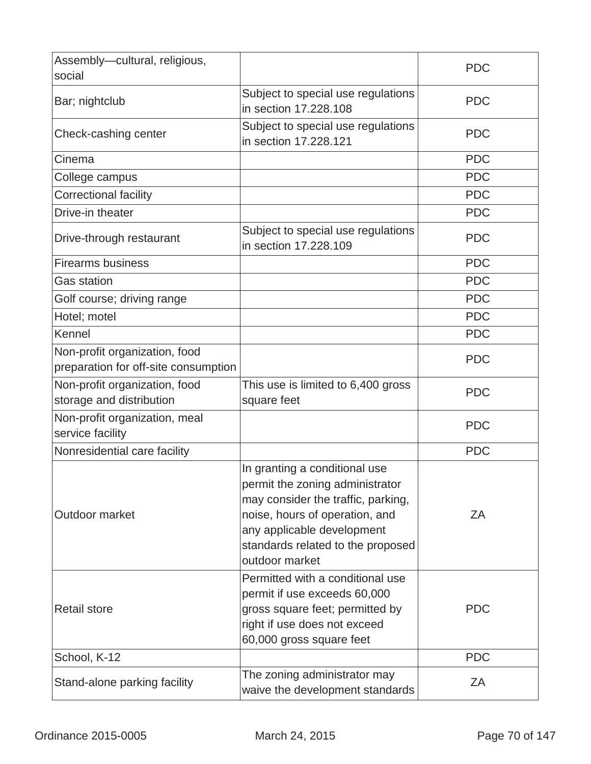| Assembly-cultural, religious,<br>social                               |                                                                                                                                                                                                                               | <b>PDC</b> |
|-----------------------------------------------------------------------|-------------------------------------------------------------------------------------------------------------------------------------------------------------------------------------------------------------------------------|------------|
| Bar; nightclub                                                        | Subject to special use regulations<br>in section 17.228.108                                                                                                                                                                   | <b>PDC</b> |
| Check-cashing center                                                  | Subject to special use regulations<br>in section 17.228.121                                                                                                                                                                   | <b>PDC</b> |
| Cinema                                                                |                                                                                                                                                                                                                               | <b>PDC</b> |
| College campus                                                        |                                                                                                                                                                                                                               | <b>PDC</b> |
| <b>Correctional facility</b>                                          |                                                                                                                                                                                                                               | <b>PDC</b> |
| Drive-in theater                                                      |                                                                                                                                                                                                                               | <b>PDC</b> |
| Drive-through restaurant                                              | Subject to special use regulations<br>in section 17.228.109                                                                                                                                                                   | <b>PDC</b> |
| <b>Firearms business</b>                                              |                                                                                                                                                                                                                               | <b>PDC</b> |
| <b>Gas station</b>                                                    |                                                                                                                                                                                                                               | <b>PDC</b> |
| Golf course; driving range                                            |                                                                                                                                                                                                                               | <b>PDC</b> |
| Hotel; motel                                                          |                                                                                                                                                                                                                               | <b>PDC</b> |
| Kennel                                                                |                                                                                                                                                                                                                               | <b>PDC</b> |
| Non-profit organization, food<br>preparation for off-site consumption |                                                                                                                                                                                                                               | <b>PDC</b> |
| Non-profit organization, food<br>storage and distribution             | This use is limited to 6,400 gross<br>square feet                                                                                                                                                                             | <b>PDC</b> |
| Non-profit organization, meal<br>service facility                     |                                                                                                                                                                                                                               | <b>PDC</b> |
| Nonresidential care facility                                          |                                                                                                                                                                                                                               | <b>PDC</b> |
| Outdoor market                                                        | In granting a conditional use<br>permit the zoning administrator<br>may consider the traffic, parking,<br>noise, hours of operation, and<br>any applicable development<br>standards related to the proposed<br>outdoor market | ZA         |
| <b>Retail store</b>                                                   | Permitted with a conditional use<br>permit if use exceeds 60,000<br>gross square feet; permitted by<br>right if use does not exceed<br>60,000 gross square feet                                                               | <b>PDC</b> |
| School, K-12                                                          |                                                                                                                                                                                                                               | <b>PDC</b> |
| Stand-alone parking facility                                          | The zoning administrator may<br>waive the development standards                                                                                                                                                               | ZΑ         |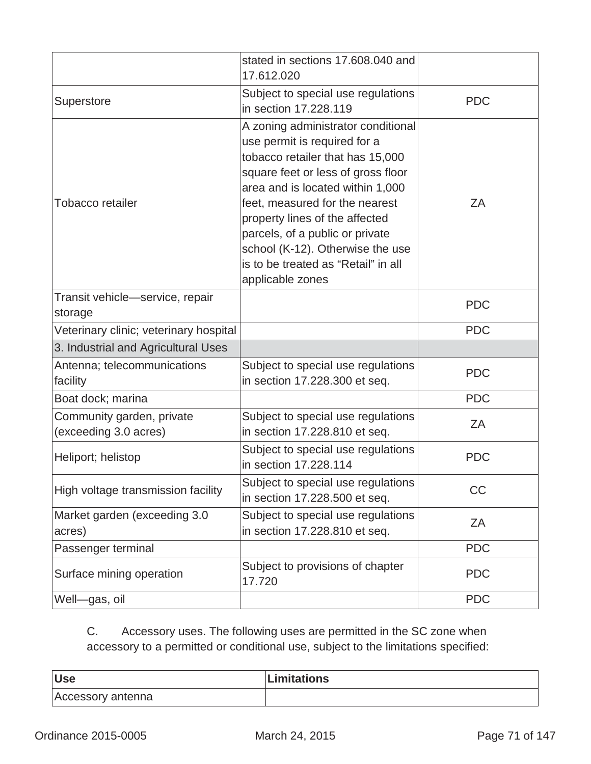|                                                    | stated in sections 17.608.040 and<br>17.612.020                                                                                                                                                                                                                                                                                                                                        |            |
|----------------------------------------------------|----------------------------------------------------------------------------------------------------------------------------------------------------------------------------------------------------------------------------------------------------------------------------------------------------------------------------------------------------------------------------------------|------------|
| Superstore                                         | Subject to special use regulations<br>in section 17,228,119                                                                                                                                                                                                                                                                                                                            | <b>PDC</b> |
| Tobacco retailer                                   | A zoning administrator conditional<br>use permit is required for a<br>tobacco retailer that has 15,000<br>square feet or less of gross floor<br>area and is located within 1,000<br>feet, measured for the nearest<br>property lines of the affected<br>parcels, of a public or private<br>school (K-12). Otherwise the use<br>is to be treated as "Retail" in all<br>applicable zones | ZA         |
| Transit vehicle-service, repair<br>storage         |                                                                                                                                                                                                                                                                                                                                                                                        | <b>PDC</b> |
| Veterinary clinic; veterinary hospital             |                                                                                                                                                                                                                                                                                                                                                                                        | <b>PDC</b> |
| 3. Industrial and Agricultural Uses                |                                                                                                                                                                                                                                                                                                                                                                                        |            |
| Antenna; telecommunications<br>facility            | Subject to special use regulations<br>in section 17.228.300 et seq.                                                                                                                                                                                                                                                                                                                    | <b>PDC</b> |
| Boat dock; marina                                  |                                                                                                                                                                                                                                                                                                                                                                                        | <b>PDC</b> |
| Community garden, private<br>(exceeding 3.0 acres) | Subject to special use regulations<br>in section 17.228.810 et seq.                                                                                                                                                                                                                                                                                                                    | ZA         |
| Heliport; helistop                                 | Subject to special use regulations<br>in section 17.228.114                                                                                                                                                                                                                                                                                                                            | <b>PDC</b> |
| High voltage transmission facility                 | Subject to special use regulations<br>in section 17.228.500 et seq.                                                                                                                                                                                                                                                                                                                    | CC         |
| Market garden (exceeding 3.0<br>acres)             | Subject to special use regulations<br>in section 17.228.810 et seq.                                                                                                                                                                                                                                                                                                                    | ZA         |
| Passenger terminal                                 |                                                                                                                                                                                                                                                                                                                                                                                        | <b>PDC</b> |
| Surface mining operation                           | Subject to provisions of chapter<br>17.720                                                                                                                                                                                                                                                                                                                                             | <b>PDC</b> |
| Well-gas, oil                                      |                                                                                                                                                                                                                                                                                                                                                                                        | <b>PDC</b> |

C. Accessory uses. The following uses are permitted in the SC zone when accessory to a permitted or conditional use, subject to the limitations specified:

| <b>Use</b>        | Limitations |
|-------------------|-------------|
| Accessory antenna |             |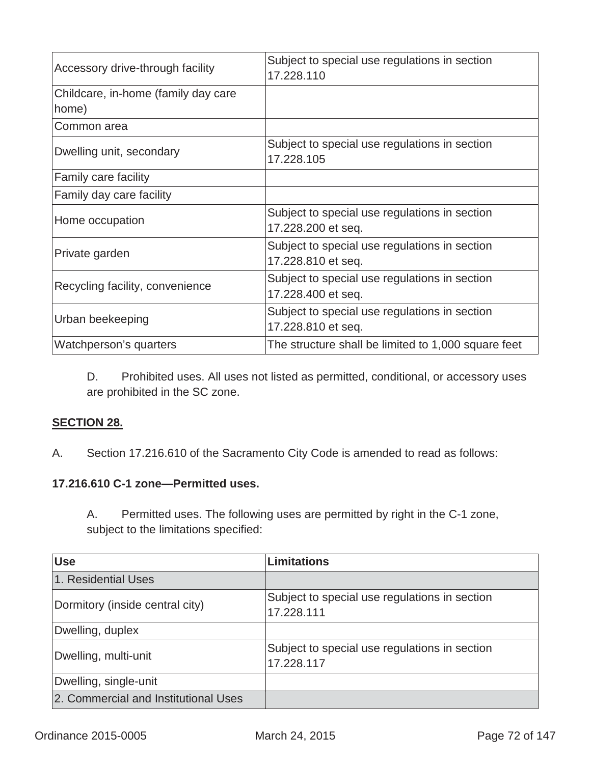| Accessory drive-through facility    | Subject to special use regulations in section<br>17.228.110 |
|-------------------------------------|-------------------------------------------------------------|
| Childcare, in-home (family day care |                                                             |
| home)                               |                                                             |
| Common area                         |                                                             |
|                                     | Subject to special use regulations in section               |
| Dwelling unit, secondary            | 17.228.105                                                  |
| Family care facility                |                                                             |
| Family day care facility            |                                                             |
| Home occupation                     | Subject to special use regulations in section               |
|                                     | 17.228.200 et seq.                                          |
| Private garden                      | Subject to special use regulations in section               |
|                                     | 17.228.810 et seq.                                          |
| Recycling facility, convenience     | Subject to special use regulations in section               |
|                                     | 17.228.400 et seq.                                          |
| Urban beekeeping                    | Subject to special use regulations in section               |
|                                     | 17.228.810 et seq.                                          |
| Watchperson's quarters              | The structure shall be limited to 1,000 square feet         |

D. Prohibited uses. All uses not listed as permitted, conditional, or accessory uses are prohibited in the SC zone.

## **SECTION 28.**

A.Section 17.216.610 of the Sacramento City Code is amended to read as follows:

# **17.216.610 C-1 zone—Permitted uses.**

A. Permitted uses. The following uses are permitted by right in the C-1 zone, subject to the limitations specified:

| <b>Use</b>                           | Limitations                                                 |
|--------------------------------------|-------------------------------------------------------------|
| 1. Residential Uses                  |                                                             |
| Dormitory (inside central city)      | Subject to special use regulations in section<br>17.228.111 |
| Dwelling, duplex                     |                                                             |
| Dwelling, multi-unit                 | Subject to special use regulations in section<br>17.228.117 |
| Dwelling, single-unit                |                                                             |
| 2. Commercial and Institutional Uses |                                                             |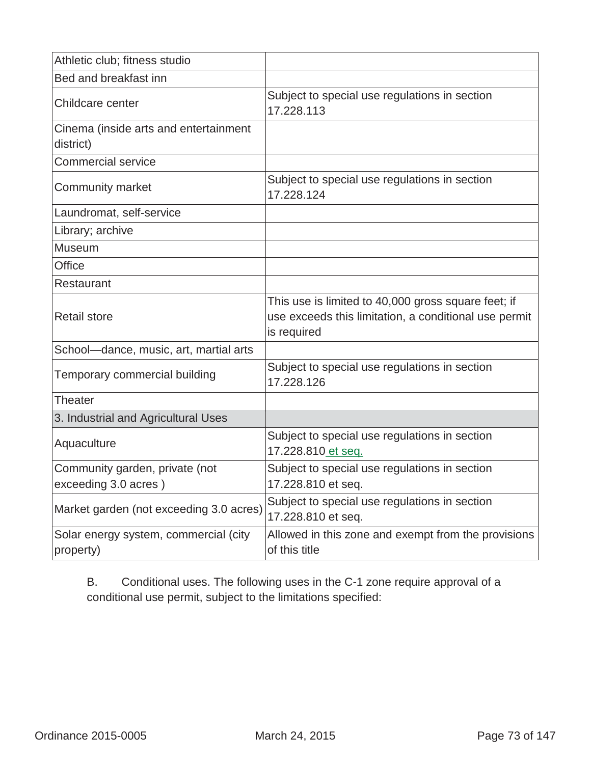| Athletic club; fitness studio                          |                                                                                                                             |
|--------------------------------------------------------|-----------------------------------------------------------------------------------------------------------------------------|
| Bed and breakfast inn                                  |                                                                                                                             |
| Childcare center                                       | Subject to special use regulations in section<br>17.228.113                                                                 |
| Cinema (inside arts and entertainment<br>district)     |                                                                                                                             |
| <b>Commercial service</b>                              |                                                                                                                             |
| <b>Community market</b>                                | Subject to special use regulations in section<br>17.228.124                                                                 |
| Laundromat, self-service                               |                                                                                                                             |
| Library; archive                                       |                                                                                                                             |
| Museum                                                 |                                                                                                                             |
| <b>Office</b>                                          |                                                                                                                             |
| Restaurant                                             |                                                                                                                             |
| <b>Retail store</b>                                    | This use is limited to 40,000 gross square feet; if<br>use exceeds this limitation, a conditional use permit<br>is required |
| School-dance, music, art, martial arts                 |                                                                                                                             |
| Temporary commercial building                          | Subject to special use regulations in section<br>17.228.126                                                                 |
| Theater                                                |                                                                                                                             |
| 3. Industrial and Agricultural Uses                    |                                                                                                                             |
| Aquaculture                                            | Subject to special use regulations in section<br>17.228.810 et seq.                                                         |
| Community garden, private (not<br>exceeding 3.0 acres) | Subject to special use regulations in section<br>17.228.810 et seq.                                                         |
| Market garden (not exceeding 3.0 acres)                | Subject to special use regulations in section<br>17.228.810 et seq.                                                         |
| Solar energy system, commercial (city<br>property)     | Allowed in this zone and exempt from the provisions<br>of this title                                                        |

B. Conditional uses. The following uses in the C-1 zone require approval of a conditional use permit, subject to the limitations specified: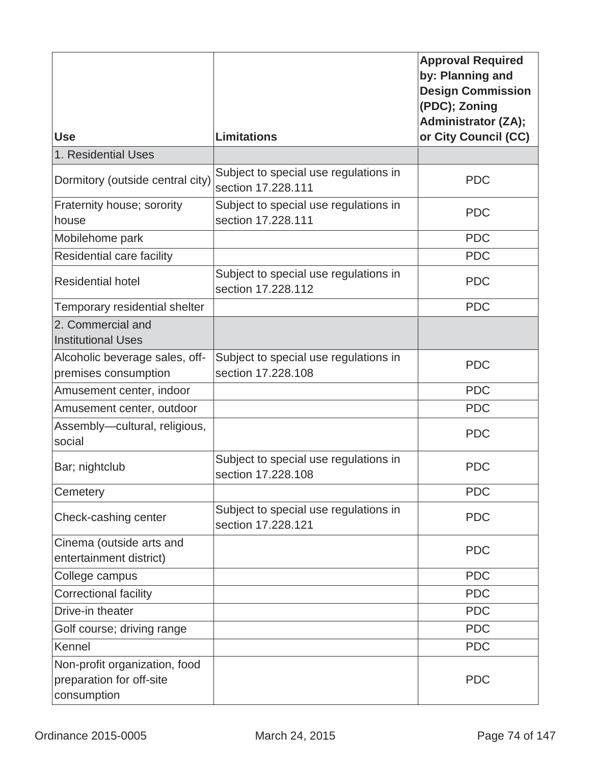|                                                                          |                                                             | <b>Approval Required</b><br>by: Planning and<br><b>Design Commission</b><br>(PDC); Zoning<br><b>Administrator (ZA);</b> |
|--------------------------------------------------------------------------|-------------------------------------------------------------|-------------------------------------------------------------------------------------------------------------------------|
| <b>Use</b>                                                               | <b>Limitations</b>                                          | or City Council (CC)                                                                                                    |
| 1. Residential Uses                                                      |                                                             |                                                                                                                         |
| Dormitory (outside central city)                                         | Subject to special use regulations in<br>section 17,228,111 | <b>PDC</b>                                                                                                              |
| Fraternity house; sorority<br>house                                      | Subject to special use regulations in<br>section 17.228.111 | <b>PDC</b>                                                                                                              |
| Mobilehome park                                                          |                                                             | <b>PDC</b>                                                                                                              |
| Residential care facility                                                |                                                             | <b>PDC</b>                                                                                                              |
| <b>Residential hotel</b>                                                 | Subject to special use regulations in<br>section 17.228.112 | <b>PDC</b>                                                                                                              |
| Temporary residential shelter                                            |                                                             | <b>PDC</b>                                                                                                              |
| 2. Commercial and<br><b>Institutional Uses</b>                           |                                                             |                                                                                                                         |
| Alcoholic beverage sales, off-<br>premises consumption                   | Subject to special use regulations in<br>section 17,228,108 | <b>PDC</b>                                                                                                              |
| Amusement center, indoor                                                 |                                                             | <b>PDC</b>                                                                                                              |
| Amusement center, outdoor                                                |                                                             | <b>PDC</b>                                                                                                              |
| Assembly-cultural, religious,<br>social                                  |                                                             | <b>PDC</b>                                                                                                              |
| Bar; nightclub                                                           | Subject to special use regulations in<br>section 17.228.108 | <b>PDC</b>                                                                                                              |
| Cemetery                                                                 |                                                             | <b>PDC</b>                                                                                                              |
| Check-cashing center                                                     | Subject to special use regulations in<br>section 17,228,121 | <b>PDC</b>                                                                                                              |
| Cinema (outside arts and<br>entertainment district)                      |                                                             | <b>PDC</b>                                                                                                              |
| College campus                                                           |                                                             | <b>PDC</b>                                                                                                              |
| <b>Correctional facility</b>                                             |                                                             | <b>PDC</b>                                                                                                              |
| Drive-in theater                                                         |                                                             | <b>PDC</b>                                                                                                              |
| Golf course; driving range                                               |                                                             | <b>PDC</b>                                                                                                              |
| Kennel                                                                   |                                                             | <b>PDC</b>                                                                                                              |
| Non-profit organization, food<br>preparation for off-site<br>consumption |                                                             | <b>PDC</b>                                                                                                              |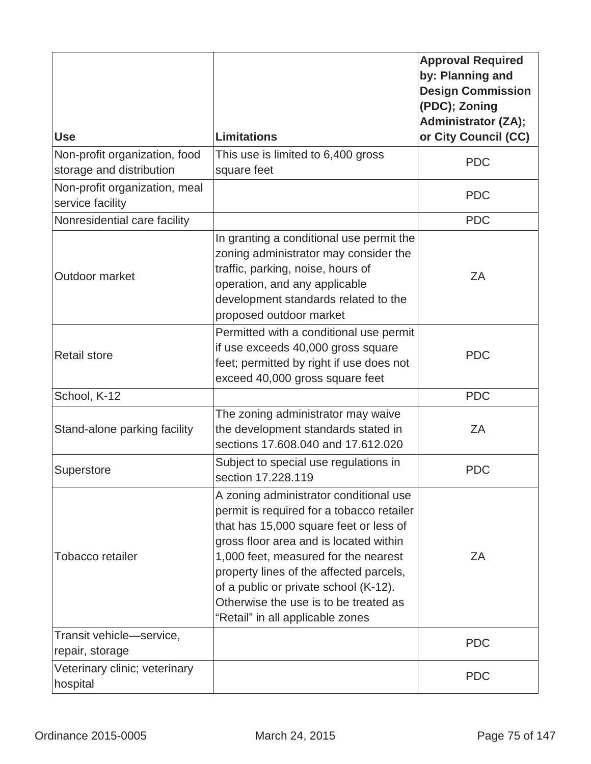|                                                           |                                                                                                                                                                                                                                                                                                                                                                                  | <b>Approval Required</b><br>by: Planning and<br><b>Design Commission</b><br>(PDC); Zoning<br><b>Administrator (ZA);</b> |
|-----------------------------------------------------------|----------------------------------------------------------------------------------------------------------------------------------------------------------------------------------------------------------------------------------------------------------------------------------------------------------------------------------------------------------------------------------|-------------------------------------------------------------------------------------------------------------------------|
| <b>Use</b>                                                | <b>Limitations</b>                                                                                                                                                                                                                                                                                                                                                               | or City Council (CC)                                                                                                    |
| Non-profit organization, food<br>storage and distribution | This use is limited to 6,400 gross<br>square feet                                                                                                                                                                                                                                                                                                                                | <b>PDC</b>                                                                                                              |
| Non-profit organization, meal<br>service facility         |                                                                                                                                                                                                                                                                                                                                                                                  | <b>PDC</b>                                                                                                              |
| Nonresidential care facility                              |                                                                                                                                                                                                                                                                                                                                                                                  | <b>PDC</b>                                                                                                              |
| Outdoor market                                            | In granting a conditional use permit the<br>zoning administrator may consider the<br>traffic, parking, noise, hours of<br>operation, and any applicable<br>development standards related to the<br>proposed outdoor market                                                                                                                                                       | ZΑ                                                                                                                      |
| <b>Retail store</b>                                       | Permitted with a conditional use permit<br>if use exceeds 40,000 gross square<br>feet; permitted by right if use does not<br>exceed 40,000 gross square feet                                                                                                                                                                                                                     | <b>PDC</b>                                                                                                              |
| School, K-12                                              |                                                                                                                                                                                                                                                                                                                                                                                  | <b>PDC</b>                                                                                                              |
| Stand-alone parking facility                              | The zoning administrator may waive<br>the development standards stated in<br>sections 17.608.040 and 17.612.020                                                                                                                                                                                                                                                                  | ΖA                                                                                                                      |
| Superstore                                                | Subject to special use regulations in<br>section 17.228.119                                                                                                                                                                                                                                                                                                                      | <b>PDC</b>                                                                                                              |
| Tobacco retailer                                          | A zoning administrator conditional use<br>permit is required for a tobacco retailer<br>that has 15,000 square feet or less of<br>gross floor area and is located within<br>1,000 feet, measured for the nearest<br>property lines of the affected parcels,<br>of a public or private school (K-12).<br>Otherwise the use is to be treated as<br>"Retail" in all applicable zones | ΖA                                                                                                                      |
| Transit vehicle-service,<br>repair, storage               |                                                                                                                                                                                                                                                                                                                                                                                  | <b>PDC</b>                                                                                                              |
| Veterinary clinic; veterinary<br>hospital                 |                                                                                                                                                                                                                                                                                                                                                                                  | <b>PDC</b>                                                                                                              |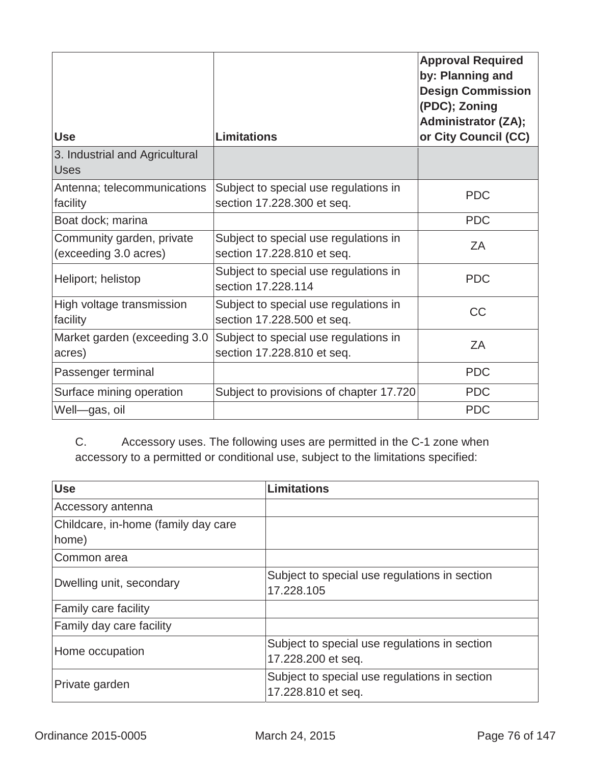| <b>Use</b>                                         | <b>Limitations</b>                                                  | <b>Approval Required</b><br>by: Planning and<br><b>Design Commission</b><br>(PDC); Zoning<br><b>Administrator (ZA);</b><br>or City Council (CC) |
|----------------------------------------------------|---------------------------------------------------------------------|-------------------------------------------------------------------------------------------------------------------------------------------------|
| 3. Industrial and Agricultural<br>Uses             |                                                                     |                                                                                                                                                 |
| Antenna; telecommunications<br>facility            | Subject to special use regulations in<br>section 17.228.300 et seq. | <b>PDC</b>                                                                                                                                      |
| Boat dock; marina                                  |                                                                     | <b>PDC</b>                                                                                                                                      |
| Community garden, private<br>(exceeding 3.0 acres) | Subject to special use regulations in<br>section 17.228.810 et seq. | ZA                                                                                                                                              |
| Heliport; helistop                                 | Subject to special use regulations in<br>section 17.228.114         | <b>PDC</b>                                                                                                                                      |
| High voltage transmission<br>facility              | Subject to special use regulations in<br>section 17.228.500 et seq. | <b>CC</b>                                                                                                                                       |
| Market garden (exceeding 3.0<br>acres)             | Subject to special use regulations in<br>section 17.228.810 et seq. | ZA                                                                                                                                              |
| Passenger terminal                                 |                                                                     | <b>PDC</b>                                                                                                                                      |
| Surface mining operation                           | Subject to provisions of chapter 17.720                             | <b>PDC</b>                                                                                                                                      |
| Well-gas, oil                                      |                                                                     | <b>PDC</b>                                                                                                                                      |

C. Accessory uses. The following uses are permitted in the C-1 zone when accessory to a permitted or conditional use, subject to the limitations specified:

| <b>Use</b>                                   | <b>Limitations</b>                                                  |
|----------------------------------------------|---------------------------------------------------------------------|
| Accessory antenna                            |                                                                     |
| Childcare, in-home (family day care<br>home) |                                                                     |
| Common area                                  |                                                                     |
| Dwelling unit, secondary                     | Subject to special use regulations in section<br>17.228.105         |
| <b>Family care facility</b>                  |                                                                     |
| <b>Family day care facility</b>              |                                                                     |
| Home occupation                              | Subject to special use regulations in section<br>17.228.200 et seq. |
| Private garden                               | Subject to special use regulations in section<br>17.228.810 et seq. |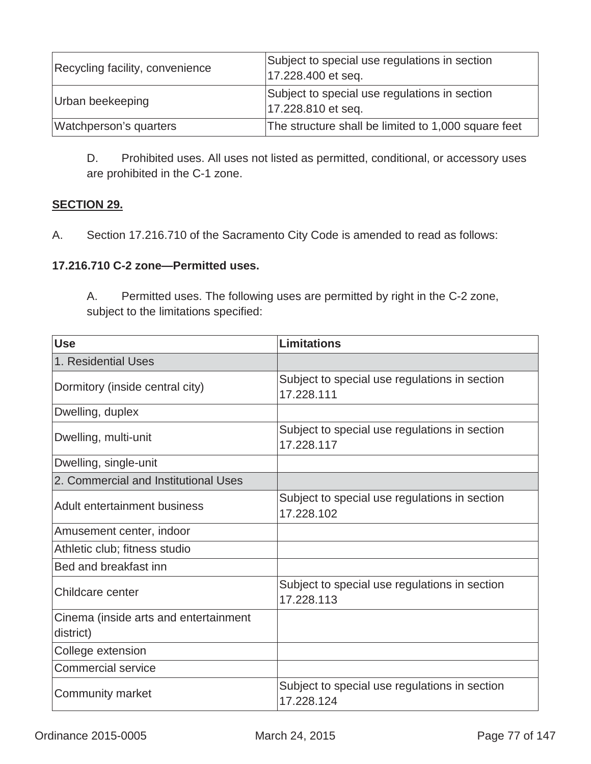| Recycling facility, convenience | Subject to special use regulations in section<br>17.228.400 et seq. |
|---------------------------------|---------------------------------------------------------------------|
| Urban beekeeping                | Subject to special use regulations in section<br>17.228.810 et seq. |
| Watchperson's quarters          | The structure shall be limited to 1,000 square feet                 |

D. Prohibited uses. All uses not listed as permitted, conditional, or accessory uses are prohibited in the C-1 zone.

## **SECTION 29.**

A.Section 17.216.710 of the Sacramento City Code is amended to read as follows:

### **17.216.710 C-2 zone—Permitted uses.**

A. Permitted uses. The following uses are permitted by right in the C-2 zone, subject to the limitations specified:

| <b>Use</b>                                         | <b>Limitations</b>                                          |
|----------------------------------------------------|-------------------------------------------------------------|
| 1. Residential Uses                                |                                                             |
| Dormitory (inside central city)                    | Subject to special use regulations in section<br>17.228.111 |
| Dwelling, duplex                                   |                                                             |
| Dwelling, multi-unit                               | Subject to special use regulations in section<br>17.228.117 |
| Dwelling, single-unit                              |                                                             |
| 2. Commercial and Institutional Uses               |                                                             |
| Adult entertainment business                       | Subject to special use regulations in section<br>17.228.102 |
| Amusement center, indoor                           |                                                             |
| Athletic club; fitness studio                      |                                                             |
| Bed and breakfast inn                              |                                                             |
| Childcare center                                   | Subject to special use regulations in section<br>17.228.113 |
| Cinema (inside arts and entertainment<br>district) |                                                             |
| College extension                                  |                                                             |
| <b>Commercial service</b>                          |                                                             |
| Community market                                   | Subject to special use regulations in section<br>17.228.124 |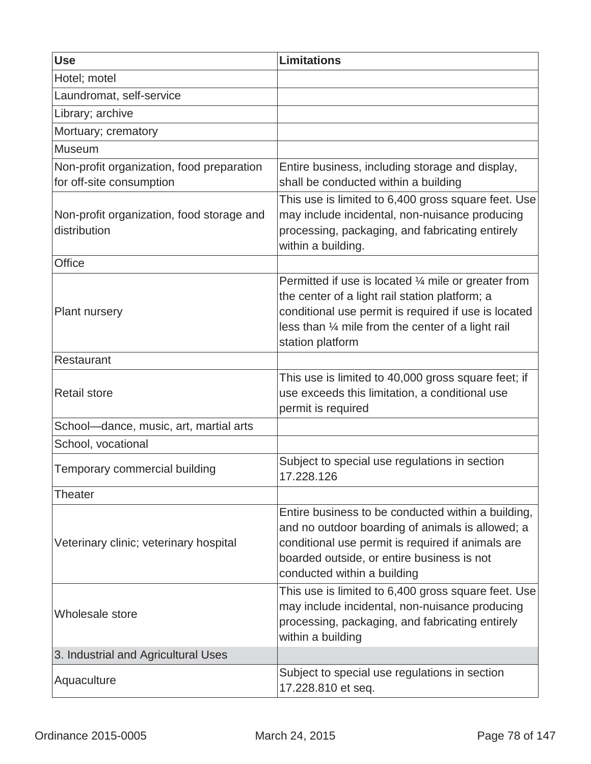| <b>Use</b>                                                            | <b>Limitations</b>                                                                                                                                                                                                                                 |
|-----------------------------------------------------------------------|----------------------------------------------------------------------------------------------------------------------------------------------------------------------------------------------------------------------------------------------------|
| Hotel; motel                                                          |                                                                                                                                                                                                                                                    |
| Laundromat, self-service                                              |                                                                                                                                                                                                                                                    |
| Library; archive                                                      |                                                                                                                                                                                                                                                    |
| Mortuary; crematory                                                   |                                                                                                                                                                                                                                                    |
| Museum                                                                |                                                                                                                                                                                                                                                    |
| Non-profit organization, food preparation<br>for off-site consumption | Entire business, including storage and display,<br>shall be conducted within a building                                                                                                                                                            |
| Non-profit organization, food storage and<br>distribution             | This use is limited to 6,400 gross square feet. Use<br>may include incidental, non-nuisance producing<br>processing, packaging, and fabricating entirely<br>within a building.                                                                     |
| <b>Office</b>                                                         |                                                                                                                                                                                                                                                    |
| <b>Plant nursery</b>                                                  | Permitted if use is located $\frac{1}{4}$ mile or greater from<br>the center of a light rail station platform; a<br>conditional use permit is required if use is located<br>less than 1/4 mile from the center of a light rail<br>station platform |
| Restaurant                                                            |                                                                                                                                                                                                                                                    |
| <b>Retail store</b>                                                   | This use is limited to 40,000 gross square feet; if<br>use exceeds this limitation, a conditional use<br>permit is required                                                                                                                        |
| School-dance, music, art, martial arts                                |                                                                                                                                                                                                                                                    |
| School, vocational                                                    |                                                                                                                                                                                                                                                    |
| Temporary commercial building                                         | Subject to special use regulations in section<br>17.228.126                                                                                                                                                                                        |
| Theater                                                               |                                                                                                                                                                                                                                                    |
| Veterinary clinic; veterinary hospital                                | Entire business to be conducted within a building,<br>and no outdoor boarding of animals is allowed; a<br>conditional use permit is required if animals are<br>boarded outside, or entire business is not<br>conducted within a building           |
| Wholesale store                                                       | This use is limited to 6,400 gross square feet. Use<br>may include incidental, non-nuisance producing<br>processing, packaging, and fabricating entirely<br>within a building                                                                      |
| 3. Industrial and Agricultural Uses                                   |                                                                                                                                                                                                                                                    |
| Aquaculture                                                           | Subject to special use regulations in section<br>17.228.810 et seq.                                                                                                                                                                                |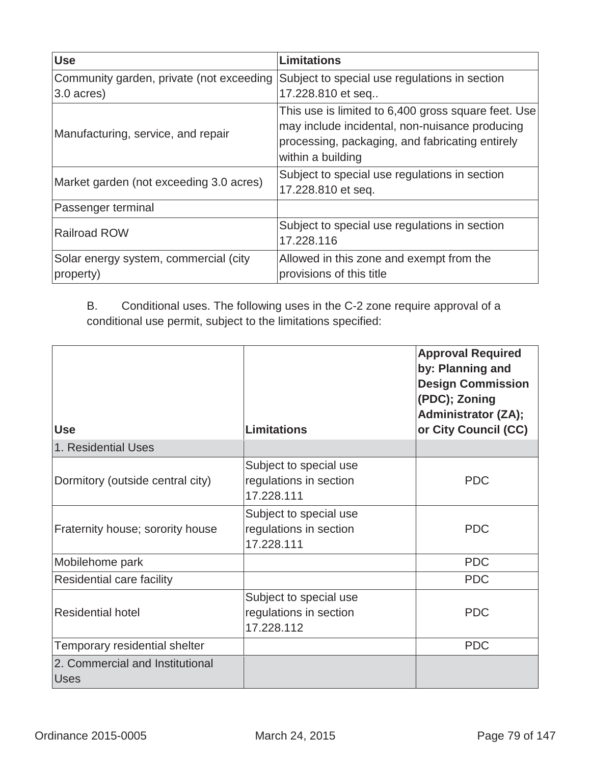| <b>Use</b>                                         | <b>Limitations</b>                                                                                                                                                            |  |
|----------------------------------------------------|-------------------------------------------------------------------------------------------------------------------------------------------------------------------------------|--|
| Community garden, private (not exceeding           | Subject to special use regulations in section                                                                                                                                 |  |
| 3.0 acres)                                         | 17.228.810 et seq                                                                                                                                                             |  |
| Manufacturing, service, and repair                 | This use is limited to 6,400 gross square feet. Use<br>may include incidental, non-nuisance producing<br>processing, packaging, and fabricating entirely<br>within a building |  |
| Market garden (not exceeding 3.0 acres)            | Subject to special use regulations in section<br>17.228.810 et seq.                                                                                                           |  |
| Passenger terminal                                 |                                                                                                                                                                               |  |
| <b>Railroad ROW</b>                                | Subject to special use regulations in section<br>17.228.116                                                                                                                   |  |
| Solar energy system, commercial (city<br>property) | Allowed in this zone and exempt from the<br>provisions of this title                                                                                                          |  |

B. Conditional uses. The following uses in the C-2 zone require approval of a conditional use permit, subject to the limitations specified:

| <b>Use</b>                                     | <b>Limitations</b>                                             | <b>Approval Required</b><br>by: Planning and<br><b>Design Commission</b><br>(PDC); Zoning<br><b>Administrator (ZA);</b><br>or City Council (CC) |
|------------------------------------------------|----------------------------------------------------------------|-------------------------------------------------------------------------------------------------------------------------------------------------|
| 1. Residential Uses                            |                                                                |                                                                                                                                                 |
| Dormitory (outside central city)               | Subject to special use<br>regulations in section<br>17.228.111 | <b>PDC</b>                                                                                                                                      |
| Fraternity house; sorority house               | Subject to special use<br>regulations in section<br>17.228.111 | <b>PDC</b>                                                                                                                                      |
| Mobilehome park                                |                                                                | <b>PDC</b>                                                                                                                                      |
| Residential care facility                      |                                                                | <b>PDC</b>                                                                                                                                      |
| <b>Residential hotel</b>                       | Subject to special use<br>regulations in section<br>17.228.112 | <b>PDC</b>                                                                                                                                      |
| Temporary residential shelter                  |                                                                | <b>PDC</b>                                                                                                                                      |
| 2. Commercial and Institutional<br><b>Uses</b> |                                                                |                                                                                                                                                 |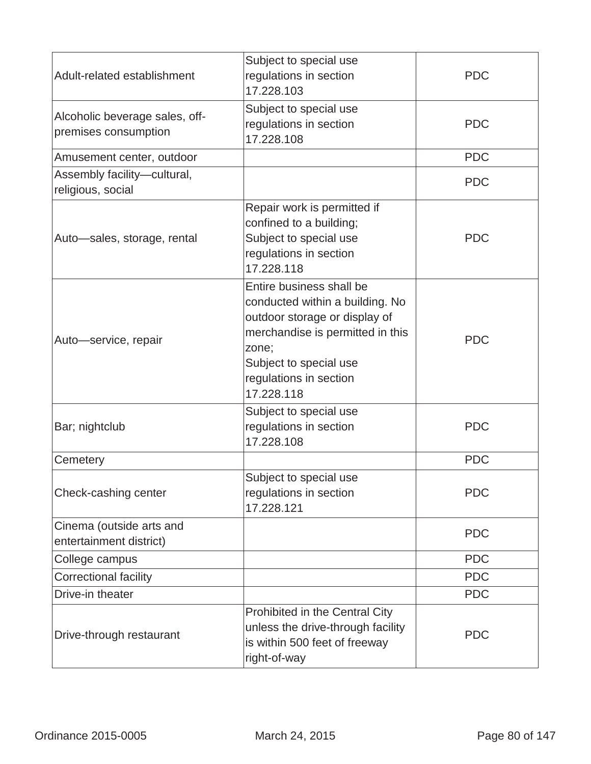| Adult-related establishment                            | Subject to special use<br>regulations in section<br>17.228.103                                                                                                                                              | <b>PDC</b> |
|--------------------------------------------------------|-------------------------------------------------------------------------------------------------------------------------------------------------------------------------------------------------------------|------------|
| Alcoholic beverage sales, off-<br>premises consumption | Subject to special use<br>regulations in section<br>17.228.108                                                                                                                                              | <b>PDC</b> |
| Amusement center, outdoor                              |                                                                                                                                                                                                             | <b>PDC</b> |
| Assembly facility-cultural,<br>religious, social       |                                                                                                                                                                                                             | <b>PDC</b> |
| Auto-sales, storage, rental                            | Repair work is permitted if<br>confined to a building;<br>Subject to special use<br>regulations in section<br>17.228.118                                                                                    | <b>PDC</b> |
| Auto-service, repair                                   | Entire business shall be<br>conducted within a building. No<br>outdoor storage or display of<br>merchandise is permitted in this<br>zone;<br>Subject to special use<br>regulations in section<br>17.228.118 | <b>PDC</b> |
| Bar; nightclub                                         | Subject to special use<br>regulations in section<br>17.228.108                                                                                                                                              | <b>PDC</b> |
| Cemetery                                               |                                                                                                                                                                                                             | <b>PDC</b> |
| Check-cashing center                                   | Subject to special use<br>regulations in section<br>17.228.121                                                                                                                                              | <b>PDC</b> |
| Cinema (outside arts and<br>entertainment district)    |                                                                                                                                                                                                             | <b>PDC</b> |
| College campus                                         |                                                                                                                                                                                                             | <b>PDC</b> |
| <b>Correctional facility</b>                           |                                                                                                                                                                                                             | <b>PDC</b> |
| Drive-in theater                                       |                                                                                                                                                                                                             | <b>PDC</b> |
| Drive-through restaurant                               | Prohibited in the Central City<br>unless the drive-through facility<br>is within 500 feet of freeway<br>right-of-way                                                                                        | <b>PDC</b> |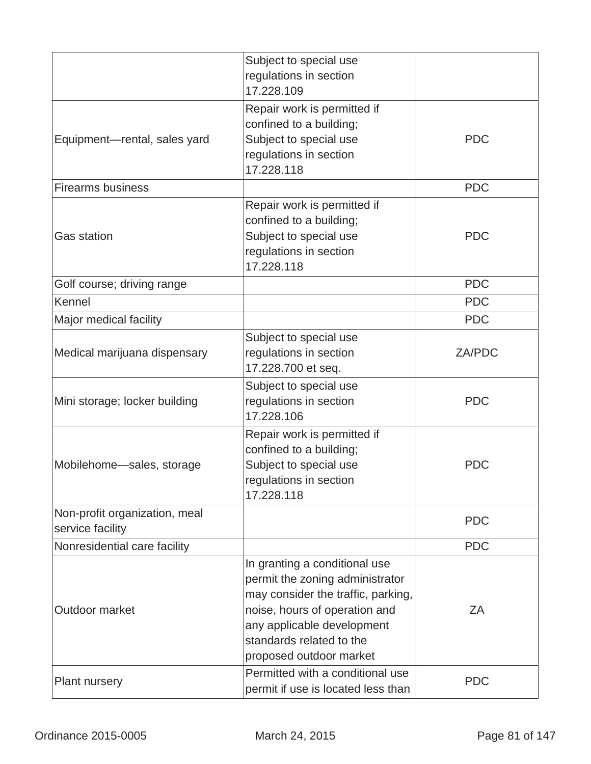|                                                   | Subject to special use<br>regulations in section<br>17.228.109                                                                                                                                                               |            |
|---------------------------------------------------|------------------------------------------------------------------------------------------------------------------------------------------------------------------------------------------------------------------------------|------------|
| Equipment-rental, sales yard                      | Repair work is permitted if<br>confined to a building;<br>Subject to special use<br>regulations in section<br>17.228.118                                                                                                     | <b>PDC</b> |
| <b>Firearms business</b>                          |                                                                                                                                                                                                                              | <b>PDC</b> |
| <b>Gas station</b>                                | Repair work is permitted if<br>confined to a building;<br>Subject to special use<br>regulations in section<br>17.228.118                                                                                                     | <b>PDC</b> |
| Golf course; driving range                        |                                                                                                                                                                                                                              | <b>PDC</b> |
| Kennel                                            |                                                                                                                                                                                                                              | <b>PDC</b> |
| Major medical facility                            |                                                                                                                                                                                                                              | <b>PDC</b> |
| Medical marijuana dispensary                      | Subject to special use<br>regulations in section<br>17.228.700 et seq.                                                                                                                                                       | ZA/PDC     |
| Mini storage; locker building                     | Subject to special use<br>regulations in section<br>17.228.106                                                                                                                                                               | <b>PDC</b> |
| Mobilehome-sales, storage                         | Repair work is permitted if<br>confined to a building;<br>Subject to special use<br>regulations in section<br>17.228.118                                                                                                     | <b>PDC</b> |
| Non-profit organization, meal<br>service facility |                                                                                                                                                                                                                              | <b>PDC</b> |
| Nonresidential care facility                      |                                                                                                                                                                                                                              | <b>PDC</b> |
| Outdoor market                                    | In granting a conditional use<br>permit the zoning administrator<br>may consider the traffic, parking,<br>noise, hours of operation and<br>any applicable development<br>standards related to the<br>proposed outdoor market | ZA         |
| Plant nursery                                     | Permitted with a conditional use<br>permit if use is located less than                                                                                                                                                       | <b>PDC</b> |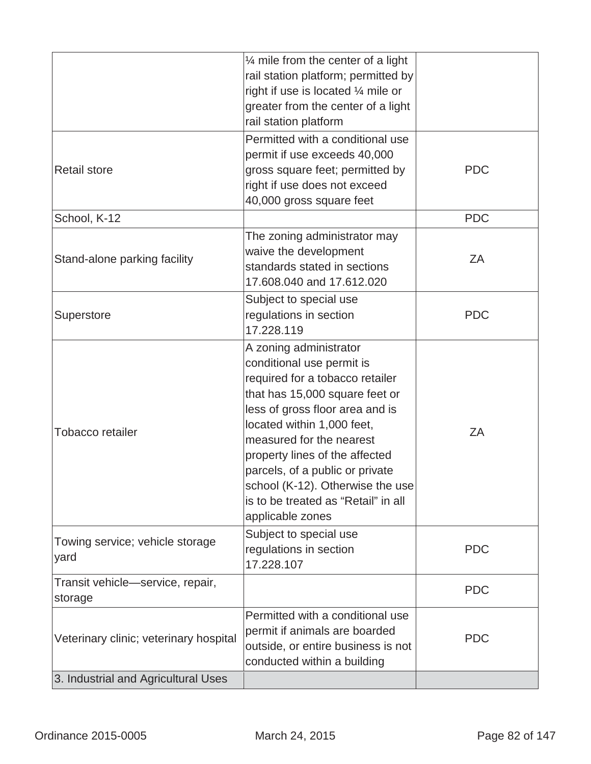|                                             | $\frac{1}{4}$ mile from the center of a light<br>rail station platform; permitted by<br>right if use is located 1/4 mile or<br>greater from the center of a light<br>rail station platform                                                                                                                                                                                                |            |
|---------------------------------------------|-------------------------------------------------------------------------------------------------------------------------------------------------------------------------------------------------------------------------------------------------------------------------------------------------------------------------------------------------------------------------------------------|------------|
| <b>Retail store</b>                         | Permitted with a conditional use<br>permit if use exceeds 40,000<br>gross square feet; permitted by<br>right if use does not exceed<br>40,000 gross square feet                                                                                                                                                                                                                           | <b>PDC</b> |
| School, K-12                                |                                                                                                                                                                                                                                                                                                                                                                                           | <b>PDC</b> |
| Stand-alone parking facility                | The zoning administrator may<br>waive the development<br>standards stated in sections<br>17.608.040 and 17.612.020                                                                                                                                                                                                                                                                        | ZΑ         |
| Superstore                                  | Subject to special use<br>regulations in section<br>17.228.119                                                                                                                                                                                                                                                                                                                            | <b>PDC</b> |
| <b>Tobacco retailer</b>                     | A zoning administrator<br>conditional use permit is<br>required for a tobacco retailer<br>that has 15,000 square feet or<br>less of gross floor area and is<br>located within 1,000 feet,<br>measured for the nearest<br>property lines of the affected<br>parcels, of a public or private<br>school (K-12). Otherwise the use<br>is to be treated as "Retail" in all<br>applicable zones | ZA         |
| Towing service; vehicle storage<br>yard     | Subject to special use<br>regulations in section<br>17.228.107                                                                                                                                                                                                                                                                                                                            | <b>PDC</b> |
| Transit vehicle-service, repair,<br>storage |                                                                                                                                                                                                                                                                                                                                                                                           | <b>PDC</b> |
| Veterinary clinic; veterinary hospital      | Permitted with a conditional use<br>permit if animals are boarded<br>outside, or entire business is not<br>conducted within a building                                                                                                                                                                                                                                                    | <b>PDC</b> |
| 3. Industrial and Agricultural Uses         |                                                                                                                                                                                                                                                                                                                                                                                           |            |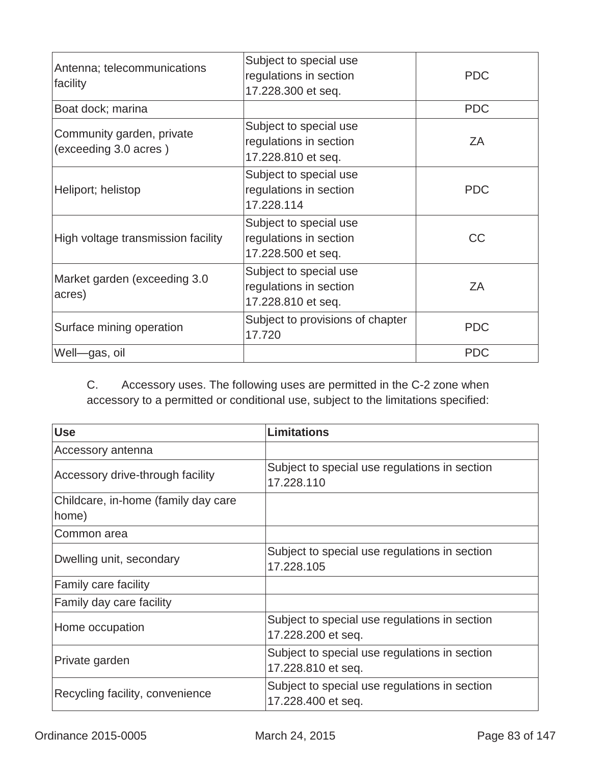| Antenna; telecommunications<br>facility            | Subject to special use<br>regulations in section<br>17.228.300 et seq. | <b>PDC</b> |
|----------------------------------------------------|------------------------------------------------------------------------|------------|
| Boat dock; marina                                  |                                                                        | <b>PDC</b> |
| Community garden, private<br>(exceeding 3.0 acres) | Subject to special use<br>regulations in section<br>17.228.810 et seq. | ΖA         |
| Heliport; helistop                                 | Subject to special use<br>regulations in section<br>17.228.114         | <b>PDC</b> |
| High voltage transmission facility                 | Subject to special use<br>regulations in section<br>17.228.500 et seq. | СC         |
| Market garden (exceeding 3.0<br>acres)             | Subject to special use<br>regulations in section<br>17.228.810 et seq. | ΖA         |
| Surface mining operation                           | Subject to provisions of chapter<br>17.720                             | <b>PDC</b> |
| Well-gas, oil                                      |                                                                        | <b>PDC</b> |

C. Accessory uses. The following uses are permitted in the C-2 zone when accessory to a permitted or conditional use, subject to the limitations specified:

| <b>Use</b>                                   | <b>Limitations</b>                                                  |
|----------------------------------------------|---------------------------------------------------------------------|
| Accessory antenna                            |                                                                     |
| Accessory drive-through facility             | Subject to special use regulations in section<br>17.228.110         |
| Childcare, in-home (family day care<br>home) |                                                                     |
| Common area                                  |                                                                     |
| Dwelling unit, secondary                     | Subject to special use regulations in section<br>17.228.105         |
| Family care facility                         |                                                                     |
| Family day care facility                     |                                                                     |
| Home occupation                              | Subject to special use regulations in section<br>17.228.200 et seq. |
| Private garden                               | Subject to special use regulations in section<br>17.228.810 et seq. |
| Recycling facility, convenience              | Subject to special use regulations in section<br>17.228.400 et seq. |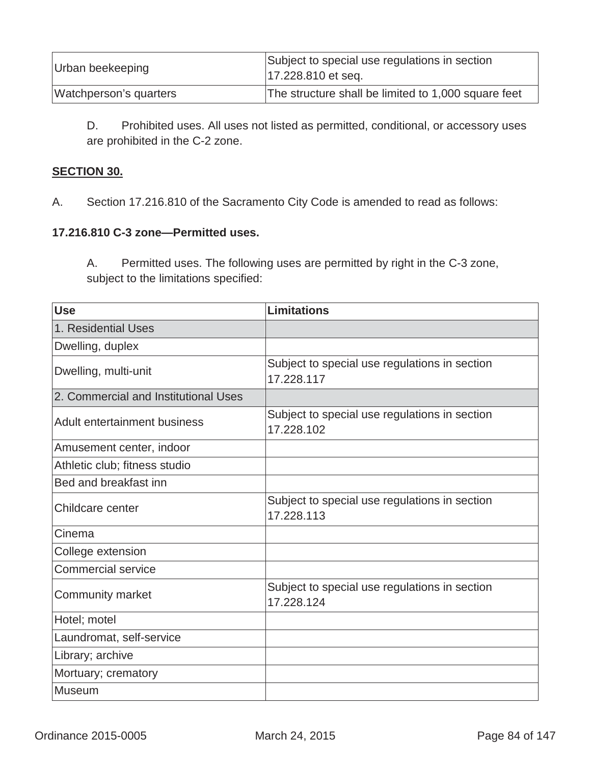| Urban beekeeping       | Subject to special use regulations in section<br>17.228.810 et seq. |
|------------------------|---------------------------------------------------------------------|
| Watchperson's quarters | The structure shall be limited to 1,000 square feet                 |

D. Prohibited uses. All uses not listed as permitted, conditional, or accessory uses are prohibited in the C-2 zone.

### **SECTION 30.**

A.Section 17.216.810 of the Sacramento City Code is amended to read as follows:

### **17.216.810 C-3 zone—Permitted uses.**

A. Permitted uses. The following uses are permitted by right in the C-3 zone, subject to the limitations specified:

| <b>Use</b>                           | Limitations                                                 |
|--------------------------------------|-------------------------------------------------------------|
| 1. Residential Uses                  |                                                             |
| Dwelling, duplex                     |                                                             |
| Dwelling, multi-unit                 | Subject to special use regulations in section<br>17.228.117 |
| 2. Commercial and Institutional Uses |                                                             |
| <b>Adult entertainment business</b>  | Subject to special use regulations in section<br>17.228.102 |
| Amusement center, indoor             |                                                             |
| Athletic club; fitness studio        |                                                             |
| Bed and breakfast inn                |                                                             |
| Childcare center                     | Subject to special use regulations in section<br>17.228.113 |
| Cinema                               |                                                             |
| College extension                    |                                                             |
| Commercial service                   |                                                             |
| Community market                     | Subject to special use regulations in section<br>17.228.124 |
| Hotel; motel                         |                                                             |
| Laundromat, self-service             |                                                             |
| Library; archive                     |                                                             |
| Mortuary; crematory                  |                                                             |
| <b>Museum</b>                        |                                                             |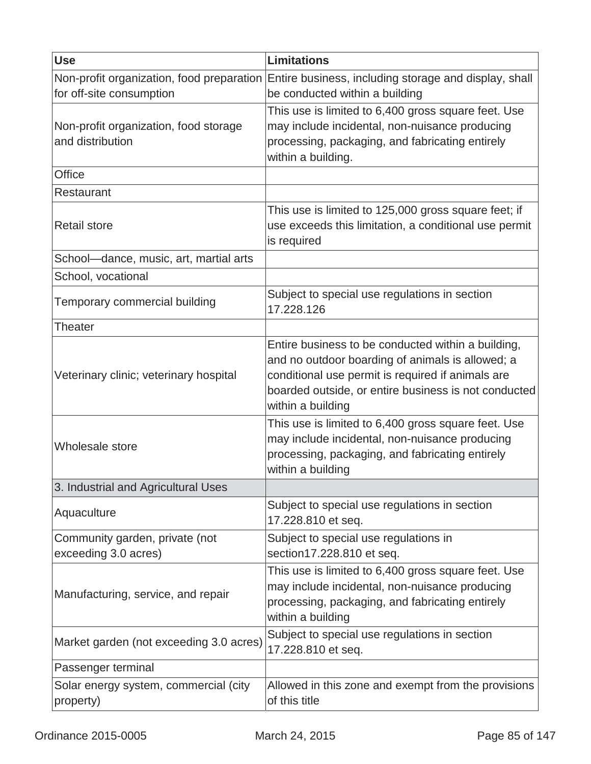| <b>Use</b>                                                | <b>Limitations</b>                                                                                                                                                                                                                       |
|-----------------------------------------------------------|------------------------------------------------------------------------------------------------------------------------------------------------------------------------------------------------------------------------------------------|
| for off-site consumption                                  | Non-profit organization, food preparation Entire business, including storage and display, shall<br>be conducted within a building                                                                                                        |
| Non-profit organization, food storage<br>and distribution | This use is limited to 6,400 gross square feet. Use<br>may include incidental, non-nuisance producing<br>processing, packaging, and fabricating entirely<br>within a building.                                                           |
| <b>Office</b>                                             |                                                                                                                                                                                                                                          |
| Restaurant                                                |                                                                                                                                                                                                                                          |
| <b>Retail store</b>                                       | This use is limited to 125,000 gross square feet; if<br>use exceeds this limitation, a conditional use permit<br>is required                                                                                                             |
| School-dance, music, art, martial arts                    |                                                                                                                                                                                                                                          |
| School, vocational                                        |                                                                                                                                                                                                                                          |
| Temporary commercial building                             | Subject to special use regulations in section<br>17.228.126                                                                                                                                                                              |
| Theater                                                   |                                                                                                                                                                                                                                          |
| Veterinary clinic; veterinary hospital                    | Entire business to be conducted within a building,<br>and no outdoor boarding of animals is allowed; a<br>conditional use permit is required if animals are<br>boarded outside, or entire business is not conducted<br>within a building |
| Wholesale store                                           | This use is limited to 6,400 gross square feet. Use<br>may include incidental, non-nuisance producing<br>processing, packaging, and fabricating entirely<br>within a building                                                            |
| 3. Industrial and Agricultural Uses                       |                                                                                                                                                                                                                                          |
| Aquaculture                                               | Subject to special use regulations in section<br>17.228.810 et seq.                                                                                                                                                                      |
| Community garden, private (not<br>exceeding 3.0 acres)    | Subject to special use regulations in<br>section17.228.810 et seq.                                                                                                                                                                       |
| Manufacturing, service, and repair                        | This use is limited to 6,400 gross square feet. Use<br>may include incidental, non-nuisance producing<br>processing, packaging, and fabricating entirely<br>within a building                                                            |
| Market garden (not exceeding 3.0 acres)                   | Subject to special use regulations in section<br>17.228.810 et seq.                                                                                                                                                                      |
| Passenger terminal                                        |                                                                                                                                                                                                                                          |
| Solar energy system, commercial (city<br>property)        | Allowed in this zone and exempt from the provisions<br>of this title                                                                                                                                                                     |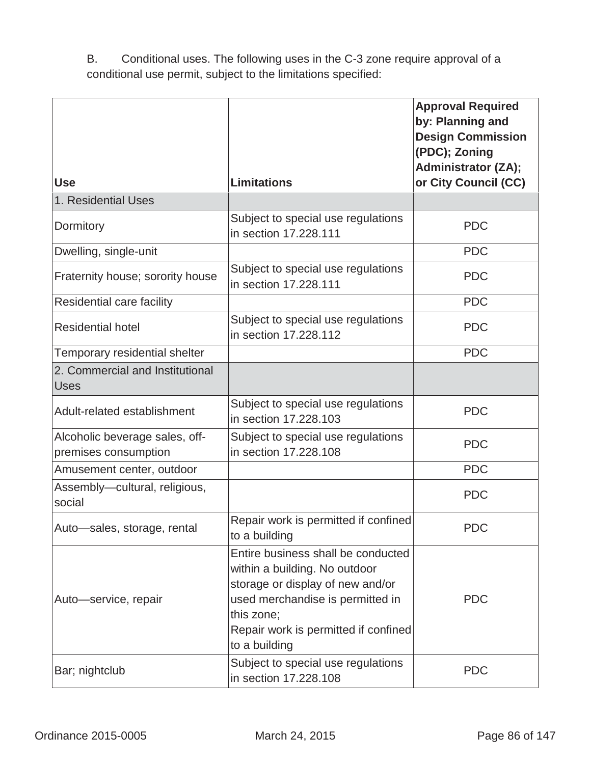B. Conditional uses. The following uses in the C-3 zone require approval of a conditional use permit, subject to the limitations specified:

|                                                        |                                                                                                                                                                                                                    | <b>Approval Required</b><br>by: Planning and<br><b>Design Commission</b><br>(PDC); Zoning<br><b>Administrator (ZA);</b> |
|--------------------------------------------------------|--------------------------------------------------------------------------------------------------------------------------------------------------------------------------------------------------------------------|-------------------------------------------------------------------------------------------------------------------------|
| <b>Use</b>                                             | <b>Limitations</b>                                                                                                                                                                                                 | or City Council (CC)                                                                                                    |
| 1. Residential Uses                                    |                                                                                                                                                                                                                    |                                                                                                                         |
| Dormitory                                              | Subject to special use regulations<br>in section 17.228.111                                                                                                                                                        | <b>PDC</b>                                                                                                              |
| Dwelling, single-unit                                  |                                                                                                                                                                                                                    | <b>PDC</b>                                                                                                              |
| Fraternity house; sorority house                       | Subject to special use regulations<br>in section 17.228.111                                                                                                                                                        | <b>PDC</b>                                                                                                              |
| Residential care facility                              |                                                                                                                                                                                                                    | <b>PDC</b>                                                                                                              |
| <b>Residential hotel</b>                               | Subject to special use regulations<br>in section 17.228.112                                                                                                                                                        | <b>PDC</b>                                                                                                              |
| Temporary residential shelter                          |                                                                                                                                                                                                                    | <b>PDC</b>                                                                                                              |
| 2. Commercial and Institutional<br><b>Uses</b>         |                                                                                                                                                                                                                    |                                                                                                                         |
| Adult-related establishment                            | Subject to special use regulations<br>in section 17,228,103                                                                                                                                                        | <b>PDC</b>                                                                                                              |
| Alcoholic beverage sales, off-<br>premises consumption | Subject to special use regulations<br>in section 17.228.108                                                                                                                                                        | <b>PDC</b>                                                                                                              |
| Amusement center, outdoor                              |                                                                                                                                                                                                                    | <b>PDC</b>                                                                                                              |
| Assembly-cultural, religious,<br>social                |                                                                                                                                                                                                                    | <b>PDC</b>                                                                                                              |
| Auto-sales, storage, rental                            | Repair work is permitted if confined<br>to a building                                                                                                                                                              | <b>PDC</b>                                                                                                              |
| Auto-service, repair                                   | Entire business shall be conducted<br>within a building. No outdoor<br>storage or display of new and/or<br>used merchandise is permitted in<br>this zone;<br>Repair work is permitted if confined<br>to a building | <b>PDC</b>                                                                                                              |
| Bar; nightclub                                         | Subject to special use regulations<br>in section 17.228.108                                                                                                                                                        | <b>PDC</b>                                                                                                              |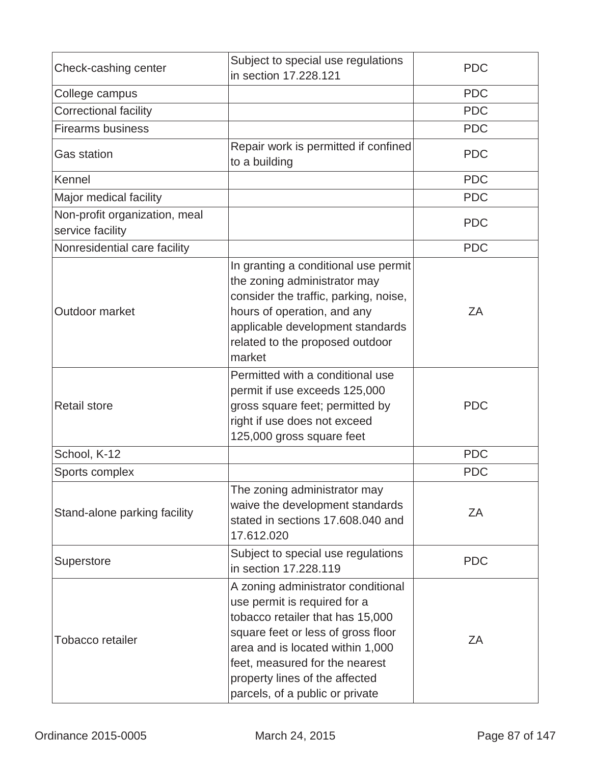| Check-cashing center                              | Subject to special use regulations<br>in section 17,228,121                                                                                                                                                                                                                             | <b>PDC</b> |
|---------------------------------------------------|-----------------------------------------------------------------------------------------------------------------------------------------------------------------------------------------------------------------------------------------------------------------------------------------|------------|
| College campus                                    |                                                                                                                                                                                                                                                                                         | <b>PDC</b> |
| <b>Correctional facility</b>                      |                                                                                                                                                                                                                                                                                         | <b>PDC</b> |
| <b>Firearms business</b>                          |                                                                                                                                                                                                                                                                                         | <b>PDC</b> |
| <b>Gas station</b>                                | Repair work is permitted if confined<br>to a building                                                                                                                                                                                                                                   | <b>PDC</b> |
| Kennel                                            |                                                                                                                                                                                                                                                                                         | <b>PDC</b> |
| Major medical facility                            |                                                                                                                                                                                                                                                                                         | <b>PDC</b> |
| Non-profit organization, meal<br>service facility |                                                                                                                                                                                                                                                                                         | <b>PDC</b> |
| Nonresidential care facility                      |                                                                                                                                                                                                                                                                                         | <b>PDC</b> |
| Outdoor market                                    | In granting a conditional use permit<br>the zoning administrator may<br>consider the traffic, parking, noise,<br>hours of operation, and any<br>applicable development standards<br>related to the proposed outdoor<br>market                                                           | ZA         |
| <b>Retail store</b>                               | Permitted with a conditional use<br>permit if use exceeds 125,000<br>gross square feet; permitted by<br>right if use does not exceed<br>125,000 gross square feet                                                                                                                       | <b>PDC</b> |
| School, K-12                                      |                                                                                                                                                                                                                                                                                         | <b>PDC</b> |
| Sports complex                                    |                                                                                                                                                                                                                                                                                         | <b>PDC</b> |
| Stand-alone parking facility                      | The zoning administrator may<br>waive the development standards<br>stated in sections 17.608.040 and<br>17.612.020                                                                                                                                                                      | ZA         |
| Superstore                                        | Subject to special use regulations<br>in section 17,228,119                                                                                                                                                                                                                             | <b>PDC</b> |
| <b>Tobacco retailer</b>                           | A zoning administrator conditional<br>use permit is required for a<br>tobacco retailer that has 15,000<br>square feet or less of gross floor<br>area and is located within 1,000<br>feet, measured for the nearest<br>property lines of the affected<br>parcels, of a public or private | ΖA         |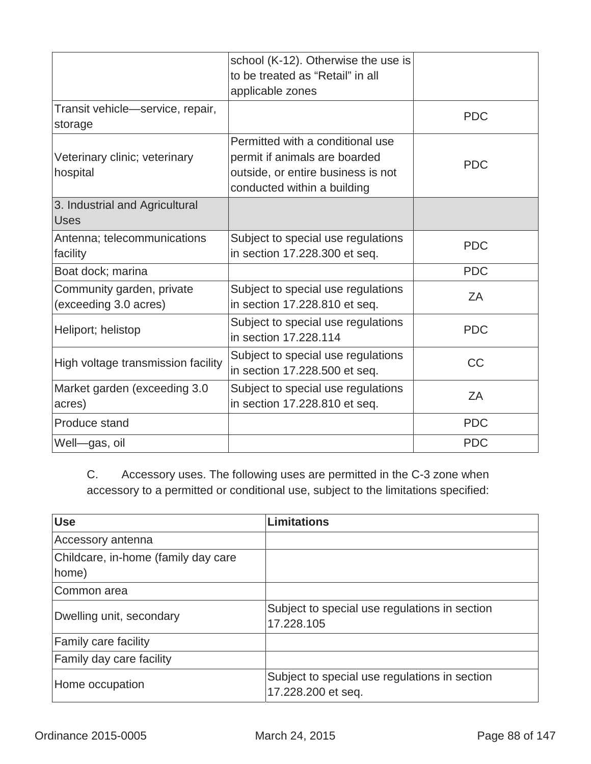|                                                    | school (K-12). Otherwise the use is<br>to be treated as "Retail" in all<br>applicable zones                                            |            |
|----------------------------------------------------|----------------------------------------------------------------------------------------------------------------------------------------|------------|
| Transit vehicle-service, repair,<br>storage        |                                                                                                                                        | <b>PDC</b> |
| Veterinary clinic; veterinary<br>hospital          | Permitted with a conditional use<br>permit if animals are boarded<br>outside, or entire business is not<br>conducted within a building | <b>PDC</b> |
| 3. Industrial and Agricultural<br><b>Uses</b>      |                                                                                                                                        |            |
| Antenna; telecommunications<br>facility            | Subject to special use regulations<br>in section 17.228.300 et seq.                                                                    | <b>PDC</b> |
| Boat dock; marina                                  |                                                                                                                                        | <b>PDC</b> |
| Community garden, private<br>(exceeding 3.0 acres) | Subject to special use regulations<br>in section 17.228.810 et seq.                                                                    | ZΑ         |
| Heliport; helistop                                 | Subject to special use regulations<br>in section 17,228,114                                                                            | <b>PDC</b> |
| High voltage transmission facility                 | Subject to special use regulations<br>in section 17.228.500 et seq.                                                                    | CC         |
| Market garden (exceeding 3.0<br>acres)             | Subject to special use regulations<br>in section 17.228.810 et seq.                                                                    | ZA         |
| Produce stand                                      |                                                                                                                                        | <b>PDC</b> |
| Well-gas, oil                                      |                                                                                                                                        | <b>PDC</b> |

C. Accessory uses. The following uses are permitted in the C-3 zone when accessory to a permitted or conditional use, subject to the limitations specified:

| <b>Use</b>                                   | <b>Limitations</b>                                                  |
|----------------------------------------------|---------------------------------------------------------------------|
| Accessory antenna                            |                                                                     |
| Childcare, in-home (family day care<br>home) |                                                                     |
| Common area                                  |                                                                     |
| Dwelling unit, secondary                     | Subject to special use regulations in section<br>17.228.105         |
| <b>Family care facility</b>                  |                                                                     |
| Family day care facility                     |                                                                     |
| Home occupation                              | Subject to special use regulations in section<br>17.228.200 et seq. |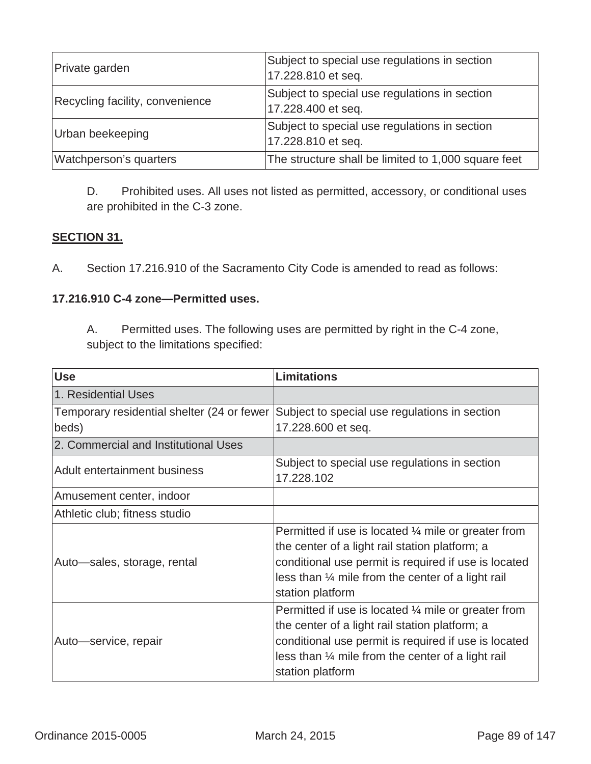| Private garden                  | Subject to special use regulations in section<br>17.228.810 et seq. |
|---------------------------------|---------------------------------------------------------------------|
| Recycling facility, convenience | Subject to special use regulations in section<br>17.228.400 et seq. |
| Urban beekeeping                | Subject to special use regulations in section<br>17.228.810 et seq. |
| Watchperson's quarters          | The structure shall be limited to 1,000 square feet                 |

D. Prohibited uses. All uses not listed as permitted, accessory, or conditional uses are prohibited in the C-3 zone.

## **SECTION 31.**

A. Section 17.216.910 of the Sacramento City Code is amended to read as follows:

# **17.216.910 C-4 zone—Permitted uses.**

A. Permitted uses. The following uses are permitted by right in the C-4 zone, subject to the limitations specified:

| <b>Use</b>                                 | <b>Limitations</b>                                                                                                                                                                                                                                           |
|--------------------------------------------|--------------------------------------------------------------------------------------------------------------------------------------------------------------------------------------------------------------------------------------------------------------|
| 1. Residential Uses                        |                                                                                                                                                                                                                                                              |
| Temporary residential shelter (24 or fewer | Subject to special use regulations in section                                                                                                                                                                                                                |
| beds)                                      | 17.228.600 et seq.                                                                                                                                                                                                                                           |
| 2. Commercial and Institutional Uses       |                                                                                                                                                                                                                                                              |
| <b>Adult entertainment business</b>        | Subject to special use regulations in section<br>17.228.102                                                                                                                                                                                                  |
| Amusement center, indoor                   |                                                                                                                                                                                                                                                              |
| Athletic club; fitness studio              |                                                                                                                                                                                                                                                              |
| Auto-sales, storage, rental                | Permitted if use is located $\frac{1}{4}$ mile or greater from<br>the center of a light rail station platform; a<br>conditional use permit is required if use is located<br>less than $\frac{1}{4}$ mile from the center of a light rail<br>station platform |
| Auto—service, repair                       | Permitted if use is located $\frac{1}{4}$ mile or greater from<br>the center of a light rail station platform; a<br>conditional use permit is required if use is located<br>less than $\frac{1}{4}$ mile from the center of a light rail<br>station platform |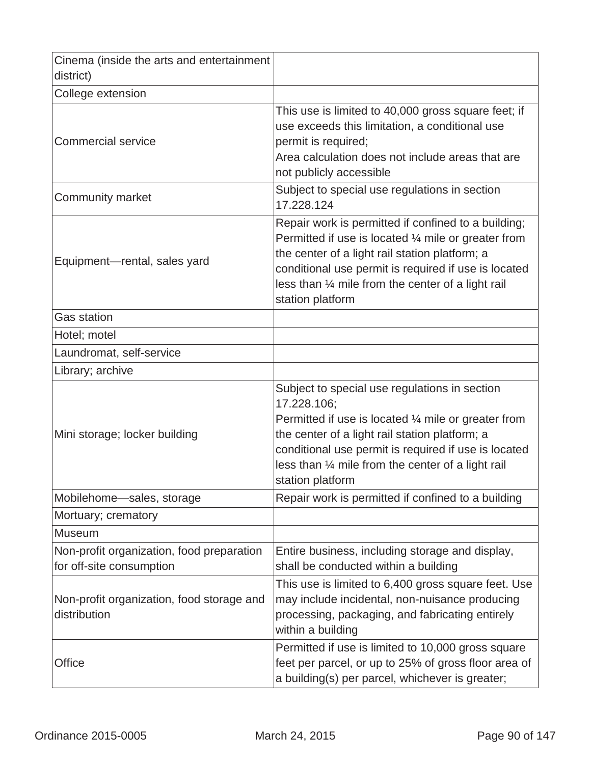| Cinema (inside the arts and entertainment<br>district)                |                                                                                                                                                                                                                                                                                                                    |
|-----------------------------------------------------------------------|--------------------------------------------------------------------------------------------------------------------------------------------------------------------------------------------------------------------------------------------------------------------------------------------------------------------|
| College extension                                                     |                                                                                                                                                                                                                                                                                                                    |
| <b>Commercial service</b>                                             | This use is limited to 40,000 gross square feet; if<br>use exceeds this limitation, a conditional use<br>permit is required;<br>Area calculation does not include areas that are<br>not publicly accessible                                                                                                        |
| <b>Community market</b>                                               | Subject to special use regulations in section<br>17.228.124                                                                                                                                                                                                                                                        |
| Equipment—rental, sales yard                                          | Repair work is permitted if confined to a building;<br>Permitted if use is located $\frac{1}{4}$ mile or greater from<br>the center of a light rail station platform; a<br>conditional use permit is required if use is located<br>less than 1/4 mile from the center of a light rail<br>station platform          |
| <b>Gas station</b>                                                    |                                                                                                                                                                                                                                                                                                                    |
| Hotel; motel                                                          |                                                                                                                                                                                                                                                                                                                    |
| Laundromat, self-service                                              |                                                                                                                                                                                                                                                                                                                    |
| Library; archive                                                      |                                                                                                                                                                                                                                                                                                                    |
| Mini storage; locker building                                         | Subject to special use regulations in section<br>17.228.106;<br>Permitted if use is located $\frac{1}{4}$ mile or greater from<br>the center of a light rail station platform; a<br>conditional use permit is required if use is located<br>less than 1/4 mile from the center of a light rail<br>station platform |
| Mobilehome-sales, storage                                             | Repair work is permitted if confined to a building                                                                                                                                                                                                                                                                 |
| Mortuary; crematory                                                   |                                                                                                                                                                                                                                                                                                                    |
| <b>Museum</b>                                                         |                                                                                                                                                                                                                                                                                                                    |
| Non-profit organization, food preparation<br>for off-site consumption | Entire business, including storage and display,<br>shall be conducted within a building                                                                                                                                                                                                                            |
| Non-profit organization, food storage and<br>distribution             | This use is limited to 6,400 gross square feet. Use<br>may include incidental, non-nuisance producing<br>processing, packaging, and fabricating entirely<br>within a building                                                                                                                                      |
| Office                                                                | Permitted if use is limited to 10,000 gross square<br>feet per parcel, or up to 25% of gross floor area of<br>a building(s) per parcel, whichever is greater;                                                                                                                                                      |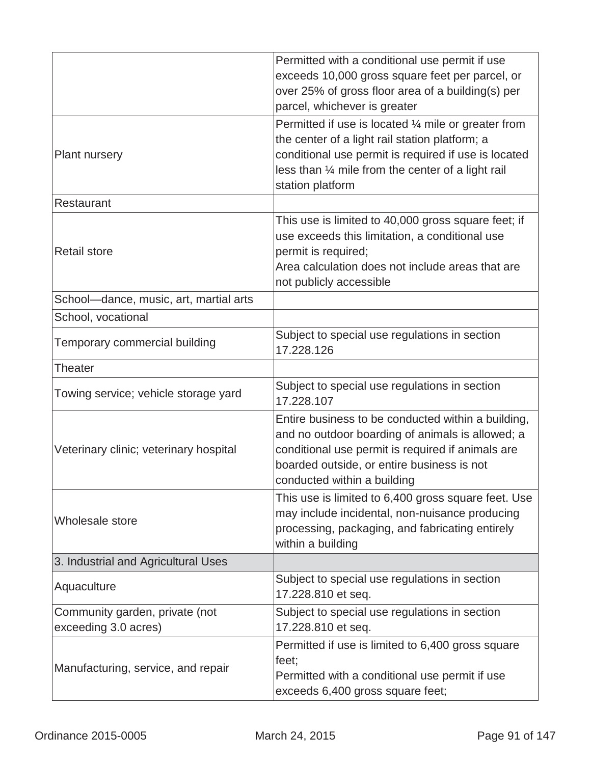|                                                        | Permitted with a conditional use permit if use<br>exceeds 10,000 gross square feet per parcel, or<br>over 25% of gross floor area of a building(s) per<br>parcel, whichever is greater                                                             |
|--------------------------------------------------------|----------------------------------------------------------------------------------------------------------------------------------------------------------------------------------------------------------------------------------------------------|
| <b>Plant nursery</b>                                   | Permitted if use is located $\frac{1}{4}$ mile or greater from<br>the center of a light rail station platform; a<br>conditional use permit is required if use is located<br>less than 1/4 mile from the center of a light rail<br>station platform |
| Restaurant                                             |                                                                                                                                                                                                                                                    |
| <b>Retail store</b>                                    | This use is limited to 40,000 gross square feet; if<br>use exceeds this limitation, a conditional use<br>permit is required;<br>Area calculation does not include areas that are<br>not publicly accessible                                        |
| School-dance, music, art, martial arts                 |                                                                                                                                                                                                                                                    |
| School, vocational                                     |                                                                                                                                                                                                                                                    |
| Temporary commercial building                          | Subject to special use regulations in section<br>17.228.126                                                                                                                                                                                        |
| Theater                                                |                                                                                                                                                                                                                                                    |
| Towing service; vehicle storage yard                   | Subject to special use regulations in section<br>17.228.107                                                                                                                                                                                        |
| Veterinary clinic; veterinary hospital                 | Entire business to be conducted within a building,<br>and no outdoor boarding of animals is allowed; a<br>conditional use permit is required if animals are<br>boarded outside, or entire business is not<br>conducted within a building           |
| Wholesale store                                        | This use is limited to 6,400 gross square feet. Use<br>may include incidental, non-nuisance producing<br>processing, packaging, and fabricating entirely<br>within a building                                                                      |
| 3. Industrial and Agricultural Uses                    |                                                                                                                                                                                                                                                    |
| Aquaculture                                            | Subject to special use regulations in section<br>17.228.810 et seq.                                                                                                                                                                                |
| Community garden, private (not<br>exceeding 3.0 acres) | Subject to special use regulations in section<br>17.228.810 et seq.                                                                                                                                                                                |
| Manufacturing, service, and repair                     | Permitted if use is limited to 6,400 gross square<br>feet;<br>Permitted with a conditional use permit if use<br>exceeds 6,400 gross square feet;                                                                                                   |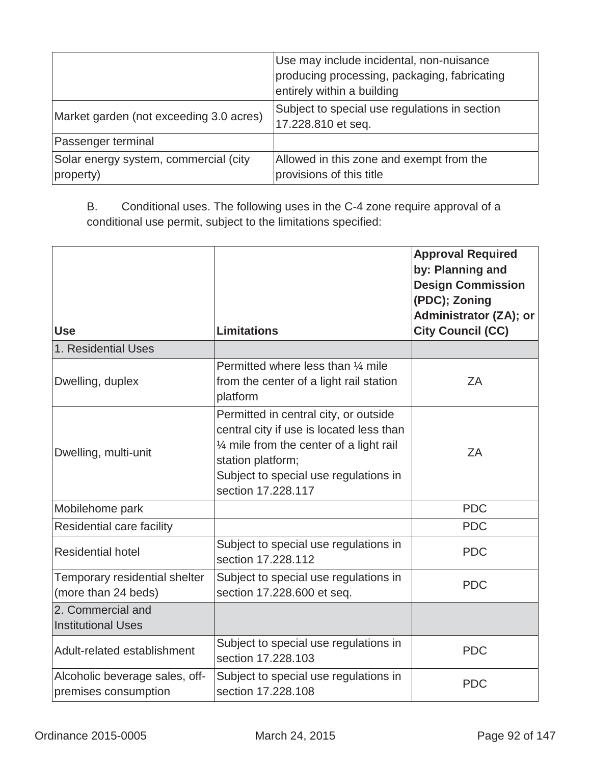|                                                    | Use may include incidental, non-nuisance<br>producing processing, packaging, fabricating<br>entirely within a building |
|----------------------------------------------------|------------------------------------------------------------------------------------------------------------------------|
| Market garden (not exceeding 3.0 acres)            | Subject to special use regulations in section<br>17.228.810 et seq.                                                    |
| Passenger terminal                                 |                                                                                                                        |
| Solar energy system, commercial (city<br>property) | Allowed in this zone and exempt from the<br>provisions of this title                                                   |

B. Conditional uses. The following uses in the C-4 zone require approval of a conditional use permit, subject to the limitations specified:

| <b>Use</b>                                             | <b>Limitations</b>                                                                                                                                                                                                          | <b>Approval Required</b><br>by: Planning and<br><b>Design Commission</b><br>(PDC); Zoning<br>Administrator (ZA); or<br><b>City Council (CC)</b> |
|--------------------------------------------------------|-----------------------------------------------------------------------------------------------------------------------------------------------------------------------------------------------------------------------------|-------------------------------------------------------------------------------------------------------------------------------------------------|
| 1. Residential Uses                                    |                                                                                                                                                                                                                             |                                                                                                                                                 |
| Dwelling, duplex                                       | Permitted where less than 1/4 mile<br>from the center of a light rail station<br>platform                                                                                                                                   | ZA                                                                                                                                              |
| Dwelling, multi-unit                                   | Permitted in central city, or outside<br>central city if use is located less than<br>$\frac{1}{4}$ mile from the center of a light rail<br>station platform;<br>Subject to special use regulations in<br>section 17.228.117 | ZA                                                                                                                                              |
| Mobilehome park                                        |                                                                                                                                                                                                                             | <b>PDC</b>                                                                                                                                      |
| Residential care facility                              |                                                                                                                                                                                                                             | <b>PDC</b>                                                                                                                                      |
| <b>Residential hotel</b>                               | Subject to special use regulations in<br>section 17.228.112                                                                                                                                                                 | <b>PDC</b>                                                                                                                                      |
| Temporary residential shelter<br>(more than 24 beds)   | Subject to special use regulations in<br>section 17.228.600 et seq.                                                                                                                                                         | <b>PDC</b>                                                                                                                                      |
| 2. Commercial and<br><b>Institutional Uses</b>         |                                                                                                                                                                                                                             |                                                                                                                                                 |
| Adult-related establishment                            | Subject to special use regulations in<br>section 17,228,103                                                                                                                                                                 | <b>PDC</b>                                                                                                                                      |
| Alcoholic beverage sales, off-<br>premises consumption | Subject to special use regulations in<br>section 17.228.108                                                                                                                                                                 | <b>PDC</b>                                                                                                                                      |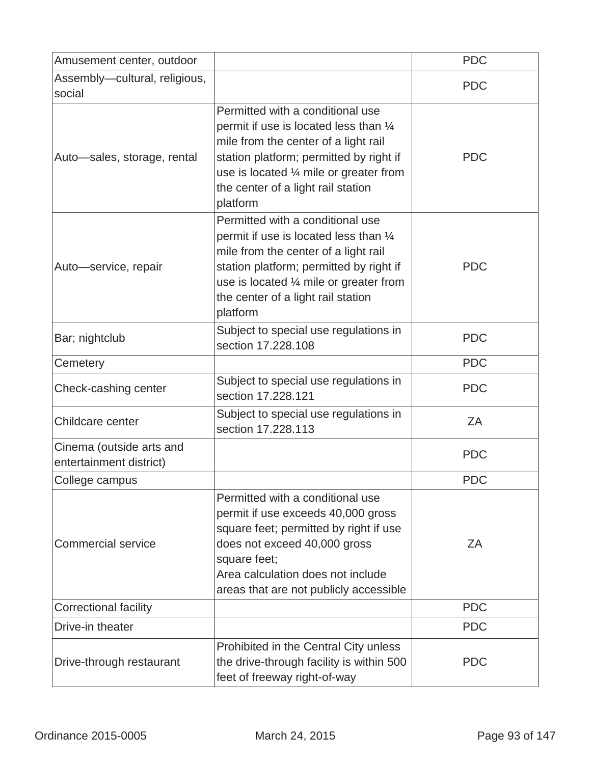| Amusement center, outdoor                           |                                                                                                                                                                                                                                                                      | <b>PDC</b> |
|-----------------------------------------------------|----------------------------------------------------------------------------------------------------------------------------------------------------------------------------------------------------------------------------------------------------------------------|------------|
| Assembly-cultural, religious,<br>social             |                                                                                                                                                                                                                                                                      | <b>PDC</b> |
| Auto-sales, storage, rental                         | Permitted with a conditional use<br>permit if use is located less than 1/4<br>mile from the center of a light rail<br>station platform; permitted by right if<br>use is located $\frac{1}{4}$ mile or greater from<br>the center of a light rail station<br>platform | <b>PDC</b> |
| Auto-service, repair                                | Permitted with a conditional use<br>permit if use is located less than 1/4<br>mile from the center of a light rail<br>station platform; permitted by right if<br>use is located $\frac{1}{4}$ mile or greater from<br>the center of a light rail station<br>platform | <b>PDC</b> |
| Bar; nightclub                                      | Subject to special use regulations in<br>section 17.228.108                                                                                                                                                                                                          | <b>PDC</b> |
| Cemetery                                            |                                                                                                                                                                                                                                                                      | <b>PDC</b> |
| Check-cashing center                                | Subject to special use regulations in<br>section 17.228.121                                                                                                                                                                                                          | <b>PDC</b> |
| Childcare center                                    | Subject to special use regulations in<br>section 17,228,113                                                                                                                                                                                                          | ZA         |
| Cinema (outside arts and<br>entertainment district) |                                                                                                                                                                                                                                                                      | <b>PDC</b> |
| College campus                                      |                                                                                                                                                                                                                                                                      | <b>PDC</b> |
| <b>Commercial service</b>                           | Permitted with a conditional use<br>permit if use exceeds 40,000 gross<br>square feet; permitted by right if use<br>does not exceed 40,000 gross<br>square feet;<br>Area calculation does not include<br>areas that are not publicly accessible                      | ZA         |
| Correctional facility                               |                                                                                                                                                                                                                                                                      | <b>PDC</b> |
| Drive-in theater                                    |                                                                                                                                                                                                                                                                      | <b>PDC</b> |
| Drive-through restaurant                            | Prohibited in the Central City unless<br>the drive-through facility is within 500<br>feet of freeway right-of-way                                                                                                                                                    | <b>PDC</b> |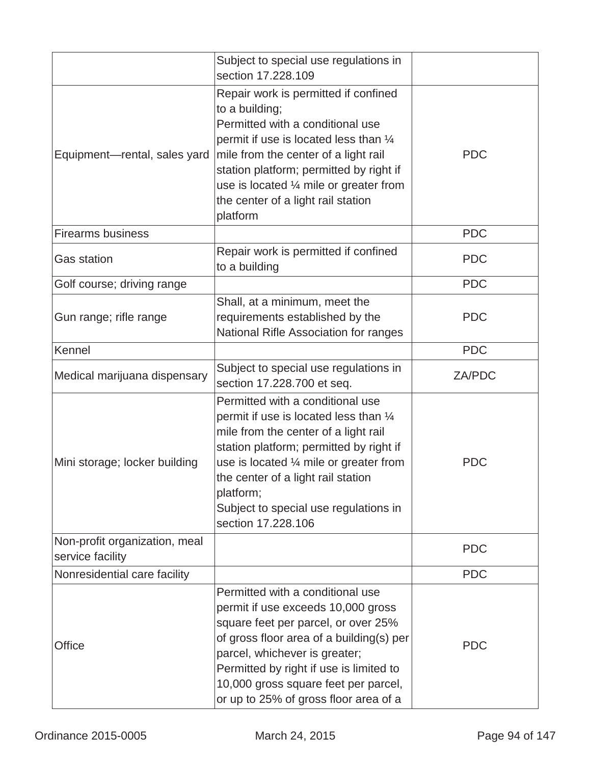|                                                   | Subject to special use regulations in<br>section 17,228,109                                                                                                                                                                                                                                                                    |            |
|---------------------------------------------------|--------------------------------------------------------------------------------------------------------------------------------------------------------------------------------------------------------------------------------------------------------------------------------------------------------------------------------|------------|
| Equipment-rental, sales yard                      | Repair work is permitted if confined<br>to a building;<br>Permitted with a conditional use<br>permit if use is located less than $\frac{1}{4}$<br>mile from the center of a light rail<br>station platform; permitted by right if<br>use is located 1/4 mile or greater from<br>the center of a light rail station<br>platform | <b>PDC</b> |
| <b>Firearms business</b>                          |                                                                                                                                                                                                                                                                                                                                | <b>PDC</b> |
| <b>Gas station</b>                                | Repair work is permitted if confined<br>to a building                                                                                                                                                                                                                                                                          | <b>PDC</b> |
| Golf course; driving range                        |                                                                                                                                                                                                                                                                                                                                | <b>PDC</b> |
| Gun range; rifle range                            | Shall, at a minimum, meet the<br>requirements established by the<br>National Rifle Association for ranges                                                                                                                                                                                                                      | <b>PDC</b> |
| Kennel                                            |                                                                                                                                                                                                                                                                                                                                | <b>PDC</b> |
| Medical marijuana dispensary                      | Subject to special use regulations in<br>section 17.228.700 et seq.                                                                                                                                                                                                                                                            | ZA/PDC     |
| Mini storage; locker building                     | Permitted with a conditional use<br>permit if use is located less than 1/4<br>mile from the center of a light rail<br>station platform; permitted by right if<br>use is located 1/4 mile or greater from<br>the center of a light rail station<br>platform;<br>Subject to special use regulations in<br>section 17.228.106     | <b>PDC</b> |
| Non-profit organization, meal<br>service facility |                                                                                                                                                                                                                                                                                                                                | <b>PDC</b> |
| Nonresidential care facility                      |                                                                                                                                                                                                                                                                                                                                | <b>PDC</b> |
| Office                                            | Permitted with a conditional use<br>permit if use exceeds 10,000 gross<br>square feet per parcel, or over 25%<br>of gross floor area of a building(s) per<br>parcel, whichever is greater;<br>Permitted by right if use is limited to<br>10,000 gross square feet per parcel,<br>or up to 25% of gross floor area of a         | <b>PDC</b> |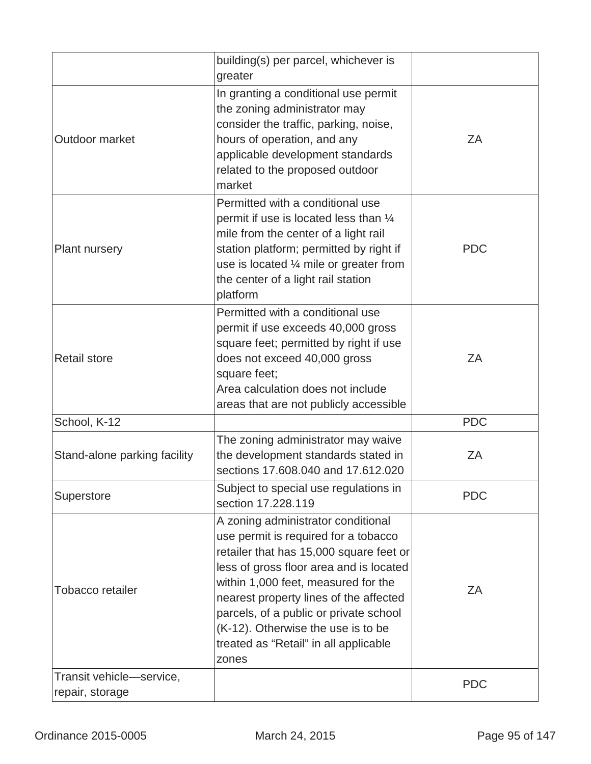|                                             | building(s) per parcel, whichever is<br>greater                                                                                                                                                                                                                                                                                                                                     |            |
|---------------------------------------------|-------------------------------------------------------------------------------------------------------------------------------------------------------------------------------------------------------------------------------------------------------------------------------------------------------------------------------------------------------------------------------------|------------|
| Outdoor market                              | In granting a conditional use permit<br>the zoning administrator may<br>consider the traffic, parking, noise,<br>hours of operation, and any<br>applicable development standards<br>related to the proposed outdoor<br>market                                                                                                                                                       | ZA         |
| <b>Plant nursery</b>                        | Permitted with a conditional use<br>permit if use is located less than 1/4<br>mile from the center of a light rail<br>station platform; permitted by right if<br>use is located $\frac{1}{4}$ mile or greater from<br>the center of a light rail station<br>platform                                                                                                                | <b>PDC</b> |
| <b>Retail store</b>                         | Permitted with a conditional use<br>permit if use exceeds 40,000 gross<br>square feet; permitted by right if use<br>does not exceed 40,000 gross<br>square feet;<br>Area calculation does not include<br>areas that are not publicly accessible                                                                                                                                     | ZA         |
| School, K-12                                |                                                                                                                                                                                                                                                                                                                                                                                     | <b>PDC</b> |
| Stand-alone parking facility                | The zoning administrator may waive<br>the development standards stated in<br>sections 17.608.040 and 17.612.020                                                                                                                                                                                                                                                                     | ZA         |
| Superstore                                  | Subject to special use regulations in<br>section 17.228.119                                                                                                                                                                                                                                                                                                                         | <b>PDC</b> |
| Tobacco retailer                            | A zoning administrator conditional<br>use permit is required for a tobacco<br>retailer that has 15,000 square feet or<br>less of gross floor area and is located<br>within 1,000 feet, measured for the<br>nearest property lines of the affected<br>parcels, of a public or private school<br>(K-12). Otherwise the use is to be<br>treated as "Retail" in all applicable<br>zones | ZA         |
| Transit vehicle-service,<br>repair, storage |                                                                                                                                                                                                                                                                                                                                                                                     | <b>PDC</b> |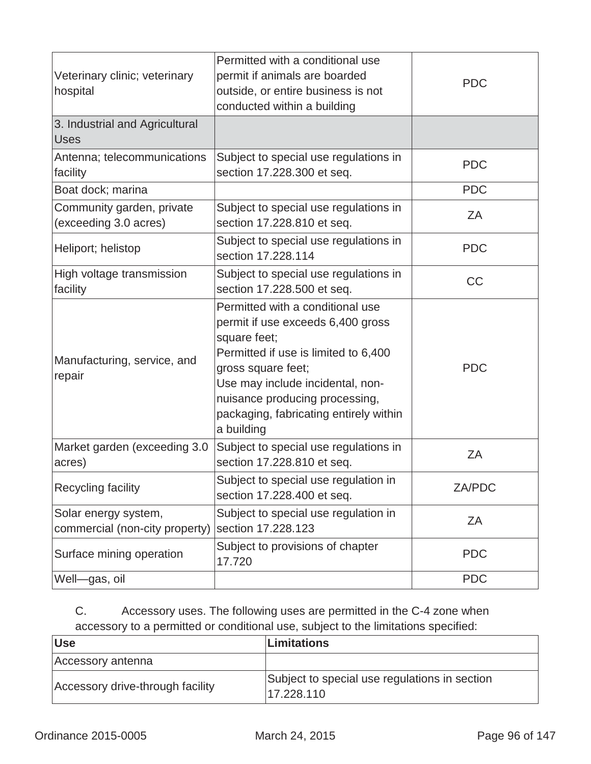| Veterinary clinic; veterinary<br>hospital              | Permitted with a conditional use<br>permit if animals are boarded<br>outside, or entire business is not<br>conducted within a building                                                                                                                                            | <b>PDC</b> |
|--------------------------------------------------------|-----------------------------------------------------------------------------------------------------------------------------------------------------------------------------------------------------------------------------------------------------------------------------------|------------|
| 3. Industrial and Agricultural<br><b>Uses</b>          |                                                                                                                                                                                                                                                                                   |            |
| Antenna; telecommunications<br>facility                | Subject to special use regulations in<br>section 17.228.300 et seq.                                                                                                                                                                                                               | <b>PDC</b> |
| Boat dock; marina                                      |                                                                                                                                                                                                                                                                                   | <b>PDC</b> |
| Community garden, private<br>(exceeding 3.0 acres)     | Subject to special use regulations in<br>section 17.228.810 et seq.                                                                                                                                                                                                               | ZΑ         |
| Heliport; helistop                                     | Subject to special use regulations in<br>section 17.228.114                                                                                                                                                                                                                       | <b>PDC</b> |
| High voltage transmission<br>facility                  | Subject to special use regulations in<br>section 17.228.500 et seq.                                                                                                                                                                                                               | <b>CC</b>  |
| Manufacturing, service, and<br>repair                  | Permitted with a conditional use<br>permit if use exceeds 6,400 gross<br>square feet;<br>Permitted if use is limited to 6,400<br>gross square feet;<br>Use may include incidental, non-<br>nuisance producing processing,<br>packaging, fabricating entirely within<br>a building | <b>PDC</b> |
| Market garden (exceeding 3.0<br>acres)                 | Subject to special use regulations in<br>section 17.228.810 et seq.                                                                                                                                                                                                               | ZA         |
| Recycling facility                                     | Subject to special use regulation in<br>section 17.228.400 et seq.                                                                                                                                                                                                                | ZA/PDC     |
| Solar energy system,<br>commercial (non-city property) | Subject to special use regulation in<br>section 17.228.123                                                                                                                                                                                                                        | ZΑ         |
| Surface mining operation                               | Subject to provisions of chapter<br>17.720                                                                                                                                                                                                                                        | <b>PDC</b> |
| Well-gas, oil                                          |                                                                                                                                                                                                                                                                                   | <b>PDC</b> |

# C. Accessory uses. The following uses are permitted in the C-4 zone when accessory to a permitted or conditional use, subject to the limitations specified:

| <b>Use</b>                       | <b>Limitations</b>                                          |
|----------------------------------|-------------------------------------------------------------|
| Accessory antenna                |                                                             |
| Accessory drive-through facility | Subject to special use regulations in section<br>17.228.110 |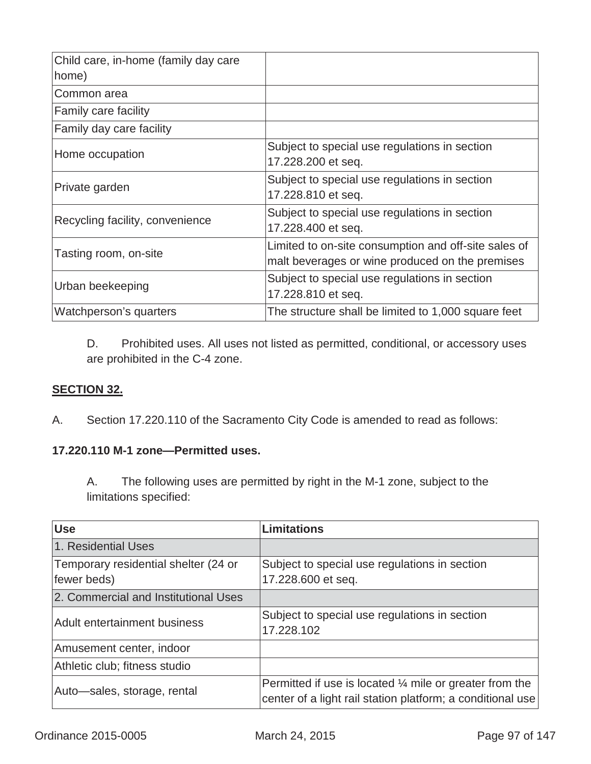| Child care, in-home (family day care |                                                                                                         |
|--------------------------------------|---------------------------------------------------------------------------------------------------------|
| home)                                |                                                                                                         |
| Common area                          |                                                                                                         |
| <b>Family care facility</b>          |                                                                                                         |
| Family day care facility             |                                                                                                         |
| Home occupation                      | Subject to special use regulations in section<br>17.228.200 et seq.                                     |
| Private garden                       | Subject to special use regulations in section<br>17.228.810 et seq.                                     |
| Recycling facility, convenience      | Subject to special use regulations in section<br>17.228.400 et seq.                                     |
| Tasting room, on-site                | Limited to on-site consumption and off-site sales of<br>malt beverages or wine produced on the premises |
| Urban beekeeping                     | Subject to special use regulations in section<br>17.228.810 et seq.                                     |
| Watchperson's quarters               | The structure shall be limited to 1,000 square feet                                                     |

D. Prohibited uses. All uses not listed as permitted, conditional, or accessory uses are prohibited in the C-4 zone.

# **SECTION 32.**

A.Section 17.220.110 of the Sacramento City Code is amended to read as follows:

### **17.220.110 M-1 zone—Permitted uses.**

A. The following uses are permitted by right in the M-1 zone, subject to the limitations specified:

| <b>Use</b>                                          | <b>Limitations</b>                                                                                                               |
|-----------------------------------------------------|----------------------------------------------------------------------------------------------------------------------------------|
| 1. Residential Uses                                 |                                                                                                                                  |
| Temporary residential shelter (24 or<br>fewer beds) | Subject to special use regulations in section<br>17.228.600 et seq.                                                              |
| 2. Commercial and Institutional Uses                |                                                                                                                                  |
| Adult entertainment business                        | Subject to special use regulations in section<br>17.228.102                                                                      |
| Amusement center, indoor                            |                                                                                                                                  |
| Athletic club; fitness studio                       |                                                                                                                                  |
| Auto-sales, storage, rental                         | Permitted if use is located $\frac{1}{4}$ mile or greater from the<br>center of a light rail station platform; a conditional use |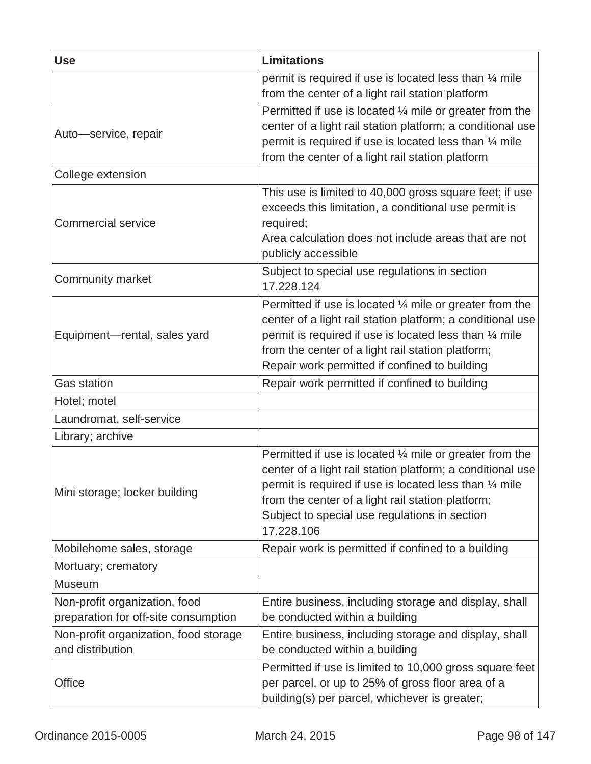| <b>Use</b>                                                            | <b>Limitations</b>                                                                                                                                                                                                                                                                                              |
|-----------------------------------------------------------------------|-----------------------------------------------------------------------------------------------------------------------------------------------------------------------------------------------------------------------------------------------------------------------------------------------------------------|
|                                                                       | permit is required if use is located less than 1/4 mile<br>from the center of a light rail station platform                                                                                                                                                                                                     |
| Auto-service, repair                                                  | Permitted if use is located $\frac{1}{4}$ mile or greater from the<br>center of a light rail station platform; a conditional use<br>permit is required if use is located less than 1/4 mile<br>from the center of a light rail station platform                                                                 |
| College extension                                                     |                                                                                                                                                                                                                                                                                                                 |
| <b>Commercial service</b>                                             | This use is limited to 40,000 gross square feet; if use<br>exceeds this limitation, a conditional use permit is<br>required;<br>Area calculation does not include areas that are not<br>publicly accessible                                                                                                     |
| Community market                                                      | Subject to special use regulations in section<br>17.228.124                                                                                                                                                                                                                                                     |
| Equipment-rental, sales yard                                          | Permitted if use is located $\frac{1}{4}$ mile or greater from the<br>center of a light rail station platform; a conditional use<br>permit is required if use is located less than 1/4 mile<br>from the center of a light rail station platform;<br>Repair work permitted if confined to building               |
| <b>Gas station</b>                                                    | Repair work permitted if confined to building                                                                                                                                                                                                                                                                   |
| Hotel; motel                                                          |                                                                                                                                                                                                                                                                                                                 |
| Laundromat, self-service                                              |                                                                                                                                                                                                                                                                                                                 |
| Library; archive                                                      |                                                                                                                                                                                                                                                                                                                 |
| Mini storage; locker building                                         | Permitted if use is located $\frac{1}{4}$ mile or greater from the<br>center of a light rail station platform; a conditional use<br>permit is required if use is located less than 1/4 mile<br>from the center of a light rail station platform;<br>Subject to special use regulations in section<br>17.228.106 |
| Mobilehome sales, storage                                             | Repair work is permitted if confined to a building                                                                                                                                                                                                                                                              |
| Mortuary; crematory                                                   |                                                                                                                                                                                                                                                                                                                 |
| <b>Museum</b>                                                         |                                                                                                                                                                                                                                                                                                                 |
| Non-profit organization, food<br>preparation for off-site consumption | Entire business, including storage and display, shall<br>be conducted within a building                                                                                                                                                                                                                         |
| Non-profit organization, food storage<br>and distribution             | Entire business, including storage and display, shall<br>be conducted within a building                                                                                                                                                                                                                         |
| <b>Office</b>                                                         | Permitted if use is limited to 10,000 gross square feet<br>per parcel, or up to 25% of gross floor area of a<br>building(s) per parcel, whichever is greater;                                                                                                                                                   |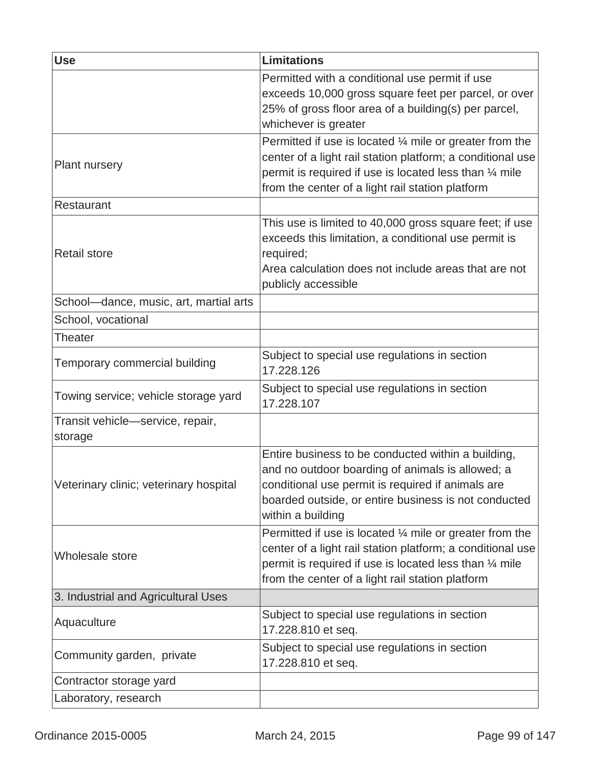| <b>Use</b>                                  | <b>Limitations</b>                                                                                                                                                                                                                              |
|---------------------------------------------|-------------------------------------------------------------------------------------------------------------------------------------------------------------------------------------------------------------------------------------------------|
|                                             | Permitted with a conditional use permit if use<br>exceeds 10,000 gross square feet per parcel, or over<br>25% of gross floor area of a building(s) per parcel,                                                                                  |
|                                             | whichever is greater                                                                                                                                                                                                                            |
| <b>Plant nursery</b>                        | Permitted if use is located $\frac{1}{4}$ mile or greater from the<br>center of a light rail station platform; a conditional use<br>permit is required if use is located less than 1/4 mile<br>from the center of a light rail station platform |
| Restaurant                                  |                                                                                                                                                                                                                                                 |
| <b>Retail store</b>                         | This use is limited to 40,000 gross square feet; if use<br>exceeds this limitation, a conditional use permit is<br>required;<br>Area calculation does not include areas that are not<br>publicly accessible                                     |
| School-dance, music, art, martial arts      |                                                                                                                                                                                                                                                 |
| School, vocational                          |                                                                                                                                                                                                                                                 |
| Theater                                     |                                                                                                                                                                                                                                                 |
| Temporary commercial building               | Subject to special use regulations in section<br>17.228.126                                                                                                                                                                                     |
| Towing service; vehicle storage yard        | Subject to special use regulations in section<br>17.228.107                                                                                                                                                                                     |
| Transit vehicle-service, repair,<br>storage |                                                                                                                                                                                                                                                 |
| Veterinary clinic; veterinary hospital      | Entire business to be conducted within a building,<br>and no outdoor boarding of animals is allowed; a<br>conditional use permit is required if animals are<br>boarded outside, or entire business is not conducted<br>within a building        |
| Wholesale store                             | Permitted if use is located $\frac{1}{4}$ mile or greater from the<br>center of a light rail station platform; a conditional use<br>permit is required if use is located less than 1/4 mile<br>from the center of a light rail station platform |
| 3. Industrial and Agricultural Uses         |                                                                                                                                                                                                                                                 |
| Aquaculture                                 | Subject to special use regulations in section<br>17.228.810 et seq.                                                                                                                                                                             |
| Community garden, private                   | Subject to special use regulations in section<br>17.228.810 et seq.                                                                                                                                                                             |
| Contractor storage yard                     |                                                                                                                                                                                                                                                 |
| Laboratory, research                        |                                                                                                                                                                                                                                                 |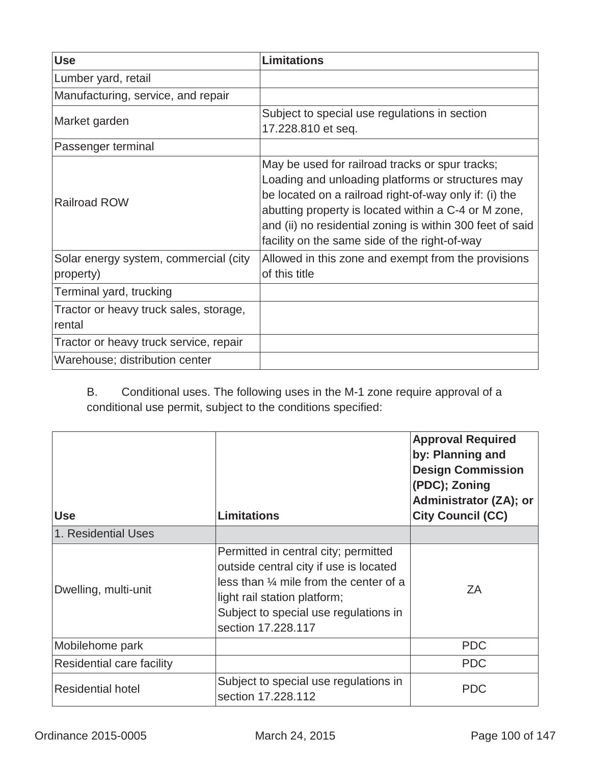| <b>Use</b>                             | Limitations                                                                                                                                                                                                                                                                                                                          |
|----------------------------------------|--------------------------------------------------------------------------------------------------------------------------------------------------------------------------------------------------------------------------------------------------------------------------------------------------------------------------------------|
| Lumber yard, retail                    |                                                                                                                                                                                                                                                                                                                                      |
| Manufacturing, service, and repair     |                                                                                                                                                                                                                                                                                                                                      |
| Market garden                          | Subject to special use regulations in section<br>17.228.810 et seq.                                                                                                                                                                                                                                                                  |
| Passenger terminal                     |                                                                                                                                                                                                                                                                                                                                      |
| <b>Railroad ROW</b>                    | May be used for railroad tracks or spur tracks;<br>Loading and unloading platforms or structures may<br>be located on a railroad right-of-way only if: (i) the<br>abutting property is located within a C-4 or M zone,<br>and (ii) no residential zoning is within 300 feet of said<br>facility on the same side of the right-of-way |
| Solar energy system, commercial (city  | Allowed in this zone and exempt from the provisions                                                                                                                                                                                                                                                                                  |
| property)                              | of this title                                                                                                                                                                                                                                                                                                                        |
| Terminal yard, trucking                |                                                                                                                                                                                                                                                                                                                                      |
| Tractor or heavy truck sales, storage, |                                                                                                                                                                                                                                                                                                                                      |
| rental                                 |                                                                                                                                                                                                                                                                                                                                      |
| Tractor or heavy truck service, repair |                                                                                                                                                                                                                                                                                                                                      |
| Warehouse; distribution center         |                                                                                                                                                                                                                                                                                                                                      |

B. Conditional uses. The following uses in the M-1 zone require approval of a conditional use permit, subject to the conditions specified:

| <b>Use</b>                | <b>Limitations</b>                                                                                                                                                                                                                 | <b>Approval Required</b><br>by: Planning and<br><b>Design Commission</b><br>(PDC); Zoning<br>Administrator (ZA); or<br><b>City Council (CC)</b> |
|---------------------------|------------------------------------------------------------------------------------------------------------------------------------------------------------------------------------------------------------------------------------|-------------------------------------------------------------------------------------------------------------------------------------------------|
| 1. Residential Uses       |                                                                                                                                                                                                                                    |                                                                                                                                                 |
| Dwelling, multi-unit      | Permitted in central city; permitted<br>outside central city if use is located<br>less than $\frac{1}{4}$ mile from the center of a<br>light rail station platform;<br>Subject to special use regulations in<br>section 17,228,117 | ΖA                                                                                                                                              |
| Mobilehome park           |                                                                                                                                                                                                                                    | <b>PDC</b>                                                                                                                                      |
| Residential care facility |                                                                                                                                                                                                                                    | <b>PDC</b>                                                                                                                                      |
| <b>Residential hotel</b>  | Subject to special use regulations in<br>section 17.228.112                                                                                                                                                                        | <b>PDC</b>                                                                                                                                      |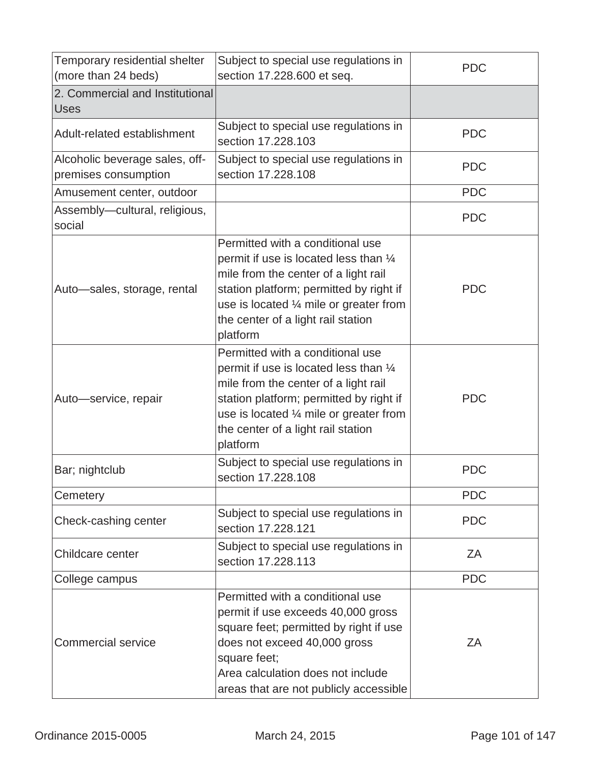| Temporary residential shelter<br>(more than 24 beds)   | Subject to special use regulations in<br>section 17.228.600 et seq.                                                                                                                                                                                                            | <b>PDC</b> |
|--------------------------------------------------------|--------------------------------------------------------------------------------------------------------------------------------------------------------------------------------------------------------------------------------------------------------------------------------|------------|
| 2. Commercial and Institutional<br><b>Uses</b>         |                                                                                                                                                                                                                                                                                |            |
| Adult-related establishment                            | Subject to special use regulations in<br>section 17,228,103                                                                                                                                                                                                                    | <b>PDC</b> |
| Alcoholic beverage sales, off-<br>premises consumption | Subject to special use regulations in<br>section 17,228,108                                                                                                                                                                                                                    | <b>PDC</b> |
| Amusement center, outdoor                              |                                                                                                                                                                                                                                                                                | <b>PDC</b> |
| Assembly-cultural, religious,<br>social                |                                                                                                                                                                                                                                                                                | <b>PDC</b> |
| Auto-sales, storage, rental                            | Permitted with a conditional use<br>permit if use is located less than $\frac{1}{4}$<br>mile from the center of a light rail<br>station platform; permitted by right if<br>use is located $\frac{1}{4}$ mile or greater from<br>the center of a light rail station<br>platform | <b>PDC</b> |
| Auto-service, repair                                   | Permitted with a conditional use<br>permit if use is located less than $\frac{1}{4}$<br>mile from the center of a light rail<br>station platform; permitted by right if<br>use is located $\frac{1}{4}$ mile or greater from<br>the center of a light rail station<br>platform | <b>PDC</b> |
| Bar; nightclub                                         | Subject to special use regulations in<br>section 17.228.108                                                                                                                                                                                                                    | <b>PDC</b> |
| Cemetery                                               |                                                                                                                                                                                                                                                                                | <b>PDC</b> |
| Check-cashing center                                   | Subject to special use regulations in<br>section 17.228.121                                                                                                                                                                                                                    | <b>PDC</b> |
| Childcare center                                       | Subject to special use regulations in<br>section 17.228.113                                                                                                                                                                                                                    | ZA         |
| College campus                                         |                                                                                                                                                                                                                                                                                | <b>PDC</b> |
| <b>Commercial service</b>                              | Permitted with a conditional use<br>permit if use exceeds 40,000 gross<br>square feet; permitted by right if use<br>does not exceed 40,000 gross<br>square feet;<br>Area calculation does not include<br>areas that are not publicly accessible                                | ZA         |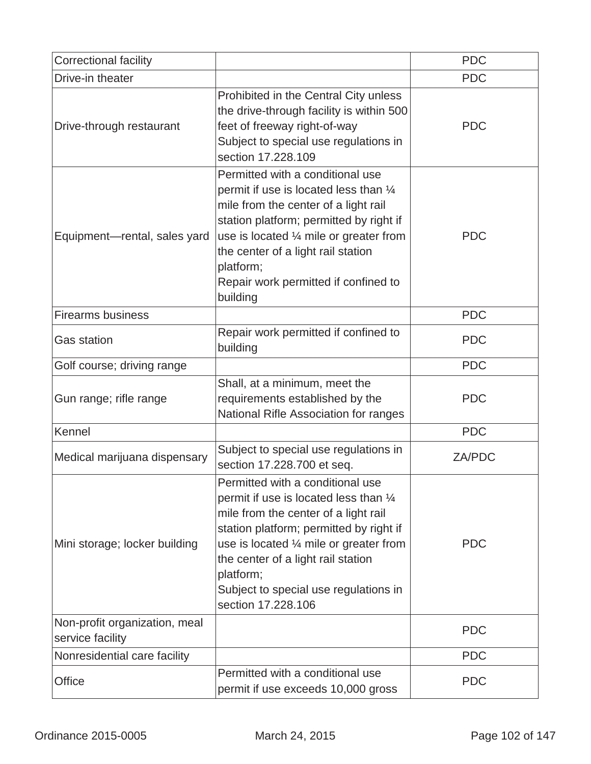| Correctional facility                             |                                                                                                                                                                                                                                                                                                                                      | <b>PDC</b> |
|---------------------------------------------------|--------------------------------------------------------------------------------------------------------------------------------------------------------------------------------------------------------------------------------------------------------------------------------------------------------------------------------------|------------|
| Drive-in theater                                  |                                                                                                                                                                                                                                                                                                                                      | <b>PDC</b> |
| Drive-through restaurant                          | Prohibited in the Central City unless<br>the drive-through facility is within 500<br>feet of freeway right-of-way<br>Subject to special use regulations in<br>section 17,228,109                                                                                                                                                     | <b>PDC</b> |
| Equipment-rental, sales yard                      | Permitted with a conditional use<br>permit if use is located less than 1/4<br>mile from the center of a light rail<br>station platform; permitted by right if<br>use is located 1/4 mile or greater from<br>the center of a light rail station<br>platform;<br>Repair work permitted if confined to<br>building                      | <b>PDC</b> |
| <b>Firearms business</b>                          |                                                                                                                                                                                                                                                                                                                                      | <b>PDC</b> |
| <b>Gas station</b>                                | Repair work permitted if confined to<br>building                                                                                                                                                                                                                                                                                     | <b>PDC</b> |
| Golf course; driving range                        |                                                                                                                                                                                                                                                                                                                                      | <b>PDC</b> |
| Gun range; rifle range                            | Shall, at a minimum, meet the<br>requirements established by the<br>National Rifle Association for ranges                                                                                                                                                                                                                            | <b>PDC</b> |
| Kennel                                            |                                                                                                                                                                                                                                                                                                                                      | <b>PDC</b> |
| Medical marijuana dispensary                      | Subject to special use regulations in<br>section 17.228.700 et seq.                                                                                                                                                                                                                                                                  | ZA/PDC     |
| Mini storage; locker building                     | Permitted with a conditional use<br>permit if use is located less than 1/4<br>mile from the center of a light rail<br>station platform; permitted by right if<br>use is located $\frac{1}{4}$ mile or greater from<br>the center of a light rail station<br>platform;<br>Subject to special use regulations in<br>section 17.228.106 | <b>PDC</b> |
| Non-profit organization, meal<br>service facility |                                                                                                                                                                                                                                                                                                                                      | <b>PDC</b> |
| Nonresidential care facility                      |                                                                                                                                                                                                                                                                                                                                      | <b>PDC</b> |
| <b>Office</b>                                     | Permitted with a conditional use<br>permit if use exceeds 10,000 gross                                                                                                                                                                                                                                                               | <b>PDC</b> |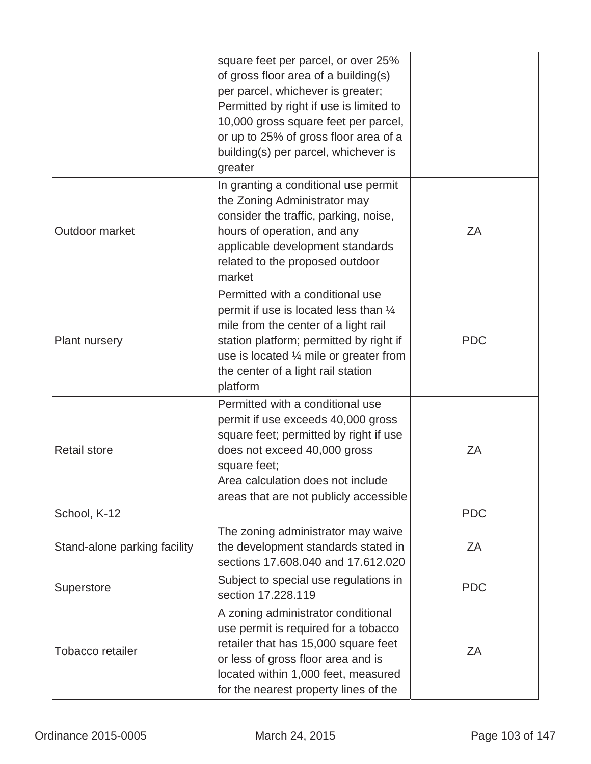|                                                                                                                                                                                                                                                                                       | square feet per parcel, or over 25%<br>of gross floor area of a building(s)<br>per parcel, whichever is greater;<br>Permitted by right if use is limited to<br>10,000 gross square feet per parcel,<br>or up to 25% of gross floor area of a<br>building(s) per parcel, whichever is<br>greater |            |
|---------------------------------------------------------------------------------------------------------------------------------------------------------------------------------------------------------------------------------------------------------------------------------------|-------------------------------------------------------------------------------------------------------------------------------------------------------------------------------------------------------------------------------------------------------------------------------------------------|------------|
| In granting a conditional use permit<br>the Zoning Administrator may<br>consider the traffic, parking, noise,<br>Outdoor market<br>hours of operation, and any<br>applicable development standards<br>related to the proposed outdoor<br>market                                       |                                                                                                                                                                                                                                                                                                 | ZA         |
| Permitted with a conditional use<br>permit if use is located less than 1/4<br>mile from the center of a light rail<br>station platform; permitted by right if<br>Plant nursery<br>use is located $\frac{1}{4}$ mile or greater from<br>the center of a light rail station<br>platform |                                                                                                                                                                                                                                                                                                 | <b>PDC</b> |
| <b>Retail store</b>                                                                                                                                                                                                                                                                   | Permitted with a conditional use<br>permit if use exceeds 40,000 gross<br>square feet; permitted by right if use<br>does not exceed 40,000 gross<br>square feet;<br>Area calculation does not include<br>areas that are not publicly accessible                                                 | ZΑ         |
| School, K-12                                                                                                                                                                                                                                                                          |                                                                                                                                                                                                                                                                                                 | <b>PDC</b> |
| Stand-alone parking facility                                                                                                                                                                                                                                                          | The zoning administrator may waive<br>the development standards stated in<br>ZA<br>sections 17.608.040 and 17.612.020                                                                                                                                                                           |            |
| Superstore                                                                                                                                                                                                                                                                            | Subject to special use regulations in<br>section 17.228.119                                                                                                                                                                                                                                     |            |
| Tobacco retailer                                                                                                                                                                                                                                                                      | A zoning administrator conditional<br>use permit is required for a tobacco<br>retailer that has 15,000 square feet<br>or less of gross floor area and is<br>located within 1,000 feet, measured<br>for the nearest property lines of the                                                        | ZA         |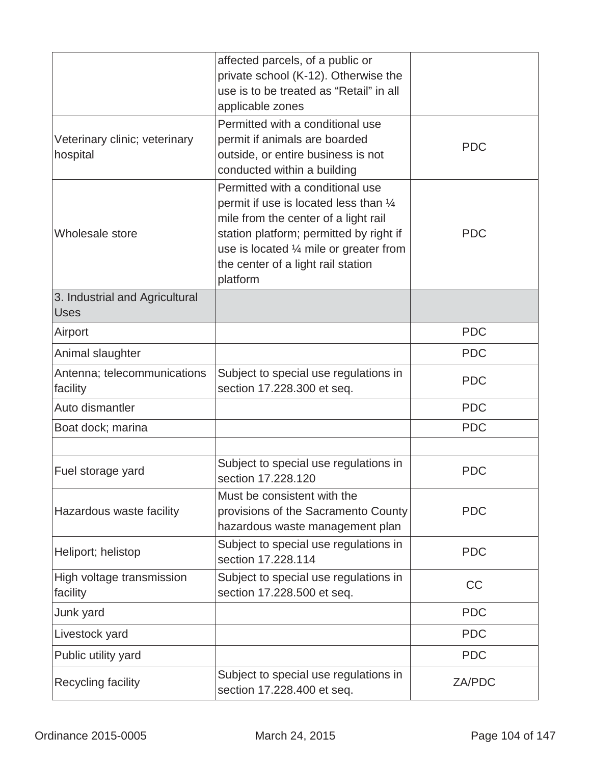|                                               | affected parcels, of a public or<br>private school (K-12). Otherwise the<br>use is to be treated as "Retail" in all<br>applicable zones                                                                                                                    |            |
|-----------------------------------------------|------------------------------------------------------------------------------------------------------------------------------------------------------------------------------------------------------------------------------------------------------------|------------|
| Veterinary clinic; veterinary<br>hospital     | Permitted with a conditional use<br>permit if animals are boarded<br>outside, or entire business is not<br>conducted within a building                                                                                                                     | <b>PDC</b> |
| Wholesale store                               | Permitted with a conditional use<br>permit if use is located less than 1/4<br>mile from the center of a light rail<br>station platform; permitted by right if<br>use is located 1/4 mile or greater from<br>the center of a light rail station<br>platform | <b>PDC</b> |
| 3. Industrial and Agricultural<br><b>Uses</b> |                                                                                                                                                                                                                                                            |            |
| Airport                                       |                                                                                                                                                                                                                                                            | <b>PDC</b> |
| Animal slaughter                              |                                                                                                                                                                                                                                                            | <b>PDC</b> |
| Antenna; telecommunications<br>facility       | Subject to special use regulations in<br>section 17.228.300 et seq.                                                                                                                                                                                        | <b>PDC</b> |
| Auto dismantler                               |                                                                                                                                                                                                                                                            | <b>PDC</b> |
| Boat dock; marina                             |                                                                                                                                                                                                                                                            | <b>PDC</b> |
|                                               |                                                                                                                                                                                                                                                            |            |
| Fuel storage yard                             | Subject to special use regulations in<br>section 17.228.120                                                                                                                                                                                                | <b>PDC</b> |
| Hazardous waste facility                      | Must be consistent with the<br>provisions of the Sacramento County<br>hazardous waste management plan                                                                                                                                                      | <b>PDC</b> |
| Heliport; helistop                            | Subject to special use regulations in<br>section 17,228,114                                                                                                                                                                                                | <b>PDC</b> |
| High voltage transmission<br>facility         | Subject to special use regulations in<br>section 17.228.500 et seq.                                                                                                                                                                                        | <b>CC</b>  |
| Junk yard                                     |                                                                                                                                                                                                                                                            | <b>PDC</b> |
| Livestock yard                                |                                                                                                                                                                                                                                                            | <b>PDC</b> |
| Public utility yard                           |                                                                                                                                                                                                                                                            | <b>PDC</b> |
| Recycling facility                            | Subject to special use regulations in<br>section 17.228.400 et seq.                                                                                                                                                                                        | ZA/PDC     |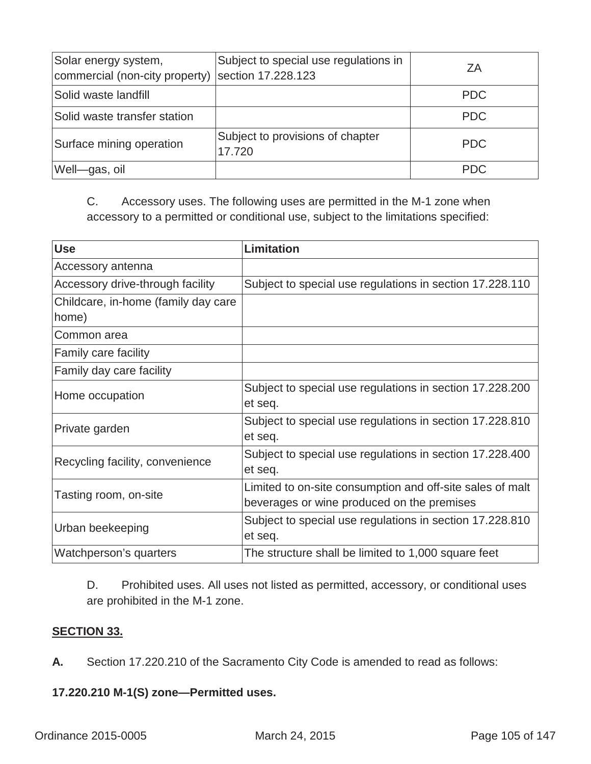| Solar energy system,<br>commercial (non-city property) | Subject to special use regulations in<br>section 17.228.123 | ΖA         |
|--------------------------------------------------------|-------------------------------------------------------------|------------|
| Solid waste landfill                                   |                                                             | <b>PDC</b> |
| Solid waste transfer station                           |                                                             | <b>PDC</b> |
| Surface mining operation                               | Subject to provisions of chapter<br>17.720                  | <b>PDC</b> |
| Well-gas, oil                                          |                                                             | <b>PDC</b> |

C. Accessory uses. The following uses are permitted in the M-1 zone when accessory to a permitted or conditional use, subject to the limitations specified:

| <b>Use</b>                          | <b>Limitation</b>                                         |
|-------------------------------------|-----------------------------------------------------------|
| Accessory antenna                   |                                                           |
| Accessory drive-through facility    | Subject to special use regulations in section 17.228.110  |
| Childcare, in-home (family day care |                                                           |
| home)                               |                                                           |
| Common area                         |                                                           |
| <b>Family care facility</b>         |                                                           |
| Family day care facility            |                                                           |
| Home occupation                     | Subject to special use regulations in section 17.228.200  |
|                                     | et seq.                                                   |
| Private garden                      | Subject to special use regulations in section 17.228.810  |
|                                     | et seq.                                                   |
| Recycling facility, convenience     | Subject to special use regulations in section 17.228.400  |
|                                     | et seq.                                                   |
| Tasting room, on-site               | Limited to on-site consumption and off-site sales of malt |
|                                     | beverages or wine produced on the premises                |
| Urban beekeeping                    | Subject to special use regulations in section 17.228.810  |
|                                     | et seq.                                                   |
| Watchperson's quarters              | The structure shall be limited to 1,000 square feet       |

D. Prohibited uses. All uses not listed as permitted, accessory, or conditional uses are prohibited in the M-1 zone.

### **SECTION 33.**

**A.** Section 17.220.210 of the Sacramento City Code is amended to read as follows:

# **17.220.210 M-1(S) zone—Permitted uses.**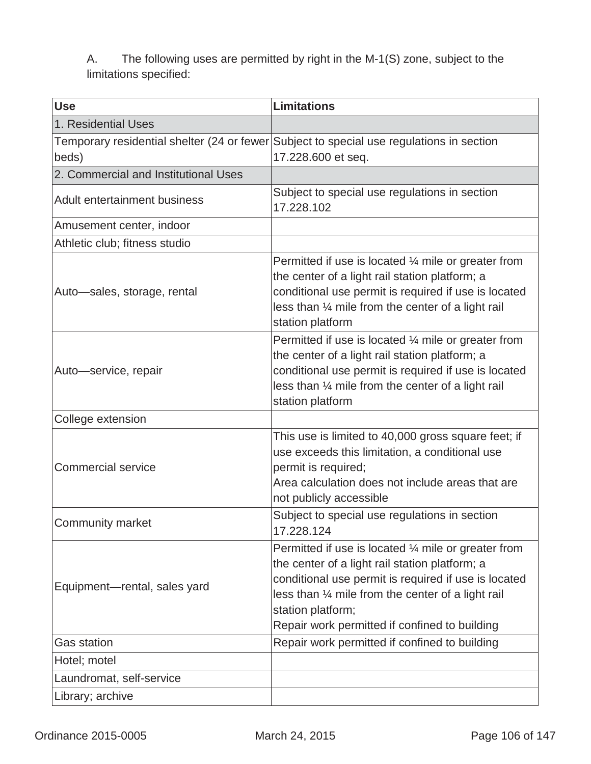A. The following uses are permitted by right in the M-1(S) zone, subject to the limitations specified:

| <b>Use</b>                           | <b>Limitations</b>                                                                                                                                                                                                                                                                                   |
|--------------------------------------|------------------------------------------------------------------------------------------------------------------------------------------------------------------------------------------------------------------------------------------------------------------------------------------------------|
| 1. Residential Uses                  |                                                                                                                                                                                                                                                                                                      |
| beds)                                | Temporary residential shelter (24 or fewer Subject to special use regulations in section<br>17.228.600 et seq.                                                                                                                                                                                       |
| 2. Commercial and Institutional Uses |                                                                                                                                                                                                                                                                                                      |
| Adult entertainment business         | Subject to special use regulations in section<br>17.228.102                                                                                                                                                                                                                                          |
| Amusement center, indoor             |                                                                                                                                                                                                                                                                                                      |
| Athletic club; fitness studio        |                                                                                                                                                                                                                                                                                                      |
| Auto-sales, storage, rental          | Permitted if use is located $\frac{1}{4}$ mile or greater from<br>the center of a light rail station platform; a<br>conditional use permit is required if use is located<br>less than 1/4 mile from the center of a light rail<br>station platform                                                   |
| Auto-service, repair                 | Permitted if use is located $\frac{1}{4}$ mile or greater from<br>the center of a light rail station platform; a<br>conditional use permit is required if use is located<br>less than 1/4 mile from the center of a light rail<br>station platform                                                   |
| College extension                    |                                                                                                                                                                                                                                                                                                      |
| <b>Commercial service</b>            | This use is limited to 40,000 gross square feet; if<br>use exceeds this limitation, a conditional use<br>permit is required;<br>Area calculation does not include areas that are<br>not publicly accessible                                                                                          |
| <b>Community market</b>              | Subject to special use regulations in section<br>17.228.124                                                                                                                                                                                                                                          |
| Equipment-rental, sales yard         | Permitted if use is located $\frac{1}{4}$ mile or greater from<br>the center of a light rail station platform; a<br>conditional use permit is required if use is located<br>less than 1/4 mile from the center of a light rail<br>station platform;<br>Repair work permitted if confined to building |
| <b>Gas station</b>                   | Repair work permitted if confined to building                                                                                                                                                                                                                                                        |
| Hotel; motel                         |                                                                                                                                                                                                                                                                                                      |
| Laundromat, self-service             |                                                                                                                                                                                                                                                                                                      |
| Library; archive                     |                                                                                                                                                                                                                                                                                                      |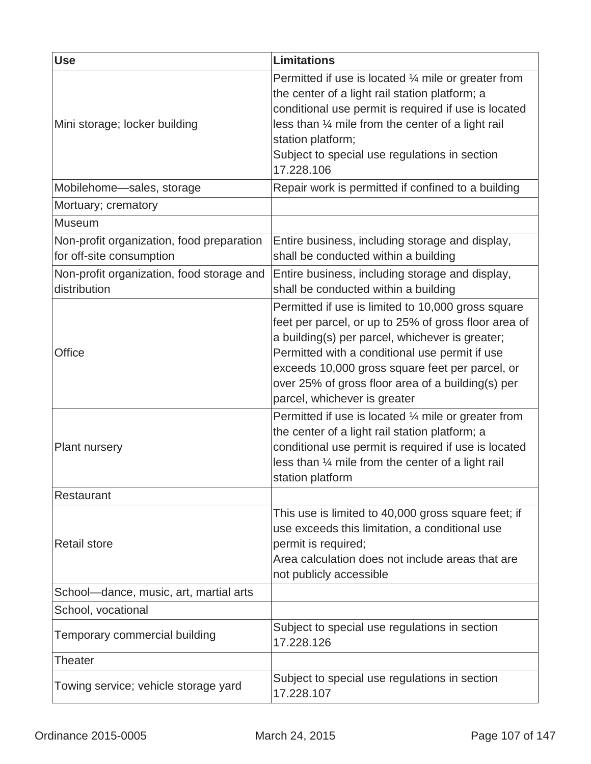| <b>Use</b>                                                            | <b>Limitations</b>                                                                                                                                                                                                                                                                                                                                      |
|-----------------------------------------------------------------------|---------------------------------------------------------------------------------------------------------------------------------------------------------------------------------------------------------------------------------------------------------------------------------------------------------------------------------------------------------|
| Mini storage; locker building                                         | Permitted if use is located $\frac{1}{4}$ mile or greater from<br>the center of a light rail station platform; a<br>conditional use permit is required if use is located<br>less than 1/4 mile from the center of a light rail<br>station platform;<br>Subject to special use regulations in section<br>17.228.106                                      |
| Mobilehome-sales, storage                                             | Repair work is permitted if confined to a building                                                                                                                                                                                                                                                                                                      |
| Mortuary; crematory                                                   |                                                                                                                                                                                                                                                                                                                                                         |
| <b>Museum</b>                                                         |                                                                                                                                                                                                                                                                                                                                                         |
| Non-profit organization, food preparation<br>for off-site consumption | Entire business, including storage and display,<br>shall be conducted within a building                                                                                                                                                                                                                                                                 |
| Non-profit organization, food storage and<br>distribution             | Entire business, including storage and display,<br>shall be conducted within a building                                                                                                                                                                                                                                                                 |
| Office                                                                | Permitted if use is limited to 10,000 gross square<br>feet per parcel, or up to 25% of gross floor area of<br>a building(s) per parcel, whichever is greater;<br>Permitted with a conditional use permit if use<br>exceeds 10,000 gross square feet per parcel, or<br>over 25% of gross floor area of a building(s) per<br>parcel, whichever is greater |
| <b>Plant nursery</b>                                                  | Permitted if use is located $\frac{1}{4}$ mile or greater from<br>the center of a light rail station platform; a<br>conditional use permit is required if use is located<br>less than 1/4 mile from the center of a light rail<br>station platform                                                                                                      |
| Restaurant                                                            |                                                                                                                                                                                                                                                                                                                                                         |
| <b>Retail store</b>                                                   | This use is limited to 40,000 gross square feet; if<br>use exceeds this limitation, a conditional use<br>permit is required;<br>Area calculation does not include areas that are<br>not publicly accessible                                                                                                                                             |
| School-dance, music, art, martial arts                                |                                                                                                                                                                                                                                                                                                                                                         |
| School, vocational                                                    |                                                                                                                                                                                                                                                                                                                                                         |
| Temporary commercial building                                         | Subject to special use regulations in section<br>17.228.126                                                                                                                                                                                                                                                                                             |
| Theater                                                               |                                                                                                                                                                                                                                                                                                                                                         |
| Towing service; vehicle storage yard                                  | Subject to special use regulations in section<br>17.228.107                                                                                                                                                                                                                                                                                             |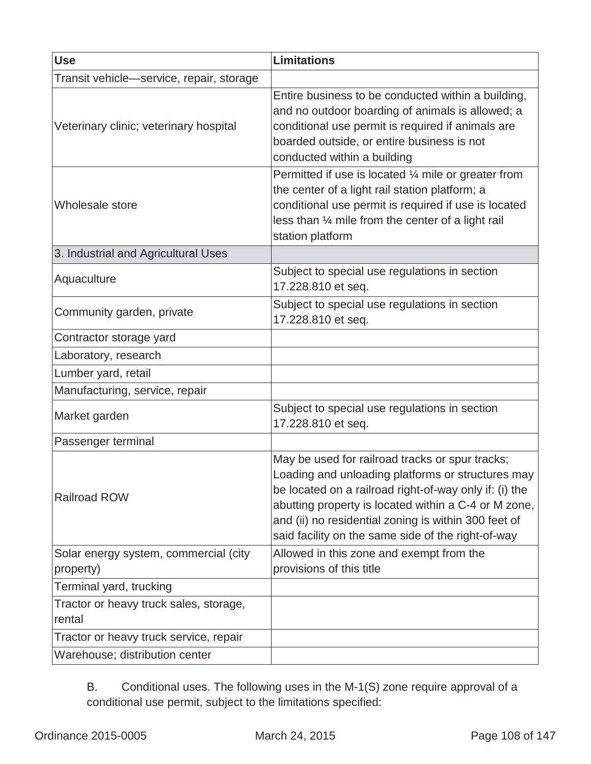| <b>Use</b>                                       | <b>Limitations</b>                                                                                                                                                                                                                                                                                                                   |
|--------------------------------------------------|--------------------------------------------------------------------------------------------------------------------------------------------------------------------------------------------------------------------------------------------------------------------------------------------------------------------------------------|
| Transit vehicle—service, repair, storage         |                                                                                                                                                                                                                                                                                                                                      |
| Veterinary clinic; veterinary hospital           | Entire business to be conducted within a building,<br>and no outdoor boarding of animals is allowed; a<br>conditional use permit is required if animals are<br>boarded outside, or entire business is not<br>conducted within a building                                                                                             |
| <b>Wholesale store</b>                           | Permitted if use is located $\frac{1}{4}$ mile or greater from<br>the center of a light rail station platform; a<br>conditional use permit is required if use is located<br>less than 1/4 mile from the center of a light rail<br>station platform                                                                                   |
| 3. Industrial and Agricultural Uses              |                                                                                                                                                                                                                                                                                                                                      |
| Aquaculture                                      | Subject to special use regulations in section<br>17.228.810 et seq.                                                                                                                                                                                                                                                                  |
| Community garden, private                        | Subject to special use regulations in section<br>17.228.810 et seq.                                                                                                                                                                                                                                                                  |
| Contractor storage yard                          |                                                                                                                                                                                                                                                                                                                                      |
| Laboratory, research                             |                                                                                                                                                                                                                                                                                                                                      |
| Lumber yard, retail                              |                                                                                                                                                                                                                                                                                                                                      |
| Manufacturing, service, repair                   |                                                                                                                                                                                                                                                                                                                                      |
| Market garden                                    | Subject to special use regulations in section<br>17.228.810 et seq.                                                                                                                                                                                                                                                                  |
| Passenger terminal                               |                                                                                                                                                                                                                                                                                                                                      |
| <b>Railroad ROW</b>                              | May be used for railroad tracks or spur tracks;<br>Loading and unloading platforms or structures may<br>be located on a railroad right-of-way only if: (i) the<br>abutting property is located within a C-4 or M zone,<br>and (ii) no residential zoning is within 300 feet of<br>said facility on the same side of the right-of-way |
| Solar energy system, commercial (city            | Allowed in this zone and exempt from the                                                                                                                                                                                                                                                                                             |
| property)                                        | provisions of this title                                                                                                                                                                                                                                                                                                             |
| Terminal yard, trucking                          |                                                                                                                                                                                                                                                                                                                                      |
| Tractor or heavy truck sales, storage,<br>rental |                                                                                                                                                                                                                                                                                                                                      |
| Tractor or heavy truck service, repair           |                                                                                                                                                                                                                                                                                                                                      |
| Warehouse; distribution center                   |                                                                                                                                                                                                                                                                                                                                      |

B. Conditional uses. The following uses in the M-1(S) zone require approval of a conditional use permit, subject to the limitations specified: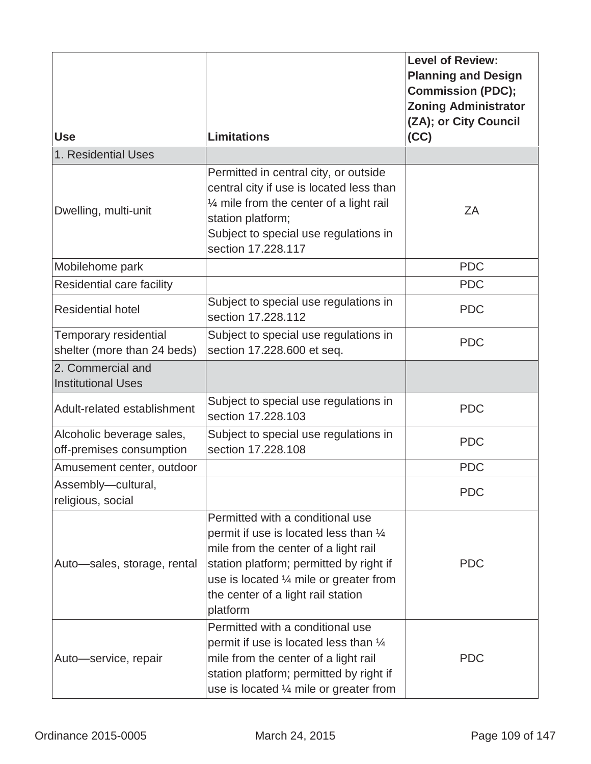|                                                       |                                                                                                                                                                                                                                                                      | <b>Level of Review:</b><br><b>Planning and Design</b><br><b>Commission (PDC);</b><br><b>Zoning Administrator</b><br>(ZA); or City Council |
|-------------------------------------------------------|----------------------------------------------------------------------------------------------------------------------------------------------------------------------------------------------------------------------------------------------------------------------|-------------------------------------------------------------------------------------------------------------------------------------------|
| <b>Use</b>                                            | <b>Limitations</b>                                                                                                                                                                                                                                                   | (CC)                                                                                                                                      |
| 1. Residential Uses                                   |                                                                                                                                                                                                                                                                      |                                                                                                                                           |
| Dwelling, multi-unit                                  | Permitted in central city, or outside<br>central city if use is located less than<br>1/4 mile from the center of a light rail<br>station platform;<br>Subject to special use regulations in<br>section 17.228.117                                                    | ZΑ                                                                                                                                        |
| Mobilehome park                                       |                                                                                                                                                                                                                                                                      | <b>PDC</b>                                                                                                                                |
| Residential care facility                             |                                                                                                                                                                                                                                                                      | <b>PDC</b>                                                                                                                                |
| <b>Residential hotel</b>                              | Subject to special use regulations in<br>section 17.228.112                                                                                                                                                                                                          | <b>PDC</b>                                                                                                                                |
| Temporary residential<br>shelter (more than 24 beds)  | Subject to special use regulations in<br>section 17.228.600 et seq.                                                                                                                                                                                                  | <b>PDC</b>                                                                                                                                |
| 2. Commercial and<br><b>Institutional Uses</b>        |                                                                                                                                                                                                                                                                      |                                                                                                                                           |
| Adult-related establishment                           | Subject to special use regulations in<br>section 17.228.103                                                                                                                                                                                                          | <b>PDC</b>                                                                                                                                |
| Alcoholic beverage sales,<br>off-premises consumption | Subject to special use regulations in<br>section 17.228.108                                                                                                                                                                                                          | <b>PDC</b>                                                                                                                                |
| Amusement center, outdoor                             |                                                                                                                                                                                                                                                                      | <b>PDC</b>                                                                                                                                |
| Assembly-cultural,<br>religious, social               |                                                                                                                                                                                                                                                                      | <b>PDC</b>                                                                                                                                |
| Auto-sales, storage, rental                           | Permitted with a conditional use<br>permit if use is located less than $\frac{1}{4}$<br>mile from the center of a light rail<br>station platform; permitted by right if<br>use is located 1/4 mile or greater from<br>the center of a light rail station<br>platform | <b>PDC</b>                                                                                                                                |
| Auto-service, repair                                  | Permitted with a conditional use<br>permit if use is located less than $\frac{1}{4}$<br>mile from the center of a light rail<br>station platform; permitted by right if<br>use is located $\frac{1}{4}$ mile or greater from                                         | <b>PDC</b>                                                                                                                                |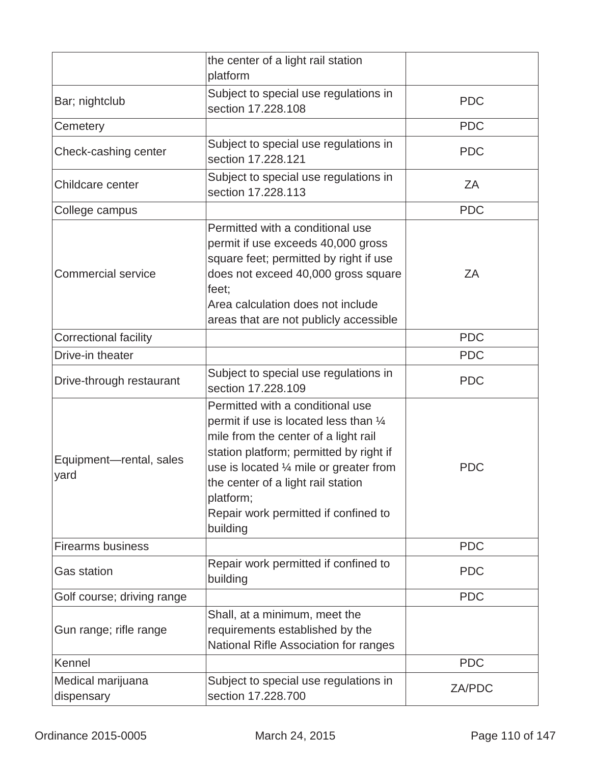|                                 | the center of a light rail station<br>platform                                                                                                                                                                                                                                                                                      |            |
|---------------------------------|-------------------------------------------------------------------------------------------------------------------------------------------------------------------------------------------------------------------------------------------------------------------------------------------------------------------------------------|------------|
| Bar; nightclub                  | Subject to special use regulations in<br>section 17.228.108                                                                                                                                                                                                                                                                         | <b>PDC</b> |
| Cemetery                        |                                                                                                                                                                                                                                                                                                                                     | <b>PDC</b> |
| Check-cashing center            | Subject to special use regulations in<br>section 17,228,121                                                                                                                                                                                                                                                                         | <b>PDC</b> |
| Childcare center                | Subject to special use regulations in<br>section 17.228.113                                                                                                                                                                                                                                                                         | ZA         |
| College campus                  |                                                                                                                                                                                                                                                                                                                                     | <b>PDC</b> |
| <b>Commercial service</b>       | Permitted with a conditional use<br>permit if use exceeds 40,000 gross<br>square feet; permitted by right if use<br>does not exceed 40,000 gross square<br>feet;<br>Area calculation does not include<br>areas that are not publicly accessible                                                                                     | ZΑ         |
| <b>Correctional facility</b>    |                                                                                                                                                                                                                                                                                                                                     | <b>PDC</b> |
| Drive-in theater                |                                                                                                                                                                                                                                                                                                                                     | <b>PDC</b> |
| Drive-through restaurant        | Subject to special use regulations in<br>section 17.228.109                                                                                                                                                                                                                                                                         | <b>PDC</b> |
| Equipment-rental, sales<br>yard | Permitted with a conditional use<br>permit if use is located less than $\frac{1}{4}$<br>mile from the center of a light rail<br>station platform; permitted by right if<br>use is located $\frac{1}{4}$ mile or greater from<br>the center of a light rail station<br>platform;<br>Repair work permitted if confined to<br>building | <b>PDC</b> |
| <b>Firearms business</b>        |                                                                                                                                                                                                                                                                                                                                     | <b>PDC</b> |
| <b>Gas station</b>              | Repair work permitted if confined to<br>building                                                                                                                                                                                                                                                                                    | <b>PDC</b> |
| Golf course; driving range      |                                                                                                                                                                                                                                                                                                                                     | <b>PDC</b> |
| Gun range; rifle range          | Shall, at a minimum, meet the<br>requirements established by the<br>National Rifle Association for ranges                                                                                                                                                                                                                           |            |
| Kennel                          |                                                                                                                                                                                                                                                                                                                                     | <b>PDC</b> |
| Medical marijuana<br>dispensary | Subject to special use regulations in<br>section 17.228.700                                                                                                                                                                                                                                                                         | ZA/PDC     |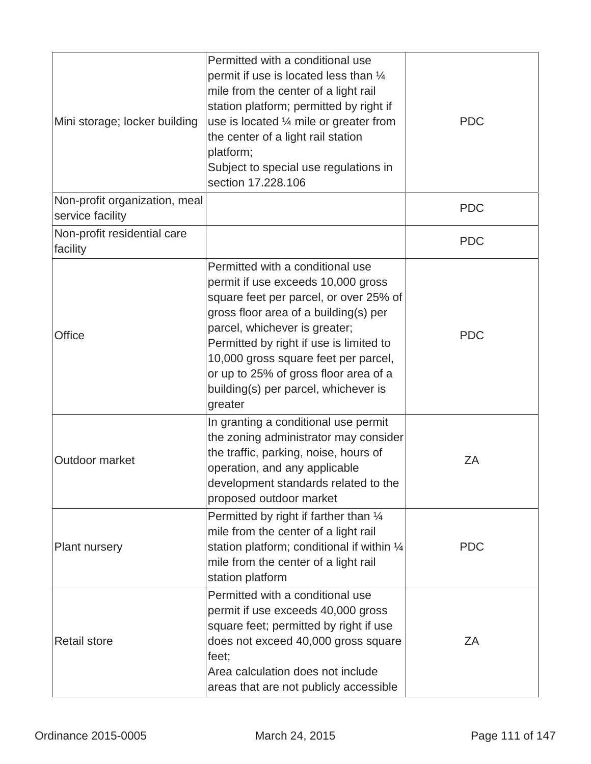| Mini storage; locker building                     | Permitted with a conditional use<br>permit if use is located less than $\frac{1}{4}$<br>mile from the center of a light rail<br>station platform; permitted by right if<br>use is located $\frac{1}{4}$ mile or greater from<br>the center of a light rail station<br>platform;<br>Subject to special use regulations in<br>section 17.228.106                            | <b>PDC</b> |
|---------------------------------------------------|---------------------------------------------------------------------------------------------------------------------------------------------------------------------------------------------------------------------------------------------------------------------------------------------------------------------------------------------------------------------------|------------|
| Non-profit organization, meal<br>service facility |                                                                                                                                                                                                                                                                                                                                                                           | <b>PDC</b> |
| Non-profit residential care<br>facility           |                                                                                                                                                                                                                                                                                                                                                                           | <b>PDC</b> |
| Office                                            | Permitted with a conditional use<br>permit if use exceeds 10,000 gross<br>square feet per parcel, or over 25% of<br>gross floor area of a building(s) per<br>parcel, whichever is greater;<br>Permitted by right if use is limited to<br>10,000 gross square feet per parcel,<br>or up to 25% of gross floor area of a<br>building(s) per parcel, whichever is<br>greater | <b>PDC</b> |
| Outdoor market                                    | In granting a conditional use permit<br>the zoning administrator may consider<br>the traffic, parking, noise, hours of<br>operation, and any applicable<br>development standards related to the<br>proposed outdoor market                                                                                                                                                | ZA         |
| <b>Plant nursery</b>                              | Permitted by right if farther than $\frac{1}{4}$<br>mile from the center of a light rail<br>station platform; conditional if within 1/4<br>mile from the center of a light rail<br>station platform                                                                                                                                                                       | <b>PDC</b> |
| <b>Retail store</b>                               | Permitted with a conditional use<br>permit if use exceeds 40,000 gross<br>square feet; permitted by right if use<br>does not exceed 40,000 gross square<br>feet;<br>Area calculation does not include<br>areas that are not publicly accessible                                                                                                                           | ZA         |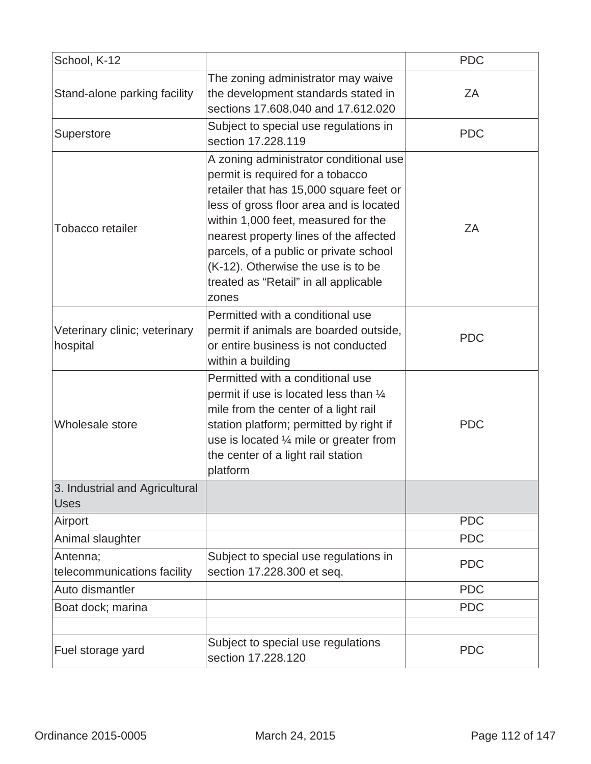| School, K-12                                  |                                                                                                                                                                                                                                                                                                                                                                                     | <b>PDC</b> |
|-----------------------------------------------|-------------------------------------------------------------------------------------------------------------------------------------------------------------------------------------------------------------------------------------------------------------------------------------------------------------------------------------------------------------------------------------|------------|
| Stand-alone parking facility                  | The zoning administrator may waive<br>the development standards stated in<br>sections 17,608,040 and 17,612,020                                                                                                                                                                                                                                                                     | ΖA         |
| Superstore                                    | Subject to special use regulations in<br>section 17.228.119                                                                                                                                                                                                                                                                                                                         | <b>PDC</b> |
| Tobacco retailer                              | A zoning administrator conditional use<br>permit is required for a tobacco<br>retailer that has 15,000 square feet or<br>less of gross floor area and is located<br>within 1,000 feet, measured for the<br>nearest property lines of the affected<br>parcels, of a public or private school<br>(K-12). Otherwise the use is to be<br>treated as "Retail" in all applicable<br>zones | ZA         |
| Veterinary clinic; veterinary<br>hospital     | Permitted with a conditional use<br>permit if animals are boarded outside,<br>or entire business is not conducted<br>within a building                                                                                                                                                                                                                                              | <b>PDC</b> |
| Wholesale store                               | Permitted with a conditional use<br>permit if use is located less than 1/4<br>mile from the center of a light rail<br>station platform; permitted by right if<br>use is located $\frac{1}{4}$ mile or greater from<br>the center of a light rail station<br>platform                                                                                                                | <b>PDC</b> |
| 3. Industrial and Agricultural<br><b>Uses</b> |                                                                                                                                                                                                                                                                                                                                                                                     |            |
| Airport                                       |                                                                                                                                                                                                                                                                                                                                                                                     | <b>PDC</b> |
| Animal slaughter                              |                                                                                                                                                                                                                                                                                                                                                                                     | <b>PDC</b> |
| Antenna;<br>telecommunications facility       | Subject to special use regulations in<br>section 17.228.300 et seq.                                                                                                                                                                                                                                                                                                                 | <b>PDC</b> |
| Auto dismantler                               |                                                                                                                                                                                                                                                                                                                                                                                     | <b>PDC</b> |
| Boat dock; marina                             |                                                                                                                                                                                                                                                                                                                                                                                     | <b>PDC</b> |
|                                               |                                                                                                                                                                                                                                                                                                                                                                                     |            |
| Fuel storage yard                             | Subject to special use regulations<br>section 17.228.120                                                                                                                                                                                                                                                                                                                            | <b>PDC</b> |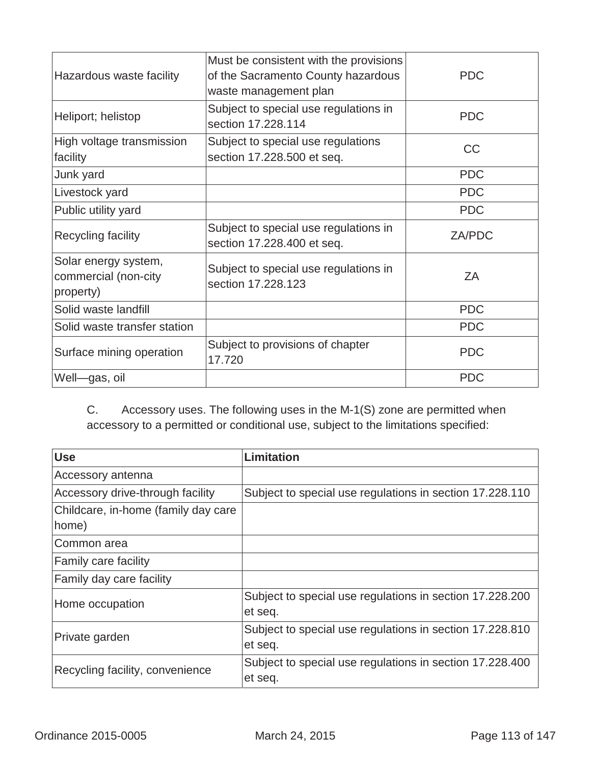| Hazardous waste facility                                  | Must be consistent with the provisions<br>of the Sacramento County hazardous<br>waste management plan | <b>PDC</b>    |
|-----------------------------------------------------------|-------------------------------------------------------------------------------------------------------|---------------|
| Heliport; helistop                                        | Subject to special use regulations in<br>section 17.228.114                                           | <b>PDC</b>    |
| High voltage transmission<br>facility                     | Subject to special use regulations<br>section 17.228.500 et seq.                                      | <b>CC</b>     |
| Junk yard                                                 |                                                                                                       | <b>PDC</b>    |
| Livestock yard                                            |                                                                                                       | <b>PDC</b>    |
| Public utility yard                                       |                                                                                                       | <b>PDC</b>    |
| Recycling facility                                        | Subject to special use regulations in<br>section 17.228.400 et seq.                                   | <b>ZA/PDC</b> |
| Solar energy system,<br>commercial (non-city<br>property) | Subject to special use regulations in<br>section 17,228,123                                           | ZΑ            |
| Solid waste landfill                                      |                                                                                                       | <b>PDC</b>    |
| Solid waste transfer station                              |                                                                                                       | <b>PDC</b>    |
| Surface mining operation                                  | Subject to provisions of chapter<br>17.720                                                            | <b>PDC</b>    |
| Well-gas, oil                                             |                                                                                                       | <b>PDC</b>    |
|                                                           |                                                                                                       |               |

C. Accessory uses. The following uses in the M-1(S) zone are permitted when accessory to a permitted or conditional use, subject to the limitations specified:

| <b>Use</b>                          | <b>Limitation</b>                                        |
|-------------------------------------|----------------------------------------------------------|
| Accessory antenna                   |                                                          |
| Accessory drive-through facility    | Subject to special use regulations in section 17.228.110 |
| Childcare, in-home (family day care |                                                          |
| home)                               |                                                          |
| Common area                         |                                                          |
| <b>Family care facility</b>         |                                                          |
| Family day care facility            |                                                          |
| Home occupation                     | Subject to special use regulations in section 17.228.200 |
|                                     | et seq.                                                  |
| Private garden                      | Subject to special use regulations in section 17.228.810 |
|                                     | et seq.                                                  |
| Recycling facility, convenience     | Subject to special use regulations in section 17.228.400 |
|                                     | et seq.                                                  |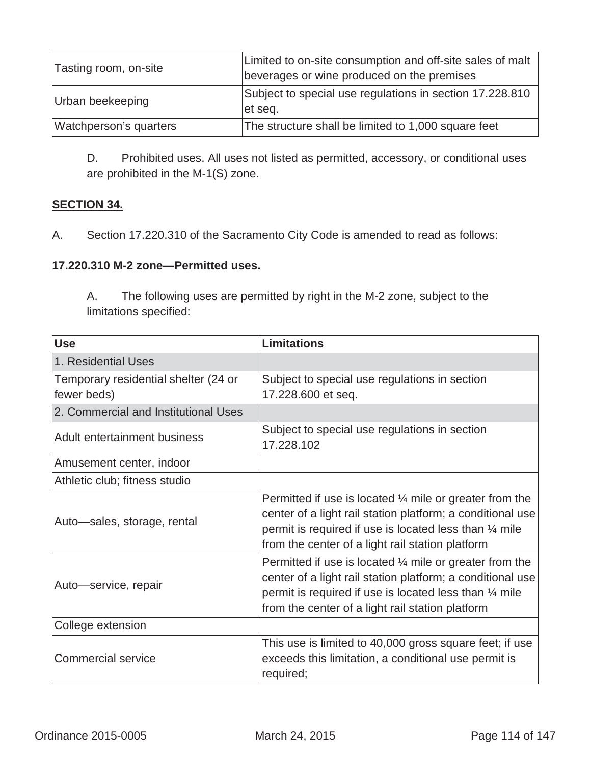| Tasting room, on-site  | Limited to on-site consumption and off-site sales of malt<br>beverages or wine produced on the premises |
|------------------------|---------------------------------------------------------------------------------------------------------|
| Urban beekeeping       | Subject to special use regulations in section 17.228.810<br>et seq.                                     |
| Watchperson's quarters | The structure shall be limited to 1,000 square feet                                                     |

D. Prohibited uses. All uses not listed as permitted, accessory, or conditional uses are prohibited in the M-1(S) zone.

# **SECTION 34.**

A.Section 17.220.310 of the Sacramento City Code is amended to read as follows:

### **17.220.310 M-2 zone—Permitted uses.**

A. The following uses are permitted by right in the M-2 zone, subject to the limitations specified:

| <b>Use</b>                                          | <b>Limitations</b>                                                                                                                                                                                                                                        |
|-----------------------------------------------------|-----------------------------------------------------------------------------------------------------------------------------------------------------------------------------------------------------------------------------------------------------------|
| 1. Residential Uses                                 |                                                                                                                                                                                                                                                           |
| Temporary residential shelter (24 or<br>fewer beds) | Subject to special use regulations in section<br>17.228.600 et seq.                                                                                                                                                                                       |
| 2. Commercial and Institutional Uses                |                                                                                                                                                                                                                                                           |
| Adult entertainment business                        | Subject to special use regulations in section<br>17.228.102                                                                                                                                                                                               |
| Amusement center, indoor                            |                                                                                                                                                                                                                                                           |
| Athletic club; fitness studio                       |                                                                                                                                                                                                                                                           |
| Auto-sales, storage, rental                         | Permitted if use is located $\frac{1}{4}$ mile or greater from the<br>center of a light rail station platform; a conditional use<br>permit is required if use is located less than 1/4 mile<br>from the center of a light rail station platform           |
| Auto-service, repair                                | Permitted if use is located $\frac{1}{4}$ mile or greater from the<br>center of a light rail station platform; a conditional use<br>permit is required if use is located less than $\frac{1}{4}$ mile<br>from the center of a light rail station platform |
| College extension                                   |                                                                                                                                                                                                                                                           |
| <b>Commercial service</b>                           | This use is limited to 40,000 gross square feet; if use<br>exceeds this limitation, a conditional use permit is<br>required;                                                                                                                              |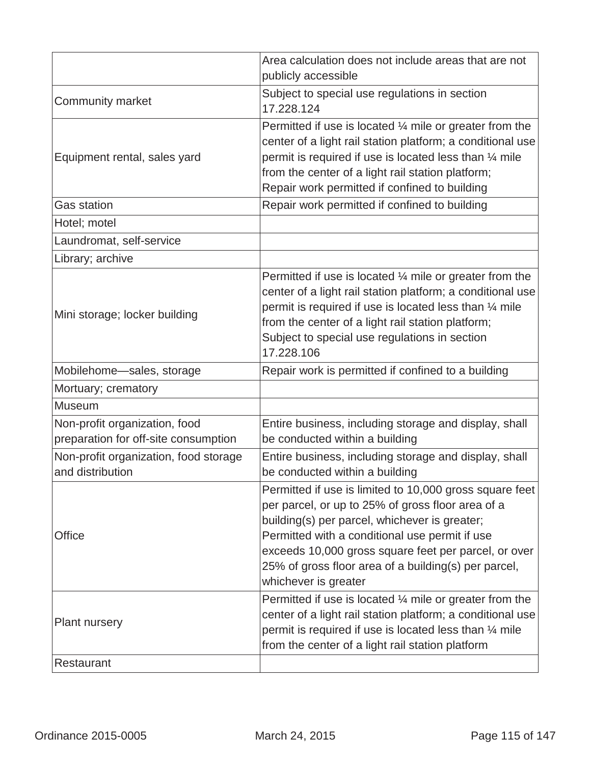|                                                                       | Area calculation does not include areas that are not<br>publicly accessible                                                                                                                                                                                                                                                                             |
|-----------------------------------------------------------------------|---------------------------------------------------------------------------------------------------------------------------------------------------------------------------------------------------------------------------------------------------------------------------------------------------------------------------------------------------------|
| <b>Community market</b>                                               | Subject to special use regulations in section<br>17.228.124                                                                                                                                                                                                                                                                                             |
| Equipment rental, sales yard                                          | Permitted if use is located $\frac{1}{4}$ mile or greater from the<br>center of a light rail station platform; a conditional use<br>permit is required if use is located less than 1/4 mile<br>from the center of a light rail station platform;<br>Repair work permitted if confined to building                                                       |
| <b>Gas station</b>                                                    | Repair work permitted if confined to building                                                                                                                                                                                                                                                                                                           |
| Hotel; motel                                                          |                                                                                                                                                                                                                                                                                                                                                         |
| Laundromat, self-service                                              |                                                                                                                                                                                                                                                                                                                                                         |
| Library; archive                                                      |                                                                                                                                                                                                                                                                                                                                                         |
| Mini storage; locker building                                         | Permitted if use is located $\frac{1}{4}$ mile or greater from the<br>center of a light rail station platform; a conditional use<br>permit is required if use is located less than 1/4 mile<br>from the center of a light rail station platform;<br>Subject to special use regulations in section<br>17.228.106                                         |
| Mobilehome-sales, storage                                             | Repair work is permitted if confined to a building                                                                                                                                                                                                                                                                                                      |
| Mortuary; crematory                                                   |                                                                                                                                                                                                                                                                                                                                                         |
| <b>Museum</b>                                                         |                                                                                                                                                                                                                                                                                                                                                         |
| Non-profit organization, food<br>preparation for off-site consumption | Entire business, including storage and display, shall<br>be conducted within a building                                                                                                                                                                                                                                                                 |
| Non-profit organization, food storage<br>and distribution             | Entire business, including storage and display, shall<br>be conducted within a building                                                                                                                                                                                                                                                                 |
| Office                                                                | Permitted if use is limited to 10,000 gross square feet<br>per parcel, or up to 25% of gross floor area of a<br>building(s) per parcel, whichever is greater;<br>Permitted with a conditional use permit if use<br>exceeds 10,000 gross square feet per parcel, or over<br>25% of gross floor area of a building(s) per parcel,<br>whichever is greater |
| <b>Plant nursery</b>                                                  | Permitted if use is located $\frac{1}{4}$ mile or greater from the<br>center of a light rail station platform; a conditional use<br>permit is required if use is located less than $\frac{1}{4}$ mile<br>from the center of a light rail station platform                                                                                               |
| Restaurant                                                            |                                                                                                                                                                                                                                                                                                                                                         |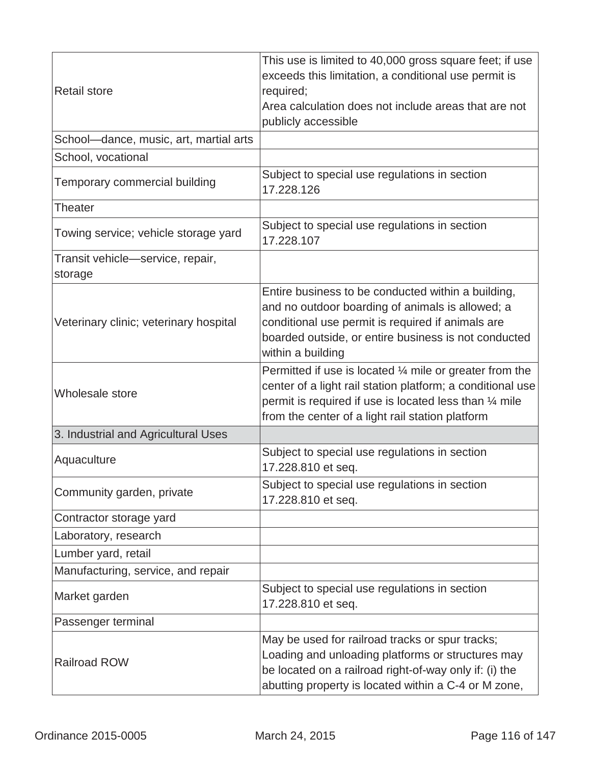| <b>Retail store</b>                         | This use is limited to 40,000 gross square feet; if use<br>exceeds this limitation, a conditional use permit is<br>required;<br>Area calculation does not include areas that are not<br>publicly accessible                                               |
|---------------------------------------------|-----------------------------------------------------------------------------------------------------------------------------------------------------------------------------------------------------------------------------------------------------------|
| School-dance, music, art, martial arts      |                                                                                                                                                                                                                                                           |
| School, vocational                          |                                                                                                                                                                                                                                                           |
| Temporary commercial building               | Subject to special use regulations in section<br>17.228.126                                                                                                                                                                                               |
| <b>Theater</b>                              |                                                                                                                                                                                                                                                           |
| Towing service; vehicle storage yard        | Subject to special use regulations in section<br>17.228.107                                                                                                                                                                                               |
| Transit vehicle-service, repair,<br>storage |                                                                                                                                                                                                                                                           |
| Veterinary clinic; veterinary hospital      | Entire business to be conducted within a building,<br>and no outdoor boarding of animals is allowed; a<br>conditional use permit is required if animals are<br>boarded outside, or entire business is not conducted<br>within a building                  |
| Wholesale store                             | Permitted if use is located $\frac{1}{4}$ mile or greater from the<br>center of a light rail station platform; a conditional use<br>permit is required if use is located less than $\frac{1}{4}$ mile<br>from the center of a light rail station platform |
| 3. Industrial and Agricultural Uses         |                                                                                                                                                                                                                                                           |
| Aquaculture                                 | Subject to special use regulations in section<br>17.228.810 et seq.                                                                                                                                                                                       |
| Community garden, private                   | Subject to special use regulations in section<br>17.228.810 et seq.                                                                                                                                                                                       |
| Contractor storage yard                     |                                                                                                                                                                                                                                                           |
| Laboratory, research                        |                                                                                                                                                                                                                                                           |
| Lumber yard, retail                         |                                                                                                                                                                                                                                                           |
| Manufacturing, service, and repair          |                                                                                                                                                                                                                                                           |
| Market garden                               | Subject to special use regulations in section<br>17.228.810 et seq.                                                                                                                                                                                       |
| Passenger terminal                          |                                                                                                                                                                                                                                                           |
| <b>Railroad ROW</b>                         | May be used for railroad tracks or spur tracks;<br>Loading and unloading platforms or structures may<br>be located on a railroad right-of-way only if: (i) the<br>abutting property is located within a C-4 or M zone,                                    |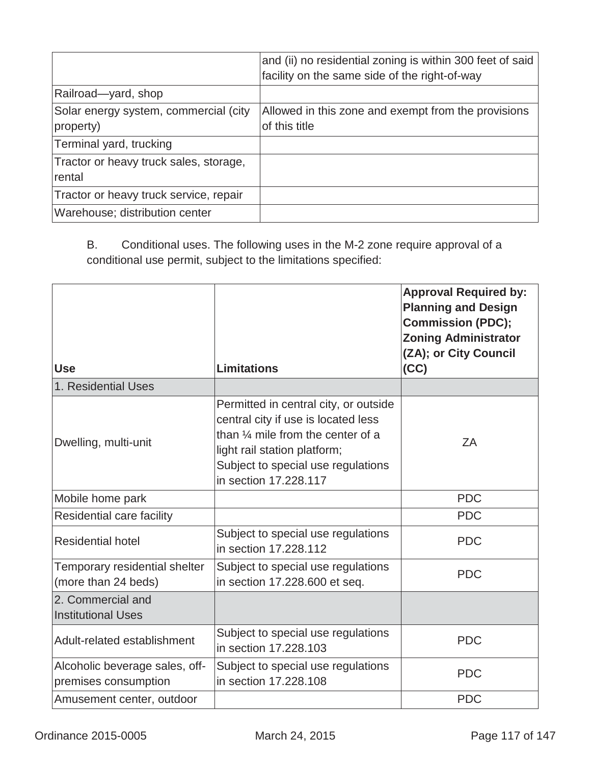|                                                    | and (ii) no residential zoning is within 300 feet of said<br>facility on the same side of the right-of-way |
|----------------------------------------------------|------------------------------------------------------------------------------------------------------------|
| Railroad-yard, shop                                |                                                                                                            |
| Solar energy system, commercial (city<br>property) | Allowed in this zone and exempt from the provisions<br>of this title                                       |
| Terminal yard, trucking                            |                                                                                                            |
| Tractor or heavy truck sales, storage,<br>rental   |                                                                                                            |
| Tractor or heavy truck service, repair             |                                                                                                            |
| Warehouse; distribution center                     |                                                                                                            |

B. Conditional uses. The following uses in the M-2 zone require approval of a conditional use permit, subject to the limitations specified:

| <b>Use</b>                                             | <b>Limitations</b>                                                                                                                                                                                                          | <b>Approval Required by:</b><br><b>Planning and Design</b><br><b>Commission (PDC);</b><br><b>Zoning Administrator</b><br>(ZA); or City Council<br>(CC) |
|--------------------------------------------------------|-----------------------------------------------------------------------------------------------------------------------------------------------------------------------------------------------------------------------------|--------------------------------------------------------------------------------------------------------------------------------------------------------|
| 1. Residential Uses                                    |                                                                                                                                                                                                                             |                                                                                                                                                        |
| Dwelling, multi-unit                                   | Permitted in central city, or outside<br>central city if use is located less<br>than $\frac{1}{4}$ mile from the center of a<br>light rail station platform;<br>Subject to special use regulations<br>in section 17,228,117 | ZA                                                                                                                                                     |
| Mobile home park                                       |                                                                                                                                                                                                                             | <b>PDC</b>                                                                                                                                             |
| Residential care facility                              |                                                                                                                                                                                                                             | <b>PDC</b>                                                                                                                                             |
| <b>Residential hotel</b>                               | Subject to special use regulations<br>in section 17.228.112                                                                                                                                                                 | <b>PDC</b>                                                                                                                                             |
| Temporary residential shelter<br>(more than 24 beds)   | Subject to special use regulations<br>in section 17.228.600 et seq.                                                                                                                                                         | <b>PDC</b>                                                                                                                                             |
| 2. Commercial and<br><b>Institutional Uses</b>         |                                                                                                                                                                                                                             |                                                                                                                                                        |
| Adult-related establishment                            | Subject to special use regulations<br>in section 17,228,103                                                                                                                                                                 | <b>PDC</b>                                                                                                                                             |
| Alcoholic beverage sales, off-<br>premises consumption | Subject to special use regulations<br>in section 17,228,108                                                                                                                                                                 | <b>PDC</b>                                                                                                                                             |
| Amusement center, outdoor                              |                                                                                                                                                                                                                             | <b>PDC</b>                                                                                                                                             |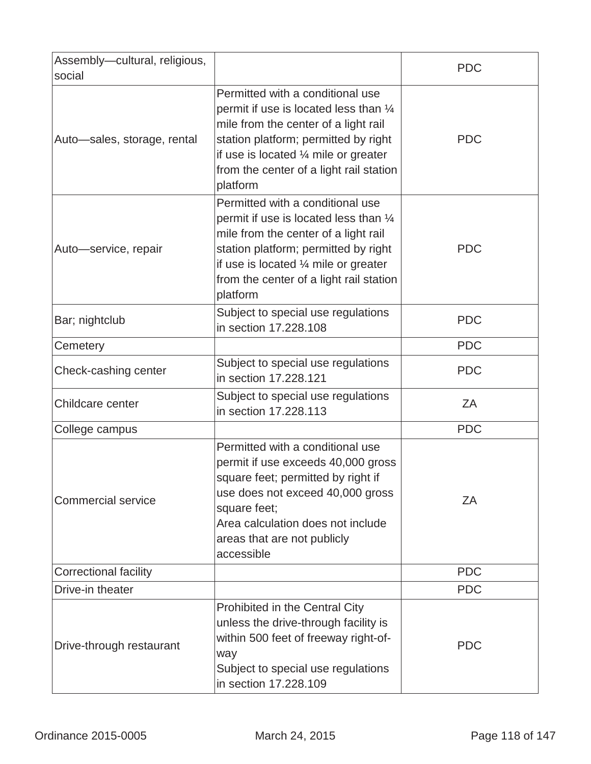| Assembly-cultural, religious,<br>social |                                                                                                                                                                                                                                                                      | <b>PDC</b> |
|-----------------------------------------|----------------------------------------------------------------------------------------------------------------------------------------------------------------------------------------------------------------------------------------------------------------------|------------|
| Auto-sales, storage, rental             | Permitted with a conditional use<br>permit if use is located less than 1/4<br>mile from the center of a light rail<br>station platform; permitted by right<br>if use is located $\frac{1}{4}$ mile or greater<br>from the center of a light rail station<br>platform | <b>PDC</b> |
| Auto-service, repair                    | Permitted with a conditional use<br>permit if use is located less than 1/4<br>mile from the center of a light rail<br>station platform; permitted by right<br>if use is located $\frac{1}{4}$ mile or greater<br>from the center of a light rail station<br>platform | <b>PDC</b> |
| Bar; nightclub                          | Subject to special use regulations<br>in section 17.228.108                                                                                                                                                                                                          | <b>PDC</b> |
| Cemetery                                |                                                                                                                                                                                                                                                                      | <b>PDC</b> |
| Check-cashing center                    | Subject to special use regulations<br>in section 17.228.121                                                                                                                                                                                                          | <b>PDC</b> |
| Childcare center                        | Subject to special use regulations<br>in section 17.228.113                                                                                                                                                                                                          | ΖA         |
| College campus                          |                                                                                                                                                                                                                                                                      | <b>PDC</b> |
| <b>Commercial service</b>               | Permitted with a conditional use<br>permit if use exceeds 40,000 gross<br>square feet; permitted by right if<br>use does not exceed 40,000 gross<br>square feet;<br>Area calculation does not include<br>areas that are not publicly<br>accessible                   | ZA         |
| <b>Correctional facility</b>            |                                                                                                                                                                                                                                                                      | <b>PDC</b> |
| Drive-in theater                        |                                                                                                                                                                                                                                                                      | <b>PDC</b> |
| Drive-through restaurant                | Prohibited in the Central City<br>unless the drive-through facility is<br>within 500 feet of freeway right-of-<br>way<br>Subject to special use regulations<br>in section 17.228.109                                                                                 | <b>PDC</b> |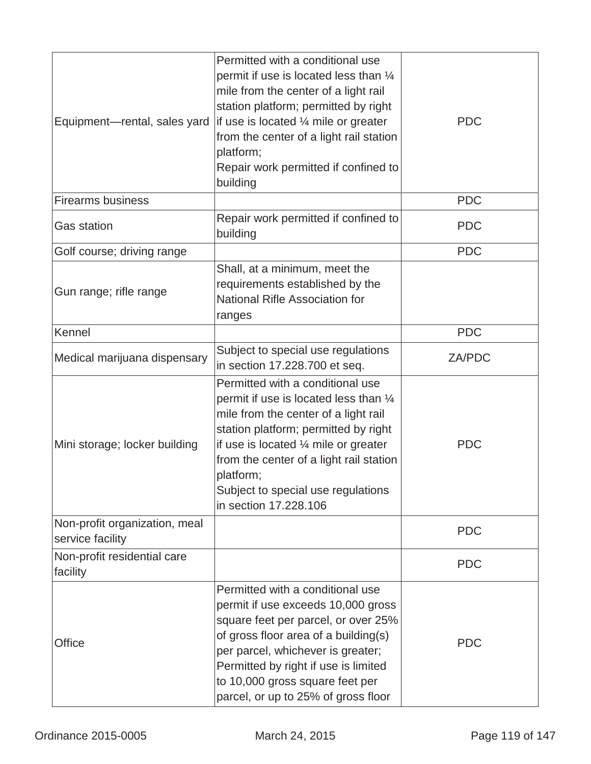| Equipment-rental, sales yard                      | Permitted with a conditional use<br>permit if use is located less than 1/4<br>mile from the center of a light rail<br>station platform; permitted by right<br>if use is located $\frac{1}{4}$ mile or greater<br>from the center of a light rail station<br>platform;<br>Repair work permitted if confined to<br>building            | <b>PDC</b>    |
|---------------------------------------------------|--------------------------------------------------------------------------------------------------------------------------------------------------------------------------------------------------------------------------------------------------------------------------------------------------------------------------------------|---------------|
| <b>Firearms business</b>                          |                                                                                                                                                                                                                                                                                                                                      | <b>PDC</b>    |
| <b>Gas station</b>                                | Repair work permitted if confined to<br>building                                                                                                                                                                                                                                                                                     | <b>PDC</b>    |
| Golf course; driving range                        |                                                                                                                                                                                                                                                                                                                                      | <b>PDC</b>    |
| Gun range; rifle range                            | Shall, at a minimum, meet the<br>requirements established by the<br>National Rifle Association for<br>ranges                                                                                                                                                                                                                         |               |
| Kennel                                            |                                                                                                                                                                                                                                                                                                                                      | <b>PDC</b>    |
| Medical marijuana dispensary                      | Subject to special use regulations<br>in section 17.228.700 et seq.                                                                                                                                                                                                                                                                  | <b>ZA/PDC</b> |
| Mini storage; locker building                     | Permitted with a conditional use<br>permit if use is located less than 1/4<br>mile from the center of a light rail<br>station platform; permitted by right<br>if use is located $\frac{1}{4}$ mile or greater<br>from the center of a light rail station<br>platform;<br>Subject to special use regulations<br>in section 17.228.106 | <b>PDC</b>    |
| Non-profit organization, meal<br>service facility |                                                                                                                                                                                                                                                                                                                                      | <b>PDC</b>    |
| Non-profit residential care<br>facility           |                                                                                                                                                                                                                                                                                                                                      | <b>PDC</b>    |
| Office                                            | Permitted with a conditional use<br>permit if use exceeds 10,000 gross<br>square feet per parcel, or over 25%<br>of gross floor area of a building(s)<br>per parcel, whichever is greater;<br>Permitted by right if use is limited<br>to 10,000 gross square feet per<br>parcel, or up to 25% of gross floor                         | <b>PDC</b>    |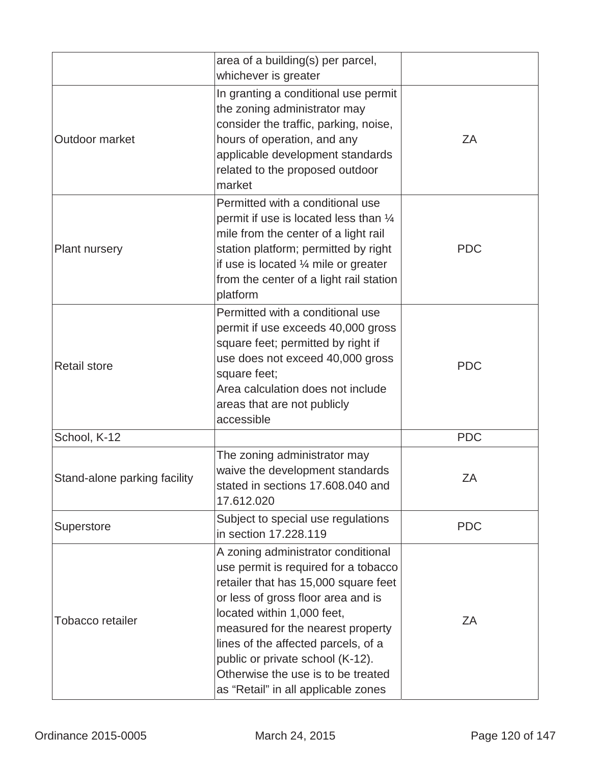|                              | area of a building(s) per parcel,<br>whichever is greater                                                                                                                                                                                                                                                                                                                           |            |
|------------------------------|-------------------------------------------------------------------------------------------------------------------------------------------------------------------------------------------------------------------------------------------------------------------------------------------------------------------------------------------------------------------------------------|------------|
| Outdoor market               | In granting a conditional use permit<br>the zoning administrator may<br>consider the traffic, parking, noise,<br>hours of operation, and any<br>applicable development standards<br>related to the proposed outdoor<br>market                                                                                                                                                       | ZΑ         |
| Plant nursery                | Permitted with a conditional use<br>permit if use is located less than 1/4<br>mile from the center of a light rail<br>station platform; permitted by right<br>if use is located $\frac{1}{4}$ mile or greater<br>from the center of a light rail station<br>platform                                                                                                                | <b>PDC</b> |
| <b>Retail store</b>          | Permitted with a conditional use<br>permit if use exceeds 40,000 gross<br>square feet; permitted by right if<br>use does not exceed 40,000 gross<br>square feet;<br>Area calculation does not include<br>areas that are not publicly<br>accessible                                                                                                                                  | <b>PDC</b> |
| School, K-12                 |                                                                                                                                                                                                                                                                                                                                                                                     | <b>PDC</b> |
| Stand-alone parking facility | The zoning administrator may<br>waive the development standards<br>stated in sections 17.608.040 and<br>17.612.020                                                                                                                                                                                                                                                                  | ZA         |
| Superstore                   | Subject to special use regulations<br>in section 17.228.119                                                                                                                                                                                                                                                                                                                         | <b>PDC</b> |
| <b>Tobacco retailer</b>      | A zoning administrator conditional<br>use permit is required for a tobacco<br>retailer that has 15,000 square feet<br>or less of gross floor area and is<br>located within 1,000 feet,<br>measured for the nearest property<br>lines of the affected parcels, of a<br>public or private school (K-12).<br>Otherwise the use is to be treated<br>as "Retail" in all applicable zones | ZΑ         |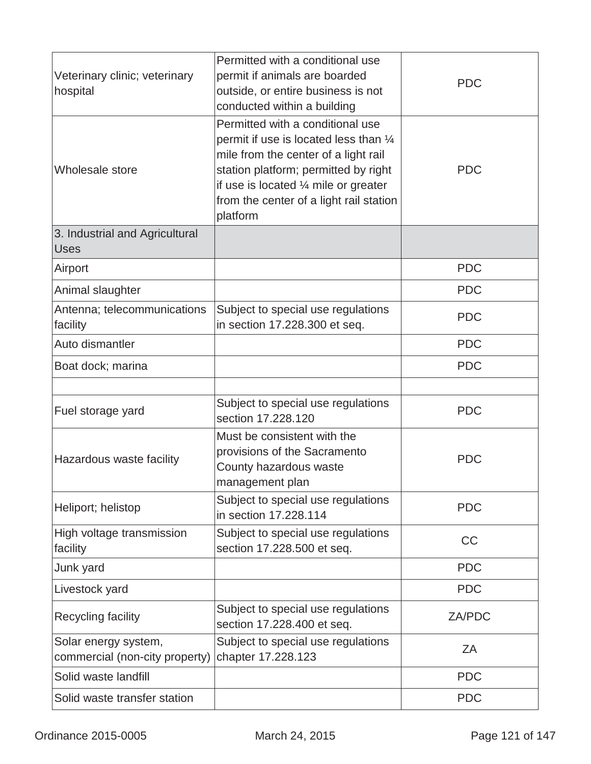| Veterinary clinic; veterinary<br>hospital              | Permitted with a conditional use<br>permit if animals are boarded<br>outside, or entire business is not<br>conducted within a building                                                                                                                               | <b>PDC</b> |
|--------------------------------------------------------|----------------------------------------------------------------------------------------------------------------------------------------------------------------------------------------------------------------------------------------------------------------------|------------|
| Wholesale store                                        | Permitted with a conditional use<br>permit if use is located less than 1/4<br>mile from the center of a light rail<br>station platform; permitted by right<br>if use is located $\frac{1}{4}$ mile or greater<br>from the center of a light rail station<br>platform | <b>PDC</b> |
| 3. Industrial and Agricultural<br><b>Uses</b>          |                                                                                                                                                                                                                                                                      |            |
| Airport                                                |                                                                                                                                                                                                                                                                      | <b>PDC</b> |
| Animal slaughter                                       |                                                                                                                                                                                                                                                                      | <b>PDC</b> |
| Antenna; telecommunications<br>facility                | Subject to special use regulations<br>in section 17.228.300 et seq.                                                                                                                                                                                                  | <b>PDC</b> |
| Auto dismantler                                        |                                                                                                                                                                                                                                                                      | <b>PDC</b> |
| Boat dock; marina                                      |                                                                                                                                                                                                                                                                      | <b>PDC</b> |
|                                                        |                                                                                                                                                                                                                                                                      |            |
| Fuel storage yard                                      | Subject to special use regulations<br>section 17,228,120                                                                                                                                                                                                             | <b>PDC</b> |
| Hazardous waste facility                               | Must be consistent with the<br>provisions of the Sacramento<br>County hazardous waste<br>management plan                                                                                                                                                             | <b>PDC</b> |
| Heliport; helistop                                     | Subject to special use regulations<br>in section 17.228.114                                                                                                                                                                                                          | <b>PDC</b> |
| High voltage transmission<br>facility                  | Subject to special use regulations<br>section 17.228.500 et seq.                                                                                                                                                                                                     | <b>CC</b>  |
| Junk yard                                              |                                                                                                                                                                                                                                                                      | <b>PDC</b> |
| Livestock yard                                         |                                                                                                                                                                                                                                                                      | <b>PDC</b> |
| Recycling facility                                     | Subject to special use regulations<br>section 17.228.400 et seq.                                                                                                                                                                                                     | ZA/PDC     |
| Solar energy system,<br>commercial (non-city property) | Subject to special use regulations<br>chapter 17.228.123                                                                                                                                                                                                             | ZA         |
| Solid waste landfill                                   |                                                                                                                                                                                                                                                                      | <b>PDC</b> |
| Solid waste transfer station                           |                                                                                                                                                                                                                                                                      | <b>PDC</b> |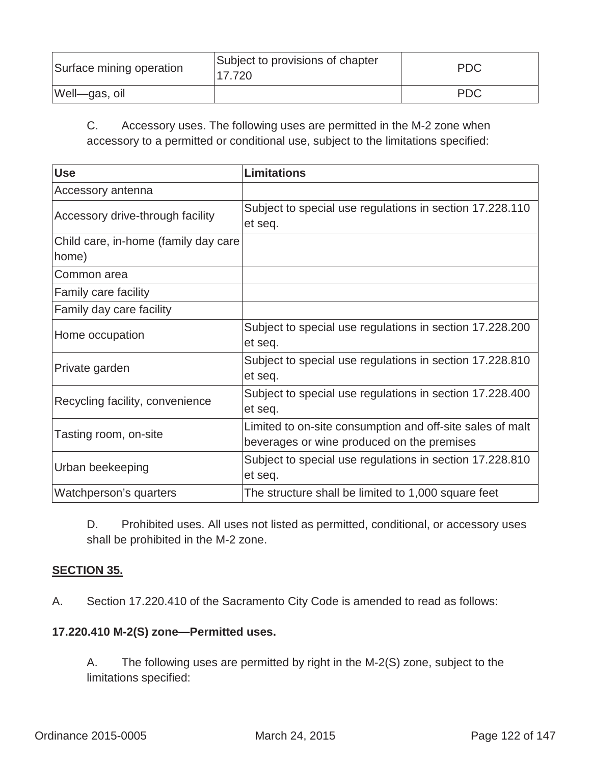| Surface mining operation | Subject to provisions of chapter<br>17.720 | <b>PDC</b> |
|--------------------------|--------------------------------------------|------------|
| Well-gas, oil            |                                            | <b>PDC</b> |

C. Accessory uses. The following uses are permitted in the M-2 zone when accessory to a permitted or conditional use, subject to the limitations specified:

| <b>Use</b>                                    | <b>Limitations</b>                                                                                      |
|-----------------------------------------------|---------------------------------------------------------------------------------------------------------|
| Accessory antenna                             |                                                                                                         |
| Accessory drive-through facility              | Subject to special use regulations in section 17.228.110<br>et seq.                                     |
| Child care, in-home (family day care<br>home) |                                                                                                         |
| Common area                                   |                                                                                                         |
| Family care facility                          |                                                                                                         |
| Family day care facility                      |                                                                                                         |
| Home occupation                               | Subject to special use regulations in section 17.228.200<br>et seq.                                     |
| Private garden                                | Subject to special use regulations in section 17.228.810<br>et seq.                                     |
| Recycling facility, convenience               | Subject to special use regulations in section 17.228.400<br>et seq.                                     |
| Tasting room, on-site                         | Limited to on-site consumption and off-site sales of malt<br>beverages or wine produced on the premises |
| Urban beekeeping                              | Subject to special use regulations in section 17.228.810<br>et seq.                                     |
| Watchperson's quarters                        | The structure shall be limited to 1,000 square feet                                                     |

D. Prohibited uses. All uses not listed as permitted, conditional, or accessory uses shall be prohibited in the M-2 zone.

# **SECTION 35.**

A.Section 17.220.410 of the Sacramento City Code is amended to read as follows:

### **17.220.410 M-2(S) zone—Permitted uses.**

A. The following uses are permitted by right in the M-2(S) zone, subject to the limitations specified: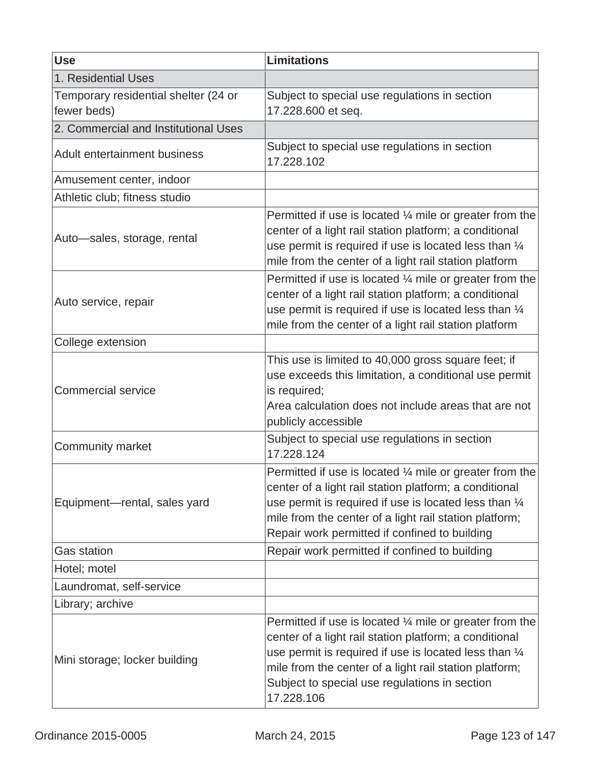| <b>Use</b>                                          | <b>Limitations</b>                                                                                                                                                                                                                                                                                                        |
|-----------------------------------------------------|---------------------------------------------------------------------------------------------------------------------------------------------------------------------------------------------------------------------------------------------------------------------------------------------------------------------------|
| 1. Residential Uses                                 |                                                                                                                                                                                                                                                                                                                           |
| Temporary residential shelter (24 or<br>fewer beds) | Subject to special use regulations in section<br>17.228.600 et seq.                                                                                                                                                                                                                                                       |
| 2. Commercial and Institutional Uses                |                                                                                                                                                                                                                                                                                                                           |
| <b>Adult entertainment business</b>                 | Subject to special use regulations in section<br>17.228.102                                                                                                                                                                                                                                                               |
| Amusement center, indoor                            |                                                                                                                                                                                                                                                                                                                           |
| Athletic club; fitness studio                       |                                                                                                                                                                                                                                                                                                                           |
| Auto-sales, storage, rental                         | Permitted if use is located $\frac{1}{4}$ mile or greater from the<br>center of a light rail station platform; a conditional<br>use permit is required if use is located less than $\frac{1}{4}$<br>mile from the center of a light rail station platform                                                                 |
| Auto service, repair                                | Permitted if use is located $\frac{1}{4}$ mile or greater from the<br>center of a light rail station platform; a conditional<br>use permit is required if use is located less than $\frac{1}{4}$<br>mile from the center of a light rail station platform                                                                 |
| College extension                                   |                                                                                                                                                                                                                                                                                                                           |
| <b>Commercial service</b>                           | This use is limited to 40,000 gross square feet; if<br>use exceeds this limitation, a conditional use permit<br>is required;<br>Area calculation does not include areas that are not<br>publicly accessible                                                                                                               |
| <b>Community market</b>                             | Subject to special use regulations in section<br>17.228.124                                                                                                                                                                                                                                                               |
| Equipment-rental, sales yard                        | Permitted if use is located $\frac{1}{4}$ mile or greater from the<br>center of a light rail station platform; a conditional<br>use permit is required if use is located less than $\frac{1}{4}$<br>mile from the center of a light rail station platform;<br>Repair work permitted if confined to building               |
| <b>Gas station</b>                                  | Repair work permitted if confined to building                                                                                                                                                                                                                                                                             |
| Hotel; motel                                        |                                                                                                                                                                                                                                                                                                                           |
| Laundromat, self-service                            |                                                                                                                                                                                                                                                                                                                           |
| Library; archive                                    |                                                                                                                                                                                                                                                                                                                           |
| Mini storage; locker building                       | Permitted if use is located $\frac{1}{4}$ mile or greater from the<br>center of a light rail station platform; a conditional<br>use permit is required if use is located less than $\frac{1}{4}$<br>mile from the center of a light rail station platform;<br>Subject to special use regulations in section<br>17.228.106 |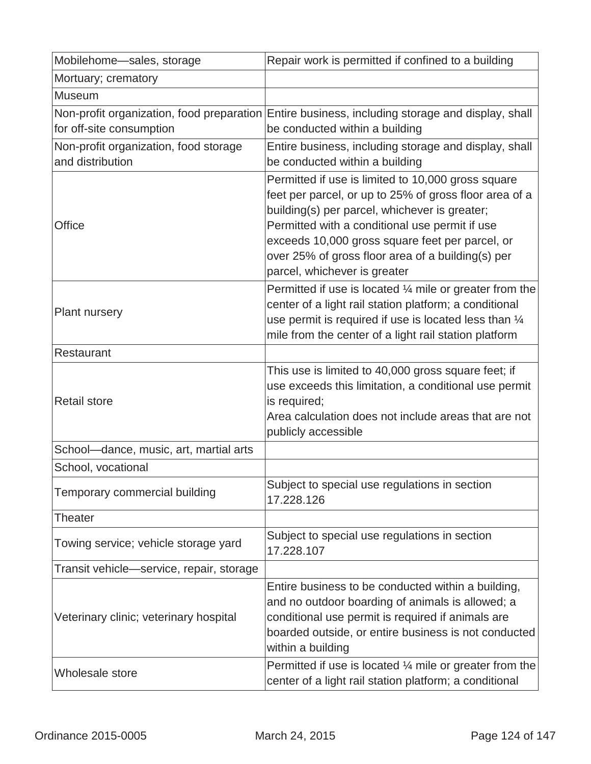| Mobilehome-sales, storage                                             | Repair work is permitted if confined to a building                                                                                                                                                                                                                                                                                                      |
|-----------------------------------------------------------------------|---------------------------------------------------------------------------------------------------------------------------------------------------------------------------------------------------------------------------------------------------------------------------------------------------------------------------------------------------------|
| Mortuary; crematory                                                   |                                                                                                                                                                                                                                                                                                                                                         |
| Museum                                                                |                                                                                                                                                                                                                                                                                                                                                         |
| Non-profit organization, food preparation<br>for off-site consumption | Entire business, including storage and display, shall<br>be conducted within a building                                                                                                                                                                                                                                                                 |
| Non-profit organization, food storage<br>and distribution             | Entire business, including storage and display, shall<br>be conducted within a building                                                                                                                                                                                                                                                                 |
| Office                                                                | Permitted if use is limited to 10,000 gross square<br>feet per parcel, or up to 25% of gross floor area of a<br>building(s) per parcel, whichever is greater;<br>Permitted with a conditional use permit if use<br>exceeds 10,000 gross square feet per parcel, or<br>over 25% of gross floor area of a building(s) per<br>parcel, whichever is greater |
| <b>Plant nursery</b>                                                  | Permitted if use is located $\frac{1}{4}$ mile or greater from the<br>center of a light rail station platform; a conditional<br>use permit is required if use is located less than $\frac{1}{4}$<br>mile from the center of a light rail station platform                                                                                               |
| Restaurant                                                            |                                                                                                                                                                                                                                                                                                                                                         |
| <b>Retail store</b>                                                   | This use is limited to 40,000 gross square feet; if<br>use exceeds this limitation, a conditional use permit<br>is required;<br>Area calculation does not include areas that are not<br>publicly accessible                                                                                                                                             |
| School-dance, music, art, martial arts                                |                                                                                                                                                                                                                                                                                                                                                         |
| School, vocational                                                    |                                                                                                                                                                                                                                                                                                                                                         |
| Temporary commercial building                                         | Subject to special use regulations in section<br>17.228.126                                                                                                                                                                                                                                                                                             |
| <b>Theater</b>                                                        |                                                                                                                                                                                                                                                                                                                                                         |
| Towing service; vehicle storage yard                                  | Subject to special use regulations in section<br>17.228.107                                                                                                                                                                                                                                                                                             |
| Transit vehicle-service, repair, storage                              |                                                                                                                                                                                                                                                                                                                                                         |
| Veterinary clinic; veterinary hospital                                | Entire business to be conducted within a building,<br>and no outdoor boarding of animals is allowed; a<br>conditional use permit is required if animals are<br>boarded outside, or entire business is not conducted<br>within a building                                                                                                                |
| Wholesale store                                                       | Permitted if use is located $\frac{1}{4}$ mile or greater from the<br>center of a light rail station platform; a conditional                                                                                                                                                                                                                            |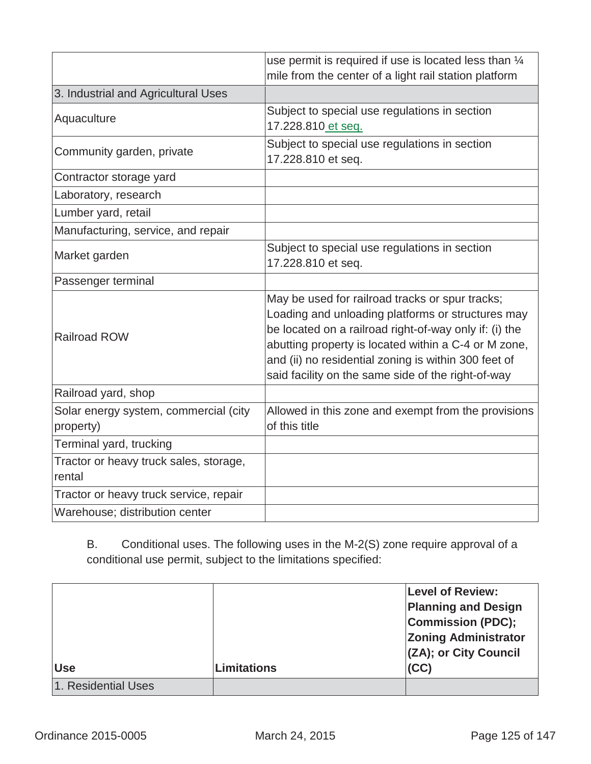|                                                    | use permit is required if use is located less than 1/4<br>mile from the center of a light rail station platform                                                                                                                                                                                                                      |
|----------------------------------------------------|--------------------------------------------------------------------------------------------------------------------------------------------------------------------------------------------------------------------------------------------------------------------------------------------------------------------------------------|
| 3. Industrial and Agricultural Uses                |                                                                                                                                                                                                                                                                                                                                      |
| Aquaculture                                        | Subject to special use regulations in section<br>17.228.810 et seq.                                                                                                                                                                                                                                                                  |
| Community garden, private                          | Subject to special use regulations in section<br>17.228.810 et seq.                                                                                                                                                                                                                                                                  |
| Contractor storage yard                            |                                                                                                                                                                                                                                                                                                                                      |
| Laboratory, research                               |                                                                                                                                                                                                                                                                                                                                      |
| Lumber yard, retail                                |                                                                                                                                                                                                                                                                                                                                      |
| Manufacturing, service, and repair                 |                                                                                                                                                                                                                                                                                                                                      |
| Market garden                                      | Subject to special use regulations in section<br>17.228.810 et seq.                                                                                                                                                                                                                                                                  |
| Passenger terminal                                 |                                                                                                                                                                                                                                                                                                                                      |
| <b>Railroad ROW</b>                                | May be used for railroad tracks or spur tracks;<br>Loading and unloading platforms or structures may<br>be located on a railroad right-of-way only if: (i) the<br>abutting property is located within a C-4 or M zone,<br>and (ii) no residential zoning is within 300 feet of<br>said facility on the same side of the right-of-way |
| Railroad yard, shop                                |                                                                                                                                                                                                                                                                                                                                      |
| Solar energy system, commercial (city<br>property) | Allowed in this zone and exempt from the provisions<br>of this title                                                                                                                                                                                                                                                                 |
| Terminal yard, trucking                            |                                                                                                                                                                                                                                                                                                                                      |
| Tractor or heavy truck sales, storage,<br>rental   |                                                                                                                                                                                                                                                                                                                                      |
| Tractor or heavy truck service, repair             |                                                                                                                                                                                                                                                                                                                                      |
| Warehouse; distribution center                     |                                                                                                                                                                                                                                                                                                                                      |

B. Conditional uses. The following uses in the M-2(S) zone require approval of a conditional use permit, subject to the limitations specified:

| <b>Use</b>          | <b>Limitations</b> | <b>Level of Review:</b><br><b>Planning and Design</b><br><b>Commission (PDC);</b><br><b>Zoning Administrator</b><br>(ZA); or City Council<br>(CC) |
|---------------------|--------------------|---------------------------------------------------------------------------------------------------------------------------------------------------|
|                     |                    |                                                                                                                                                   |
| 1. Residential Uses |                    |                                                                                                                                                   |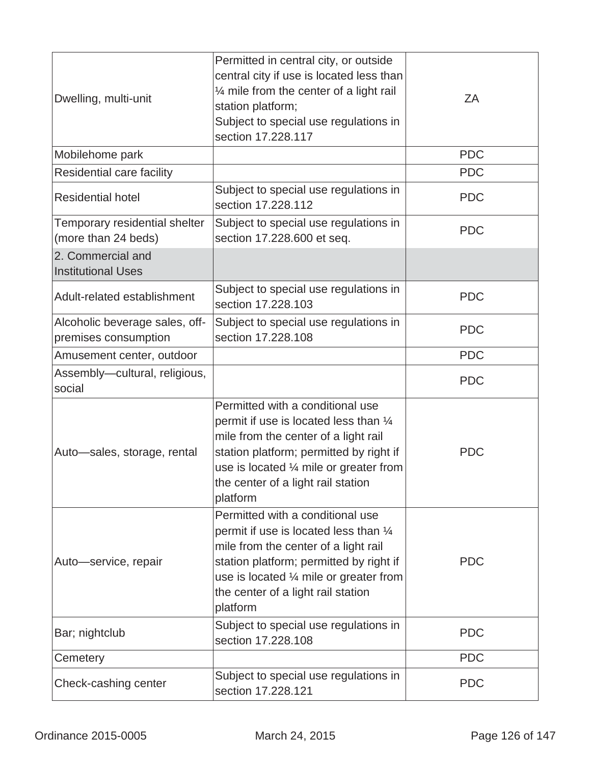| Dwelling, multi-unit                                   | Permitted in central city, or outside<br>central city if use is located less than<br>$\frac{1}{4}$ mile from the center of a light rail<br>station platform;<br>Subject to special use regulations in<br>section 17.228.117                                | ZA         |
|--------------------------------------------------------|------------------------------------------------------------------------------------------------------------------------------------------------------------------------------------------------------------------------------------------------------------|------------|
| Mobilehome park                                        |                                                                                                                                                                                                                                                            | <b>PDC</b> |
| Residential care facility                              |                                                                                                                                                                                                                                                            | <b>PDC</b> |
| <b>Residential hotel</b>                               | Subject to special use regulations in<br>section 17.228.112                                                                                                                                                                                                | <b>PDC</b> |
| Temporary residential shelter<br>(more than 24 beds)   | Subject to special use regulations in<br>section 17.228.600 et seq.                                                                                                                                                                                        | <b>PDC</b> |
| 2. Commercial and<br><b>Institutional Uses</b>         |                                                                                                                                                                                                                                                            |            |
| Adult-related establishment                            | Subject to special use regulations in<br>section 17.228.103                                                                                                                                                                                                | <b>PDC</b> |
| Alcoholic beverage sales, off-<br>premises consumption | Subject to special use regulations in<br>section 17.228.108                                                                                                                                                                                                | <b>PDC</b> |
| Amusement center, outdoor                              |                                                                                                                                                                                                                                                            | <b>PDC</b> |
| Assembly-cultural, religious,<br>social                |                                                                                                                                                                                                                                                            | <b>PDC</b> |
| Auto-sales, storage, rental                            | Permitted with a conditional use<br>permit if use is located less than 1/4<br>mile from the center of a light rail<br>station platform; permitted by right if<br>use is located 1/4 mile or greater from<br>the center of a light rail station<br>platform | <b>PDC</b> |
| Auto-service, repair                                   | Permitted with a conditional use<br>permit if use is located less than 1/4<br>mile from the center of a light rail<br>station platform; permitted by right if<br>use is located 1/4 mile or greater from<br>the center of a light rail station<br>platform | <b>PDC</b> |
| Bar; nightclub                                         | Subject to special use regulations in<br>section 17.228.108                                                                                                                                                                                                | <b>PDC</b> |
| Cemetery                                               |                                                                                                                                                                                                                                                            | <b>PDC</b> |
| Check-cashing center                                   | Subject to special use regulations in<br>section 17.228.121                                                                                                                                                                                                | <b>PDC</b> |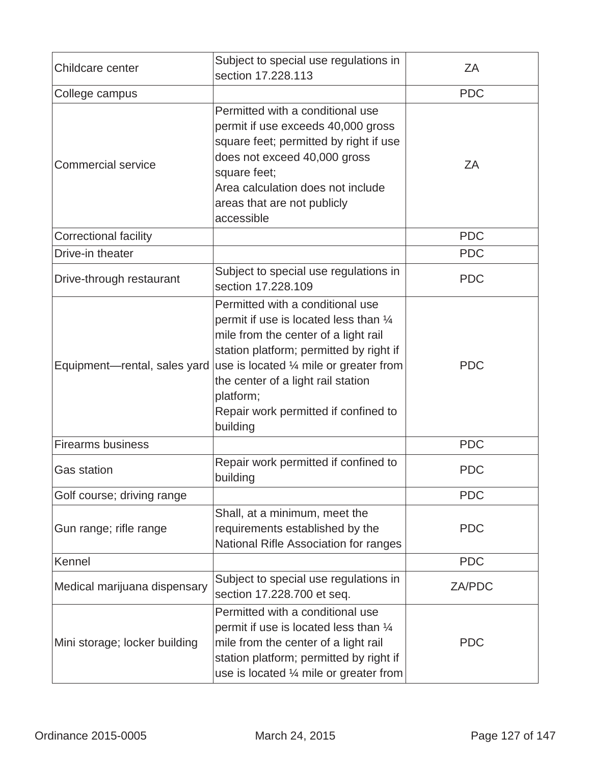| Childcare center              | Subject to special use regulations in<br>section 17.228.113                                                                                                                                                                                                                                                                         | ZA            |
|-------------------------------|-------------------------------------------------------------------------------------------------------------------------------------------------------------------------------------------------------------------------------------------------------------------------------------------------------------------------------------|---------------|
| College campus                |                                                                                                                                                                                                                                                                                                                                     | <b>PDC</b>    |
| <b>Commercial service</b>     | Permitted with a conditional use<br>permit if use exceeds 40,000 gross<br>square feet; permitted by right if use<br>does not exceed 40,000 gross<br>square feet;<br>Area calculation does not include<br>areas that are not publicly<br>accessible                                                                                  | ZA            |
| <b>Correctional facility</b>  |                                                                                                                                                                                                                                                                                                                                     | <b>PDC</b>    |
| Drive-in theater              |                                                                                                                                                                                                                                                                                                                                     | <b>PDC</b>    |
| Drive-through restaurant      | Subject to special use regulations in<br>section 17.228.109                                                                                                                                                                                                                                                                         | <b>PDC</b>    |
| Equipment-rental, sales yard  | Permitted with a conditional use<br>permit if use is located less than $\frac{1}{4}$<br>mile from the center of a light rail<br>station platform; permitted by right if<br>use is located $\frac{1}{4}$ mile or greater from<br>the center of a light rail station<br>platform;<br>Repair work permitted if confined to<br>building | <b>PDC</b>    |
| <b>Firearms business</b>      |                                                                                                                                                                                                                                                                                                                                     | <b>PDC</b>    |
| <b>Gas station</b>            | Repair work permitted if confined to<br>building                                                                                                                                                                                                                                                                                    | <b>PDC</b>    |
| Golf course; driving range    |                                                                                                                                                                                                                                                                                                                                     | <b>PDC</b>    |
| Gun range; rifle range        | Shall, at a minimum, meet the<br>requirements established by the<br>National Rifle Association for ranges                                                                                                                                                                                                                           | <b>PDC</b>    |
| Kennel                        |                                                                                                                                                                                                                                                                                                                                     | <b>PDC</b>    |
| Medical marijuana dispensary  | Subject to special use regulations in<br>section 17.228.700 et seq.                                                                                                                                                                                                                                                                 | <b>ZA/PDC</b> |
| Mini storage; locker building | Permitted with a conditional use<br>permit if use is located less than $\frac{1}{4}$<br>mile from the center of a light rail<br>station platform; permitted by right if<br>use is located $\frac{1}{4}$ mile or greater from                                                                                                        | <b>PDC</b>    |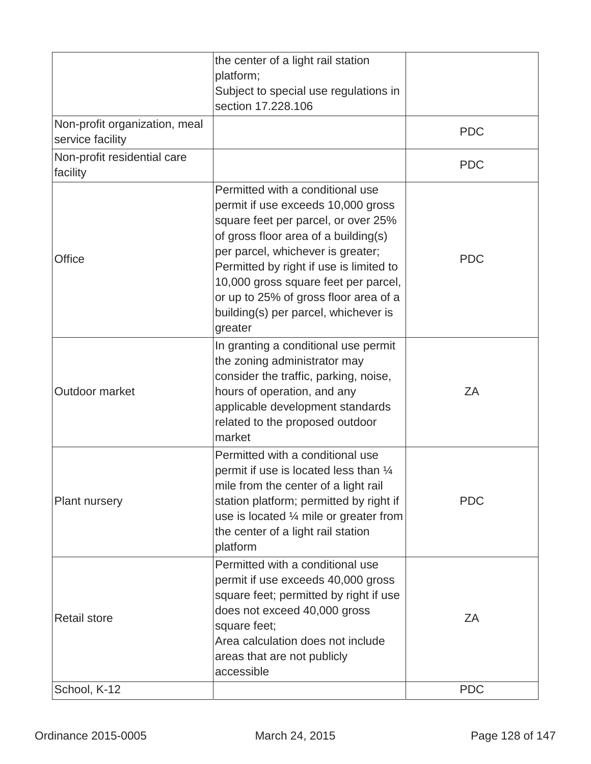|                                                   | the center of a light rail station<br>platform;<br>Subject to special use regulations in<br>section 17.228.106                                                                                                                                                                                                                                                            |            |
|---------------------------------------------------|---------------------------------------------------------------------------------------------------------------------------------------------------------------------------------------------------------------------------------------------------------------------------------------------------------------------------------------------------------------------------|------------|
| Non-profit organization, meal<br>service facility |                                                                                                                                                                                                                                                                                                                                                                           | <b>PDC</b> |
| Non-profit residential care<br>facility           |                                                                                                                                                                                                                                                                                                                                                                           | <b>PDC</b> |
| Office                                            | Permitted with a conditional use<br>permit if use exceeds 10,000 gross<br>square feet per parcel, or over 25%<br>of gross floor area of a building(s)<br>per parcel, whichever is greater;<br>Permitted by right if use is limited to<br>10,000 gross square feet per parcel,<br>or up to 25% of gross floor area of a<br>building(s) per parcel, whichever is<br>greater | <b>PDC</b> |
| Outdoor market                                    | In granting a conditional use permit<br>the zoning administrator may<br>consider the traffic, parking, noise,<br>hours of operation, and any<br>applicable development standards<br>related to the proposed outdoor<br>market                                                                                                                                             | ZA         |
| <b>Plant nursery</b>                              | Permitted with a conditional use<br>permit if use is located less than 1/4<br>mile from the center of a light rail<br>station platform; permitted by right if<br>use is located $\frac{1}{4}$ mile or greater from<br>the center of a light rail station<br>platform                                                                                                      | <b>PDC</b> |
| <b>Retail store</b>                               | Permitted with a conditional use<br>permit if use exceeds 40,000 gross<br>square feet; permitted by right if use<br>does not exceed 40,000 gross<br>square feet;<br>Area calculation does not include<br>areas that are not publicly<br>accessible                                                                                                                        | ZΑ         |
| School, K-12                                      |                                                                                                                                                                                                                                                                                                                                                                           | <b>PDC</b> |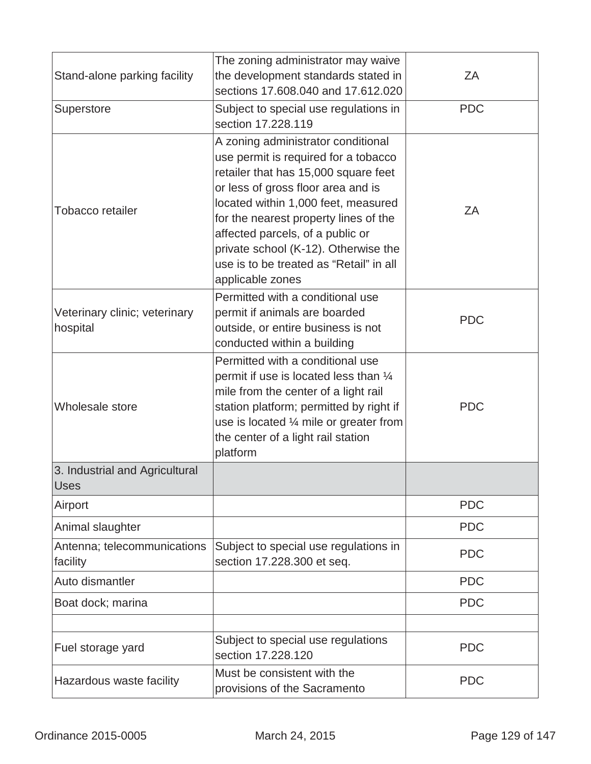| Stand-alone parking facility                  | The zoning administrator may waive<br>the development standards stated in<br>sections 17.608.040 and 17.612.020                                                                                                                                                                                                                                                                     | ZΑ<br><b>PDC</b> |
|-----------------------------------------------|-------------------------------------------------------------------------------------------------------------------------------------------------------------------------------------------------------------------------------------------------------------------------------------------------------------------------------------------------------------------------------------|------------------|
| Superstore                                    | Subject to special use regulations in<br>section 17.228.119                                                                                                                                                                                                                                                                                                                         |                  |
| <b>Tobacco retailer</b>                       | A zoning administrator conditional<br>use permit is required for a tobacco<br>retailer that has 15,000 square feet<br>or less of gross floor area and is<br>located within 1,000 feet, measured<br>for the nearest property lines of the<br>affected parcels, of a public or<br>private school (K-12). Otherwise the<br>use is to be treated as "Retail" in all<br>applicable zones | ZΑ               |
| Veterinary clinic; veterinary<br>hospital     | Permitted with a conditional use<br>permit if animals are boarded<br>outside, or entire business is not<br>conducted within a building                                                                                                                                                                                                                                              | <b>PDC</b>       |
| Wholesale store                               | Permitted with a conditional use<br>permit if use is located less than $\frac{1}{4}$<br>mile from the center of a light rail<br>station platform; permitted by right if<br>use is located $\frac{1}{4}$ mile or greater from<br>the center of a light rail station<br>platform                                                                                                      | <b>PDC</b>       |
| 3. Industrial and Agricultural<br><b>Uses</b> |                                                                                                                                                                                                                                                                                                                                                                                     |                  |
| Airport                                       |                                                                                                                                                                                                                                                                                                                                                                                     | <b>PDC</b>       |
| Animal slaughter                              |                                                                                                                                                                                                                                                                                                                                                                                     | <b>PDC</b>       |
| Antenna; telecommunications<br>facility       | Subject to special use regulations in<br>section 17.228.300 et seq.                                                                                                                                                                                                                                                                                                                 | <b>PDC</b>       |
| Auto dismantler                               |                                                                                                                                                                                                                                                                                                                                                                                     | <b>PDC</b>       |
| Boat dock; marina                             |                                                                                                                                                                                                                                                                                                                                                                                     | <b>PDC</b>       |
| Fuel storage yard                             | Subject to special use regulations<br>section 17.228.120                                                                                                                                                                                                                                                                                                                            | <b>PDC</b>       |
| Hazardous waste facility                      | Must be consistent with the<br><b>PDC</b><br>provisions of the Sacramento                                                                                                                                                                                                                                                                                                           |                  |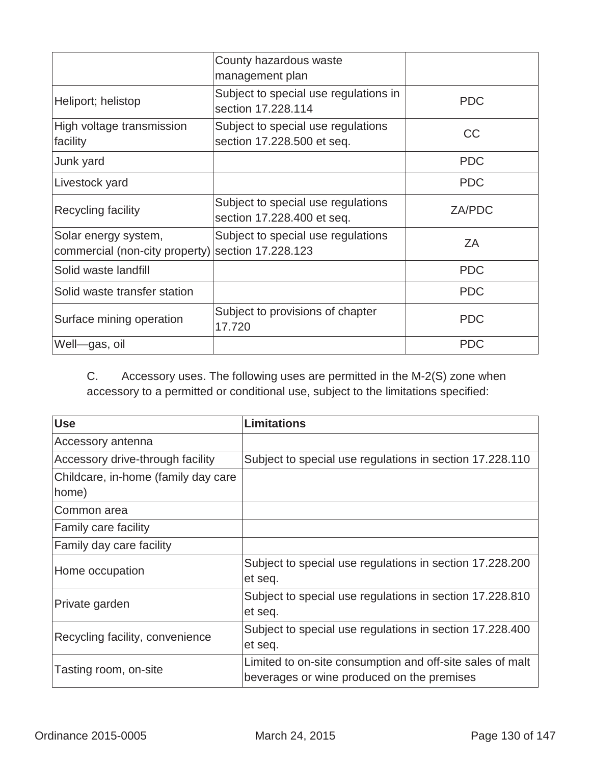|                                                                           | County hazardous waste<br>management plan                        |               |
|---------------------------------------------------------------------------|------------------------------------------------------------------|---------------|
| Heliport; helistop                                                        | Subject to special use regulations in<br>section 17,228,114      | <b>PDC</b>    |
| High voltage transmission<br>facility                                     | Subject to special use regulations<br>section 17.228.500 et seq. | <b>CC</b>     |
| Junk yard                                                                 |                                                                  | <b>PDC</b>    |
| Livestock yard                                                            |                                                                  | <b>PDC</b>    |
| Recycling facility                                                        | Subject to special use regulations<br>section 17.228.400 et seq. | <b>ZA/PDC</b> |
| Solar energy system,<br>commercial (non-city property) section 17.228.123 | Subject to special use regulations                               | ZA            |
| Solid waste landfill                                                      |                                                                  | <b>PDC</b>    |
| Solid waste transfer station                                              |                                                                  | <b>PDC</b>    |
| Surface mining operation                                                  | Subject to provisions of chapter<br>17.720                       | <b>PDC</b>    |
| Well—gas, oil                                                             |                                                                  | <b>PDC</b>    |

C. Accessory uses. The following uses are permitted in the M-2(S) zone when accessory to a permitted or conditional use, subject to the limitations specified:

| <b>Use</b>                          | <b>Limitations</b>                                        |
|-------------------------------------|-----------------------------------------------------------|
| Accessory antenna                   |                                                           |
| Accessory drive-through facility    | Subject to special use regulations in section 17.228.110  |
| Childcare, in-home (family day care |                                                           |
| home)                               |                                                           |
| Common area                         |                                                           |
| Family care facility                |                                                           |
| Family day care facility            |                                                           |
|                                     | Subject to special use regulations in section 17.228.200  |
| Home occupation                     | et seq.                                                   |
| Private garden                      | Subject to special use regulations in section 17.228.810  |
|                                     | et seq.                                                   |
| Recycling facility, convenience     | Subject to special use regulations in section 17.228.400  |
|                                     | et seq.                                                   |
| Tasting room, on-site               | Limited to on-site consumption and off-site sales of malt |
|                                     | beverages or wine produced on the premises                |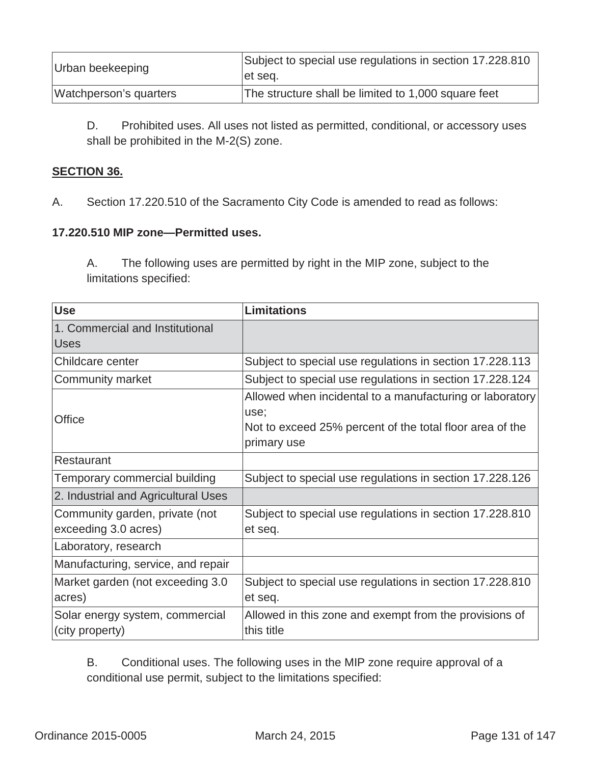| Urban beekeeping       | Subject to special use regulations in section 17.228.810<br>let seq. |
|------------------------|----------------------------------------------------------------------|
| Watchperson's quarters | The structure shall be limited to 1,000 square feet                  |

D. Prohibited uses. All uses not listed as permitted, conditional, or accessory uses shall be prohibited in the M-2(S) zone.

## **SECTION 36.**

A.Section 17.220.510 of the Sacramento City Code is amended to read as follows:

### **17.220.510 MIP zone—Permitted uses.**

A. The following uses are permitted by right in the MIP zone, subject to the limitations specified:

| <b>Use</b>                                             | <b>Limitations</b>                                                                                                                          |
|--------------------------------------------------------|---------------------------------------------------------------------------------------------------------------------------------------------|
| 1. Commercial and Institutional                        |                                                                                                                                             |
| <b>Uses</b>                                            |                                                                                                                                             |
| Childcare center                                       | Subject to special use regulations in section 17.228.113                                                                                    |
| Community market                                       | Subject to special use regulations in section 17.228.124                                                                                    |
| Office                                                 | Allowed when incidental to a manufacturing or laboratory<br>use;<br>Not to exceed 25% percent of the total floor area of the<br>primary use |
| Restaurant                                             |                                                                                                                                             |
| Temporary commercial building                          | Subject to special use regulations in section 17.228.126                                                                                    |
| 2. Industrial and Agricultural Uses                    |                                                                                                                                             |
| Community garden, private (not<br>exceeding 3.0 acres) | Subject to special use regulations in section 17.228.810<br>et seq.                                                                         |
| Laboratory, research                                   |                                                                                                                                             |
| Manufacturing, service, and repair                     |                                                                                                                                             |
| Market garden (not exceeding 3.0<br>acres)             | Subject to special use regulations in section 17.228.810<br>et seq.                                                                         |
| Solar energy system, commercial<br>(city property)     | Allowed in this zone and exempt from the provisions of<br>this title                                                                        |

B. Conditional uses. The following uses in the MIP zone require approval of a conditional use permit, subject to the limitations specified: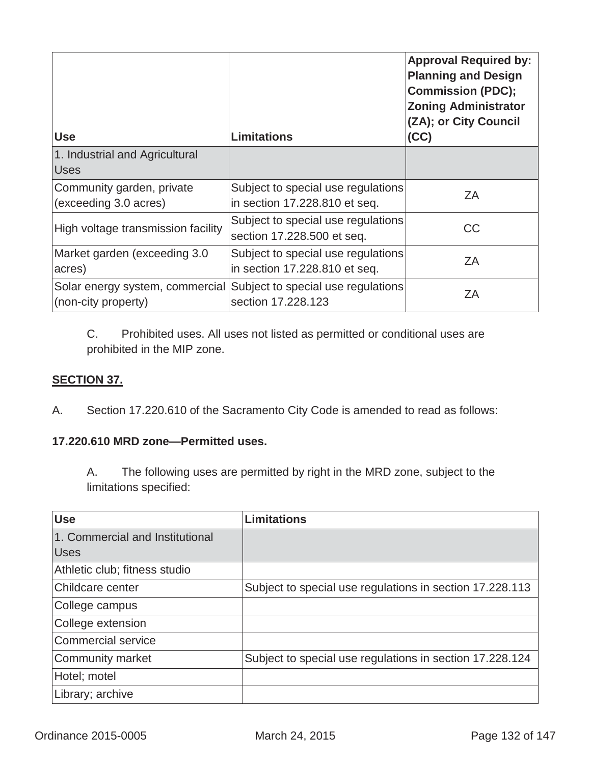| <b>Use</b>                         | <b>Limitations</b>                 | <b>Approval Required by:</b><br><b>Planning and Design</b><br><b>Commission (PDC);</b><br><b>Zoning Administrator</b><br>(ZA); or City Council<br>(CC) |
|------------------------------------|------------------------------------|--------------------------------------------------------------------------------------------------------------------------------------------------------|
| 1. Industrial and Agricultural     |                                    |                                                                                                                                                        |
| <b>Uses</b>                        |                                    |                                                                                                                                                        |
| Community garden, private          | Subject to special use regulations | ZA                                                                                                                                                     |
| (exceeding 3.0 acres)              | in section 17.228.810 et seq.      |                                                                                                                                                        |
| High voltage transmission facility | Subject to special use regulations | <b>CC</b>                                                                                                                                              |
|                                    | section 17.228.500 et seq.         |                                                                                                                                                        |
| Market garden (exceeding 3.0)      | Subject to special use regulations | ZA                                                                                                                                                     |
| acres)                             | in section 17.228.810 et seq.      |                                                                                                                                                        |
| Solar energy system, commercial    | Subject to special use regulations | ΖA                                                                                                                                                     |
| (non-city property)                | section 17,228,123                 |                                                                                                                                                        |

C. Prohibited uses. All uses not listed as permitted or conditional uses are prohibited in the MIP zone.

# **SECTION 37.**

A. Section 17.220.610 of the Sacramento City Code is amended to read as follows:

## **17.220.610 MRD zone—Permitted uses.**

A. The following uses are permitted by right in the MRD zone, subject to the limitations specified:

| <b>Use</b>                      | <b>Limitations</b>                                       |
|---------------------------------|----------------------------------------------------------|
| 1. Commercial and Institutional |                                                          |
| <b>Uses</b>                     |                                                          |
| Athletic club; fitness studio   |                                                          |
| <b>Childcare center</b>         | Subject to special use regulations in section 17.228.113 |
| College campus                  |                                                          |
| College extension               |                                                          |
| Commercial service              |                                                          |
| Community market                | Subject to special use regulations in section 17.228.124 |
| Hotel; motel                    |                                                          |
| Library; archive                |                                                          |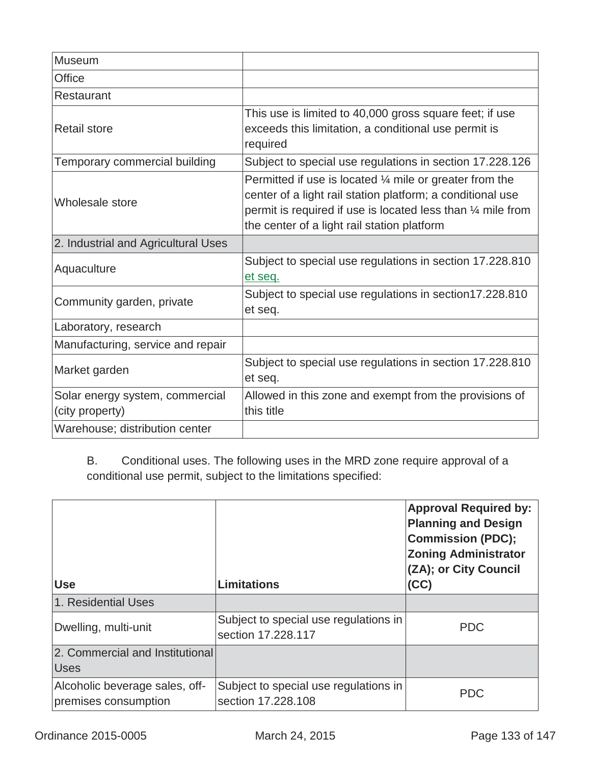| <b>Museum</b>                       |                                                                                                                                                                                                                                                 |
|-------------------------------------|-------------------------------------------------------------------------------------------------------------------------------------------------------------------------------------------------------------------------------------------------|
| Office                              |                                                                                                                                                                                                                                                 |
| Restaurant                          |                                                                                                                                                                                                                                                 |
| <b>Retail store</b>                 | This use is limited to 40,000 gross square feet; if use<br>exceeds this limitation, a conditional use permit is<br>required                                                                                                                     |
| Temporary commercial building       | Subject to special use regulations in section 17.228.126                                                                                                                                                                                        |
| Wholesale store                     | Permitted if use is located $\frac{1}{4}$ mile or greater from the<br>center of a light rail station platform; a conditional use<br>permit is required if use is located less than 1/4 mile from<br>the center of a light rail station platform |
| 2. Industrial and Agricultural Uses |                                                                                                                                                                                                                                                 |
| Aquaculture                         | Subject to special use regulations in section 17.228.810<br>et seq.                                                                                                                                                                             |
| Community garden, private           | Subject to special use regulations in section17.228.810<br>et seq.                                                                                                                                                                              |
| Laboratory, research                |                                                                                                                                                                                                                                                 |
| Manufacturing, service and repair   |                                                                                                                                                                                                                                                 |
| Market garden                       | Subject to special use regulations in section 17.228.810<br>et seq.                                                                                                                                                                             |
| Solar energy system, commercial     | Allowed in this zone and exempt from the provisions of                                                                                                                                                                                          |
| (city property)                     | this title                                                                                                                                                                                                                                      |
| Warehouse; distribution center      |                                                                                                                                                                                                                                                 |

B. Conditional uses. The following uses in the MRD zone require approval of a conditional use permit, subject to the limitations specified:

| <b>Use</b>                                             | <b>Limitations</b>                                          | <b>Approval Required by:</b><br><b>Planning and Design</b><br><b>Commission (PDC);</b><br><b>Zoning Administrator</b><br>(ZA); or City Council<br>(CC) |
|--------------------------------------------------------|-------------------------------------------------------------|--------------------------------------------------------------------------------------------------------------------------------------------------------|
| 1. Residential Uses                                    |                                                             |                                                                                                                                                        |
| Dwelling, multi-unit                                   | Subject to special use regulations in<br>section 17,228,117 | <b>PDC</b>                                                                                                                                             |
| 2. Commercial and Institutional<br><b>Uses</b>         |                                                             |                                                                                                                                                        |
| Alcoholic beverage sales, off-<br>premises consumption | Subject to special use regulations in<br>section 17,228,108 | <b>PDC</b>                                                                                                                                             |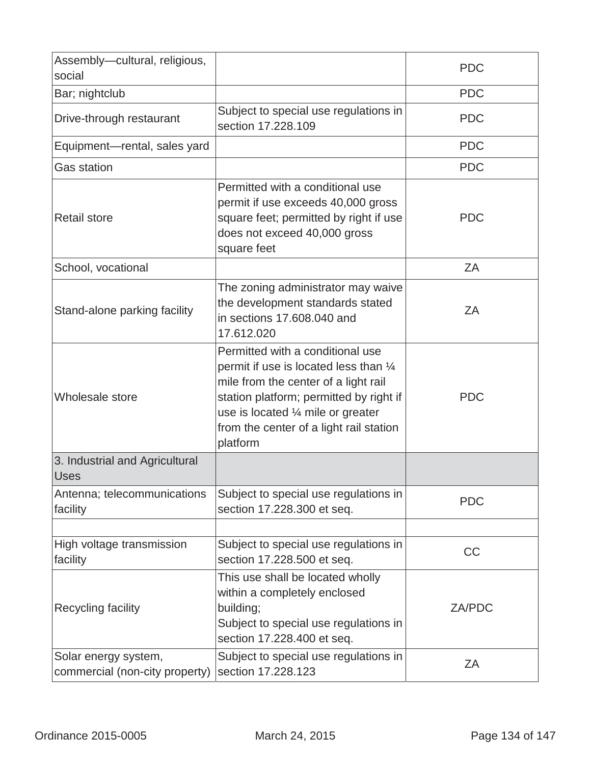| Assembly-cultural, religious,<br>social                |                                                                                                                                                                                                                                                                      | <b>PDC</b>    |
|--------------------------------------------------------|----------------------------------------------------------------------------------------------------------------------------------------------------------------------------------------------------------------------------------------------------------------------|---------------|
| Bar; nightclub                                         |                                                                                                                                                                                                                                                                      | <b>PDC</b>    |
| Drive-through restaurant                               | Subject to special use regulations in<br>section 17,228,109                                                                                                                                                                                                          | <b>PDC</b>    |
| Equipment-rental, sales yard                           |                                                                                                                                                                                                                                                                      | <b>PDC</b>    |
| <b>Gas station</b>                                     |                                                                                                                                                                                                                                                                      | <b>PDC</b>    |
| <b>Retail store</b>                                    | Permitted with a conditional use<br>permit if use exceeds 40,000 gross<br>square feet; permitted by right if use<br>does not exceed 40,000 gross<br>square feet                                                                                                      | <b>PDC</b>    |
| School, vocational                                     |                                                                                                                                                                                                                                                                      | ZA            |
| Stand-alone parking facility                           | The zoning administrator may waive<br>the development standards stated<br>in sections 17,608,040 and<br>17.612.020                                                                                                                                                   | ZA            |
| Wholesale store                                        | Permitted with a conditional use<br>permit if use is located less than $\frac{1}{4}$<br>mile from the center of a light rail<br>station platform; permitted by right if<br>use is located 1/4 mile or greater<br>from the center of a light rail station<br>platform | <b>PDC</b>    |
| 3. Industrial and Agricultural<br><b>Uses</b>          |                                                                                                                                                                                                                                                                      |               |
| Antenna; telecommunications<br>facility                | Subject to special use regulations in<br>section 17.228.300 et seq.                                                                                                                                                                                                  | <b>PDC</b>    |
| High voltage transmission<br>facility                  | Subject to special use regulations in<br>section 17.228.500 et seq.                                                                                                                                                                                                  | CC            |
| Recycling facility                                     | This use shall be located wholly<br>within a completely enclosed<br>building;<br>Subject to special use regulations in<br>section 17.228.400 et seq.                                                                                                                 | <b>ZA/PDC</b> |
| Solar energy system,<br>commercial (non-city property) | Subject to special use regulations in<br>section 17.228.123                                                                                                                                                                                                          | ZA            |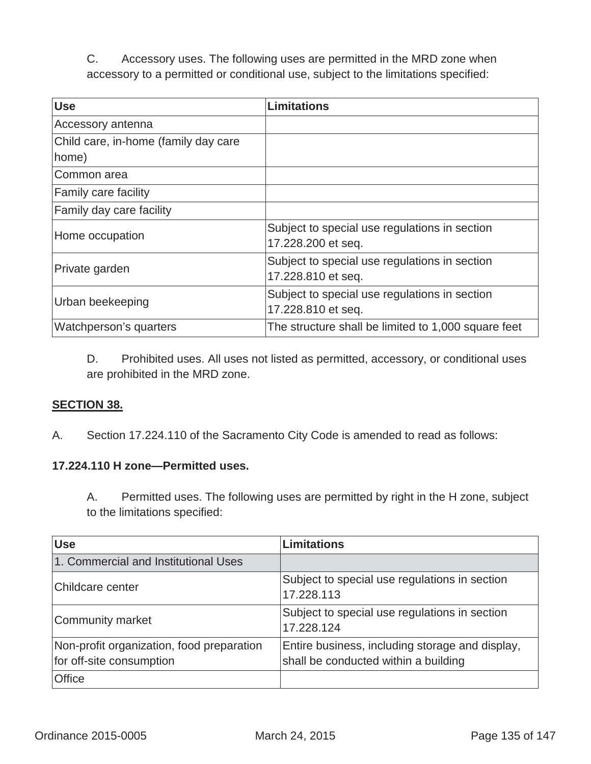C. Accessory uses. The following uses are permitted in the MRD zone when accessory to a permitted or conditional use, subject to the limitations specified:

| <b>Use</b>                                    | <b>Limitations</b>                                                  |
|-----------------------------------------------|---------------------------------------------------------------------|
| Accessory antenna                             |                                                                     |
| Child care, in-home (family day care<br>home) |                                                                     |
| Common area                                   |                                                                     |
| <b>Family care facility</b>                   |                                                                     |
| Family day care facility                      |                                                                     |
| Home occupation                               | Subject to special use regulations in section<br>17.228.200 et seq. |
| Private garden                                | Subject to special use regulations in section<br>17.228.810 et seq. |
| Urban beekeeping                              | Subject to special use regulations in section<br>17.228.810 et seq. |
| Watchperson's quarters                        | The structure shall be limited to 1,000 square feet                 |

D. Prohibited uses. All uses not listed as permitted, accessory, or conditional uses are prohibited in the MRD zone.

### **SECTION 38.**

A. Section 17.224.110 of the Sacramento City Code is amended to read as follows:

### **17.224.110 H zone—Permitted uses.**

A. Permitted uses. The following uses are permitted by right in the H zone, subject to the limitations specified:

| <b>Use</b>                                                            | <b>Limitations</b>                                                                      |
|-----------------------------------------------------------------------|-----------------------------------------------------------------------------------------|
| 1. Commercial and Institutional Uses                                  |                                                                                         |
| Childcare center                                                      | Subject to special use regulations in section<br>17.228.113                             |
| Community market                                                      | Subject to special use regulations in section<br>17.228.124                             |
| Non-profit organization, food preparation<br>for off-site consumption | Entire business, including storage and display,<br>shall be conducted within a building |
| <b>Office</b>                                                         |                                                                                         |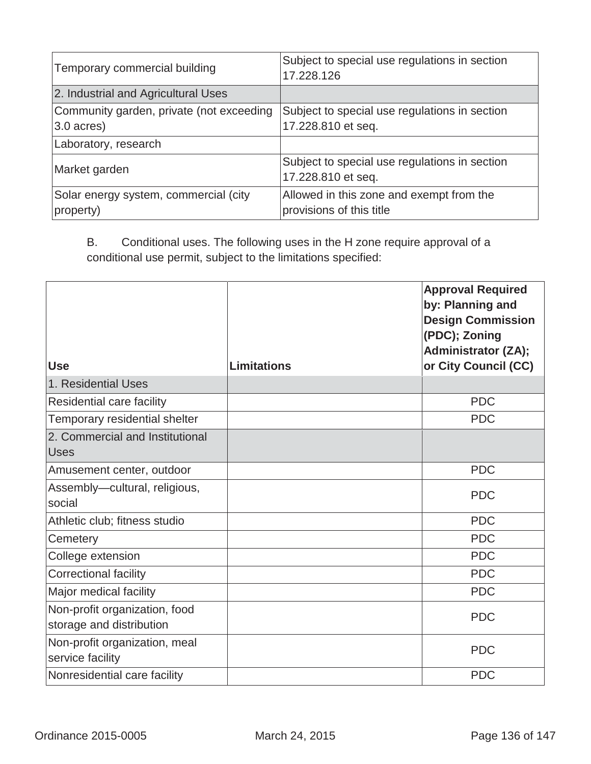| Temporary commercial building                            | Subject to special use regulations in section<br>17.228.126          |
|----------------------------------------------------------|----------------------------------------------------------------------|
| 2. Industrial and Agricultural Uses                      |                                                                      |
| Community garden, private (not exceeding<br>$3.0$ acres) | Subject to special use regulations in section<br>17.228.810 et seq.  |
| Laboratory, research                                     |                                                                      |
| Market garden                                            | Subject to special use regulations in section<br>17.228.810 et seq.  |
| Solar energy system, commercial (city<br>property)       | Allowed in this zone and exempt from the<br>provisions of this title |

B. Conditional uses. The following uses in the H zone require approval of a conditional use permit, subject to the limitations specified:

|                                                           |                    | <b>Approval Required</b><br>by: Planning and<br><b>Design Commission</b><br>(PDC); Zoning<br><b>Administrator (ZA);</b> |
|-----------------------------------------------------------|--------------------|-------------------------------------------------------------------------------------------------------------------------|
| <b>Use</b>                                                | <b>Limitations</b> | or City Council (CC)                                                                                                    |
| 1. Residential Uses                                       |                    |                                                                                                                         |
| Residential care facility                                 |                    | <b>PDC</b>                                                                                                              |
| Temporary residential shelter                             |                    | <b>PDC</b>                                                                                                              |
| 2. Commercial and Institutional<br><b>Uses</b>            |                    |                                                                                                                         |
| Amusement center, outdoor                                 |                    | <b>PDC</b>                                                                                                              |
| Assembly-cultural, religious,<br>social                   |                    | <b>PDC</b>                                                                                                              |
| Athletic club; fitness studio                             |                    | <b>PDC</b>                                                                                                              |
| Cemetery                                                  |                    | <b>PDC</b>                                                                                                              |
| College extension                                         |                    | <b>PDC</b>                                                                                                              |
| <b>Correctional facility</b>                              |                    | <b>PDC</b>                                                                                                              |
| Major medical facility                                    |                    | <b>PDC</b>                                                                                                              |
| Non-profit organization, food<br>storage and distribution |                    | <b>PDC</b>                                                                                                              |
| Non-profit organization, meal<br>service facility         |                    | <b>PDC</b>                                                                                                              |
| Nonresidential care facility                              |                    | <b>PDC</b>                                                                                                              |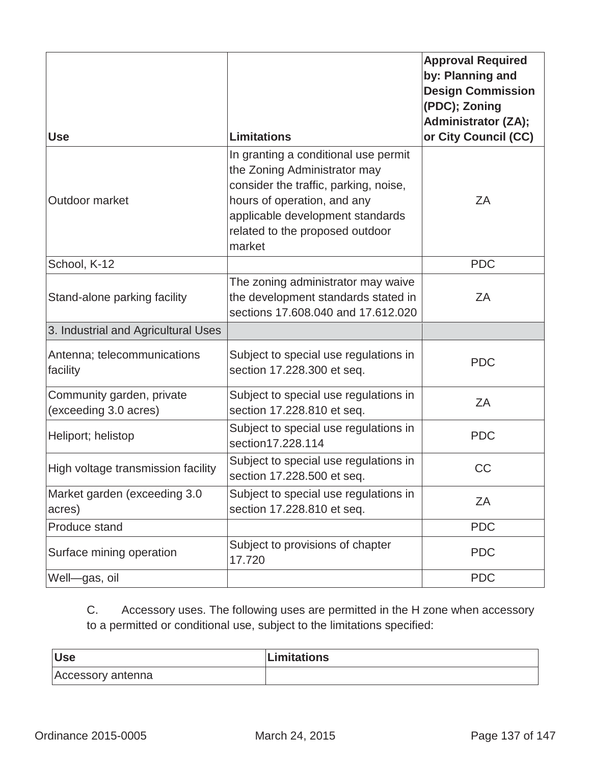|                                                    |                                                                                                                                                                                                                               | <b>Approval Required</b><br>by: Planning and<br><b>Design Commission</b><br>(PDC); Zoning<br><b>Administrator (ZA);</b> |
|----------------------------------------------------|-------------------------------------------------------------------------------------------------------------------------------------------------------------------------------------------------------------------------------|-------------------------------------------------------------------------------------------------------------------------|
| <b>Use</b>                                         | <b>Limitations</b>                                                                                                                                                                                                            | or City Council (CC)                                                                                                    |
| Outdoor market                                     | In granting a conditional use permit<br>the Zoning Administrator may<br>consider the traffic, parking, noise,<br>hours of operation, and any<br>applicable development standards<br>related to the proposed outdoor<br>market | ZA                                                                                                                      |
| School, K-12                                       |                                                                                                                                                                                                                               | <b>PDC</b>                                                                                                              |
| Stand-alone parking facility                       | The zoning administrator may waive<br>the development standards stated in<br>sections 17,608,040 and 17,612,020                                                                                                               | ZA                                                                                                                      |
| 3. Industrial and Agricultural Uses                |                                                                                                                                                                                                                               |                                                                                                                         |
| Antenna; telecommunications<br>facility            | Subject to special use regulations in<br>section 17.228.300 et seq.                                                                                                                                                           | <b>PDC</b>                                                                                                              |
| Community garden, private<br>(exceeding 3.0 acres) | Subject to special use regulations in<br>section 17.228.810 et seq.                                                                                                                                                           | ZA                                                                                                                      |
| Heliport; helistop                                 | Subject to special use regulations in<br>section17.228.114                                                                                                                                                                    | <b>PDC</b>                                                                                                              |
| High voltage transmission facility                 | Subject to special use regulations in<br>section 17.228.500 et seq.                                                                                                                                                           | CC                                                                                                                      |
| Market garden (exceeding 3.0<br>acres)             | Subject to special use regulations in<br>section 17.228.810 et seq.                                                                                                                                                           | ZA                                                                                                                      |
| Produce stand                                      |                                                                                                                                                                                                                               | <b>PDC</b>                                                                                                              |
| Surface mining operation                           | Subject to provisions of chapter<br>17.720                                                                                                                                                                                    | <b>PDC</b>                                                                                                              |
| Well-gas, oil                                      |                                                                                                                                                                                                                               | <b>PDC</b>                                                                                                              |

C. Accessory uses. The following uses are permitted in the H zone when accessory to a permitted or conditional use, subject to the limitations specified:

| <b>Use</b>        | Limitations |
|-------------------|-------------|
| Accessory antenna |             |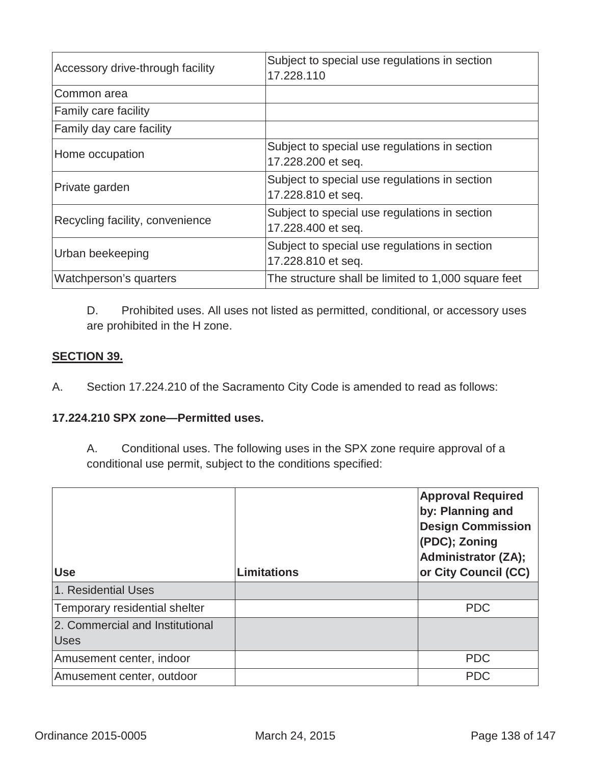| Accessory drive-through facility | Subject to special use regulations in section<br>17.228.110         |
|----------------------------------|---------------------------------------------------------------------|
| Common area                      |                                                                     |
| <b>Family care facility</b>      |                                                                     |
| Family day care facility         |                                                                     |
| Home occupation                  | Subject to special use regulations in section<br>17.228.200 et seq. |
| Private garden                   | Subject to special use regulations in section<br>17.228.810 et seq. |
| Recycling facility, convenience  | Subject to special use regulations in section<br>17.228.400 et seq. |
| Urban beekeeping                 | Subject to special use regulations in section<br>17.228.810 et seq. |
| Watchperson's quarters           | The structure shall be limited to 1,000 square feet                 |

D. Prohibited uses. All uses not listed as permitted, conditional, or accessory uses are prohibited in the H zone.

# **SECTION 39.**

A.Section 17.224.210 of the Sacramento City Code is amended to read as follows:

## **17.224.210 SPX zone—Permitted uses.**

A. Conditional uses. The following uses in the SPX zone require approval of a conditional use permit, subject to the conditions specified:

| <b>Use</b>                                     | <b>Limitations</b> | <b>Approval Required</b><br>by: Planning and<br><b>Design Commission</b><br>(PDC); Zoning<br><b>Administrator (ZA);</b><br>or City Council (CC) |
|------------------------------------------------|--------------------|-------------------------------------------------------------------------------------------------------------------------------------------------|
| 1. Residential Uses                            |                    |                                                                                                                                                 |
| Temporary residential shelter                  |                    | <b>PDC</b>                                                                                                                                      |
| 2. Commercial and Institutional<br><b>Uses</b> |                    |                                                                                                                                                 |
| Amusement center, indoor                       |                    | <b>PDC</b>                                                                                                                                      |
| Amusement center, outdoor                      |                    | <b>PDC</b>                                                                                                                                      |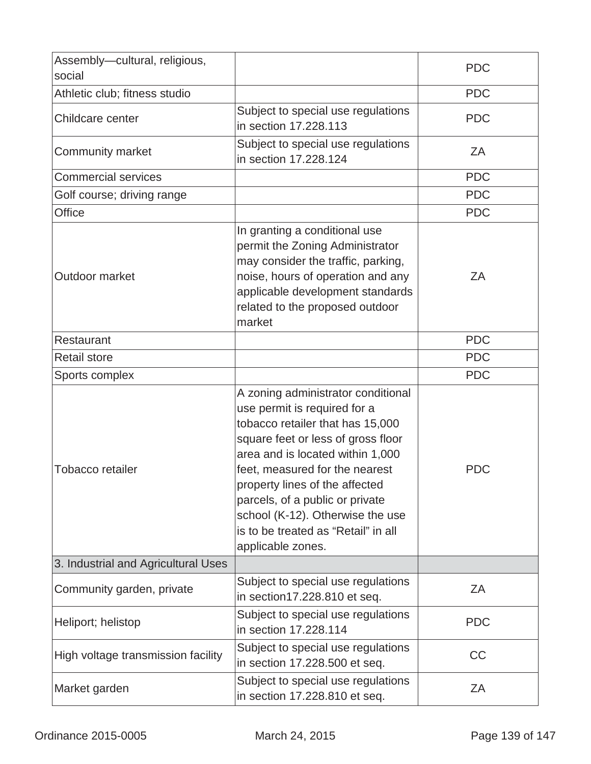| Assembly-cultural, religious,<br>social |                                                                                                                                                                                                                                                                                                                                                                                         | <b>PDC</b> |
|-----------------------------------------|-----------------------------------------------------------------------------------------------------------------------------------------------------------------------------------------------------------------------------------------------------------------------------------------------------------------------------------------------------------------------------------------|------------|
| Athletic club; fitness studio           |                                                                                                                                                                                                                                                                                                                                                                                         | <b>PDC</b> |
| Childcare center                        | Subject to special use regulations<br>in section 17.228.113                                                                                                                                                                                                                                                                                                                             | <b>PDC</b> |
| Community market                        | Subject to special use regulations<br>in section 17.228.124                                                                                                                                                                                                                                                                                                                             | ZΑ         |
| <b>Commercial services</b>              |                                                                                                                                                                                                                                                                                                                                                                                         | <b>PDC</b> |
| Golf course; driving range              |                                                                                                                                                                                                                                                                                                                                                                                         | <b>PDC</b> |
| <b>Office</b>                           |                                                                                                                                                                                                                                                                                                                                                                                         | <b>PDC</b> |
| Outdoor market                          | In granting a conditional use<br>permit the Zoning Administrator<br>may consider the traffic, parking,<br>noise, hours of operation and any<br>applicable development standards<br>related to the proposed outdoor<br>market                                                                                                                                                            | ZΑ         |
| Restaurant                              |                                                                                                                                                                                                                                                                                                                                                                                         | <b>PDC</b> |
| <b>Retail store</b>                     |                                                                                                                                                                                                                                                                                                                                                                                         | <b>PDC</b> |
| Sports complex                          |                                                                                                                                                                                                                                                                                                                                                                                         | <b>PDC</b> |
| Tobacco retailer                        | A zoning administrator conditional<br>use permit is required for a<br>tobacco retailer that has 15,000<br>square feet or less of gross floor<br>area and is located within 1,000<br>feet, measured for the nearest<br>property lines of the affected<br>parcels, of a public or private<br>school (K-12). Otherwise the use<br>is to be treated as "Retail" in all<br>applicable zones. | <b>PDC</b> |
| 3. Industrial and Agricultural Uses     |                                                                                                                                                                                                                                                                                                                                                                                         |            |
| Community garden, private               | Subject to special use regulations<br>in section17.228.810 et seq.                                                                                                                                                                                                                                                                                                                      | ZA         |
| Heliport; helistop                      | Subject to special use regulations<br>in section 17.228.114                                                                                                                                                                                                                                                                                                                             | <b>PDC</b> |
| High voltage transmission facility      | Subject to special use regulations<br>in section 17.228.500 et seq.                                                                                                                                                                                                                                                                                                                     | <b>CC</b>  |
| Market garden                           | Subject to special use regulations<br>in section 17.228.810 et seq.                                                                                                                                                                                                                                                                                                                     | ZA         |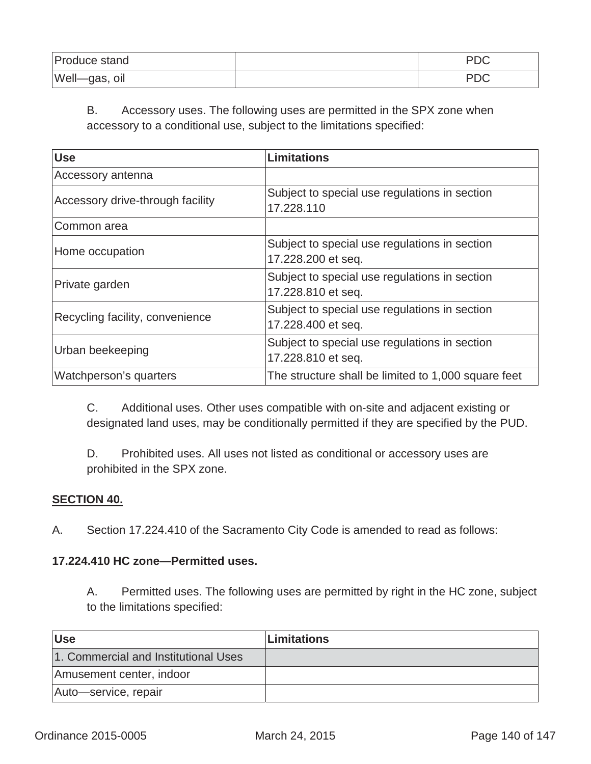| Produce stand                    | nne<br>⊃ש |
|----------------------------------|-----------|
| $Well$ <sub>y</sub><br>-gas, oil |           |

# B. Accessory uses. The following uses are permitted in the SPX zone when accessory to a conditional use, subject to the limitations specified:

| <b>Use</b>                       | Limitations                                                         |
|----------------------------------|---------------------------------------------------------------------|
| Accessory antenna                |                                                                     |
| Accessory drive-through facility | Subject to special use regulations in section<br>17.228.110         |
| Common area                      |                                                                     |
| Home occupation                  | Subject to special use regulations in section<br>17.228.200 et seq. |
| Private garden                   | Subject to special use regulations in section<br>17.228.810 et seq. |
| Recycling facility, convenience  | Subject to special use regulations in section<br>17.228.400 et seq. |
| Urban beekeeping                 | Subject to special use regulations in section<br>17.228.810 et seq. |
| Watchperson's quarters           | The structure shall be limited to 1,000 square feet                 |

C. Additional uses. Other uses compatible with on-site and adjacent existing or designated land uses, may be conditionally permitted if they are specified by the PUD.

D. Prohibited uses. All uses not listed as conditional or accessory uses are prohibited in the SPX zone.

### **SECTION 40.**

A. Section 17.224.410 of the Sacramento City Code is amended to read as follows:

### **17.224.410 HC zone—Permitted uses.**

A. Permitted uses. The following uses are permitted by right in the HC zone, subject to the limitations specified:

| <b>Use</b>                           | <b>Limitations</b> |
|--------------------------------------|--------------------|
| 1. Commercial and Institutional Uses |                    |
| Amusement center, indoor             |                    |
| Auto-service, repair                 |                    |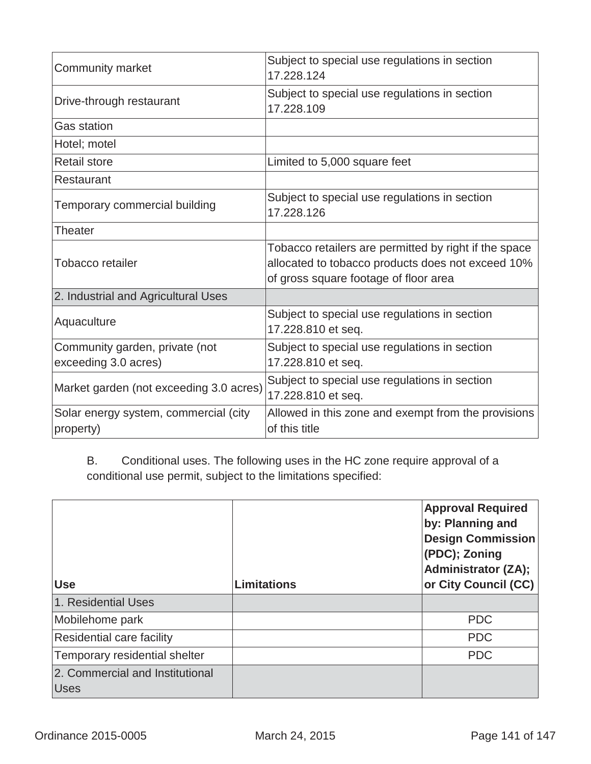| Community market                                       | Subject to special use regulations in section<br>17.228.124                                                                                         |
|--------------------------------------------------------|-----------------------------------------------------------------------------------------------------------------------------------------------------|
| Drive-through restaurant                               | Subject to special use regulations in section<br>17.228.109                                                                                         |
| <b>Gas station</b>                                     |                                                                                                                                                     |
| Hotel; motel                                           |                                                                                                                                                     |
| <b>Retail store</b>                                    | Limited to 5,000 square feet                                                                                                                        |
| Restaurant                                             |                                                                                                                                                     |
| Temporary commercial building                          | Subject to special use regulations in section<br>17.228.126                                                                                         |
| Theater                                                |                                                                                                                                                     |
| Tobacco retailer                                       | Tobacco retailers are permitted by right if the space<br>allocated to tobacco products does not exceed 10%<br>of gross square footage of floor area |
| 2. Industrial and Agricultural Uses                    |                                                                                                                                                     |
| Aquaculture                                            | Subject to special use regulations in section<br>17.228.810 et seq.                                                                                 |
| Community garden, private (not<br>exceeding 3.0 acres) | Subject to special use regulations in section<br>17.228.810 et seq.                                                                                 |
| Market garden (not exceeding 3.0 acres)                | Subject to special use regulations in section<br>17.228.810 et seq.                                                                                 |
| Solar energy system, commercial (city<br>property)     | Allowed in this zone and exempt from the provisions<br>of this title                                                                                |

B. Conditional uses. The following uses in the HC zone require approval of a conditional use permit, subject to the limitations specified:

| <b>Use</b>                       | Limitations | <b>Approval Required</b><br>by: Planning and<br><b>Design Commission</b><br>(PDC); Zoning<br><b>Administrator (ZA);</b><br>or City Council (CC) |
|----------------------------------|-------------|-------------------------------------------------------------------------------------------------------------------------------------------------|
|                                  |             |                                                                                                                                                 |
| 1. Residential Uses              |             |                                                                                                                                                 |
| Mobilehome park                  |             | <b>PDC</b>                                                                                                                                      |
| <b>Residential care facility</b> |             | <b>PDC</b>                                                                                                                                      |
| Temporary residential shelter    |             | <b>PDC</b>                                                                                                                                      |
| 2. Commercial and Institutional  |             |                                                                                                                                                 |
| <b>Uses</b>                      |             |                                                                                                                                                 |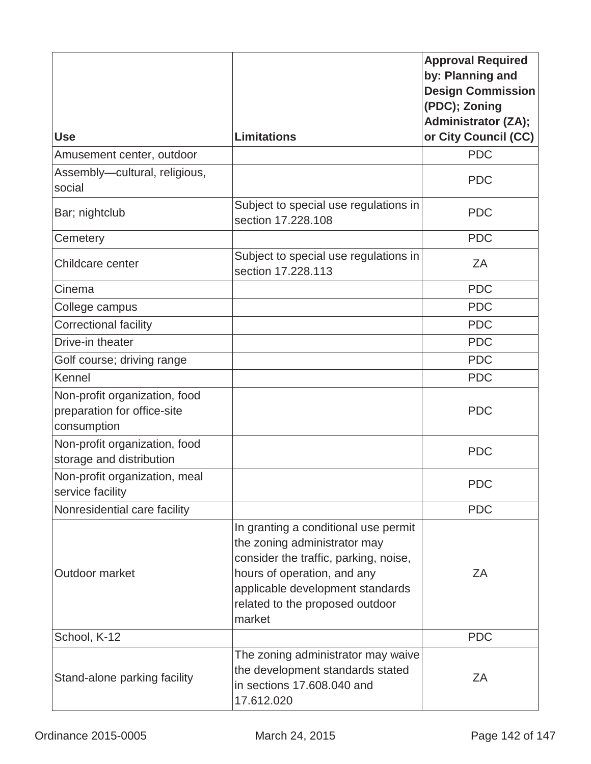|                                                                             |                                                                                                                                                                                                                               | <b>Approval Required</b><br>by: Planning and<br><b>Design Commission</b> |
|-----------------------------------------------------------------------------|-------------------------------------------------------------------------------------------------------------------------------------------------------------------------------------------------------------------------------|--------------------------------------------------------------------------|
|                                                                             |                                                                                                                                                                                                                               | (PDC); Zoning                                                            |
| <b>Use</b>                                                                  | <b>Limitations</b>                                                                                                                                                                                                            | <b>Administrator (ZA);</b><br>or City Council (CC)                       |
| Amusement center, outdoor                                                   |                                                                                                                                                                                                                               | <b>PDC</b>                                                               |
| Assembly-cultural, religious,                                               |                                                                                                                                                                                                                               |                                                                          |
| social                                                                      |                                                                                                                                                                                                                               | <b>PDC</b>                                                               |
| Bar; nightclub                                                              | Subject to special use regulations in<br>section 17.228.108                                                                                                                                                                   | <b>PDC</b>                                                               |
| Cemetery                                                                    |                                                                                                                                                                                                                               | <b>PDC</b>                                                               |
| Childcare center                                                            | Subject to special use regulations in<br>section 17.228.113                                                                                                                                                                   | ZA                                                                       |
| Cinema                                                                      |                                                                                                                                                                                                                               | <b>PDC</b>                                                               |
| College campus                                                              |                                                                                                                                                                                                                               | <b>PDC</b>                                                               |
| <b>Correctional facility</b>                                                |                                                                                                                                                                                                                               | <b>PDC</b>                                                               |
| Drive-in theater                                                            |                                                                                                                                                                                                                               | <b>PDC</b>                                                               |
| Golf course; driving range                                                  |                                                                                                                                                                                                                               | <b>PDC</b>                                                               |
| Kennel                                                                      |                                                                                                                                                                                                                               | <b>PDC</b>                                                               |
| Non-profit organization, food<br>preparation for office-site<br>consumption |                                                                                                                                                                                                                               | <b>PDC</b>                                                               |
| Non-profit organization, food<br>storage and distribution                   |                                                                                                                                                                                                                               | <b>PDC</b>                                                               |
| Non-profit organization, meal<br>service facility                           |                                                                                                                                                                                                                               | <b>PDC</b>                                                               |
| Nonresidential care facility                                                |                                                                                                                                                                                                                               | <b>PDC</b>                                                               |
| Outdoor market                                                              | In granting a conditional use permit<br>the zoning administrator may<br>consider the traffic, parking, noise,<br>hours of operation, and any<br>applicable development standards<br>related to the proposed outdoor<br>market | ZΑ                                                                       |
| School, K-12                                                                |                                                                                                                                                                                                                               | <b>PDC</b>                                                               |
| Stand-alone parking facility                                                | The zoning administrator may waive<br>the development standards stated<br>in sections 17.608.040 and<br>17.612.020                                                                                                            | ZΑ                                                                       |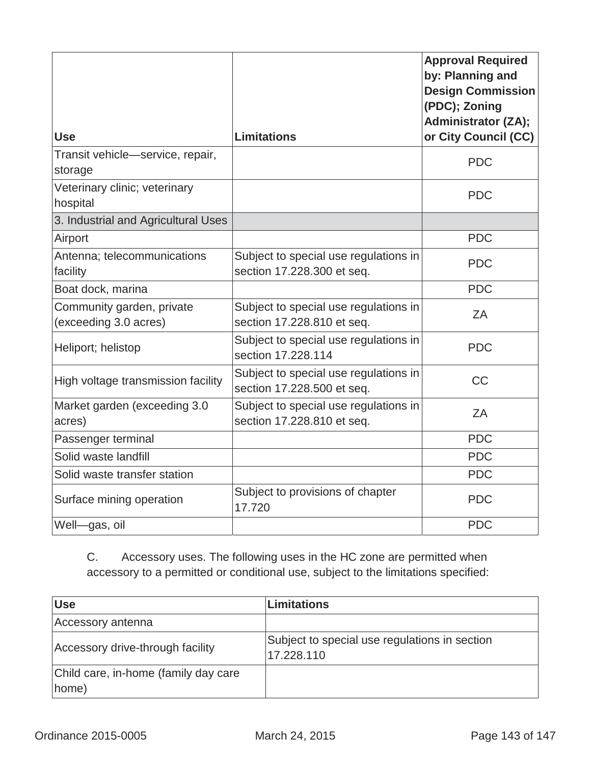| <b>Use</b>                                         | <b>Limitations</b>                                                  | <b>Approval Required</b><br>by: Planning and<br><b>Design Commission</b><br>(PDC); Zoning<br><b>Administrator (ZA);</b><br>or City Council (CC) |
|----------------------------------------------------|---------------------------------------------------------------------|-------------------------------------------------------------------------------------------------------------------------------------------------|
| Transit vehicle-service, repair,<br>storage        |                                                                     | <b>PDC</b>                                                                                                                                      |
| Veterinary clinic; veterinary<br>hospital          |                                                                     | <b>PDC</b>                                                                                                                                      |
| 3. Industrial and Agricultural Uses                |                                                                     |                                                                                                                                                 |
| Airport                                            |                                                                     | <b>PDC</b>                                                                                                                                      |
| Antenna; telecommunications<br>facility            | Subject to special use regulations in<br>section 17.228.300 et seq. | <b>PDC</b>                                                                                                                                      |
| Boat dock, marina                                  |                                                                     | <b>PDC</b>                                                                                                                                      |
| Community garden, private<br>(exceeding 3.0 acres) | Subject to special use regulations in<br>section 17.228.810 et seq. | ZA                                                                                                                                              |
| Heliport; helistop                                 | Subject to special use regulations in<br>section 17.228.114         | <b>PDC</b>                                                                                                                                      |
| High voltage transmission facility                 | Subject to special use regulations in<br>section 17.228.500 et seq. | <b>CC</b>                                                                                                                                       |
| Market garden (exceeding 3.0<br>acres)             | Subject to special use regulations in<br>section 17.228.810 et seq. | ZA                                                                                                                                              |
| Passenger terminal                                 |                                                                     | <b>PDC</b>                                                                                                                                      |
| Solid waste landfill                               |                                                                     | <b>PDC</b>                                                                                                                                      |
| Solid waste transfer station                       |                                                                     | <b>PDC</b>                                                                                                                                      |
| Surface mining operation                           | Subject to provisions of chapter<br>17.720                          | <b>PDC</b>                                                                                                                                      |
| Well-gas, oil                                      |                                                                     | <b>PDC</b>                                                                                                                                      |

C. Accessory uses. The following uses in the HC zone are permitted when accessory to a permitted or conditional use, subject to the limitations specified:

| <b>Use</b>                                    | <b>Limitations</b>                                          |
|-----------------------------------------------|-------------------------------------------------------------|
| Accessory antenna                             |                                                             |
| Accessory drive-through facility              | Subject to special use regulations in section<br>17.228.110 |
| Child care, in-home (family day care<br>home) |                                                             |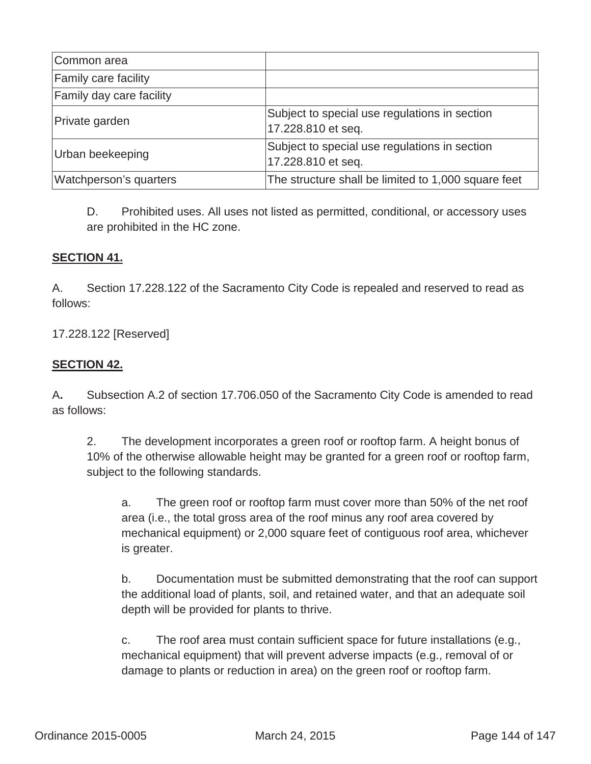| Common area                     |                                                                     |
|---------------------------------|---------------------------------------------------------------------|
| <b>Family care facility</b>     |                                                                     |
| <b>Family day care facility</b> |                                                                     |
| Private garden                  | Subject to special use regulations in section<br>17.228.810 et seq. |
| Urban beekeeping                | Subject to special use regulations in section<br>17.228.810 et seq. |
| Watchperson's quarters          | The structure shall be limited to 1,000 square feet                 |

D. Prohibited uses. All uses not listed as permitted, conditional, or accessory uses are prohibited in the HC zone.

# **SECTION 41.**

A.Section 17.228.122 of the Sacramento City Code is repealed and reserved to read as follows:

17.228.122 [Reserved]

# **SECTION 42.**

A**.** Subsection A.2 of section 17.706.050 of the Sacramento City Code is amended to read as follows:

2. The development incorporates a green roof or rooftop farm. A height bonus of 10% of the otherwise allowable height may be granted for a green roof or rooftop farm, subject to the following standards.

a. The green roof or rooftop farm must cover more than 50% of the net roof area (i.e., the total gross area of the roof minus any roof area covered by mechanical equipment) or 2,000 square feet of contiguous roof area, whichever is greater.

b. Documentation must be submitted demonstrating that the roof can support the additional load of plants, soil, and retained water, and that an adequate soil depth will be provided for plants to thrive.

c. The roof area must contain sufficient space for future installations (e.g., mechanical equipment) that will prevent adverse impacts (e.g., removal of or damage to plants or reduction in area) on the green roof or rooftop farm.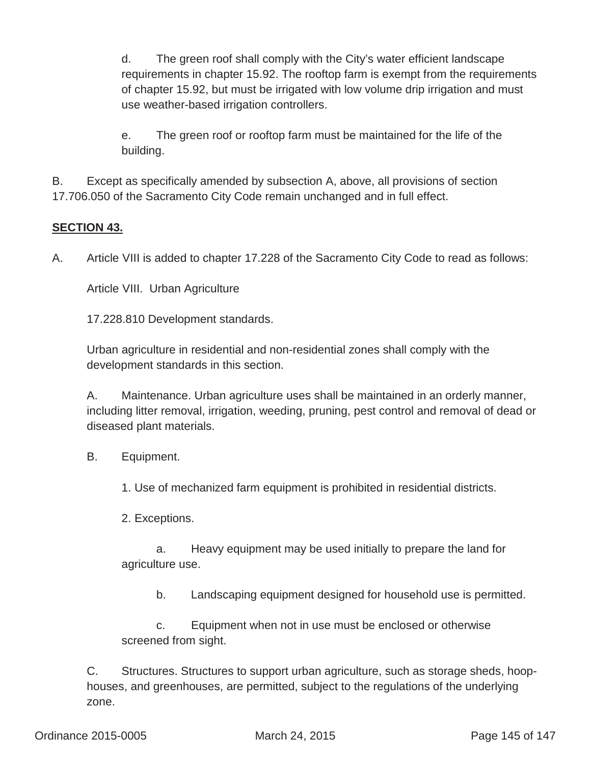d. The green roof shall comply with the City's water efficient landscape requirements in chapter 15.92. The rooftop farm is exempt from the requirements of chapter 15.92, but must be irrigated with low volume drip irrigation and must use weather-based irrigation controllers.

e. The green roof or rooftop farm must be maintained for the life of the building.

B.Except as specifically amended by subsection A, above, all provisions of section 17.706.050 of the Sacramento City Code remain unchanged and in full effect.

## **SECTION 43.**

A. Article VIII is added to chapter 17.228 of the Sacramento City Code to read as follows:

Article VIII. Urban Agriculture

17.228.810 Development standards.

Urban agriculture in residential and non-residential zones shall comply with the development standards in this section.

A. Maintenance. Urban agriculture uses shall be maintained in an orderly manner, including litter removal, irrigation, weeding, pruning, pest control and removal of dead or diseased plant materials.

B. Equipment.

1. Use of mechanized farm equipment is prohibited in residential districts.

2. Exceptions.

a. Heavy equipment may be used initially to prepare the land for agriculture use.

b. Landscaping equipment designed for household use is permitted.

c. Equipment when not in use must be enclosed or otherwise screened from sight.

C. Structures. Structures to support urban agriculture, such as storage sheds, hoophouses, and greenhouses, are permitted, subject to the regulations of the underlying zone.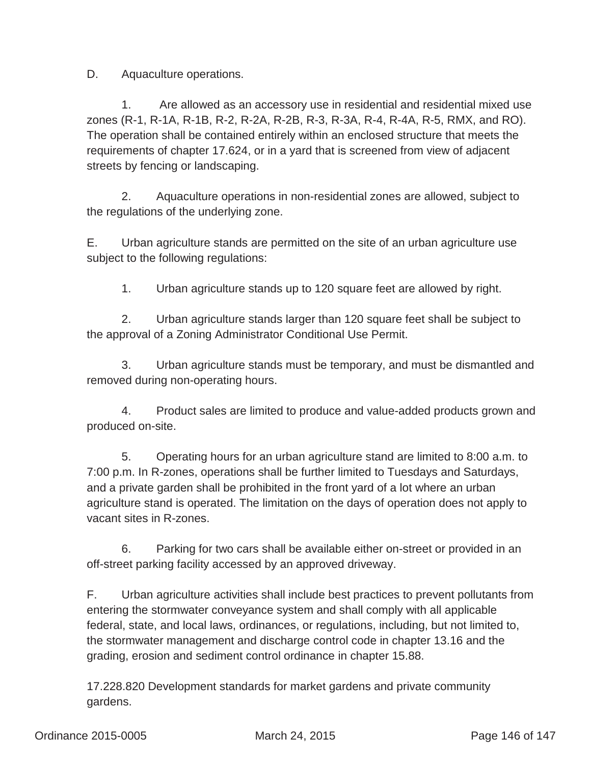D. Aquaculture operations.

1. Are allowed as an accessory use in residential and residential mixed use zones (R-1, R-1A, R-1B, R-2, R-2A, R-2B, R-3, R-3A, R-4, R-4A, R-5, RMX, and RO). The operation shall be contained entirely within an enclosed structure that meets the requirements of chapter 17.624, or in a yard that is screened from view of adjacent streets by fencing or landscaping.

2. Aquaculture operations in non-residential zones are allowed, subject to the regulations of the underlying zone.

E. Urban agriculture stands are permitted on the site of an urban agriculture use subject to the following regulations:

1. Urban agriculture stands up to 120 square feet are allowed by right.

2. Urban agriculture stands larger than 120 square feet shall be subject to the approval of a Zoning Administrator Conditional Use Permit.

3. Urban agriculture stands must be temporary, and must be dismantled and removed during non-operating hours.

4. Product sales are limited to produce and value-added products grown and produced on-site.

5. Operating hours for an urban agriculture stand are limited to 8:00 a.m. to 7:00 p.m. In R-zones, operations shall be further limited to Tuesdays and Saturdays, and a private garden shall be prohibited in the front yard of a lot where an urban agriculture stand is operated. The limitation on the days of operation does not apply to vacant sites in R-zones.

6. Parking for two cars shall be available either on-street or provided in an off-street parking facility accessed by an approved driveway.

F. Urban agriculture activities shall include best practices to prevent pollutants from entering the stormwater conveyance system and shall comply with all applicable federal, state, and local laws, ordinances, or regulations, including, but not limited to, the stormwater management and discharge control code in chapter 13.16 and the grading, erosion and sediment control ordinance in chapter 15.88.

17.228.820 Development standards for market gardens and private community gardens.